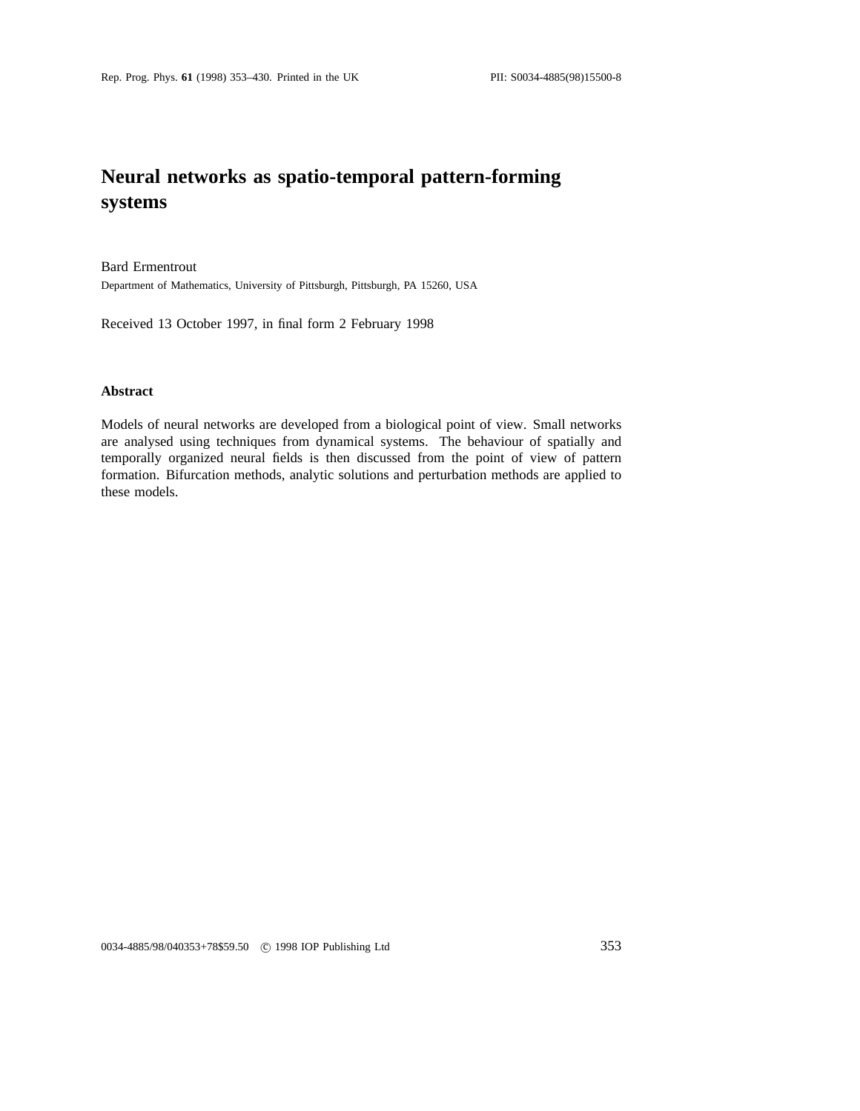# **Neural networks as spatio-temporal pattern-forming systems**

Bard Ermentrout

Department of Mathematics, University of Pittsburgh, Pittsburgh, PA 15260, USA

Received 13 October 1997, in final form 2 February 1998

# **Abstract**

Models of neural networks are developed from a biological point of view. Small networks are analysed using techniques from dynamical systems. The behaviour of spatially and temporally organized neural fields is then discussed from the point of view of pattern formation. Bifurcation methods, analytic solutions and perturbation methods are applied to these models.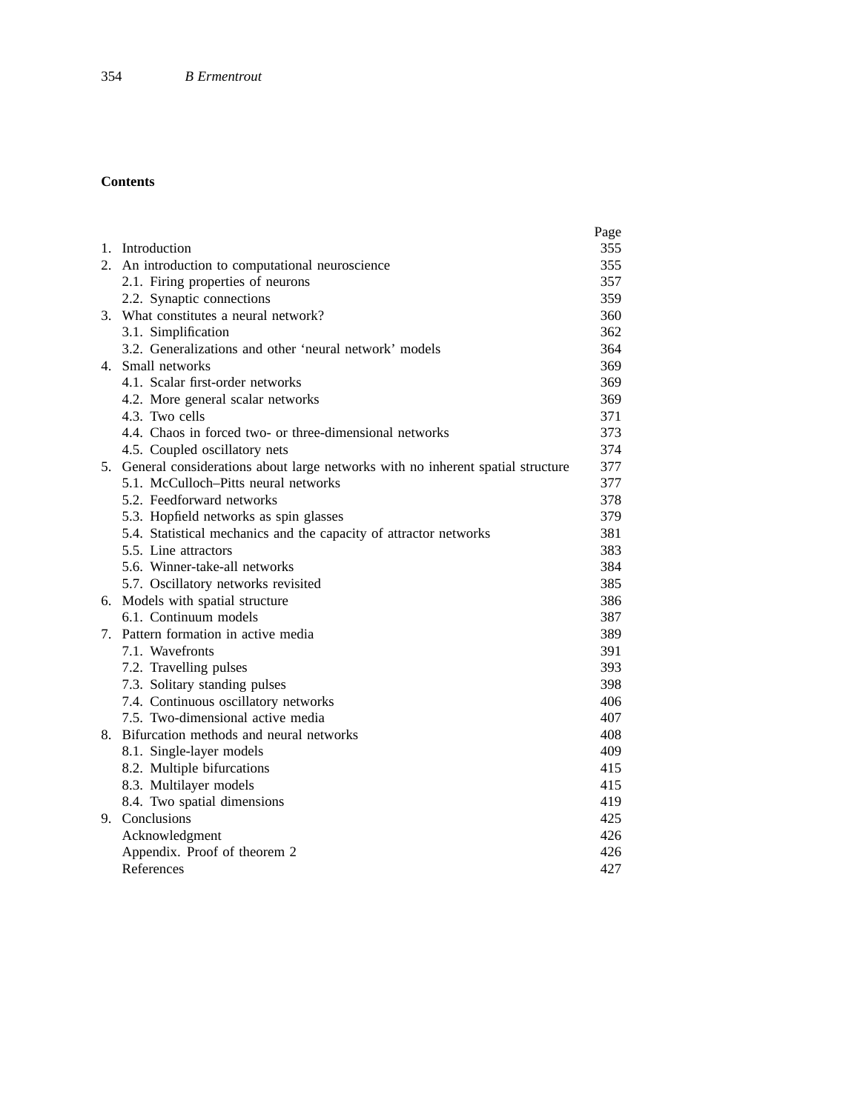# **Contents**

|                                                                                   | Page |
|-----------------------------------------------------------------------------------|------|
| 1. Introduction                                                                   | 355  |
| 2. An introduction to computational neuroscience                                  | 355  |
| 2.1. Firing properties of neurons                                                 | 357  |
| 2.2. Synaptic connections                                                         | 359  |
| 3. What constitutes a neural network?                                             | 360  |
| 3.1. Simplification                                                               | 362  |
| 3.2. Generalizations and other 'neural network' models                            | 364  |
| 4. Small networks                                                                 | 369  |
| 4.1. Scalar first-order networks                                                  | 369  |
| 4.2. More general scalar networks                                                 | 369  |
| 4.3. Two cells                                                                    | 371  |
| 4.4. Chaos in forced two- or three-dimensional networks                           | 373  |
| 4.5. Coupled oscillatory nets                                                     | 374  |
| 5. General considerations about large networks with no inherent spatial structure | 377  |
| 5.1. McCulloch–Pitts neural networks                                              | 377  |
| 5.2. Feedforward networks                                                         | 378  |
| 5.3. Hopfield networks as spin glasses                                            | 379  |
| 5.4. Statistical mechanics and the capacity of attractor networks                 | 381  |
| 5.5. Line attractors                                                              | 383  |
| 5.6. Winner-take-all networks                                                     | 384  |
| 5.7. Oscillatory networks revisited                                               | 385  |
| 6. Models with spatial structure                                                  | 386  |
| 6.1. Continuum models                                                             | 387  |
| 7. Pattern formation in active media                                              | 389  |
| 7.1. Wavefronts                                                                   | 391  |
| 7.2. Travelling pulses                                                            | 393  |
| 7.3. Solitary standing pulses                                                     | 398  |
| 7.4. Continuous oscillatory networks                                              | 406  |
| 7.5. Two-dimensional active media                                                 | 407  |
| 8. Bifurcation methods and neural networks                                        | 408  |
| 8.1. Single-layer models                                                          | 409  |
| 8.2. Multiple bifurcations                                                        | 415  |
| 8.3. Multilayer models                                                            | 415  |
| 8.4. Two spatial dimensions                                                       | 419  |
| 9. Conclusions                                                                    | 425  |
| Acknowledgment                                                                    | 426  |
| Appendix. Proof of theorem 2                                                      | 426  |
| References                                                                        | 427  |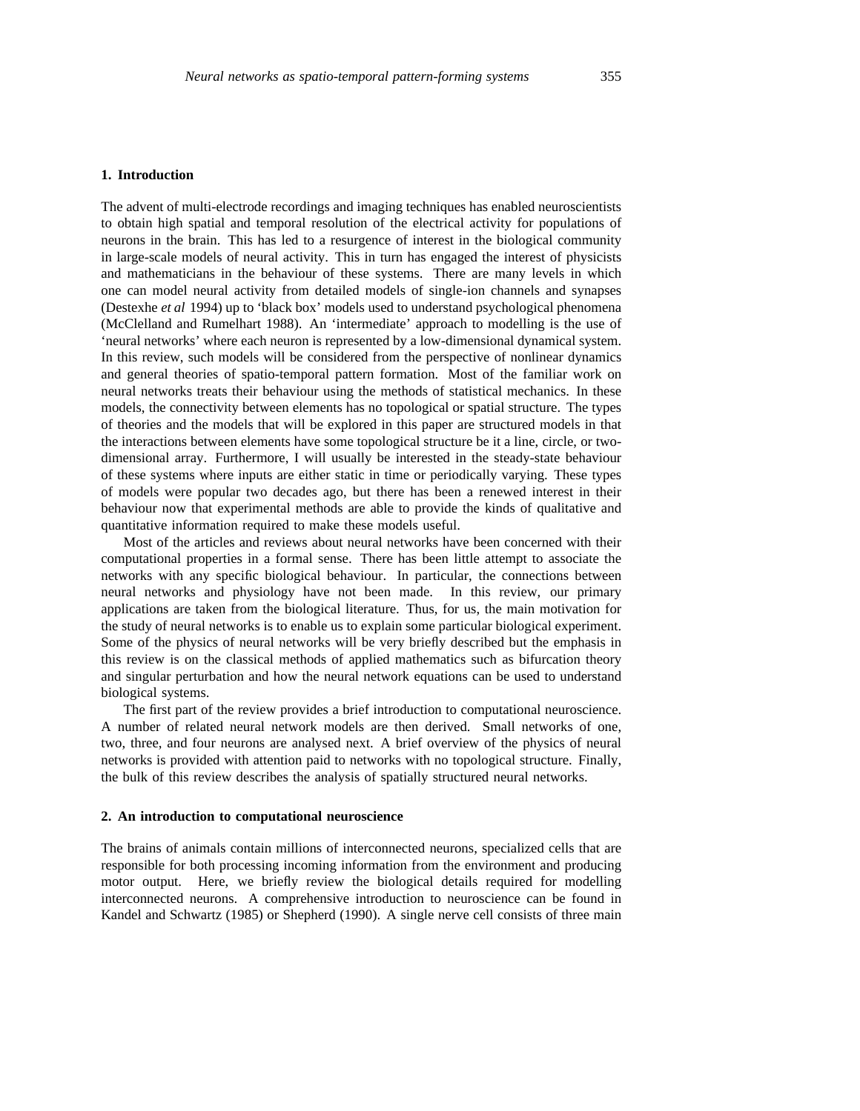# **1. Introduction**

The advent of multi-electrode recordings and imaging techniques has enabled neuroscientists to obtain high spatial and temporal resolution of the electrical activity for populations of neurons in the brain. This has led to a resurgence of interest in the biological community in large-scale models of neural activity. This in turn has engaged the interest of physicists and mathematicians in the behaviour of these systems. There are many levels in which one can model neural activity from detailed models of single-ion channels and synapses (Destexhe *et al* 1994) up to 'black box' models used to understand psychological phenomena (McClelland and Rumelhart 1988). An 'intermediate' approach to modelling is the use of 'neural networks' where each neuron is represented by a low-dimensional dynamical system. In this review, such models will be considered from the perspective of nonlinear dynamics and general theories of spatio-temporal pattern formation. Most of the familiar work on neural networks treats their behaviour using the methods of statistical mechanics. In these models, the connectivity between elements has no topological or spatial structure. The types of theories and the models that will be explored in this paper are structured models in that the interactions between elements have some topological structure be it a line, circle, or twodimensional array. Furthermore, I will usually be interested in the steady-state behaviour of these systems where inputs are either static in time or periodically varying. These types of models were popular two decades ago, but there has been a renewed interest in their behaviour now that experimental methods are able to provide the kinds of qualitative and quantitative information required to make these models useful.

Most of the articles and reviews about neural networks have been concerned with their computational properties in a formal sense. There has been little attempt to associate the networks with any specific biological behaviour. In particular, the connections between neural networks and physiology have not been made. In this review, our primary applications are taken from the biological literature. Thus, for us, the main motivation for the study of neural networks is to enable us to explain some particular biological experiment. Some of the physics of neural networks will be very briefly described but the emphasis in this review is on the classical methods of applied mathematics such as bifurcation theory and singular perturbation and how the neural network equations can be used to understand biological systems.

The first part of the review provides a brief introduction to computational neuroscience. A number of related neural network models are then derived. Small networks of one, two, three, and four neurons are analysed next. A brief overview of the physics of neural networks is provided with attention paid to networks with no topological structure. Finally, the bulk of this review describes the analysis of spatially structured neural networks.

#### **2. An introduction to computational neuroscience**

The brains of animals contain millions of interconnected neurons, specialized cells that are responsible for both processing incoming information from the environment and producing motor output. Here, we briefly review the biological details required for modelling interconnected neurons. A comprehensive introduction to neuroscience can be found in Kandel and Schwartz (1985) or Shepherd (1990). A single nerve cell consists of three main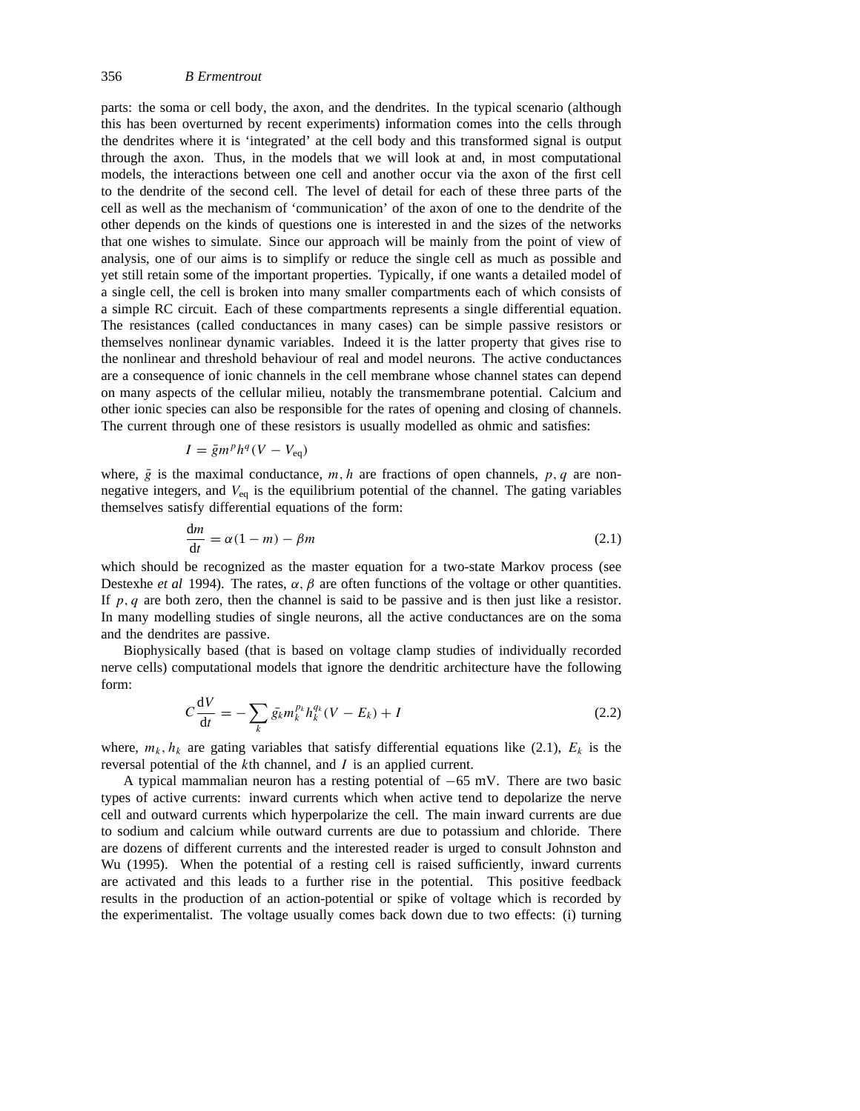parts: the soma or cell body, the axon, and the dendrites. In the typical scenario (although this has been overturned by recent experiments) information comes into the cells through the dendrites where it is 'integrated' at the cell body and this transformed signal is output through the axon. Thus, in the models that we will look at and, in most computational models, the interactions between one cell and another occur via the axon of the first cell to the dendrite of the second cell. The level of detail for each of these three parts of the cell as well as the mechanism of 'communication' of the axon of one to the dendrite of the other depends on the kinds of questions one is interested in and the sizes of the networks that one wishes to simulate. Since our approach will be mainly from the point of view of analysis, one of our aims is to simplify or reduce the single cell as much as possible and yet still retain some of the important properties. Typically, if one wants a detailed model of a single cell, the cell is broken into many smaller compartments each of which consists of a simple RC circuit. Each of these compartments represents a single differential equation. The resistances (called conductances in many cases) can be simple passive resistors or themselves nonlinear dynamic variables. Indeed it is the latter property that gives rise to the nonlinear and threshold behaviour of real and model neurons. The active conductances are a consequence of ionic channels in the cell membrane whose channel states can depend on many aspects of the cellular milieu, notably the transmembrane potential. Calcium and other ionic species can also be responsible for the rates of opening and closing of channels. The current through one of these resistors is usually modelled as ohmic and satisfies:

$$
I = \bar{g}m^ph^q(V - V_{\text{eq}})
$$

where,  $\bar{g}$  is the maximal conductance,  $m, h$  are fractions of open channels,  $p, q$  are nonnegative integers, and *V*eq is the equilibrium potential of the channel. The gating variables themselves satisfy differential equations of the form:

$$
\frac{dm}{dt} = \alpha(1 - m) - \beta m \tag{2.1}
$$

which should be recognized as the master equation for a two-state Markov process (see Destexhe *et al* 1994). The rates,  $\alpha$ ,  $\beta$  are often functions of the voltage or other quantities. If *p, q* are both zero, then the channel is said to be passive and is then just like a resistor. In many modelling studies of single neurons, all the active conductances are on the soma and the dendrites are passive.

Biophysically based (that is based on voltage clamp studies of individually recorded nerve cells) computational models that ignore the dendritic architecture have the following form:

$$
C\frac{dV}{dt} = -\sum_{k} \bar{g_k} m_k^{p_k} h_k^{q_k} (V - E_k) + I
$$
 (2.2)

where,  $m_k$ ,  $h_k$  are gating variables that satisfy differential equations like (2.1),  $E_k$  is the reversal potential of the *k*th channel, and *I* is an applied current.

A typical mammalian neuron has a resting potential of −65 mV. There are two basic types of active currents: inward currents which when active tend to depolarize the nerve cell and outward currents which hyperpolarize the cell. The main inward currents are due to sodium and calcium while outward currents are due to potassium and chloride. There are dozens of different currents and the interested reader is urged to consult Johnston and Wu (1995). When the potential of a resting cell is raised sufficiently, inward currents are activated and this leads to a further rise in the potential. This positive feedback results in the production of an action-potential or spike of voltage which is recorded by the experimentalist. The voltage usually comes back down due to two effects: (i) turning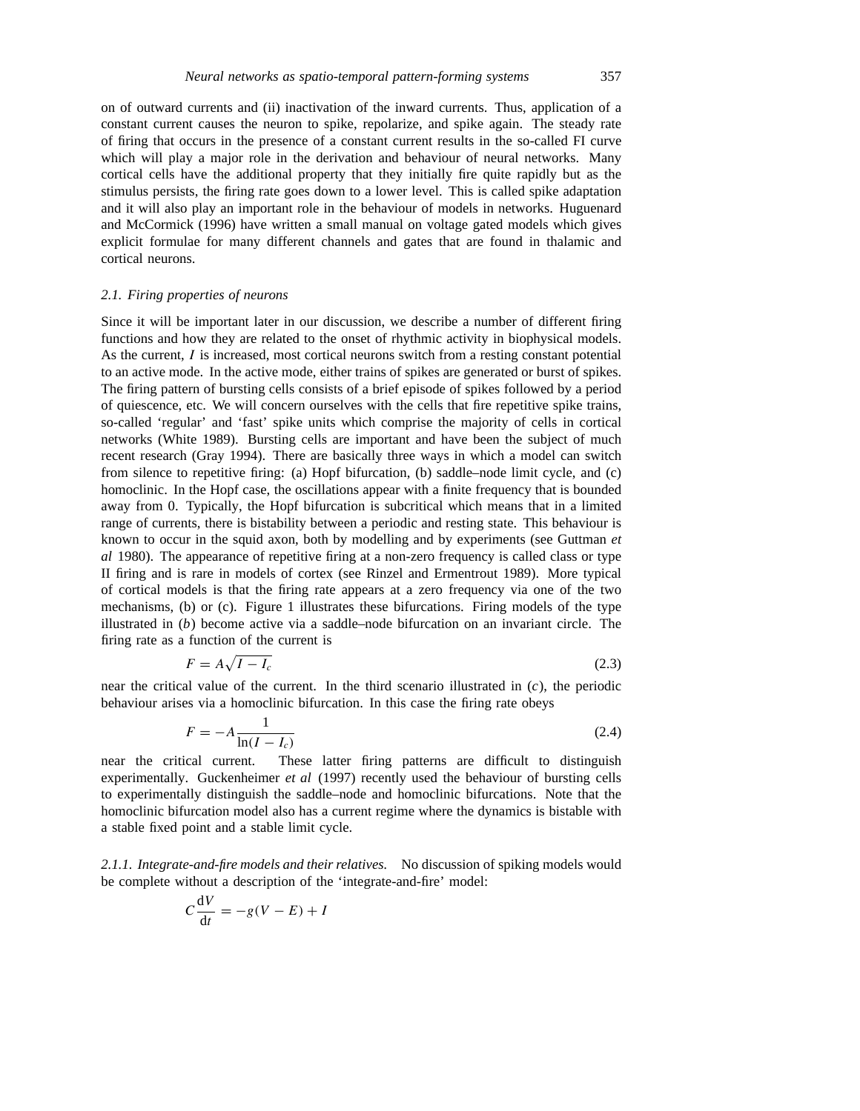on of outward currents and (ii) inactivation of the inward currents. Thus, application of a constant current causes the neuron to spike, repolarize, and spike again. The steady rate of firing that occurs in the presence of a constant current results in the so-called FI curve which will play a major role in the derivation and behaviour of neural networks. Many cortical cells have the additional property that they initially fire quite rapidly but as the stimulus persists, the firing rate goes down to a lower level. This is called spike adaptation and it will also play an important role in the behaviour of models in networks. Huguenard and McCormick (1996) have written a small manual on voltage gated models which gives explicit formulae for many different channels and gates that are found in thalamic and

#### *2.1. Firing properties of neurons*

cortical neurons.

Since it will be important later in our discussion, we describe a number of different firing functions and how they are related to the onset of rhythmic activity in biophysical models. As the current, *I* is increased, most cortical neurons switch from a resting constant potential to an active mode. In the active mode, either trains of spikes are generated or burst of spikes. The firing pattern of bursting cells consists of a brief episode of spikes followed by a period of quiescence, etc. We will concern ourselves with the cells that fire repetitive spike trains, so-called 'regular' and 'fast' spike units which comprise the majority of cells in cortical networks (White 1989). Bursting cells are important and have been the subject of much recent research (Gray 1994). There are basically three ways in which a model can switch from silence to repetitive firing: (a) Hopf bifurcation, (b) saddle–node limit cycle, and (c) homoclinic. In the Hopf case, the oscillations appear with a finite frequency that is bounded away from 0. Typically, the Hopf bifurcation is subcritical which means that in a limited range of currents, there is bistability between a periodic and resting state. This behaviour is known to occur in the squid axon, both by modelling and by experiments (see Guttman *et al* 1980). The appearance of repetitive firing at a non-zero frequency is called class or type II firing and is rare in models of cortex (see Rinzel and Ermentrout 1989). More typical of cortical models is that the firing rate appears at a zero frequency via one of the two mechanisms, (b) or (c). Figure 1 illustrates these bifurcations. Firing models of the type illustrated in (*b*) become active via a saddle–node bifurcation on an invariant circle. The firing rate as a function of the current is

$$
F = A\sqrt{I - I_c} \tag{2.3}
$$

near the critical value of the current. In the third scenario illustrated in (*c*), the periodic behaviour arises via a homoclinic bifurcation. In this case the firing rate obeys

$$
F = -A \frac{1}{\ln(I - I_c)}\tag{2.4}
$$

near the critical current. These latter firing patterns are difficult to distinguish experimentally. Guckenheimer *et al* (1997) recently used the behaviour of bursting cells to experimentally distinguish the saddle–node and homoclinic bifurcations. Note that the homoclinic bifurcation model also has a current regime where the dynamics is bistable with a stable fixed point and a stable limit cycle.

*2.1.1. Integrate-and-fire models and their relatives.* No discussion of spiking models would be complete without a description of the 'integrate-and-fire' model:

$$
C\frac{\mathrm{d}V}{\mathrm{d}t} = -g(V - E) + I
$$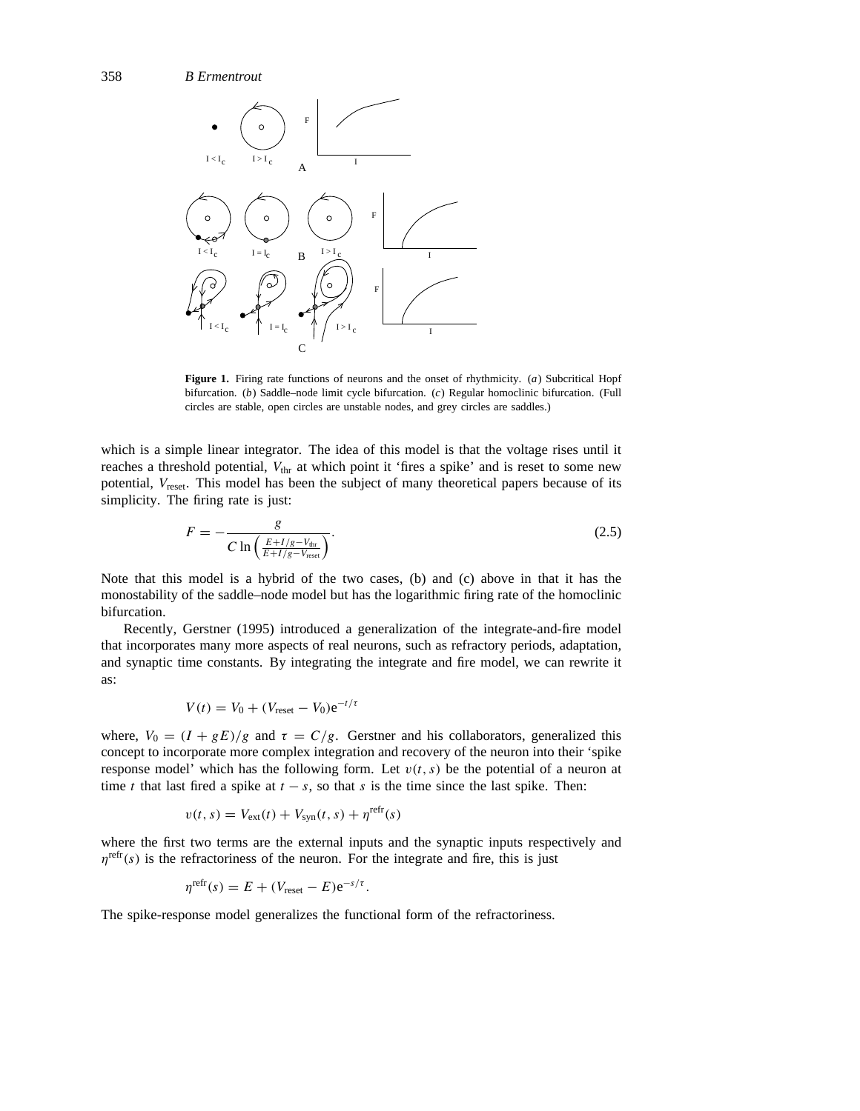

**Figure 1.** Firing rate functions of neurons and the onset of rhythmicity. (*a*) Subcritical Hopf bifurcation. (*b*) Saddle–node limit cycle bifurcation. (*c*) Regular homoclinic bifurcation. (Full circles are stable, open circles are unstable nodes, and grey circles are saddles.)

which is a simple linear integrator. The idea of this model is that the voltage rises until it reaches a threshold potential,  $V_{\text{thr}}$  at which point it 'fires a spike' and is reset to some new potential, V<sub>reset</sub>. This model has been the subject of many theoretical papers because of its simplicity. The firing rate is just:

$$
F = -\frac{g}{C \ln\left(\frac{E + I/g - V_{\text{thr}}}{E + I/g - V_{\text{reset}}}\right)}.\tag{2.5}
$$

Note that this model is a hybrid of the two cases, (b) and (c) above in that it has the monostability of the saddle–node model but has the logarithmic firing rate of the homoclinic bifurcation.

Recently, Gerstner (1995) introduced a generalization of the integrate-and-fire model that incorporates many more aspects of real neurons, such as refractory periods, adaptation, and synaptic time constants. By integrating the integrate and fire model, we can rewrite it as:

$$
V(t) = V_0 + (V_{\text{reset}} - V_0) e^{-t/\tau}
$$

where,  $V_0 = (I + gE)/g$  and  $\tau = C/g$ . Gerstner and his collaborators, generalized this concept to incorporate more complex integration and recovery of the neuron into their 'spike response model' which has the following form. Let  $v(t, s)$  be the potential of a neuron at time *t* that last fired a spike at  $t - s$ , so that *s* is the time since the last spike. Then:

$$
v(t,s) = V_{\text{ext}}(t) + V_{\text{syn}}(t,s) + \eta^{\text{refr}}(s)
$$

where the first two terms are the external inputs and the synaptic inputs respectively and  $\eta^{\text{refr}}(s)$  is the refractoriness of the neuron. For the integrate and fire, this is just

$$
\eta^{\text{refr}}(s) = E + (V_{\text{reset}} - E) e^{-s/\tau}.
$$

The spike-response model generalizes the functional form of the refractoriness.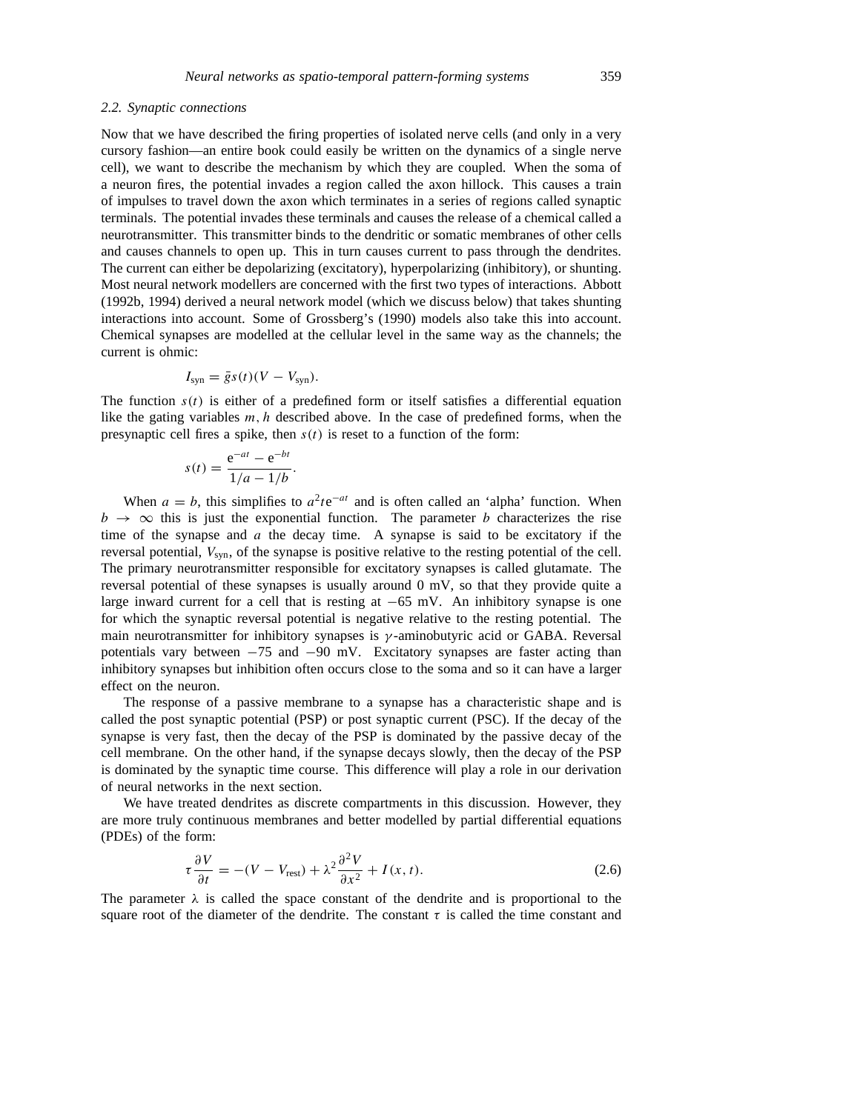#### *2.2. Synaptic connections*

Now that we have described the firing properties of isolated nerve cells (and only in a very cursory fashion—an entire book could easily be written on the dynamics of a single nerve cell), we want to describe the mechanism by which they are coupled. When the soma of a neuron fires, the potential invades a region called the axon hillock. This causes a train of impulses to travel down the axon which terminates in a series of regions called synaptic terminals. The potential invades these terminals and causes the release of a chemical called a neurotransmitter. This transmitter binds to the dendritic or somatic membranes of other cells and causes channels to open up. This in turn causes current to pass through the dendrites. The current can either be depolarizing (excitatory), hyperpolarizing (inhibitory), or shunting. Most neural network modellers are concerned with the first two types of interactions. Abbott (1992b, 1994) derived a neural network model (which we discuss below) that takes shunting interactions into account. Some of Grossberg's (1990) models also take this into account. Chemical synapses are modelled at the cellular level in the same way as the channels; the current is ohmic:

$$
I_{\rm syn} = \bar{g}s(t)(V - V_{\rm syn}).
$$

The function  $s(t)$  is either of a predefined form or itself satisfies a differential equation like the gating variables *m, h* described above. In the case of predefined forms, when the presynaptic cell fires a spike, then  $s(t)$  is reset to a function of the form:

$$
s(t) = \frac{e^{-at} - e^{-bt}}{1/a - 1/b}.
$$

When  $a = b$ , this simplifies to  $a^2 t e^{-at}$  and is often called an 'alpha' function. When  $b \rightarrow \infty$  this is just the exponential function. The parameter *b* characterizes the rise time of the synapse and *a* the decay time. A synapse is said to be excitatory if the reversal potential,  $V_{syn}$ , of the synapse is positive relative to the resting potential of the cell. The primary neurotransmitter responsible for excitatory synapses is called glutamate. The reversal potential of these synapses is usually around 0 mV, so that they provide quite a large inward current for a cell that is resting at −65 mV. An inhibitory synapse is one for which the synaptic reversal potential is negative relative to the resting potential. The main neurotransmitter for inhibitory synapses is *γ* -aminobutyric acid or GABA. Reversal potentials vary between −75 and −90 mV. Excitatory synapses are faster acting than inhibitory synapses but inhibition often occurs close to the soma and so it can have a larger effect on the neuron.

The response of a passive membrane to a synapse has a characteristic shape and is called the post synaptic potential (PSP) or post synaptic current (PSC). If the decay of the synapse is very fast, then the decay of the PSP is dominated by the passive decay of the cell membrane. On the other hand, if the synapse decays slowly, then the decay of the PSP is dominated by the synaptic time course. This difference will play a role in our derivation of neural networks in the next section.

We have treated dendrites as discrete compartments in this discussion. However, they are more truly continuous membranes and better modelled by partial differential equations (PDEs) of the form:

$$
\tau \frac{\partial V}{\partial t} = -(V - V_{\text{rest}}) + \lambda^2 \frac{\partial^2 V}{\partial x^2} + I(x, t). \tag{2.6}
$$

The parameter  $\lambda$  is called the space constant of the dendrite and is proportional to the square root of the diameter of the dendrite. The constant  $\tau$  is called the time constant and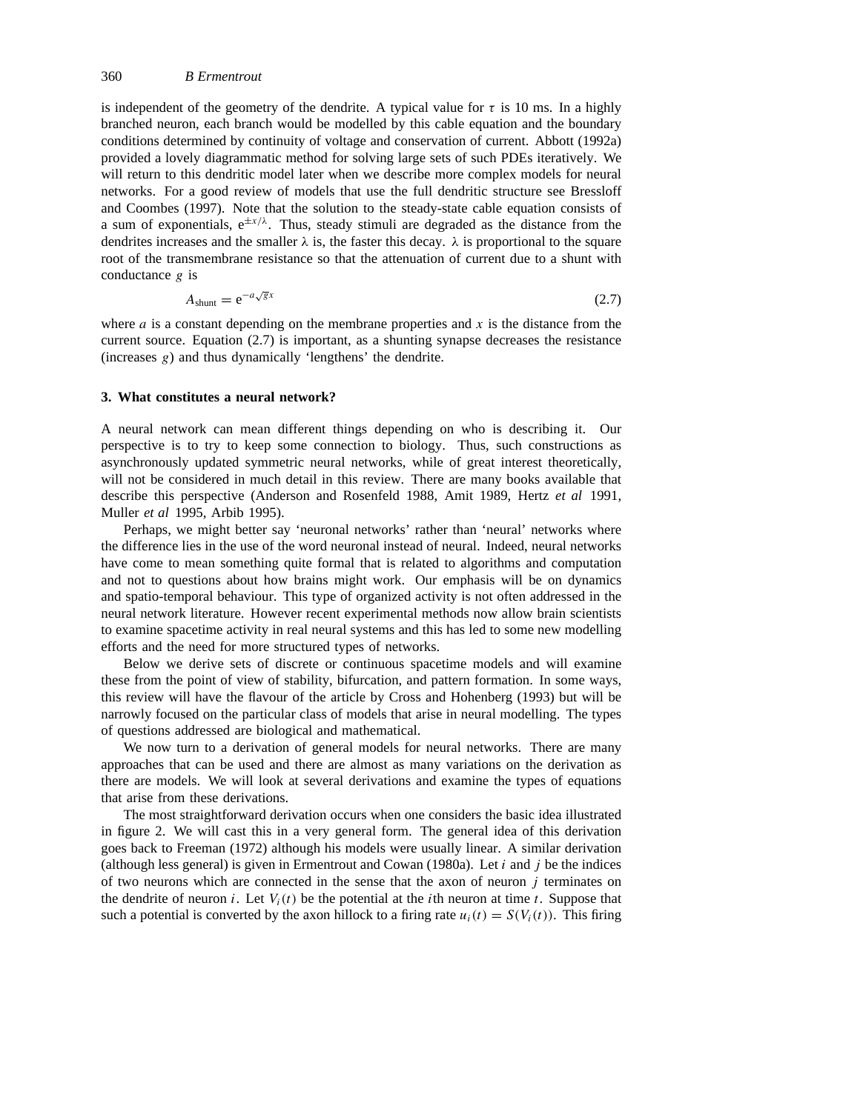#### 360 *B Ermentrout*

is independent of the geometry of the dendrite. A typical value for  $\tau$  is 10 ms. In a highly branched neuron, each branch would be modelled by this cable equation and the boundary conditions determined by continuity of voltage and conservation of current. Abbott (1992a) provided a lovely diagrammatic method for solving large sets of such PDEs iteratively. We will return to this dendritic model later when we describe more complex models for neural networks. For a good review of models that use the full dendritic structure see Bressloff and Coombes (1997). Note that the solution to the steady-state cable equation consists of a sum of exponentials,  $e^{\pm x/\lambda}$ . Thus, steady stimuli are degraded as the distance from the dendrites increases and the smaller  $\lambda$  is, the faster this decay.  $\lambda$  is proportional to the square root of the transmembrane resistance so that the attenuation of current due to a shunt with conductance *g* is

$$
A_{\text{shunt}} = e^{-a\sqrt{g}x} \tag{2.7}
$$

where  $a$  is a constant depending on the membrane properties and  $x$  is the distance from the current source. Equation (2.7) is important, as a shunting synapse decreases the resistance (increases *g*) and thus dynamically 'lengthens' the dendrite.

#### **3. What constitutes a neural network?**

A neural network can mean different things depending on who is describing it. Our perspective is to try to keep some connection to biology. Thus, such constructions as asynchronously updated symmetric neural networks, while of great interest theoretically, will not be considered in much detail in this review. There are many books available that describe this perspective (Anderson and Rosenfeld 1988, Amit 1989, Hertz *et al* 1991, Muller *et al* 1995, Arbib 1995).

Perhaps, we might better say 'neuronal networks' rather than 'neural' networks where the difference lies in the use of the word neuronal instead of neural. Indeed, neural networks have come to mean something quite formal that is related to algorithms and computation and not to questions about how brains might work. Our emphasis will be on dynamics and spatio-temporal behaviour. This type of organized activity is not often addressed in the neural network literature. However recent experimental methods now allow brain scientists to examine spacetime activity in real neural systems and this has led to some new modelling efforts and the need for more structured types of networks.

Below we derive sets of discrete or continuous spacetime models and will examine these from the point of view of stability, bifurcation, and pattern formation. In some ways, this review will have the flavour of the article by Cross and Hohenberg (1993) but will be narrowly focused on the particular class of models that arise in neural modelling. The types of questions addressed are biological and mathematical.

We now turn to a derivation of general models for neural networks. There are many approaches that can be used and there are almost as many variations on the derivation as there are models. We will look at several derivations and examine the types of equations that arise from these derivations.

The most straightforward derivation occurs when one considers the basic idea illustrated in figure 2. We will cast this in a very general form. The general idea of this derivation goes back to Freeman (1972) although his models were usually linear. A similar derivation (although less general) is given in Ermentrout and Cowan (1980a). Let *i* and *j* be the indices of two neurons which are connected in the sense that the axon of neuron *j* terminates on the dendrite of neuron *i*. Let  $V_i(t)$  be the potential at the *i*th neuron at time *t*. Suppose that such a potential is converted by the axon hillock to a firing rate  $u_i(t) = S(V_i(t))$ . This firing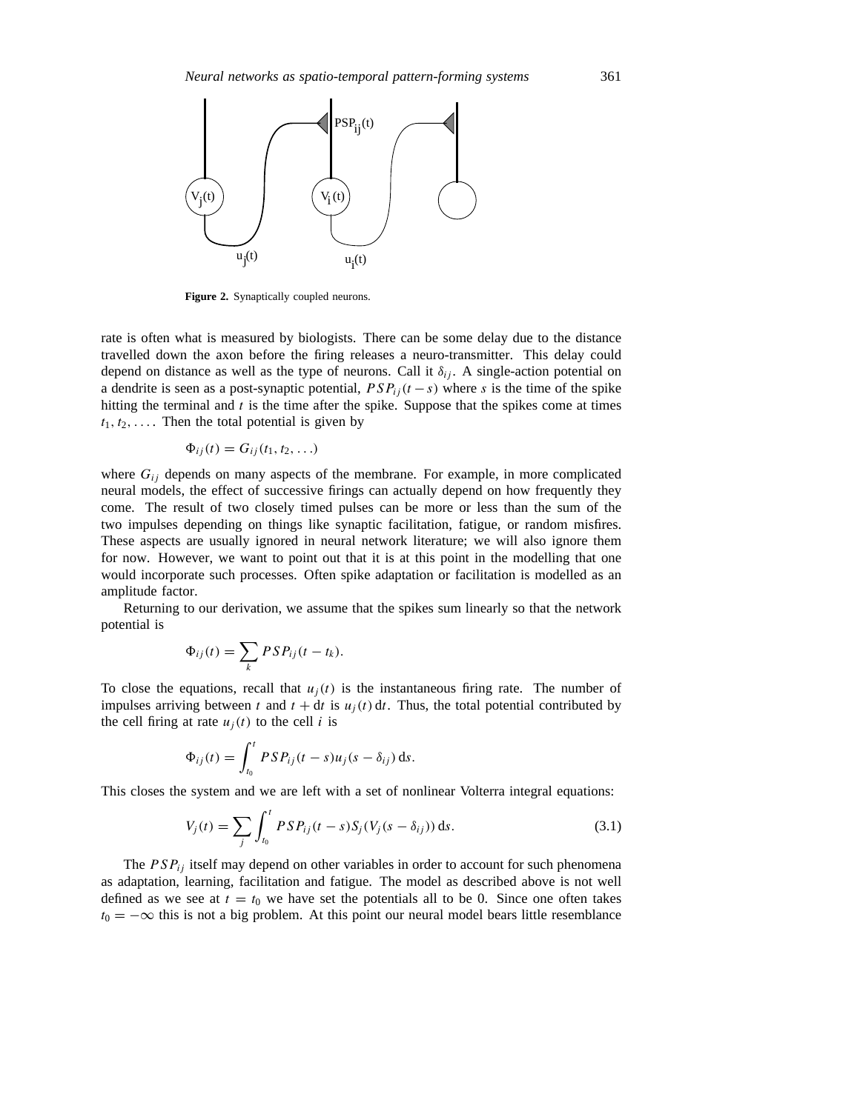

**Figure 2.** Synaptically coupled neurons.

rate is often what is measured by biologists. There can be some delay due to the distance travelled down the axon before the firing releases a neuro-transmitter. This delay could depend on distance as well as the type of neurons. Call it  $\delta_{ij}$ . A single-action potential on a dendrite is seen as a post-synaptic potential,  $PSP_{ij}(t-s)$  where *s* is the time of the spike hitting the terminal and *t* is the time after the spike. Suppose that the spikes come at times  $t_1, t_2, \ldots$ . Then the total potential is given by

$$
\Phi_{ij}(t)=G_{ij}(t_1,t_2,\ldots)
$$

where  $G_{ij}$  depends on many aspects of the membrane. For example, in more complicated neural models, the effect of successive firings can actually depend on how frequently they come. The result of two closely timed pulses can be more or less than the sum of the two impulses depending on things like synaptic facilitation, fatigue, or random misfires. These aspects are usually ignored in neural network literature; we will also ignore them for now. However, we want to point out that it is at this point in the modelling that one would incorporate such processes. Often spike adaptation or facilitation is modelled as an amplitude factor.

Returning to our derivation, we assume that the spikes sum linearly so that the network potential is

$$
\Phi_{ij}(t) = \sum_k PSP_{ij}(t - t_k).
$$

To close the equations, recall that  $u_i(t)$  is the instantaneous firing rate. The number of impulses arriving between *t* and  $t + dt$  is  $u_j(t) dt$ . Thus, the total potential contributed by the cell firing at rate  $u_i(t)$  to the cell *i* is

$$
\Phi_{ij}(t) = \int_{t_0}^t PSP_{ij}(t-s)u_j(s-\delta_{ij}) ds.
$$

This closes the system and we are left with a set of nonlinear Volterra integral equations:

$$
V_j(t) = \sum_{j} \int_{t_0}^{t} PSP_{ij}(t-s)S_j(V_j(s-\delta_{ij})) ds.
$$
 (3.1)

The  $PSP_{ij}$  itself may depend on other variables in order to account for such phenomena as adaptation, learning, facilitation and fatigue. The model as described above is not well defined as we see at  $t = t_0$  we have set the potentials all to be 0. Since one often takes  $t_0 = -\infty$  this is not a big problem. At this point our neural model bears little resemblance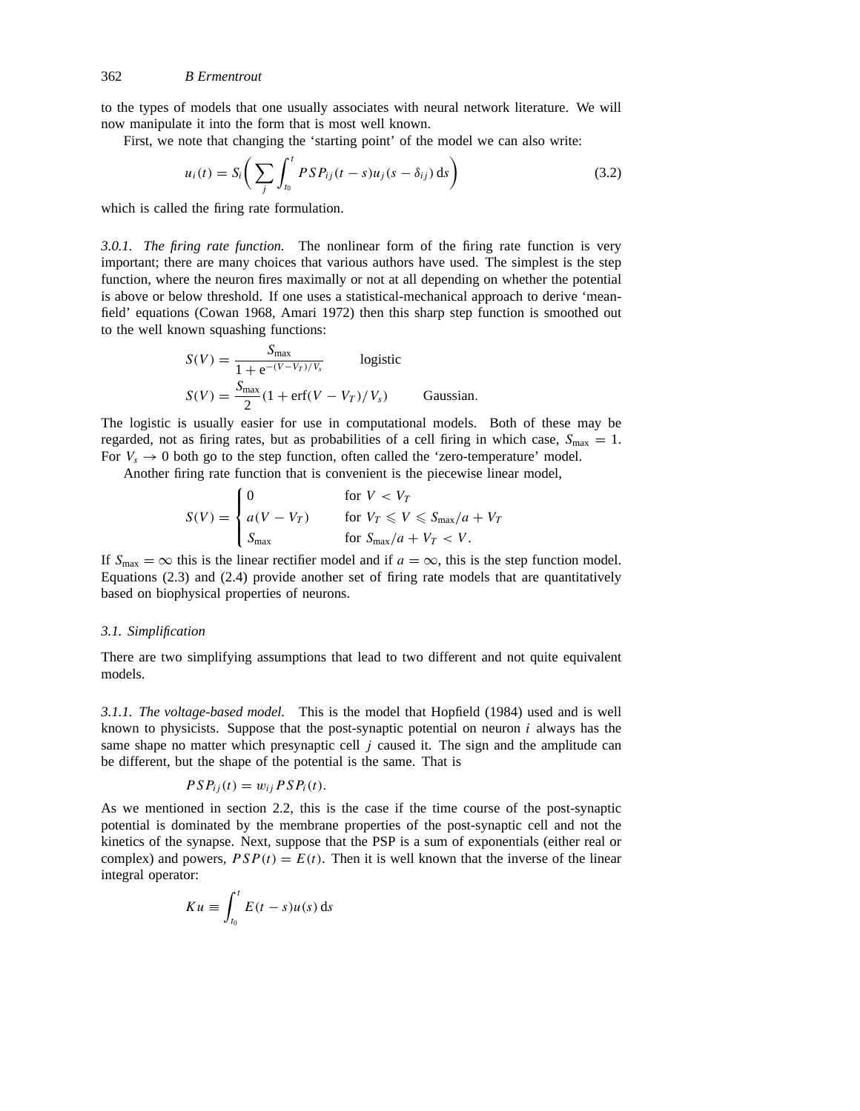to the types of models that one usually associates with neural network literature. We will now manipulate it into the form that is most well known.

First, we note that changing the 'starting point' of the model we can also write:

$$
u_i(t) = S_i \left( \sum_j \int_{t_0}^t PSP_{ij}(t-s)u_j(s-\delta_{ij}) \, ds \right) \tag{3.2}
$$

which is called the firing rate formulation.

*3.0.1. The firing rate function.* The nonlinear form of the firing rate function is very important; there are many choices that various authors have used. The simplest is the step function, where the neuron fires maximally or not at all depending on whether the potential is above or below threshold. If one uses a statistical-mechanical approach to derive 'meanfield' equations (Cowan 1968, Amari 1972) then this sharp step function is smoothed out to the well known squashing functions:

$$
S(V) = \frac{S_{\text{max}}}{1 + e^{-(V - V_T)/V_s}}
$$
 logistic  

$$
S(V) = \frac{S_{\text{max}}}{2} (1 + \text{erf}(V - V_T)/V_s)
$$
 Gaussian.

The logistic is usually easier for use in computational models. Both of these may be regarded, not as firing rates, but as probabilities of a cell firing in which case,  $S_{\text{max}} = 1$ . For  $V_s \rightarrow 0$  both go to the step function, often called the 'zero-temperature' model.

Another firing rate function that is convenient is the piecewise linear model,

$$
S(V) = \begin{cases} 0 & \text{for } V < V_T \\ a(V - V_T) & \text{for } V_T \leq V \leq S_{\text{max}}/a + V_T \\ S_{\text{max}} & \text{for } S_{\text{max}}/a + V_T < V. \end{cases}
$$

If  $S_{\text{max}} = \infty$  this is the linear rectifier model and if  $a = \infty$ , this is the step function model. Equations (2.3) and (2.4) provide another set of firing rate models that are quantitatively based on biophysical properties of neurons.

#### *3.1. Simplification*

There are two simplifying assumptions that lead to two different and not quite equivalent models.

*3.1.1. The voltage-based model.* This is the model that Hopfield (1984) used and is well known to physicists. Suppose that the post-synaptic potential on neuron *i* always has the same shape no matter which presynaptic cell *j* caused it. The sign and the amplitude can be different, but the shape of the potential is the same. That is

$$
PSP_{ij}(t) = w_{ij} PSP_i(t).
$$

As we mentioned in section 2.2, this is the case if the time course of the post-synaptic potential is dominated by the membrane properties of the post-synaptic cell and not the kinetics of the synapse. Next, suppose that the PSP is a sum of exponentials (either real or complex) and powers,  $PSP(t) = E(t)$ . Then it is well known that the inverse of the linear integral operator:

$$
Ku \equiv \int_{t_0}^t E(t-s)u(s) \, \mathrm{d} s
$$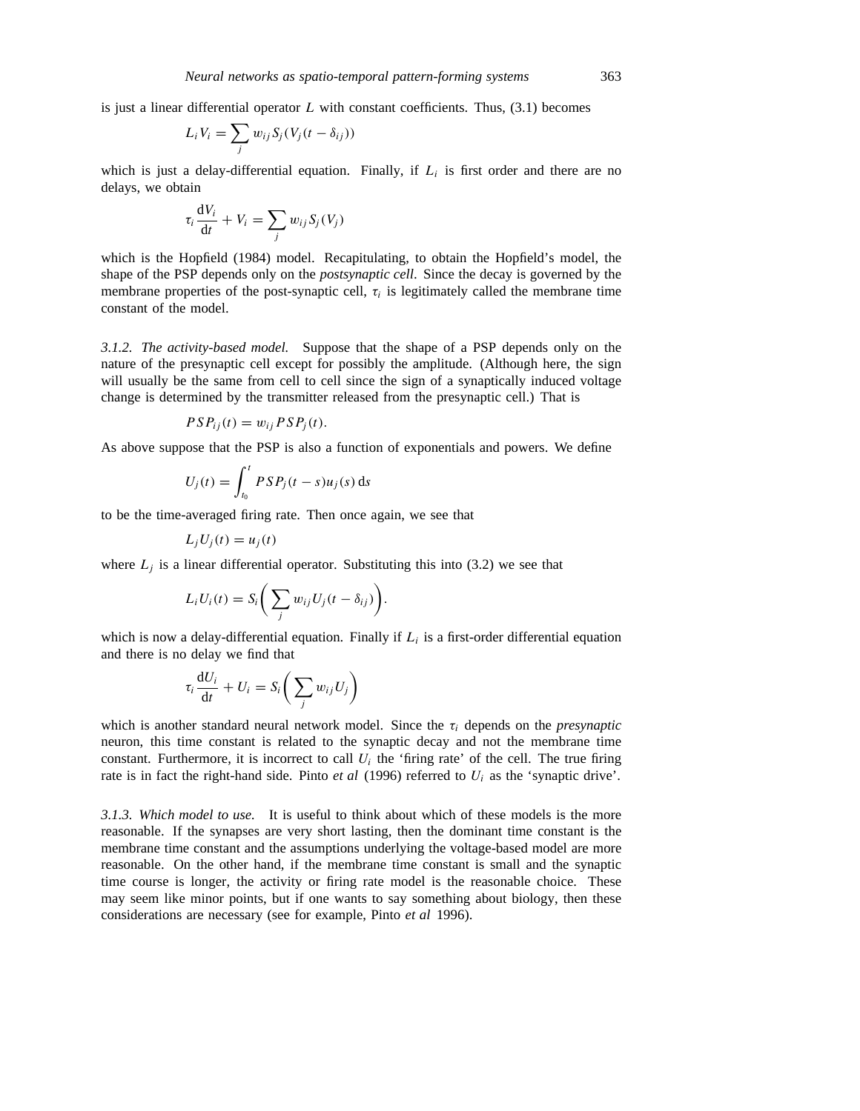is just a linear differential operator *L* with constant coefficients. Thus, (3.1) becomes

$$
L_i V_i = \sum_j w_{ij} S_j (V_j (t - \delta_{ij}))
$$

which is just a delay-differential equation. Finally, if  $L_i$  is first order and there are no delays, we obtain

$$
\tau_i \frac{\mathrm{d}V_i}{\mathrm{d}t} + V_i = \sum_j w_{ij} S_j(V_j)
$$

which is the Hopfield (1984) model. Recapitulating, to obtain the Hopfield's model, the shape of the PSP depends only on the *postsynaptic cell*. Since the decay is governed by the membrane properties of the post-synaptic cell,  $\tau_i$  is legitimately called the membrane time constant of the model.

*3.1.2. The activity-based model.* Suppose that the shape of a PSP depends only on the nature of the presynaptic cell except for possibly the amplitude. (Although here, the sign will usually be the same from cell to cell since the sign of a synaptically induced voltage change is determined by the transmitter released from the presynaptic cell.) That is

$$
PSP_{ij}(t) = w_{ij} PSP_j(t).
$$

As above suppose that the PSP is also a function of exponentials and powers. We define

$$
U_j(t) = \int_{t_0}^t PSP_j(t-s)u_j(s) \, ds
$$

to be the time-averaged firing rate. Then once again, we see that

$$
L_j U_j(t) = u_j(t)
$$

where  $L_i$  is a linear differential operator. Substituting this into (3.2) we see that

$$
L_i U_i(t) = S_i \bigg( \sum_j w_{ij} U_j(t - \delta_{ij}) \bigg).
$$

which is now a delay-differential equation. Finally if  $L_i$  is a first-order differential equation and there is no delay we find that

$$
\tau_i \frac{\mathrm{d}U_i}{\mathrm{d}t} + U_i = S_i \bigg( \sum_j w_{ij} U_j \bigg)
$$

which is another standard neural network model. Since the *τi* depends on the *presynaptic* neuron, this time constant is related to the synaptic decay and not the membrane time constant. Furthermore, it is incorrect to call  $U_i$  the 'firing rate' of the cell. The true firing rate is in fact the right-hand side. Pinto *et al* (1996) referred to  $U_i$  as the 'synaptic drive'.

*3.1.3. Which model to use.* It is useful to think about which of these models is the more reasonable. If the synapses are very short lasting, then the dominant time constant is the membrane time constant and the assumptions underlying the voltage-based model are more reasonable. On the other hand, if the membrane time constant is small and the synaptic time course is longer, the activity or firing rate model is the reasonable choice. These may seem like minor points, but if one wants to say something about biology, then these considerations are necessary (see for example, Pinto *et al* 1996).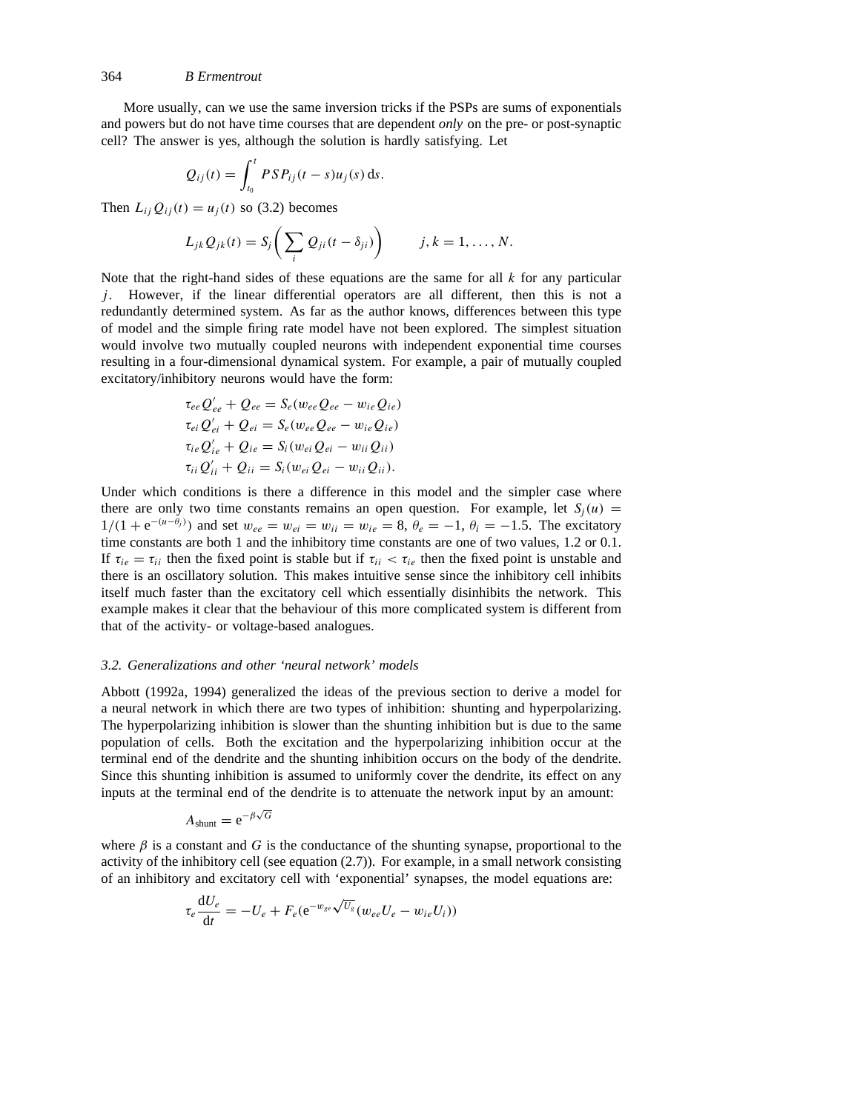#### 364 *B Ermentrout*

More usually, can we use the same inversion tricks if the PSPs are sums of exponentials and powers but do not have time courses that are dependent *only* on the pre- or post-synaptic cell? The answer is yes, although the solution is hardly satisfying. Let

$$
Q_{ij}(t) = \int_{t_0}^t PSP_{ij}(t-s)u_j(s) \, \mathrm{d}s.
$$

Then  $L_{ij}Q_{ij}(t) = u_j(t)$  so (3.2) becomes

$$
L_{jk} Q_{jk}(t) = S_j \bigg( \sum_i Q_{ji}(t - \delta_{ji}) \bigg) \qquad j, k = 1, \ldots, N.
$$

Note that the right-hand sides of these equations are the same for all *k* for any particular *j*. However, if the linear differential operators are all different, then this is not a redundantly determined system. As far as the author knows, differences between this type of model and the simple firing rate model have not been explored. The simplest situation would involve two mutually coupled neurons with independent exponential time courses resulting in a four-dimensional dynamical system. For example, a pair of mutually coupled excitatory/inhibitory neurons would have the form:

$$
\tau_{ee}Q'_{ee} + Q_{ee} = S_e(w_{ee}Q_{ee} - w_{ie}Q_{ie})
$$
  
\n
$$
\tau_{ei}Q'_{ei} + Q_{ei} = S_e(w_{ee}Q_{ee} - w_{ie}Q_{ie})
$$
  
\n
$$
\tau_{ie}Q'_{ie} + Q_{ie} = S_i(w_{ei}Q_{ei} - w_{ii}Q_{ii})
$$
  
\n
$$
\tau_{ii}Q'_{ii} + Q_{ii} = S_i(w_{ei}Q_{ei} - w_{ii}Q_{ii}).
$$

Under which conditions is there a difference in this model and the simpler case where there are only two time constants remains an open question. For example, let  $S_i(u)$  = 1/(1 +  $e^{-(u−\theta_j)}$ ) and set  $w_{ee} = w_{ei} = w_{ii} = w_{ie} = 8$ ,  $\theta_e = -1$ ,  $\theta_i = -1.5$ . The excitatory time constants are both 1 and the inhibitory time constants are one of two values, 1.2 or 0.1. If  $\tau_{ie} = \tau_{ii}$  then the fixed point is stable but if  $\tau_{ii} < \tau_{ie}$  then the fixed point is unstable and there is an oscillatory solution. This makes intuitive sense since the inhibitory cell inhibits itself much faster than the excitatory cell which essentially disinhibits the network. This example makes it clear that the behaviour of this more complicated system is different from that of the activity- or voltage-based analogues.

#### *3.2. Generalizations and other 'neural network' models*

Abbott (1992a, 1994) generalized the ideas of the previous section to derive a model for a neural network in which there are two types of inhibition: shunting and hyperpolarizing. The hyperpolarizing inhibition is slower than the shunting inhibition but is due to the same population of cells. Both the excitation and the hyperpolarizing inhibition occur at the terminal end of the dendrite and the shunting inhibition occurs on the body of the dendrite. Since this shunting inhibition is assumed to uniformly cover the dendrite, its effect on any inputs at the terminal end of the dendrite is to attenuate the network input by an amount:

$$
A_{\text{shunt}} = e^{-\beta \sqrt{G}}
$$

where  $\beta$  is a constant and  $G$  is the conductance of the shunting synapse, proportional to the activity of the inhibitory cell (see equation (2.7)). For example, in a small network consisting of an inhibitory and excitatory cell with 'exponential' synapses, the model equations are:

$$
\tau_e \frac{\mathrm{d}U_e}{\mathrm{d}t} = -U_e + F_e (e^{-w_{ge}} \sqrt{U_s} (w_{ee} U_e - w_{ie} U_i))
$$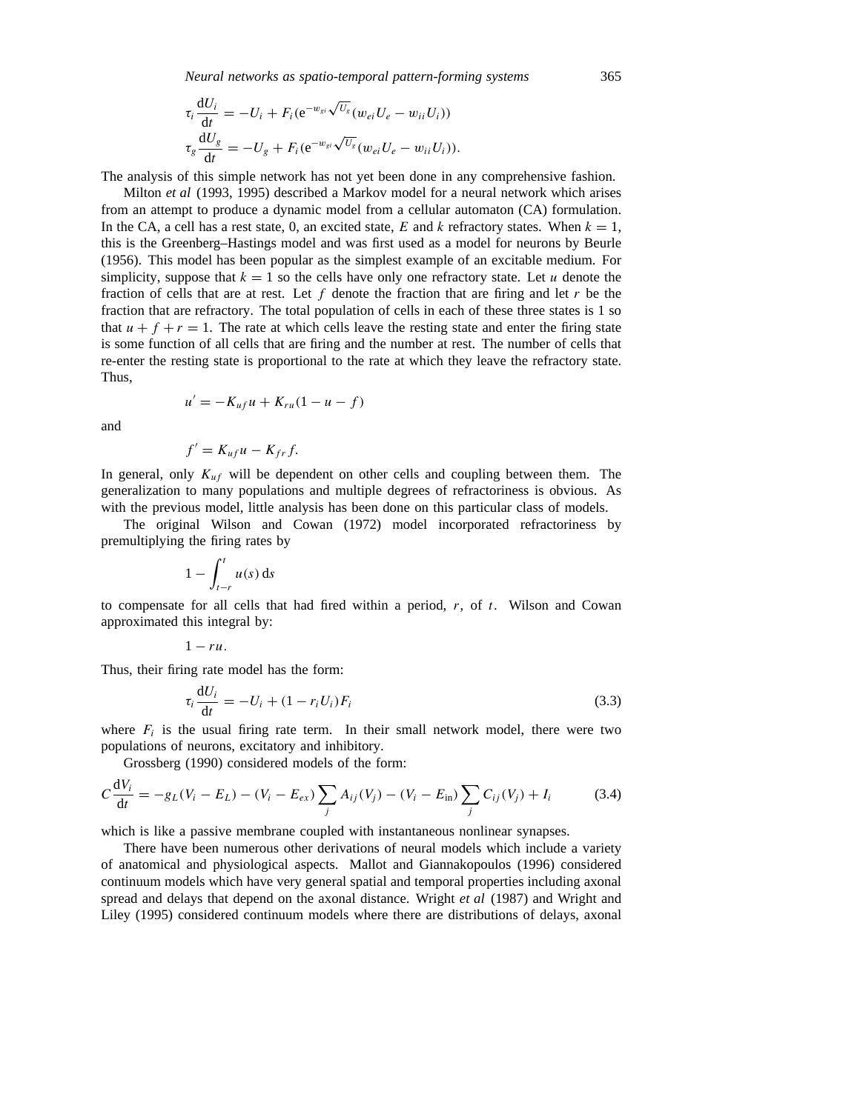$$
\tau_i \frac{\mathrm{d}U_i}{\mathrm{d}t} = -U_i + F_i (e^{-w_{gi}} \sqrt{U_s} (w_{ei} U_e - w_{ii} U_i))
$$
  

$$
\tau_g \frac{\mathrm{d}U_g}{\mathrm{d}t} = -U_g + F_i (e^{-w_{gi}} \sqrt{U_s} (w_{ei} U_e - w_{ii} U_i)).
$$

The analysis of this simple network has not yet been done in any comprehensive fashion.

Milton *et al* (1993, 1995) described a Markov model for a neural network which arises from an attempt to produce a dynamic model from a cellular automaton (CA) formulation. In the CA, a cell has a rest state, 0, an excited state, E and k refractory states. When  $k = 1$ , this is the Greenberg–Hastings model and was first used as a model for neurons by Beurle (1956). This model has been popular as the simplest example of an excitable medium. For simplicity, suppose that  $k = 1$  so the cells have only one refractory state. Let *u* denote the fraction of cells that are at rest. Let *f* denote the fraction that are firing and let *r* be the fraction that are refractory. The total population of cells in each of these three states is 1 so that  $u + f + r = 1$ . The rate at which cells leave the resting state and enter the firing state is some function of all cells that are firing and the number at rest. The number of cells that re-enter the resting state is proportional to the rate at which they leave the refractory state. Thus,

$$
u' = -K_{uf}u + K_{ru}(1-u-f)
$$

and

$$
f'=K_{uf}u-K_{fr}f.
$$

In general, only  $K_{uf}$  will be dependent on other cells and coupling between them. The generalization to many populations and multiple degrees of refractoriness is obvious. As with the previous model, little analysis has been done on this particular class of models.

The original Wilson and Cowan (1972) model incorporated refractoriness by premultiplying the firing rates by

$$
1 - \int_{t-r}^{t} u(s) \, \mathrm{d}s
$$

to compensate for all cells that had fired within a period, *r*, of *t*. Wilson and Cowan approximated this integral by:

$$
1-ru.
$$

Thus, their firing rate model has the form:

$$
\tau_i \frac{\mathrm{d}U_i}{\mathrm{d}t} = -U_i + (1 - r_i U_i) F_i \tag{3.3}
$$

where  $F_i$  is the usual firing rate term. In their small network model, there were two populations of neurons, excitatory and inhibitory.

Grossberg (1990) considered models of the form:

$$
C\frac{\mathrm{d}V_i}{\mathrm{d}t} = -g_L(V_i - E_L) - (V_i - E_{ex})\sum_j A_{ij}(V_j) - (V_i - E_{in})\sum_j C_{ij}(V_j) + I_i \tag{3.4}
$$

which is like a passive membrane coupled with instantaneous nonlinear synapses.

There have been numerous other derivations of neural models which include a variety of anatomical and physiological aspects. Mallot and Giannakopoulos (1996) considered continuum models which have very general spatial and temporal properties including axonal spread and delays that depend on the axonal distance. Wright *et al* (1987) and Wright and Liley (1995) considered continuum models where there are distributions of delays, axonal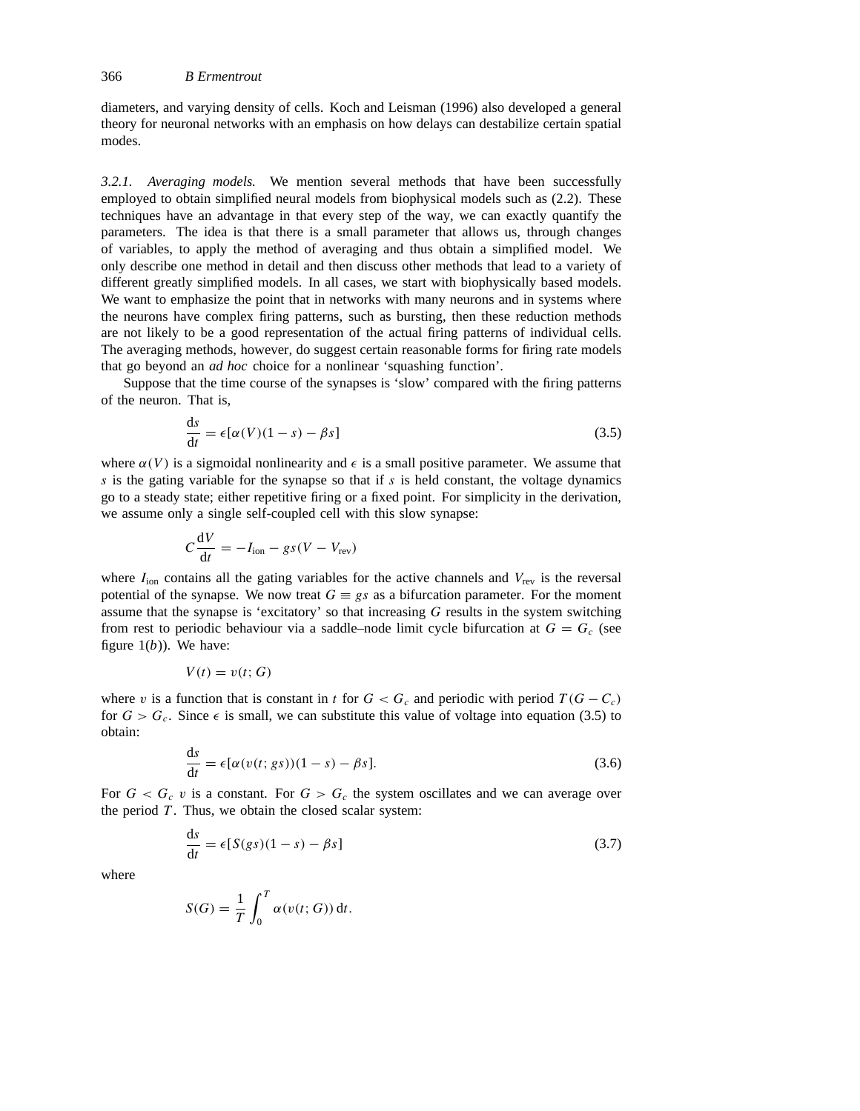diameters, and varying density of cells. Koch and Leisman (1996) also developed a general theory for neuronal networks with an emphasis on how delays can destabilize certain spatial modes.

*3.2.1. Averaging models.* We mention several methods that have been successfully employed to obtain simplified neural models from biophysical models such as (2.2). These techniques have an advantage in that every step of the way, we can exactly quantify the parameters. The idea is that there is a small parameter that allows us, through changes of variables, to apply the method of averaging and thus obtain a simplified model. We only describe one method in detail and then discuss other methods that lead to a variety of different greatly simplified models. In all cases, we start with biophysically based models. We want to emphasize the point that in networks with many neurons and in systems where the neurons have complex firing patterns, such as bursting, then these reduction methods are not likely to be a good representation of the actual firing patterns of individual cells. The averaging methods, however, do suggest certain reasonable forms for firing rate models that go beyond an *ad hoc* choice for a nonlinear 'squashing function'.

Suppose that the time course of the synapses is 'slow' compared with the firing patterns of the neuron. That is,

$$
\frac{\mathrm{d}s}{\mathrm{d}t} = \epsilon[\alpha(V)(1-s) - \beta s] \tag{3.5}
$$

where  $\alpha(V)$  is a sigmoidal nonlinearity and  $\epsilon$  is a small positive parameter. We assume that *s* is the gating variable for the synapse so that if *s* is held constant, the voltage dynamics go to a steady state; either repetitive firing or a fixed point. For simplicity in the derivation, we assume only a single self-coupled cell with this slow synapse:

$$
C\frac{\mathrm{d}V}{\mathrm{d}t} = -I_{\text{ion}} - gs(V - V_{\text{rev}})
$$

where  $I_{\text{ion}}$  contains all the gating variables for the active channels and  $V_{\text{rev}}$  is the reversal potential of the synapse. We now treat  $G \equiv gs$  as a bifurcation parameter. For the moment assume that the synapse is 'excitatory' so that increasing *G* results in the system switching from rest to periodic behaviour via a saddle–node limit cycle bifurcation at  $G = G_c$  (see figure  $1(b)$ ). We have:

$$
V(t) = v(t; G)
$$

where *v* is a function that is constant in *t* for  $G < G_c$  and periodic with period  $T(G - C_c)$ for  $G > G_c$ . Since  $\epsilon$  is small, we can substitute this value of voltage into equation (3.5) to obtain:

$$
\frac{ds}{dt} = \epsilon[\alpha(v(t; gs))(1 - s) - \beta s].
$$
\n(3.6)

For  $G < G_c$  *v* is a constant. For  $G > G_c$  the system oscillates and we can average over the period  $T$ . Thus, we obtain the closed scalar system:

$$
\frac{ds}{dt} = \epsilon[S(gs)(1-s) - \beta s] \tag{3.7}
$$

where

$$
S(G) = \frac{1}{T} \int_0^T \alpha(v(t; G)) dt.
$$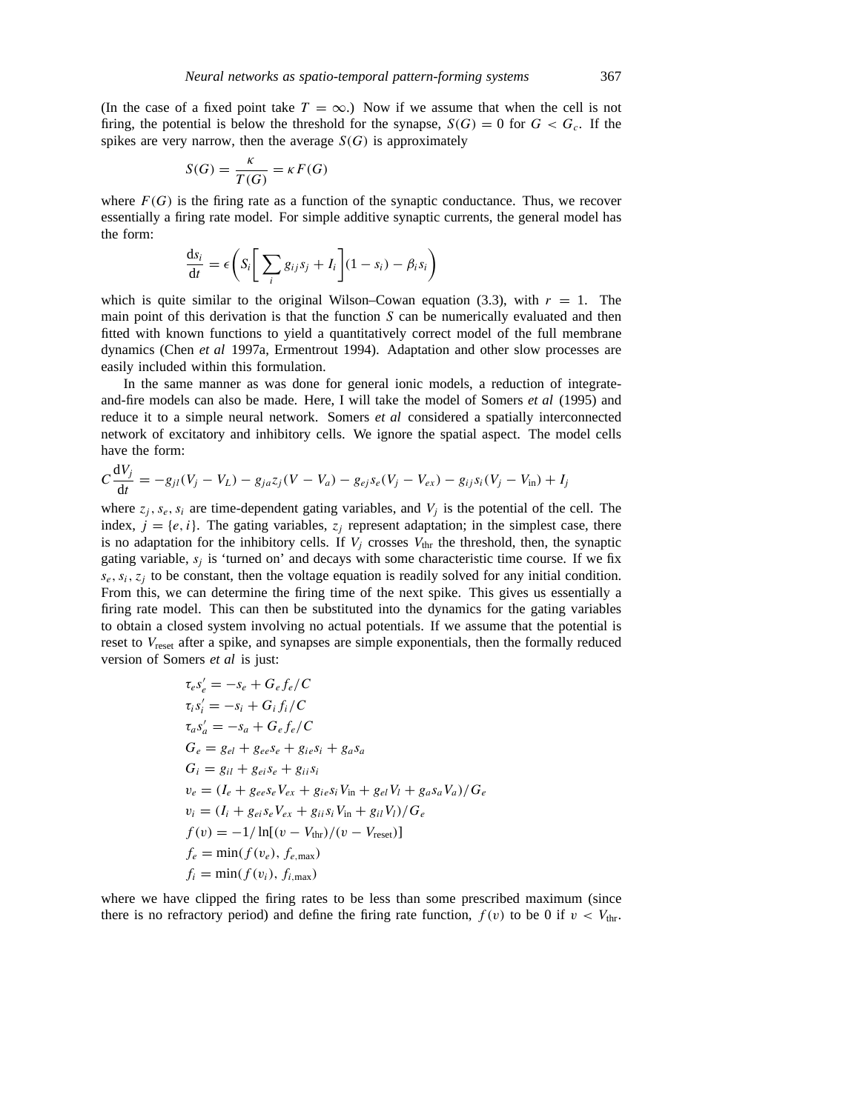(In the case of a fixed point take  $T = \infty$ .) Now if we assume that when the cell is not firing, the potential is below the threshold for the synapse,  $S(G) = 0$  for  $G < G_c$ . If the spikes are very narrow, then the average  $S(G)$  is approximately

$$
S(G) = \frac{\kappa}{T(G)} = \kappa F(G)
$$

where  $F(G)$  is the firing rate as a function of the synaptic conductance. Thus, we recover essentially a firing rate model. For simple additive synaptic currents, the general model has the form:

$$
\frac{\mathrm{d}s_i}{\mathrm{d}t} = \epsilon \left( S_i \left[ \sum_i g_{ij} s_j + I_i \right] (1 - s_i) - \beta_i s_i \right)
$$

which is quite similar to the original Wilson–Cowan equation (3.3), with  $r = 1$ . The main point of this derivation is that the function *S* can be numerically evaluated and then fitted with known functions to yield a quantitatively correct model of the full membrane dynamics (Chen *et al* 1997a, Ermentrout 1994). Adaptation and other slow processes are easily included within this formulation.

In the same manner as was done for general ionic models, a reduction of integrateand-fire models can also be made. Here, I will take the model of Somers *et al* (1995) and reduce it to a simple neural network. Somers *et al* considered a spatially interconnected network of excitatory and inhibitory cells. We ignore the spatial aspect. The model cells have the form:

$$
C\frac{dV_j}{dt} = -g_{jl}(V_j - V_L) - g_{ja}z_j(V - V_a) - g_{ej}s_e(V_j - V_{ex}) - g_{ij}s_i(V_j - V_{in}) + I_j
$$

where  $z_j$ ,  $s_e$ ,  $s_i$  are time-dependent gating variables, and  $V_j$  is the potential of the cell. The index,  $j = \{e, i\}$ . The gating variables,  $z_j$  represent adaptation; in the simplest case, there is no adaptation for the inhibitory cells. If  $V_i$  crosses  $V_{thr}$  the threshold, then, the synaptic gating variable,  $s_i$  is 'turned on' and decays with some characteristic time course. If we fix  $s_e, s_i, z_j$  to be constant, then the voltage equation is readily solved for any initial condition. From this, we can determine the firing time of the next spike. This gives us essentially a firing rate model. This can then be substituted into the dynamics for the gating variables to obtain a closed system involving no actual potentials. If we assume that the potential is reset to *V*reset after a spike, and synapses are simple exponentials, then the formally reduced version of Somers *et al* is just:

$$
\tau_{e} s'_{e} = -s_{e} + G_{e} f_{e}/C
$$
\n
$$
\tau_{i} s'_{i} = -s_{i} + G_{i} f_{i}/C
$$
\n
$$
\tau_{a} s'_{a} = -s_{a} + G_{e} f_{e}/C
$$
\n
$$
G_{e} = g_{e l} + g_{e e} s_{e} + g_{i e} s_{i} + g_{a} s_{a}
$$
\n
$$
G_{i} = g_{i l} + g_{e i} s_{e} + g_{i i} s_{i}
$$
\n
$$
v_{e} = (I_{e} + g_{e e} s_{e} V_{e x} + g_{i e} s_{i} V_{in} + g_{e l} V_{l} + g_{a} s_{a} V_{a})/G_{e}
$$
\n
$$
v_{i} = (I_{i} + g_{e i} s_{e} V_{e x} + g_{i i} s_{i} V_{in} + g_{i l} V_{l})/G_{e}
$$
\n
$$
f(v) = -1/\ln[(v - V_{thr})/(v - V_{reset})]
$$
\n
$$
f_{e} = \min(f(v_{e}), f_{e, max})
$$
\n
$$
f_{i} = \min(f(v_{i}), f_{i, max})
$$

where we have clipped the firing rates to be less than some prescribed maximum (since there is no refractory period) and define the firing rate function,  $f(v)$  to be 0 if  $v < V_{thr}$ .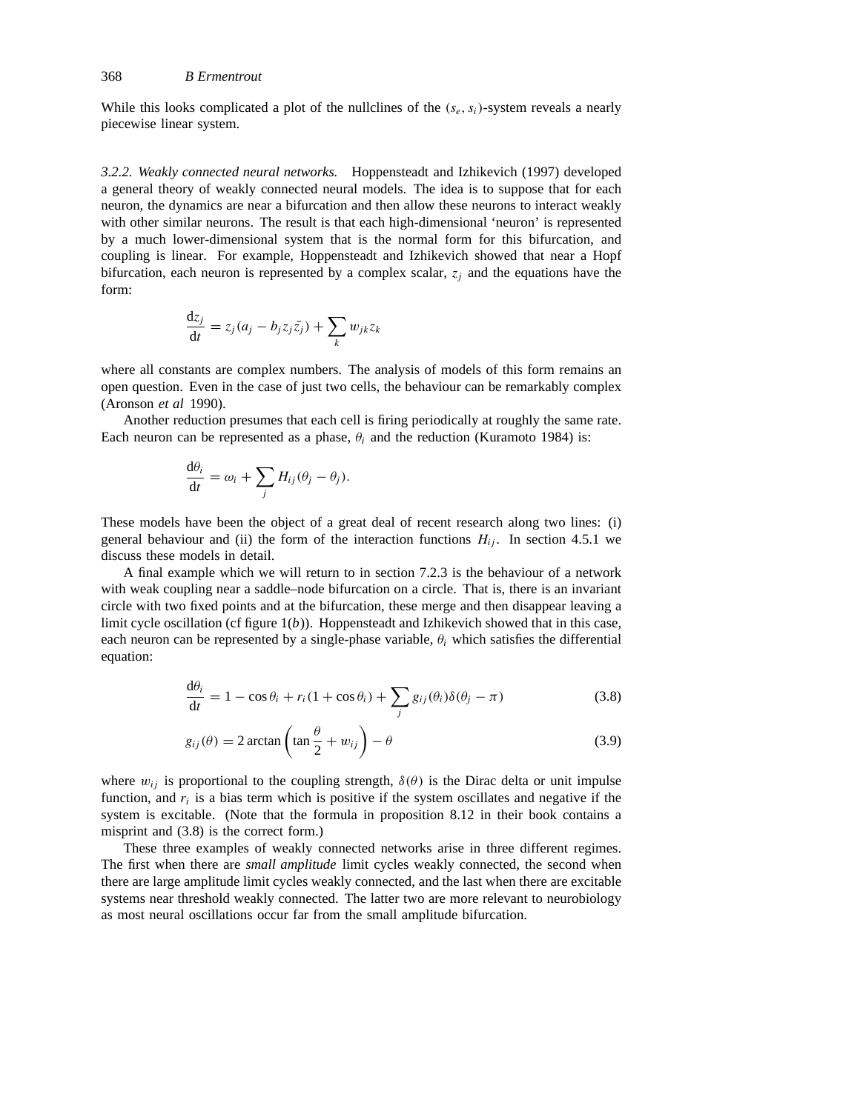While this looks complicated a plot of the nullclines of the  $(s_e, s_i)$ -system reveals a nearly piecewise linear system.

*3.2.2. Weakly connected neural networks.* Hoppensteadt and Izhikevich (1997) developed a general theory of weakly connected neural models. The idea is to suppose that for each neuron, the dynamics are near a bifurcation and then allow these neurons to interact weakly with other similar neurons. The result is that each high-dimensional 'neuron' is represented by a much lower-dimensional system that is the normal form for this bifurcation, and coupling is linear. For example, Hoppensteadt and Izhikevich showed that near a Hopf bifurcation, each neuron is represented by a complex scalar,  $z_i$  and the equations have the form:

$$
\frac{\mathrm{d}z_j}{\mathrm{d}t} = z_j (a_j - b_j z_j \bar{z_j}) + \sum_k w_{jk} z_k
$$

where all constants are complex numbers. The analysis of models of this form remains an open question. Even in the case of just two cells, the behaviour can be remarkably complex (Aronson *et al* 1990).

Another reduction presumes that each cell is firing periodically at roughly the same rate. Each neuron can be represented as a phase,  $\theta_i$  and the reduction (Kuramoto 1984) is:

$$
\frac{\mathrm{d}\theta_i}{\mathrm{d}t} = \omega_i + \sum_j H_{ij}(\theta_j - \theta_j).
$$

These models have been the object of a great deal of recent research along two lines: (i) general behaviour and (ii) the form of the interaction functions  $H_{ij}$ . In section 4.5.1 we discuss these models in detail.

A final example which we will return to in section 7.2.3 is the behaviour of a network with weak coupling near a saddle–node bifurcation on a circle. That is, there is an invariant circle with two fixed points and at the bifurcation, these merge and then disappear leaving a limit cycle oscillation (cf figure 1(*b*)). Hoppensteadt and Izhikevich showed that in this case, each neuron can be represented by a single-phase variable,  $\theta_i$  which satisfies the differential equation:

$$
\frac{d\theta_i}{dt} = 1 - \cos\theta_i + r_i(1 + \cos\theta_i) + \sum_j g_{ij}(\theta_i)\delta(\theta_j - \pi)
$$
\n(3.8)

$$
g_{ij}(\theta) = 2 \arctan\left(\tan\frac{\theta}{2} + w_{ij}\right) - \theta\tag{3.9}
$$

where  $w_{ij}$  is proportional to the coupling strength,  $\delta(\theta)$  is the Dirac delta or unit impulse function, and  $r_i$  is a bias term which is positive if the system oscillates and negative if the system is excitable. (Note that the formula in proposition 8.12 in their book contains a misprint and (3.8) is the correct form.)

These three examples of weakly connected networks arise in three different regimes. The first when there are *small amplitude* limit cycles weakly connected, the second when there are large amplitude limit cycles weakly connected, and the last when there are excitable systems near threshold weakly connected. The latter two are more relevant to neurobiology as most neural oscillations occur far from the small amplitude bifurcation.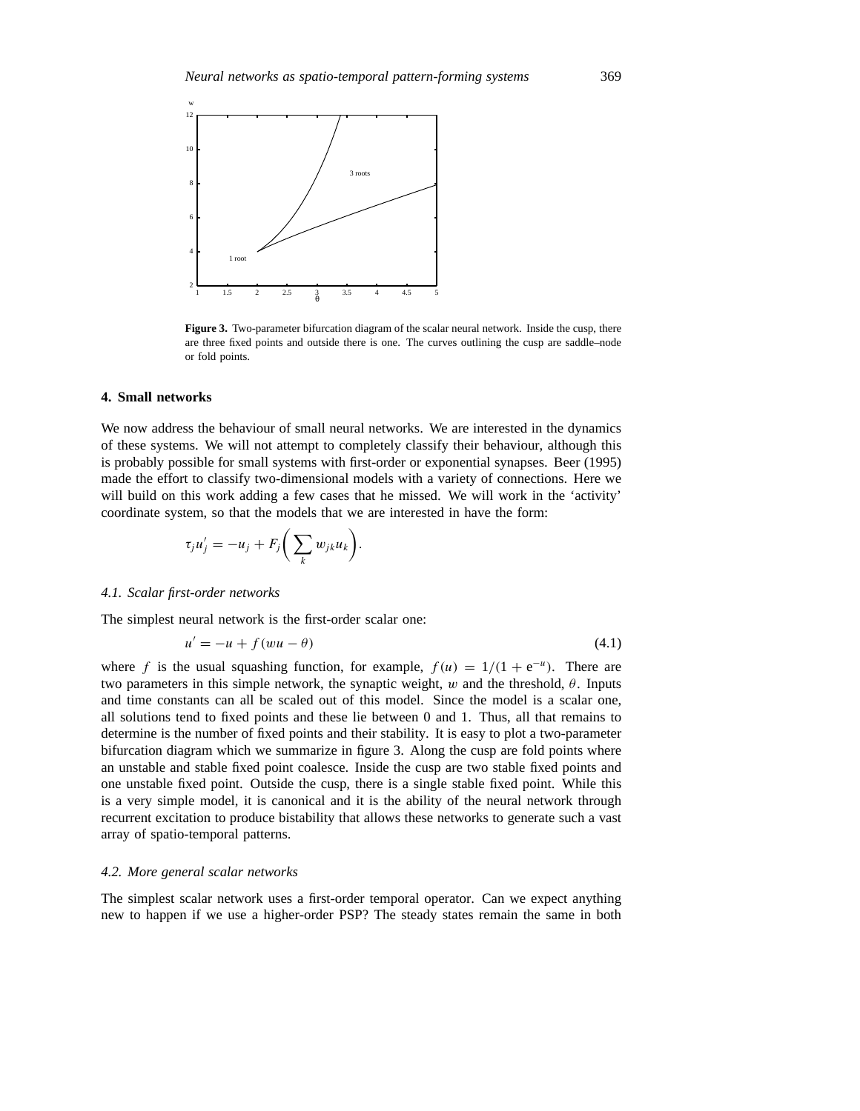

**Figure 3.** Two-parameter bifurcation diagram of the scalar neural network. Inside the cusp, there are three fixed points and outside there is one. The curves outlining the cusp are saddle–node or fold points.

#### **4. Small networks**

We now address the behaviour of small neural networks. We are interested in the dynamics of these systems. We will not attempt to completely classify their behaviour, although this is probably possible for small systems with first-order or exponential synapses. Beer (1995) made the effort to classify two-dimensional models with a variety of connections. Here we will build on this work adding a few cases that he missed. We will work in the 'activity' coordinate system, so that the models that we are interested in have the form:

$$
\tau_j u'_j = -u_j + F_j \bigg( \sum_k w_{jk} u_k \bigg).
$$

#### *4.1. Scalar first-order networks*

The simplest neural network is the first-order scalar one:

$$
u' = -u + f(wu - \theta) \tag{4.1}
$$

where *f* is the usual squashing function, for example,  $f(u) = 1/(1 + e^{-u})$ . There are two parameters in this simple network, the synaptic weight, *w* and the threshold, *θ*. Inputs and time constants can all be scaled out of this model. Since the model is a scalar one, all solutions tend to fixed points and these lie between 0 and 1. Thus, all that remains to determine is the number of fixed points and their stability. It is easy to plot a two-parameter bifurcation diagram which we summarize in figure 3. Along the cusp are fold points where an unstable and stable fixed point coalesce. Inside the cusp are two stable fixed points and one unstable fixed point. Outside the cusp, there is a single stable fixed point. While this is a very simple model, it is canonical and it is the ability of the neural network through recurrent excitation to produce bistability that allows these networks to generate such a vast array of spatio-temporal patterns.

#### *4.2. More general scalar networks*

The simplest scalar network uses a first-order temporal operator. Can we expect anything new to happen if we use a higher-order PSP? The steady states remain the same in both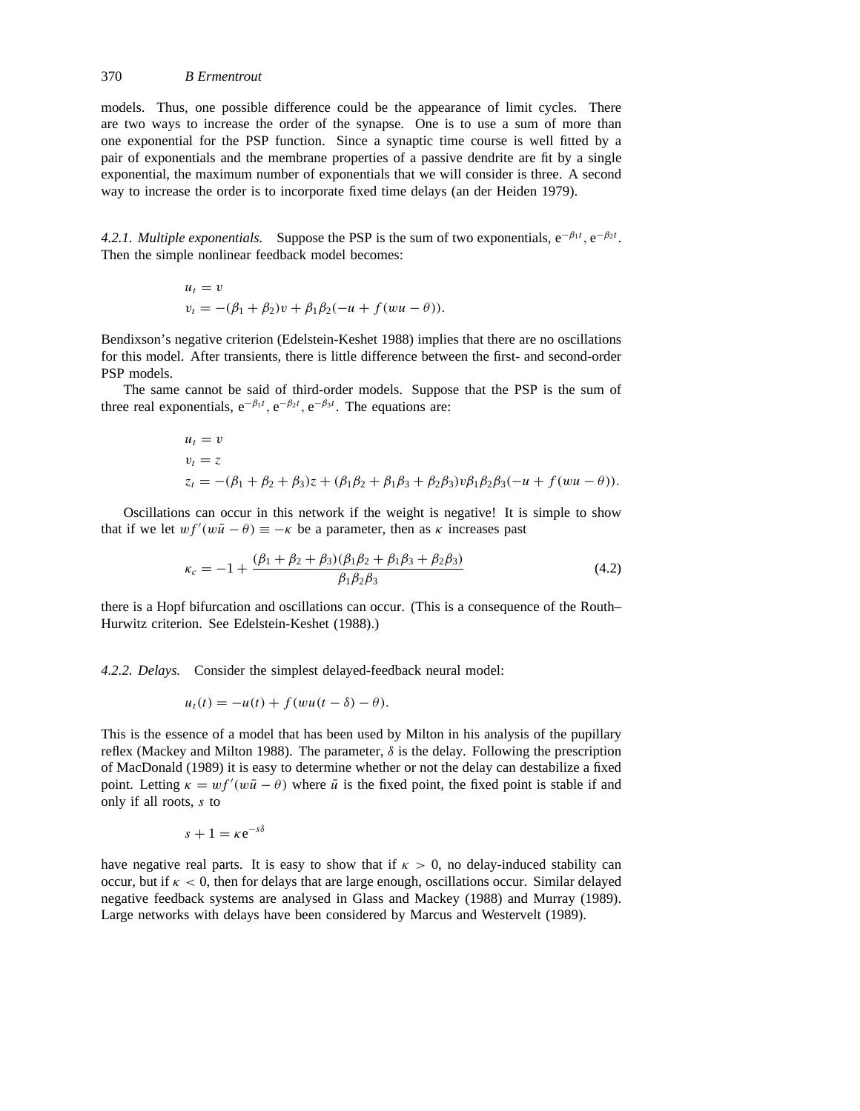models. Thus, one possible difference could be the appearance of limit cycles. There are two ways to increase the order of the synapse. One is to use a sum of more than one exponential for the PSP function. Since a synaptic time course is well fitted by a pair of exponentials and the membrane properties of a passive dendrite are fit by a single exponential, the maximum number of exponentials that we will consider is three. A second way to increase the order is to incorporate fixed time delays (an der Heiden 1979).

*4.2.1. Multiple exponentials.* Suppose the PSP is the sum of two exponentials,  $e^{-\beta_1 t}$ ,  $e^{-\beta_2 t}$ . Then the simple nonlinear feedback model becomes:

$$
u_t = v
$$
  

$$
v_t = -(\beta_1 + \beta_2)v + \beta_1\beta_2(-u + f(wu - \theta)).
$$

Bendixson's negative criterion (Edelstein-Keshet 1988) implies that there are no oscillations for this model. After transients, there is little difference between the first- and second-order PSP models.

The same cannot be said of third-order models. Suppose that the PSP is the sum of three real exponentials,  $e^{-\beta_1 t}$ ,  $e^{-\beta_2 t}$ ,  $e^{-\beta_3 t}$ . The equations are:

$$
u_t = v
$$
  
\n
$$
v_t = z
$$
  
\n
$$
z_t = -(\beta_1 + \beta_2 + \beta_3)z + (\beta_1\beta_2 + \beta_1\beta_3 + \beta_2\beta_3)v\beta_1\beta_2\beta_3(-u + f(wu - \theta)).
$$

Oscillations can occur in this network if the weight is negative! It is simple to show that if we let  $wf'(w\bar{u} - \theta) = -\kappa$  be a parameter, then as  $\kappa$  increases past

$$
\kappa_c = -1 + \frac{(\beta_1 + \beta_2 + \beta_3)(\beta_1\beta_2 + \beta_1\beta_3 + \beta_2\beta_3)}{\beta_1\beta_2\beta_3}
$$
(4.2)

there is a Hopf bifurcation and oscillations can occur. (This is a consequence of the Routh– Hurwitz criterion. See Edelstein-Keshet (1988).)

*4.2.2. Delays.* Consider the simplest delayed-feedback neural model:

$$
u_t(t) = -u(t) + f(wu(t - \delta) - \theta).
$$

This is the essence of a model that has been used by Milton in his analysis of the pupillary reflex (Mackey and Milton 1988). The parameter,  $\delta$  is the delay. Following the prescription of MacDonald (1989) it is easy to determine whether or not the delay can destabilize a fixed point. Letting  $\kappa = wf'(w\bar{u}-\theta)$  where  $\bar{u}$  is the fixed point, the fixed point is stable if and only if all roots, *s* to

$$
s+1=\kappa e^{-s\delta}
$$

have negative real parts. It is easy to show that if  $\kappa > 0$ , no delay-induced stability can occur, but if  $\kappa < 0$ , then for delays that are large enough, oscillations occur. Similar delayed negative feedback systems are analysed in Glass and Mackey (1988) and Murray (1989). Large networks with delays have been considered by Marcus and Westervelt (1989).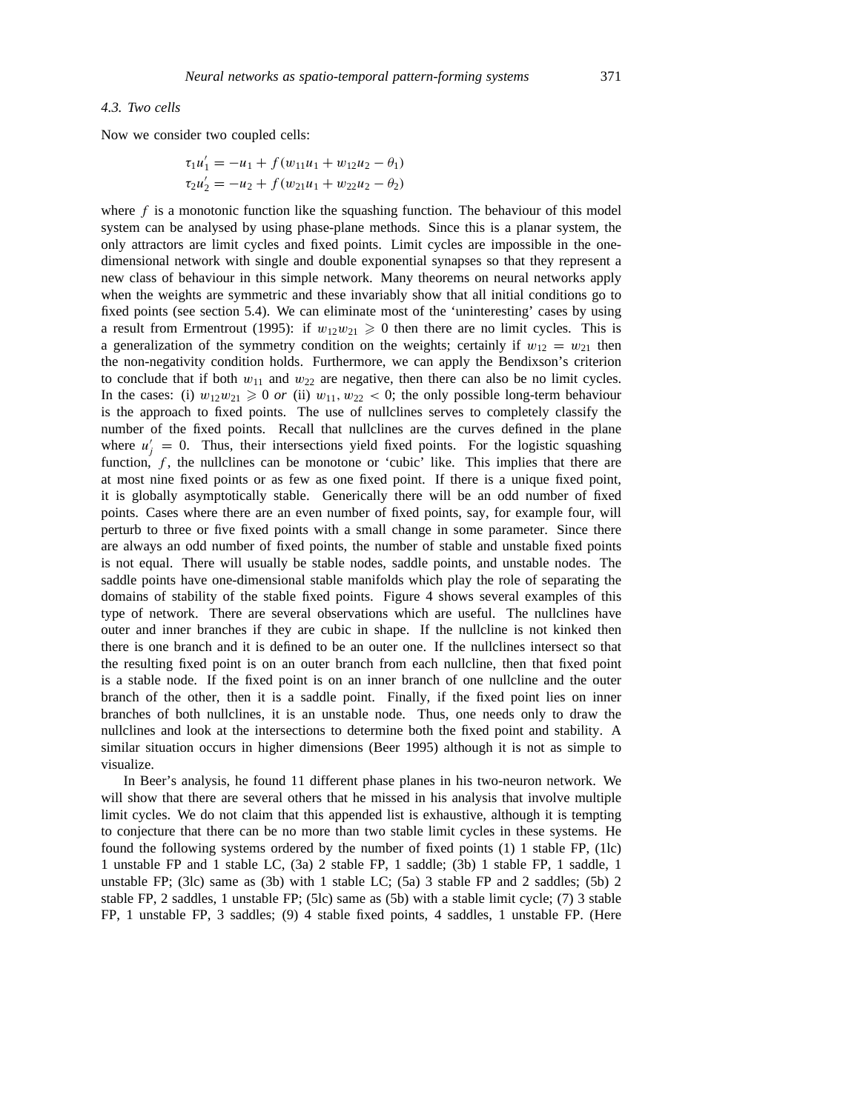#### *4.3. Two cells*

Now we consider two coupled cells:

$$
\tau_1 u_1' = -u_1 + f(w_{11}u_1 + w_{12}u_2 - \theta_1)
$$
  

$$
\tau_2 u_2' = -u_2 + f(w_{21}u_1 + w_{22}u_2 - \theta_2)
$$

where  $f$  is a monotonic function like the squashing function. The behaviour of this model system can be analysed by using phase-plane methods. Since this is a planar system, the only attractors are limit cycles and fixed points. Limit cycles are impossible in the onedimensional network with single and double exponential synapses so that they represent a new class of behaviour in this simple network. Many theorems on neural networks apply when the weights are symmetric and these invariably show that all initial conditions go to fixed points (see section 5.4). We can eliminate most of the 'uninteresting' cases by using a result from Ermentrout (1995): if  $w_{12}w_{21} \geq 0$  then there are no limit cycles. This is a generalization of the symmetry condition on the weights; certainly if  $w_{12} = w_{21}$  then the non-negativity condition holds. Furthermore, we can apply the Bendixson's criterion to conclude that if both  $w_{11}$  and  $w_{22}$  are negative, then there can also be no limit cycles. In the cases: (i)  $w_{12}w_{21} \geq 0$  *or* (ii)  $w_{11}$ ,  $w_{22} < 0$ ; the only possible long-term behaviour is the approach to fixed points. The use of nullclines serves to completely classify the number of the fixed points. Recall that nullclines are the curves defined in the plane where  $u'_j = 0$ . Thus, their intersections yield fixed points. For the logistic squashing function, *f*, the nullclines can be monotone or 'cubic' like. This implies that there are at most nine fixed points or as few as one fixed point. If there is a unique fixed point, it is globally asymptotically stable. Generically there will be an odd number of fixed points. Cases where there are an even number of fixed points, say, for example four, will perturb to three or five fixed points with a small change in some parameter. Since there are always an odd number of fixed points, the number of stable and unstable fixed points is not equal. There will usually be stable nodes, saddle points, and unstable nodes. The saddle points have one-dimensional stable manifolds which play the role of separating the domains of stability of the stable fixed points. Figure 4 shows several examples of this type of network. There are several observations which are useful. The nullclines have outer and inner branches if they are cubic in shape. If the nullcline is not kinked then there is one branch and it is defined to be an outer one. If the nullclines intersect so that the resulting fixed point is on an outer branch from each nullcline, then that fixed point is a stable node. If the fixed point is on an inner branch of one nullcline and the outer branch of the other, then it is a saddle point. Finally, if the fixed point lies on inner branches of both nullclines, it is an unstable node. Thus, one needs only to draw the nullclines and look at the intersections to determine both the fixed point and stability. A similar situation occurs in higher dimensions (Beer 1995) although it is not as simple to visualize.

In Beer's analysis, he found 11 different phase planes in his two-neuron network. We will show that there are several others that he missed in his analysis that involve multiple limit cycles. We do not claim that this appended list is exhaustive, although it is tempting to conjecture that there can be no more than two stable limit cycles in these systems. He found the following systems ordered by the number of fixed points (1) 1 stable FP, (1lc) 1 unstable FP and 1 stable LC, (3a) 2 stable FP, 1 saddle; (3b) 1 stable FP, 1 saddle, 1 unstable FP;  $(3lc)$  same as  $(3b)$  with 1 stable LC;  $(5a)$  3 stable FP and 2 saddles;  $(5b)$  2 stable FP, 2 saddles, 1 unstable FP; (5lc) same as (5b) with a stable limit cycle; (7) 3 stable FP, 1 unstable FP, 3 saddles; (9) 4 stable fixed points, 4 saddles, 1 unstable FP. (Here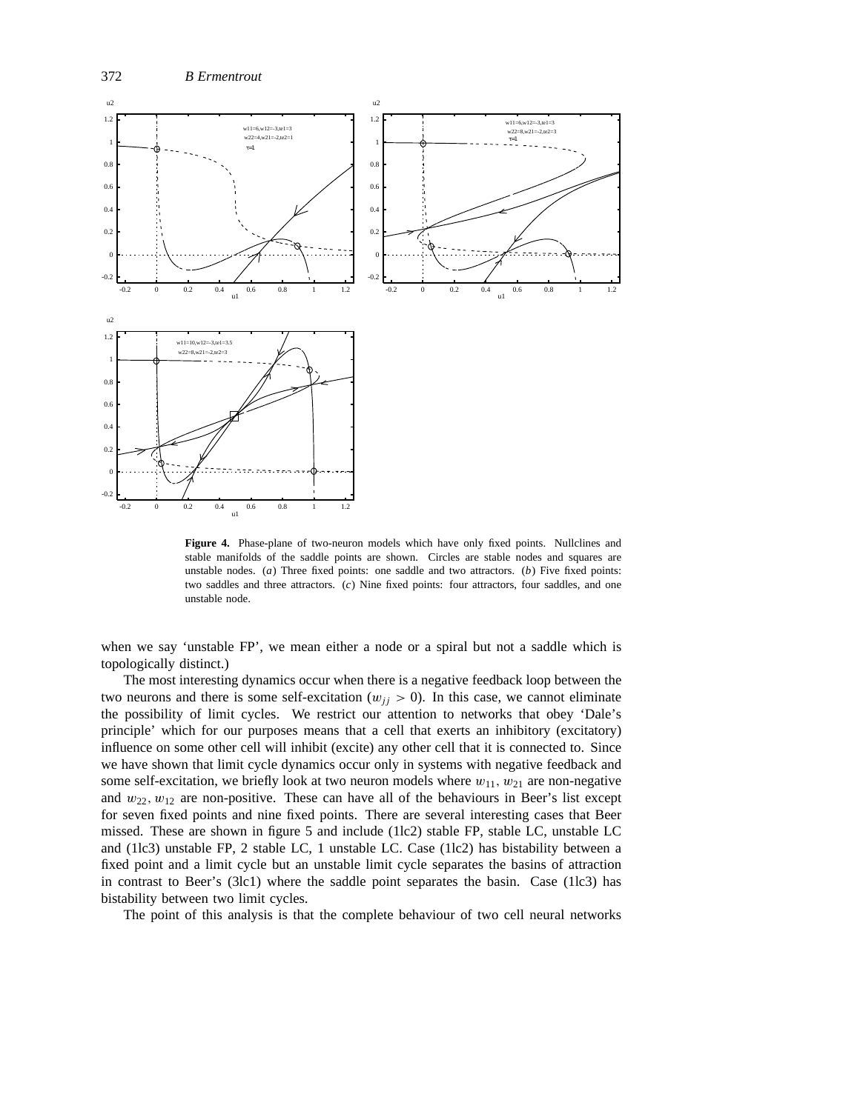

**Figure 4.** Phase-plane of two-neuron models which have only fixed points. Nullclines and stable manifolds of the saddle points are shown. Circles are stable nodes and squares are unstable nodes. (*a*) Three fixed points: one saddle and two attractors. (*b*) Five fixed points: two saddles and three attractors. (*c*) Nine fixed points: four attractors, four saddles, and one unstable node.

when we say 'unstable FP', we mean either a node or a spiral but not a saddle which is topologically distinct.)

The most interesting dynamics occur when there is a negative feedback loop between the two neurons and there is some self-excitation ( $w_{ji} > 0$ ). In this case, we cannot eliminate the possibility of limit cycles. We restrict our attention to networks that obey 'Dale's principle' which for our purposes means that a cell that exerts an inhibitory (excitatory) influence on some other cell will inhibit (excite) any other cell that it is connected to. Since we have shown that limit cycle dynamics occur only in systems with negative feedback and some self-excitation, we briefly look at two neuron models where  $w_{11}$ ,  $w_{21}$  are non-negative and  $w_{22}$ ,  $w_{12}$  are non-positive. These can have all of the behaviours in Beer's list except for seven fixed points and nine fixed points. There are several interesting cases that Beer missed. These are shown in figure 5 and include (1lc2) stable FP, stable LC, unstable LC and (1lc3) unstable FP, 2 stable LC, 1 unstable LC. Case (1lc2) has bistability between a fixed point and a limit cycle but an unstable limit cycle separates the basins of attraction in contrast to Beer's (3lc1) where the saddle point separates the basin. Case (1lc3) has bistability between two limit cycles.

The point of this analysis is that the complete behaviour of two cell neural networks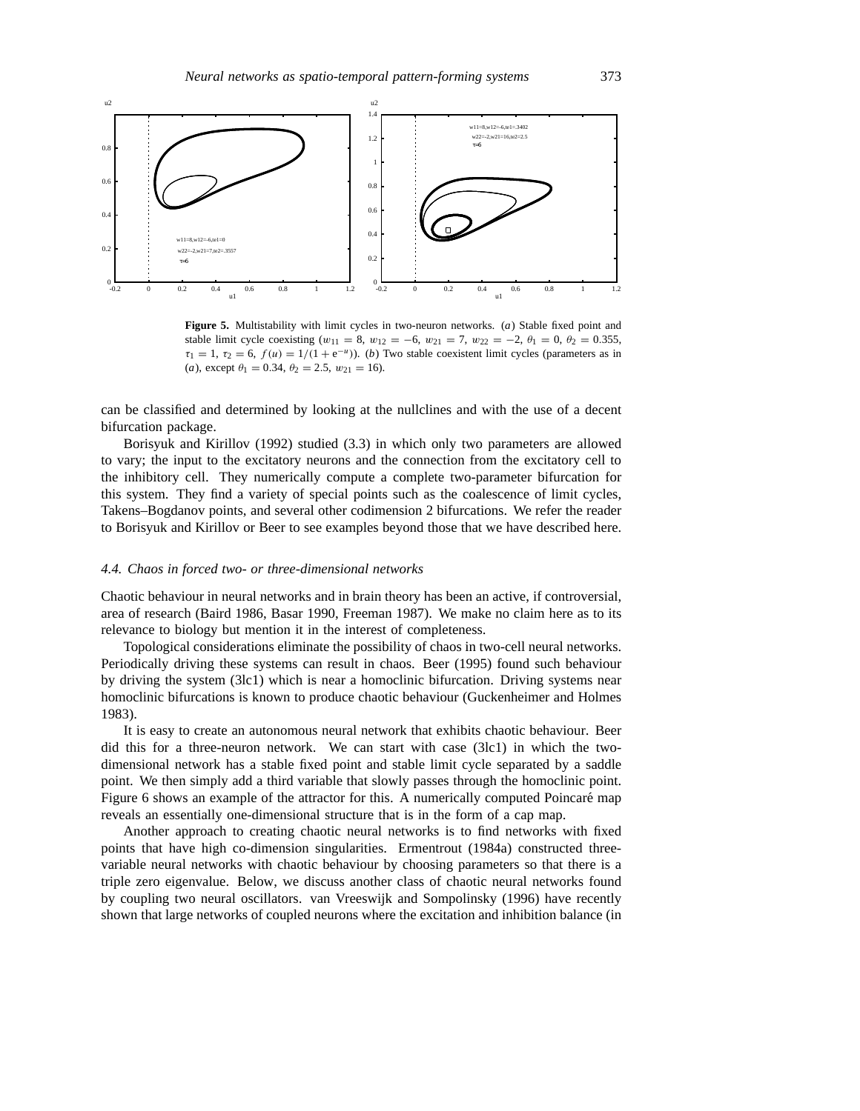

**Figure 5.** Multistability with limit cycles in two-neuron networks. (*a*) Stable fixed point and stable limit cycle coexisting ( $w_{11} = 8$ ,  $w_{12} = -6$ ,  $w_{21} = 7$ ,  $w_{22} = -2$ ,  $\theta_1 = 0$ ,  $\theta_2 = 0.355$ ,  $\tau_1 = 1$ ,  $\tau_2 = 6$ ,  $f(u) = 1/(1 + e^{-u})$ ). (*b*) Two stable coexistent limit cycles (parameters as in (*a*), except  $\theta_1 = 0.34$ ,  $\theta_2 = 2.5$ ,  $w_{21} = 16$ ).

can be classified and determined by looking at the nullclines and with the use of a decent bifurcation package.

Borisyuk and Kirillov (1992) studied (3.3) in which only two parameters are allowed to vary; the input to the excitatory neurons and the connection from the excitatory cell to the inhibitory cell. They numerically compute a complete two-parameter bifurcation for this system. They find a variety of special points such as the coalescence of limit cycles, Takens–Bogdanov points, and several other codimension 2 bifurcations. We refer the reader to Borisyuk and Kirillov or Beer to see examples beyond those that we have described here.

#### *4.4. Chaos in forced two- or three-dimensional networks*

Chaotic behaviour in neural networks and in brain theory has been an active, if controversial, area of research (Baird 1986, Basar 1990, Freeman 1987). We make no claim here as to its relevance to biology but mention it in the interest of completeness.

Topological considerations eliminate the possibility of chaos in two-cell neural networks. Periodically driving these systems can result in chaos. Beer (1995) found such behaviour by driving the system (3lc1) which is near a homoclinic bifurcation. Driving systems near homoclinic bifurcations is known to produce chaotic behaviour (Guckenheimer and Holmes 1983).

It is easy to create an autonomous neural network that exhibits chaotic behaviour. Beer did this for a three-neuron network. We can start with case (3lc1) in which the twodimensional network has a stable fixed point and stable limit cycle separated by a saddle point. We then simply add a third variable that slowly passes through the homoclinic point. Figure 6 shows an example of the attractor for this. A numerically computed Poincaré map reveals an essentially one-dimensional structure that is in the form of a cap map.

Another approach to creating chaotic neural networks is to find networks with fixed points that have high co-dimension singularities. Ermentrout (1984a) constructed threevariable neural networks with chaotic behaviour by choosing parameters so that there is a triple zero eigenvalue. Below, we discuss another class of chaotic neural networks found by coupling two neural oscillators. van Vreeswijk and Sompolinsky (1996) have recently shown that large networks of coupled neurons where the excitation and inhibition balance (in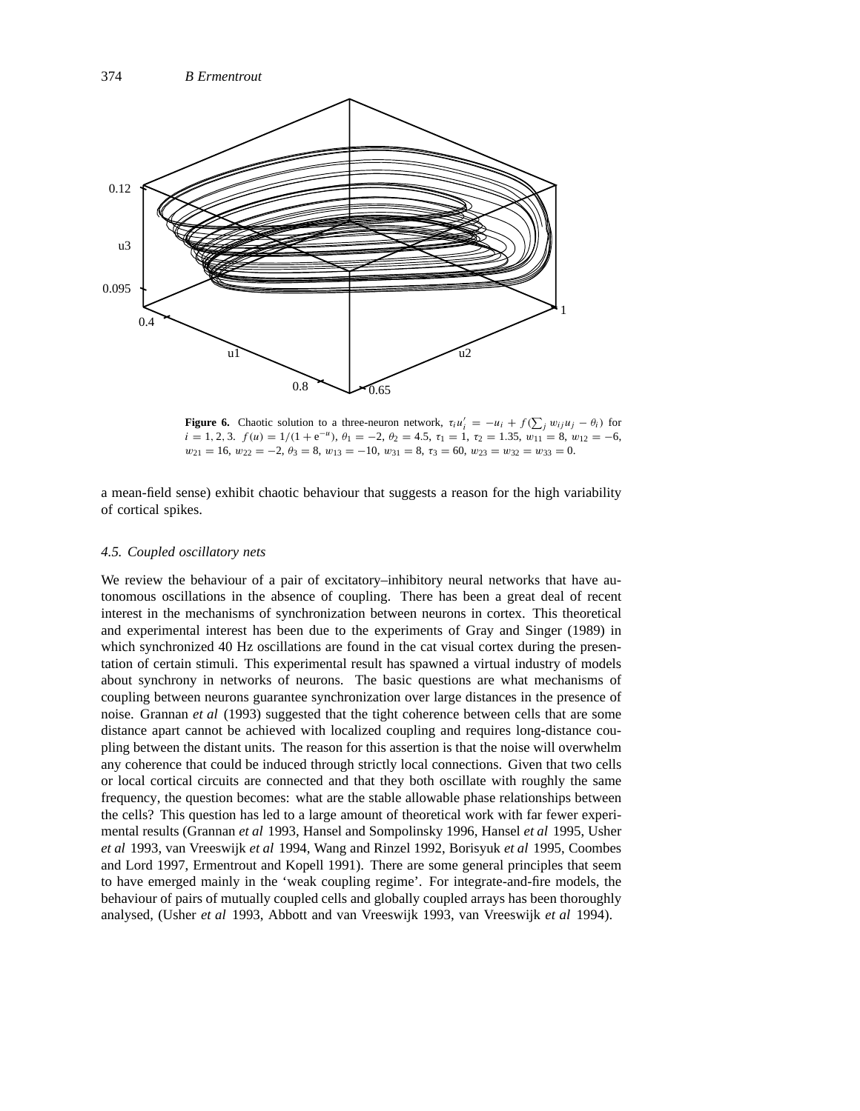

**Figure 6.** Chaotic solution to a three-neuron network,  $\tau_i u'_i = -u_i + f(\sum_j w_{ij}u_j - \theta_i)$  for  $i = 1, 2, 3$ ,  $f(u) = 1/(1 + e^{-u}), \theta_1 = -2, \theta_2 = 4.5, \tau_1 = 1, \tau_2 = 1.35, w_{11} = 8, w_{12} = -6,$  $w_{21} = 16$ ,  $w_{22} = -2$ ,  $\theta_3 = 8$ ,  $w_{13} = -10$ ,  $w_{31} = 8$ ,  $\tau_3 = 60$ ,  $w_{23} = w_{32} = w_{33} = 0$ .

a mean-field sense) exhibit chaotic behaviour that suggests a reason for the high variability of cortical spikes.

## *4.5. Coupled oscillatory nets*

We review the behaviour of a pair of excitatory–inhibitory neural networks that have autonomous oscillations in the absence of coupling. There has been a great deal of recent interest in the mechanisms of synchronization between neurons in cortex. This theoretical and experimental interest has been due to the experiments of Gray and Singer (1989) in which synchronized 40 Hz oscillations are found in the cat visual cortex during the presentation of certain stimuli. This experimental result has spawned a virtual industry of models about synchrony in networks of neurons. The basic questions are what mechanisms of coupling between neurons guarantee synchronization over large distances in the presence of noise. Grannan *et al* (1993) suggested that the tight coherence between cells that are some distance apart cannot be achieved with localized coupling and requires long-distance coupling between the distant units. The reason for this assertion is that the noise will overwhelm any coherence that could be induced through strictly local connections. Given that two cells or local cortical circuits are connected and that they both oscillate with roughly the same frequency, the question becomes: what are the stable allowable phase relationships between the cells? This question has led to a large amount of theoretical work with far fewer experimental results (Grannan *et al* 1993, Hansel and Sompolinsky 1996, Hansel *et al* 1995, Usher *et al* 1993, van Vreeswijk *et al* 1994, Wang and Rinzel 1992, Borisyuk *et al* 1995, Coombes and Lord 1997, Ermentrout and Kopell 1991). There are some general principles that seem to have emerged mainly in the 'weak coupling regime'. For integrate-and-fire models, the behaviour of pairs of mutually coupled cells and globally coupled arrays has been thoroughly analysed, (Usher *et al* 1993, Abbott and van Vreeswijk 1993, van Vreeswijk *et al* 1994).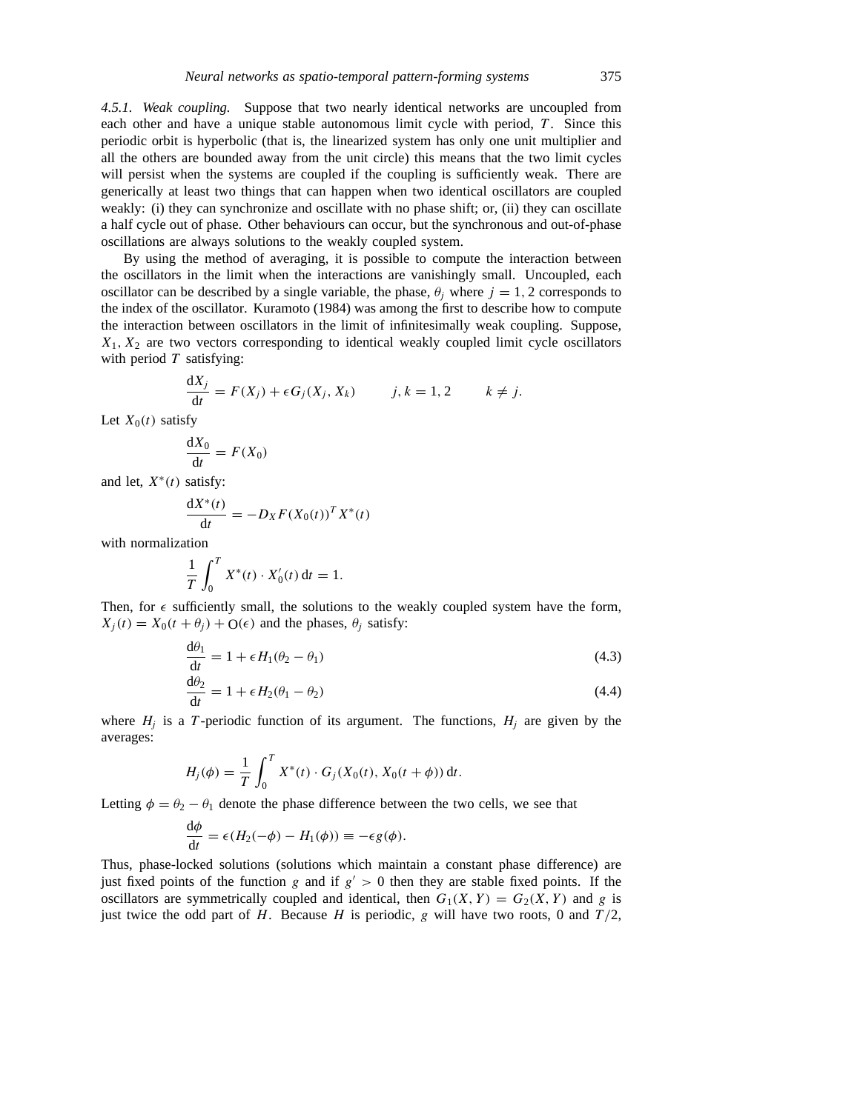*4.5.1. Weak coupling.* Suppose that two nearly identical networks are uncoupled from each other and have a unique stable autonomous limit cycle with period, *T*. Since this periodic orbit is hyperbolic (that is, the linearized system has only one unit multiplier and all the others are bounded away from the unit circle) this means that the two limit cycles will persist when the systems are coupled if the coupling is sufficiently weak. There are generically at least two things that can happen when two identical oscillators are coupled weakly: (i) they can synchronize and oscillate with no phase shift; or, (ii) they can oscillate a half cycle out of phase. Other behaviours can occur, but the synchronous and out-of-phase oscillations are always solutions to the weakly coupled system.

By using the method of averaging, it is possible to compute the interaction between the oscillators in the limit when the interactions are vanishingly small. Uncoupled, each oscillator can be described by a single variable, the phase,  $\theta_i$  where  $j = 1, 2$  corresponds to the index of the oscillator. Kuramoto (1984) was among the first to describe how to compute the interaction between oscillators in the limit of infinitesimally weak coupling. Suppose, *X*1*, X*<sup>2</sup> are two vectors corresponding to identical weakly coupled limit cycle oscillators with period *T* satisfying:

$$
\frac{\mathrm{d}X_j}{\mathrm{d}t} = F(X_j) + \epsilon G_j(X_j, X_k) \qquad j, k = 1, 2 \qquad k \neq j.
$$

Let  $X_0(t)$  satisfy

$$
\frac{\mathrm{d}X_0}{\mathrm{d}t} = F(X_0)
$$

and let,  $X^*(t)$  satisfy:

$$
\frac{\mathrm{d}X^*(t)}{\mathrm{d}t} = -D_X F(X_0(t))^T X^*(t)
$$

with normalization

$$
\frac{1}{T} \int_0^T X^*(t) \cdot X'_0(t) dt = 1.
$$

Then, for  $\epsilon$  sufficiently small, the solutions to the weakly coupled system have the form,  $X_i(t) = X_0(t + \theta_i) + O(\epsilon)$  and the phases,  $\theta_i$  satisfy:

$$
\frac{d\theta_1}{dt} = 1 + \epsilon H_1(\theta_2 - \theta_1)
$$
\n
$$
\frac{d\theta_2}{dt} = 1 + \epsilon H_2(\theta_1 - \theta_2)
$$
\n(4.3)

$$
\frac{\mathrm{d}\theta_2}{\mathrm{d}t} = 1 + \epsilon H_2(\theta_1 - \theta_2) \tag{4.4}
$$

where  $H_i$  is a *T*-periodic function of its argument. The functions,  $H_i$  are given by the averages:

$$
H_j(\phi) = \frac{1}{T} \int_0^T X^*(t) \cdot G_j(X_0(t), X_0(t + \phi)) dt.
$$

Letting  $\phi = \theta_2 - \theta_1$  denote the phase difference between the two cells, we see that

$$
\frac{\mathrm{d}\phi}{\mathrm{d}t} = \epsilon (H_2(-\phi) - H_1(\phi)) \equiv -\epsilon g(\phi).
$$

Thus, phase-locked solutions (solutions which maintain a constant phase difference) are just fixed points of the function *g* and if  $g' > 0$  then they are stable fixed points. If the oscillators are symmetrically coupled and identical, then  $G_1(X, Y) = G_2(X, Y)$  and *g* is just twice the odd part of *H*. Because *H* is periodic, *g* will have two roots, 0 and  $T/2$ ,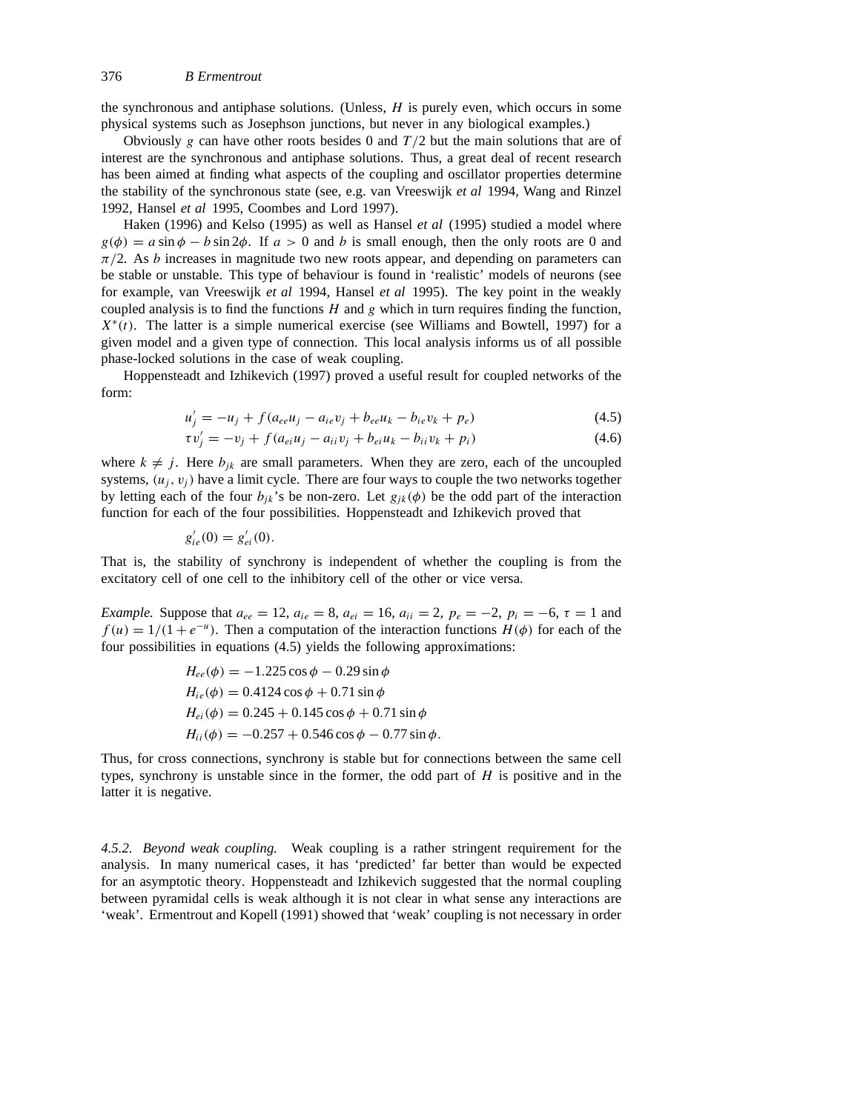the synchronous and antiphase solutions. (Unless, *H* is purely even, which occurs in some physical systems such as Josephson junctions, but never in any biological examples.)

Obviously *g* can have other roots besides 0 and *T /*2 but the main solutions that are of interest are the synchronous and antiphase solutions. Thus, a great deal of recent research has been aimed at finding what aspects of the coupling and oscillator properties determine the stability of the synchronous state (see, e.g. van Vreeswijk *et al* 1994, Wang and Rinzel 1992, Hansel *et al* 1995, Coombes and Lord 1997).

Haken (1996) and Kelso (1995) as well as Hansel *et al* (1995) studied a model where  $g(\phi) = a \sin \phi - b \sin 2\phi$ . If  $a > 0$  and *b* is small enough, then the only roots are 0 and  $\pi/2$ . As *b* increases in magnitude two new roots appear, and depending on parameters can be stable or unstable. This type of behaviour is found in 'realistic' models of neurons (see for example, van Vreeswijk *et al* 1994, Hansel *et al* 1995). The key point in the weakly coupled analysis is to find the functions *H* and *g* which in turn requires finding the function,  $X^*(t)$ . The latter is a simple numerical exercise (see Williams and Bowtell, 1997) for a given model and a given type of connection. This local analysis informs us of all possible phase-locked solutions in the case of weak coupling.

Hoppensteadt and Izhikevich (1997) proved a useful result for coupled networks of the form:

$$
u'_{j} = -u_{j} + f(a_{ee}u_{j} - a_{ie}v_{j} + b_{ee}u_{k} - b_{ie}v_{k} + p_{e})
$$
\n(4.5)

$$
\tau v'_{j} = -v_{j} + f(a_{ei}u_{j} - a_{ii}v_{j} + b_{ei}u_{k} - b_{ii}v_{k} + p_{i})
$$
\n(4.6)

where  $k \neq j$ . Here  $b_{jk}$  are small parameters. When they are zero, each of the uncoupled systems,  $(u_i, v_i)$  have a limit cycle. There are four ways to couple the two networks together by letting each of the four  $b_{jk}$ 's be non-zero. Let  $g_{jk}(\phi)$  be the odd part of the interaction function for each of the four possibilities. Hoppensteadt and Izhikevich proved that

$$
g'_{ie}(0) = g'_{ei}(0).
$$

That is, the stability of synchrony is independent of whether the coupling is from the excitatory cell of one cell to the inhibitory cell of the other or vice versa.

*Example.* Suppose that  $a_{ee} = 12$ ,  $a_{ie} = 8$ ,  $a_{ei} = 16$ ,  $a_{ii} = 2$ ,  $p_e = -2$ ,  $p_i = -6$ ,  $\tau = 1$  and  $f(u) = 1/(1 + e^{-u})$ . Then a computation of the interaction functions  $H(\phi)$  for each of the four possibilities in equations (4.5) yields the following approximations:

$$
H_{ee}(\phi) = -1.225 \cos \phi - 0.29 \sin \phi
$$
  
\n
$$
H_{ie}(\phi) = 0.4124 \cos \phi + 0.71 \sin \phi
$$
  
\n
$$
H_{ei}(\phi) = 0.245 + 0.145 \cos \phi + 0.71 \sin \phi
$$
  
\n
$$
H_{ii}(\phi) = -0.257 + 0.546 \cos \phi - 0.77 \sin \phi.
$$

Thus, for cross connections, synchrony is stable but for connections between the same cell types, synchrony is unstable since in the former, the odd part of *H* is positive and in the latter it is negative.

*4.5.2. Beyond weak coupling.* Weak coupling is a rather stringent requirement for the analysis. In many numerical cases, it has 'predicted' far better than would be expected for an asymptotic theory. Hoppensteadt and Izhikevich suggested that the normal coupling between pyramidal cells is weak although it is not clear in what sense any interactions are 'weak'. Ermentrout and Kopell (1991) showed that 'weak' coupling is not necessary in order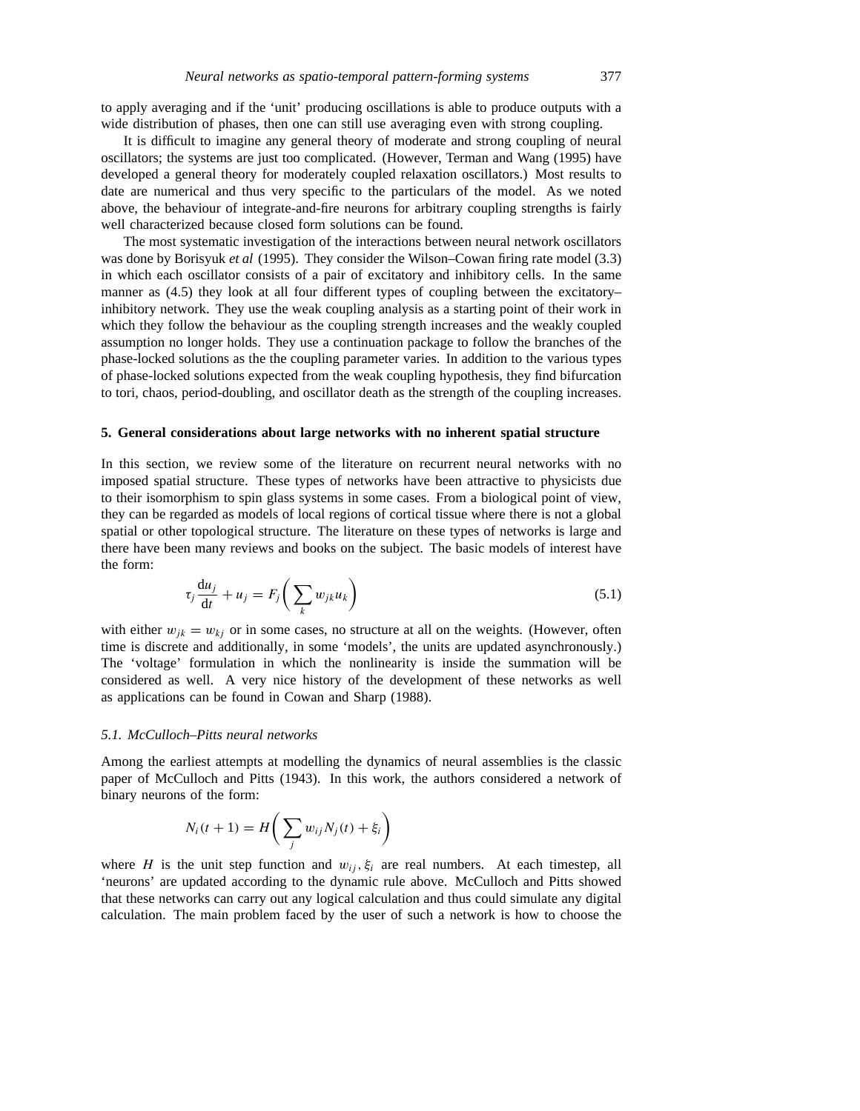to apply averaging and if the 'unit' producing oscillations is able to produce outputs with a wide distribution of phases, then one can still use averaging even with strong coupling.

It is difficult to imagine any general theory of moderate and strong coupling of neural oscillators; the systems are just too complicated. (However, Terman and Wang (1995) have developed a general theory for moderately coupled relaxation oscillators.) Most results to date are numerical and thus very specific to the particulars of the model. As we noted above, the behaviour of integrate-and-fire neurons for arbitrary coupling strengths is fairly well characterized because closed form solutions can be found.

The most systematic investigation of the interactions between neural network oscillators was done by Borisyuk *et al* (1995). They consider the Wilson–Cowan firing rate model (3.3) in which each oscillator consists of a pair of excitatory and inhibitory cells. In the same manner as  $(4.5)$  they look at all four different types of coupling between the excitatory– inhibitory network. They use the weak coupling analysis as a starting point of their work in which they follow the behaviour as the coupling strength increases and the weakly coupled assumption no longer holds. They use a continuation package to follow the branches of the phase-locked solutions as the the coupling parameter varies. In addition to the various types of phase-locked solutions expected from the weak coupling hypothesis, they find bifurcation to tori, chaos, period-doubling, and oscillator death as the strength of the coupling increases.

#### **5. General considerations about large networks with no inherent spatial structure**

In this section, we review some of the literature on recurrent neural networks with no imposed spatial structure. These types of networks have been attractive to physicists due to their isomorphism to spin glass systems in some cases. From a biological point of view, they can be regarded as models of local regions of cortical tissue where there is not a global spatial or other topological structure. The literature on these types of networks is large and there have been many reviews and books on the subject. The basic models of interest have the form:

$$
\tau_j \frac{du_j}{dt} + u_j = F_j \left( \sum_k w_{jk} u_k \right) \tag{5.1}
$$

with either  $w_{jk} = w_{kj}$  or in some cases, no structure at all on the weights. (However, often time is discrete and additionally, in some 'models', the units are updated asynchronously.) The 'voltage' formulation in which the nonlinearity is inside the summation will be considered as well. A very nice history of the development of these networks as well as applications can be found in Cowan and Sharp (1988).

#### *5.1. McCulloch–Pitts neural networks*

Among the earliest attempts at modelling the dynamics of neural assemblies is the classic paper of McCulloch and Pitts (1943). In this work, the authors considered a network of binary neurons of the form:

$$
N_i(t+1) = H\bigg(\sum_j w_{ij} N_j(t) + \xi_i\bigg)
$$

where *H* is the unit step function and  $w_{ij}$ ,  $\xi_i$  are real numbers. At each timestep, all 'neurons' are updated according to the dynamic rule above. McCulloch and Pitts showed that these networks can carry out any logical calculation and thus could simulate any digital calculation. The main problem faced by the user of such a network is how to choose the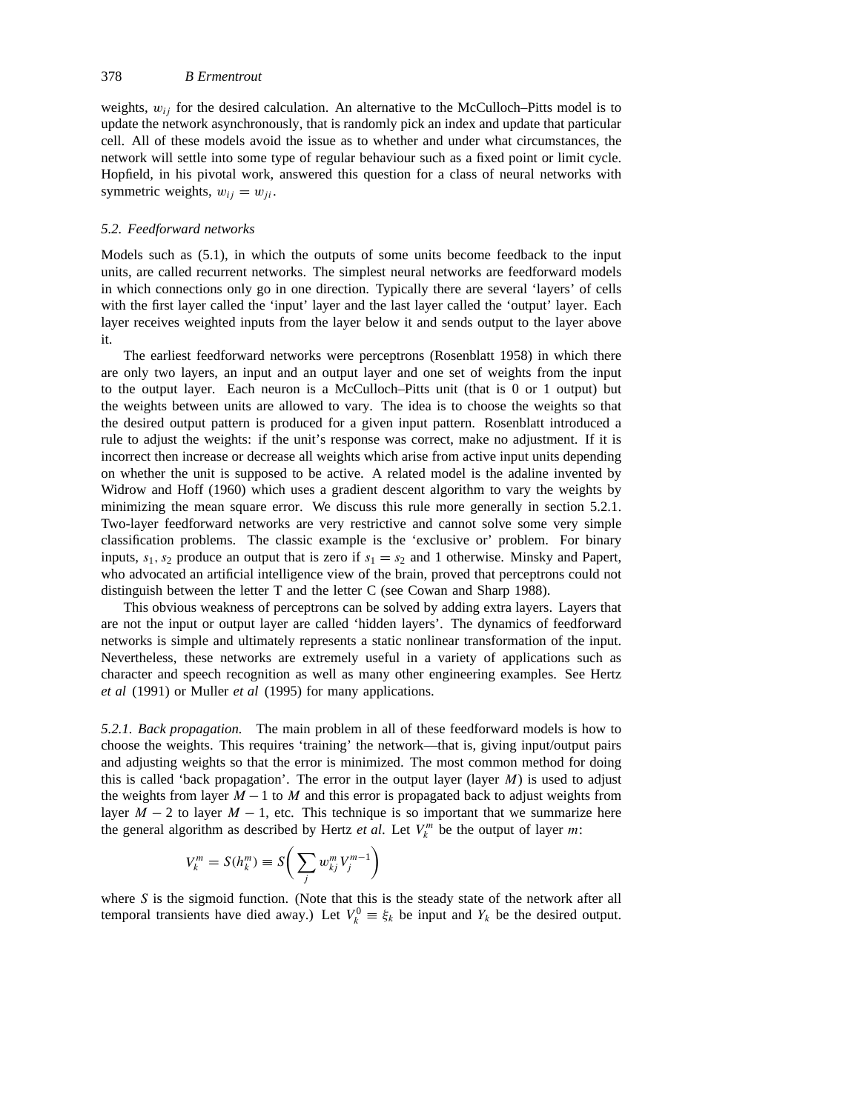weights,  $w_{ij}$  for the desired calculation. An alternative to the McCulloch–Pitts model is to update the network asynchronously, that is randomly pick an index and update that particular cell. All of these models avoid the issue as to whether and under what circumstances, the network will settle into some type of regular behaviour such as a fixed point or limit cycle. Hopfield, in his pivotal work, answered this question for a class of neural networks with symmetric weights,  $w_{ij} = w_{ji}$ .

## *5.2. Feedforward networks*

Models such as (5.1), in which the outputs of some units become feedback to the input units, are called recurrent networks. The simplest neural networks are feedforward models in which connections only go in one direction. Typically there are several 'layers' of cells with the first layer called the 'input' layer and the last layer called the 'output' layer. Each layer receives weighted inputs from the layer below it and sends output to the layer above it.

The earliest feedforward networks were perceptrons (Rosenblatt 1958) in which there are only two layers, an input and an output layer and one set of weights from the input to the output layer. Each neuron is a McCulloch–Pitts unit (that is 0 or 1 output) but the weights between units are allowed to vary. The idea is to choose the weights so that the desired output pattern is produced for a given input pattern. Rosenblatt introduced a rule to adjust the weights: if the unit's response was correct, make no adjustment. If it is incorrect then increase or decrease all weights which arise from active input units depending on whether the unit is supposed to be active. A related model is the adaline invented by Widrow and Hoff (1960) which uses a gradient descent algorithm to vary the weights by minimizing the mean square error. We discuss this rule more generally in section 5.2.1. Two-layer feedforward networks are very restrictive and cannot solve some very simple classification problems. The classic example is the 'exclusive or' problem. For binary inputs,  $s_1$ ,  $s_2$  produce an output that is zero if  $s_1 = s_2$  and 1 otherwise. Minsky and Papert, who advocated an artificial intelligence view of the brain, proved that perceptrons could not distinguish between the letter T and the letter C (see Cowan and Sharp 1988).

This obvious weakness of perceptrons can be solved by adding extra layers. Layers that are not the input or output layer are called 'hidden layers'. The dynamics of feedforward networks is simple and ultimately represents a static nonlinear transformation of the input. Nevertheless, these networks are extremely useful in a variety of applications such as character and speech recognition as well as many other engineering examples. See Hertz *et al* (1991) or Muller *et al* (1995) for many applications.

*5.2.1. Back propagation.* The main problem in all of these feedforward models is how to choose the weights. This requires 'training' the network—that is, giving input/output pairs and adjusting weights so that the error is minimized. The most common method for doing this is called 'back propagation'. The error in the output layer (layer *M*) is used to adjust the weights from layer  $M-1$  to  $M$  and this error is propagated back to adjust weights from layer  $M - 2$  to layer  $M - 1$ , etc. This technique is so important that we summarize here the general algorithm as described by Hertz *et al*. Let  $V_k^m$  be the output of layer *m*:

$$
V_k^m = S(h_k^m) \equiv S\bigg(\sum_j w_{kj}^m V_j^{m-1}\bigg)
$$

where  $S$  is the sigmoid function. (Note that this is the steady state of the network after all temporal transients have died away.) Let  $V_k^0 \equiv \xi_k$  be input and  $Y_k$  be the desired output.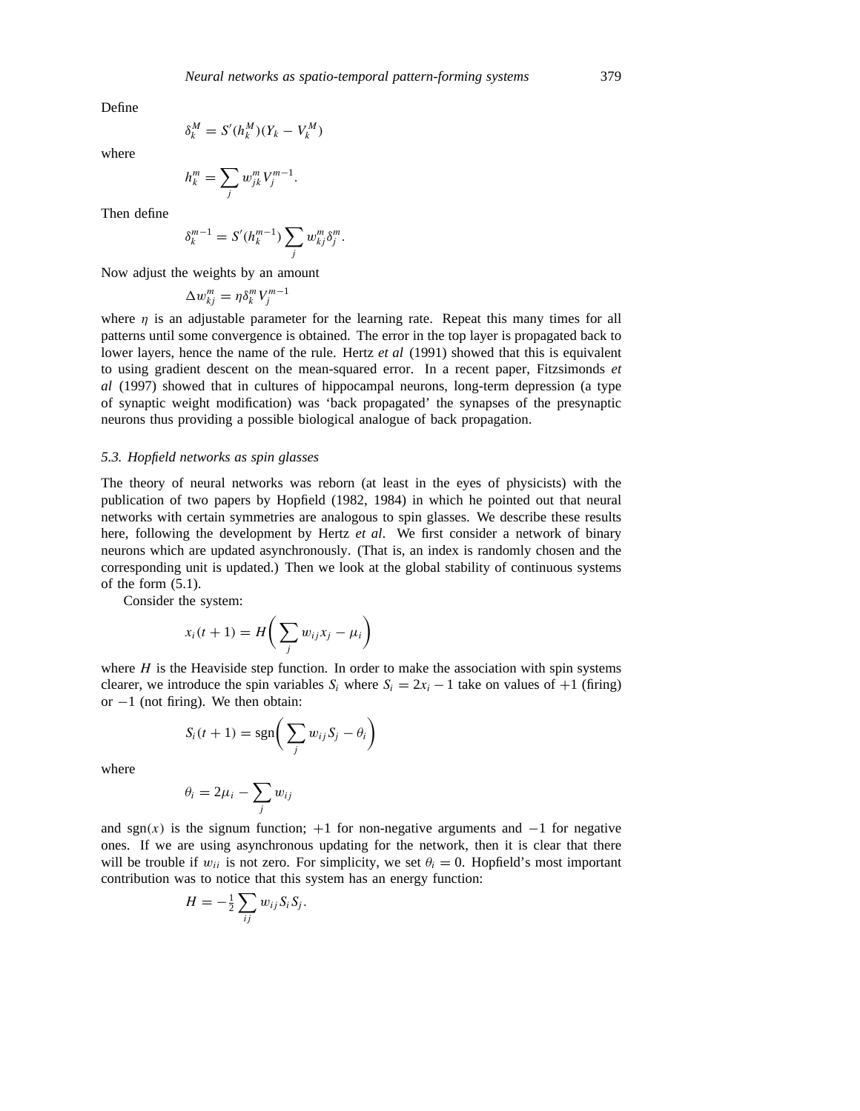Define

$$
\delta_k^M = S'(h_k^M)(Y_k - V_k^M)
$$

where

$$
h_k^m = \sum_j w_{jk}^m V_j^{m-1}.
$$

Then define

$$
\delta_k^{m-1} = S'(h_k^{m-1}) \sum_j w_{kj}^m \delta_j^m.
$$

Now adjust the weights by an amount

$$
\Delta w_{kj}^m = \eta \delta_k^m V_j^{m-1}
$$

where  $\eta$  is an adjustable parameter for the learning rate. Repeat this many times for all patterns until some convergence is obtained. The error in the top layer is propagated back to lower layers, hence the name of the rule. Hertz *et al* (1991) showed that this is equivalent to using gradient descent on the mean-squared error. In a recent paper, Fitzsimonds *et al* (1997) showed that in cultures of hippocampal neurons, long-term depression (a type of synaptic weight modification) was 'back propagated' the synapses of the presynaptic neurons thus providing a possible biological analogue of back propagation.

#### *5.3. Hopfield networks as spin glasses*

The theory of neural networks was reborn (at least in the eyes of physicists) with the publication of two papers by Hopfield (1982, 1984) in which he pointed out that neural networks with certain symmetries are analogous to spin glasses. We describe these results here, following the development by Hertz *et al*. We first consider a network of binary neurons which are updated asynchronously. (That is, an index is randomly chosen and the corresponding unit is updated.) Then we look at the global stability of continuous systems of the form (5.1).

Consider the system:

$$
x_i(t+1) = H\bigg(\sum_j w_{ij}x_j - \mu_i\bigg)
$$

where  $H$  is the Heaviside step function. In order to make the association with spin systems clearer, we introduce the spin variables  $S_i$  where  $S_i = 2x_i - 1$  take on values of  $+1$  (firing) or  $-1$  (not firing). We then obtain:

$$
S_i(t+1) = \text{sgn}\bigg(\sum_j w_{ij} S_j - \theta_i\bigg)
$$

where

$$
\theta_i=2\mu_i-\sum_j w_{ij}
$$

and sgn(x) is the signum function;  $+1$  for non-negative arguments and  $-1$  for negative ones. If we are using asynchronous updating for the network, then it is clear that there will be trouble if  $w_{ii}$  is not zero. For simplicity, we set  $\theta_i = 0$ . Hopfield's most important contribution was to notice that this system has an energy function:

$$
H=-\frac{1}{2}\sum_{ij}w_{ij}S_iS_j.
$$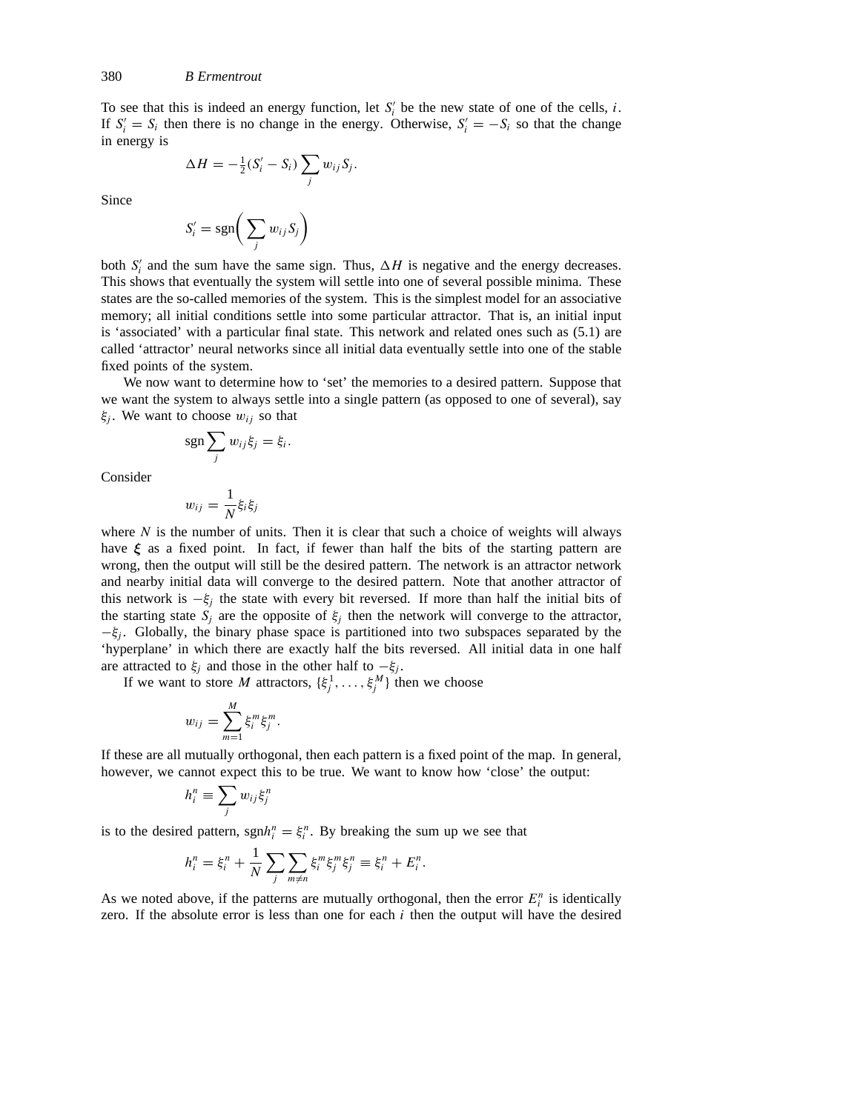To see that this is indeed an energy function, let  $S_i'$  be the new state of one of the cells, *i*. If  $S_i' = S_i$  then there is no change in the energy. Otherwise,  $S_i' = -S_i$  so that the change in energy is

$$
\Delta H = -\frac{1}{2}(S_i' - S_i) \sum_j w_{ij} S_j.
$$

Since

$$
S_i' = \text{sgn}\bigg(\sum_j w_{ij} S_j\bigg)
$$

both  $S_i'$  and the sum have the same sign. Thus,  $\Delta H$  is negative and the energy decreases. This shows that eventually the system will settle into one of several possible minima. These states are the so-called memories of the system. This is the simplest model for an associative memory; all initial conditions settle into some particular attractor. That is, an initial input is 'associated' with a particular final state. This network and related ones such as (5.1) are called 'attractor' neural networks since all initial data eventually settle into one of the stable fixed points of the system.

We now want to determine how to 'set' the memories to a desired pattern. Suppose that we want the system to always settle into a single pattern (as opposed to one of several), say *ξj* . We want to choose *wij* so that

$$
\operatorname{sgn}\sum_j w_{ij}\xi_j=\xi_i.
$$

Consider

$$
w_{ij} = \frac{1}{N} \xi_i \xi_j
$$

where  $N$  is the number of units. Then it is clear that such a choice of weights will always have  $\xi$  as a fixed point. In fact, if fewer than half the bits of the starting pattern are wrong, then the output will still be the desired pattern. The network is an attractor network and nearby initial data will converge to the desired pattern. Note that another attractor of this network is  $-\xi_j$  the state with every bit reversed. If more than half the initial bits of the starting state  $S_j$  are the opposite of  $\xi_j$  then the network will converge to the attractor, −*ξj* . Globally, the binary phase space is partitioned into two subspaces separated by the 'hyperplane' in which there are exactly half the bits reversed. All initial data in one half are attracted to  $\xi_j$  and those in the other half to  $-\xi_j$ .

If we want to store *M* attractors,  $\{\xi_j^1, \ldots, \xi_j^M\}$  then we choose

$$
w_{ij} = \sum_{m=1}^M \xi_i^m \xi_j^m.
$$

If these are all mutually orthogonal, then each pattern is a fixed point of the map. In general, however, we cannot expect this to be true. We want to know how 'close' the output:

$$
h_i^n \equiv \sum_j w_{ij} \xi_j^n
$$

is to the desired pattern,  $\text{sgn}h_i^n = \xi_i^n$ . By breaking the sum up we see that

$$
h_i^n = \xi_i^n + \frac{1}{N} \sum_j \sum_{m \neq n} \xi_i^m \xi_j^m \xi_j^n \equiv \xi_i^n + E_i^n.
$$

As we noted above, if the patterns are mutually orthogonal, then the error  $E_i^n$  is identically zero. If the absolute error is less than one for each *i* then the output will have the desired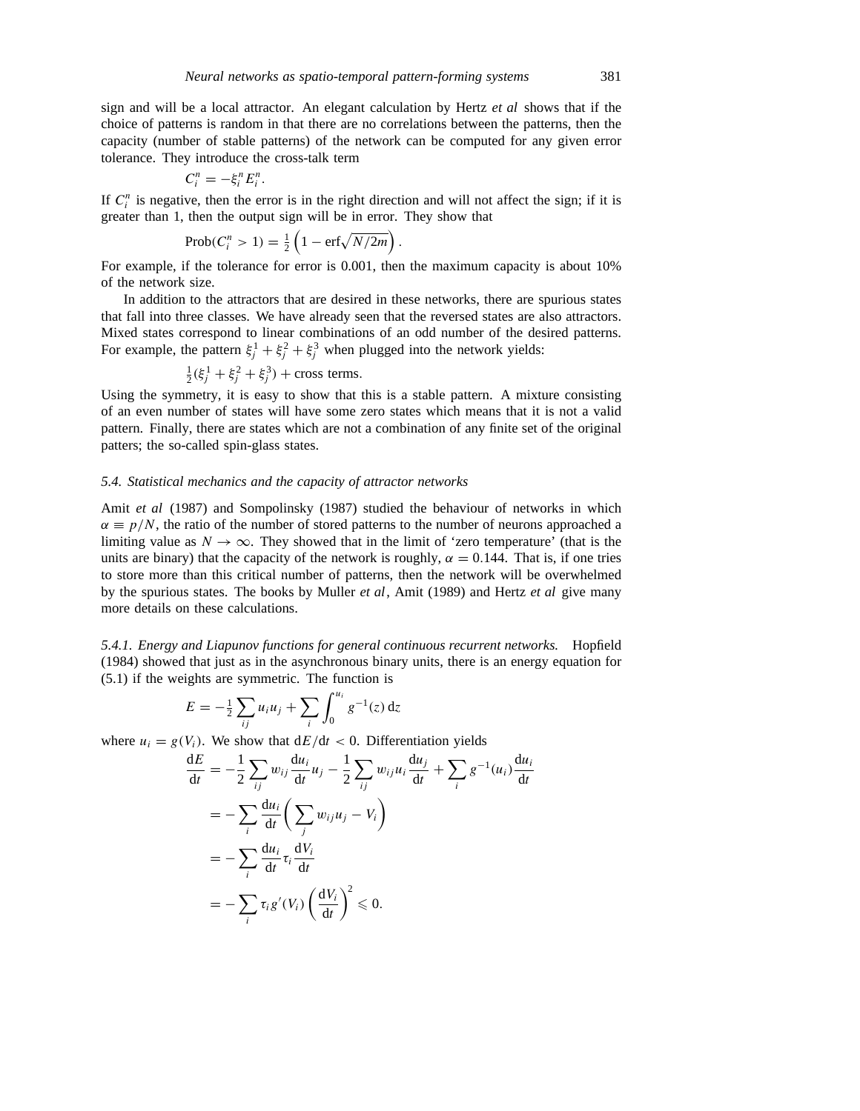sign and will be a local attractor. An elegant calculation by Hertz *et al* shows that if the choice of patterns is random in that there are no correlations between the patterns, then the capacity (number of stable patterns) of the network can be computed for any given error tolerance. They introduce the cross-talk term

$$
C_i^n = -\xi_i^n E_i^n.
$$

If  $C_i^n$  is negative, then the error is in the right direction and will not affect the sign; if it is greater than 1, then the output sign will be in error. They show that

$$
\mathrm{Prob}(C_i^n > 1) = \frac{1}{2} \left( 1 - \mathrm{erf}\sqrt{N/2m} \right).
$$

For example, if the tolerance for error is 0.001, then the maximum capacity is about 10% of the network size.

In addition to the attractors that are desired in these networks, there are spurious states that fall into three classes. We have already seen that the reversed states are also attractors. Mixed states correspond to linear combinations of an odd number of the desired patterns. For example, the pattern  $\xi_j^1 + \xi_j^2 + \xi_j^3$  when plugged into the network yields:

$$
\frac{1}{2}(\xi_j^1 + \xi_j^2 + \xi_j^3) + \text{cross terms.}
$$

Using the symmetry, it is easy to show that this is a stable pattern. A mixture consisting of an even number of states will have some zero states which means that it is not a valid pattern. Finally, there are states which are not a combination of any finite set of the original patters; the so-called spin-glass states.

#### *5.4. Statistical mechanics and the capacity of attractor networks*

Amit *et al* (1987) and Sompolinsky (1987) studied the behaviour of networks in which  $\alpha \equiv p/N$ , the ratio of the number of stored patterns to the number of neurons approached a limiting value as  $N \to \infty$ . They showed that in the limit of 'zero temperature' (that is the units are binary) that the capacity of the network is roughly,  $\alpha = 0.144$ . That is, if one tries to store more than this critical number of patterns, then the network will be overwhelmed by the spurious states. The books by Muller *et al*, Amit (1989) and Hertz *et al* give many more details on these calculations.

*5.4.1. Energy and Liapunov functions for general continuous recurrent networks.* Hopfield (1984) showed that just as in the asynchronous binary units, there is an energy equation for (5.1) if the weights are symmetric. The function is

$$
E = -\frac{1}{2} \sum_{ij} u_i u_j + \sum_i \int_0^{u_i} g^{-1}(z) dz
$$

where  $u_i = g(V_i)$ . We show that  $dE/dt < 0$ . Differentiation yields

$$
\frac{dE}{dt} = -\frac{1}{2} \sum_{ij} w_{ij} \frac{du_i}{dt} u_j - \frac{1}{2} \sum_{ij} w_{ij} u_i \frac{du_j}{dt} + \sum_i g^{-1}(u_i) \frac{du_i}{dt}
$$

$$
= -\sum_i \frac{du_i}{dt} \left( \sum_j w_{ij} u_j - V_i \right)
$$

$$
= -\sum_i \frac{du_i}{dt} \tau_i \frac{dV_i}{dt}
$$

$$
= -\sum_i \tau_i g'(V_i) \left( \frac{dV_i}{dt} \right)^2 \leq 0.
$$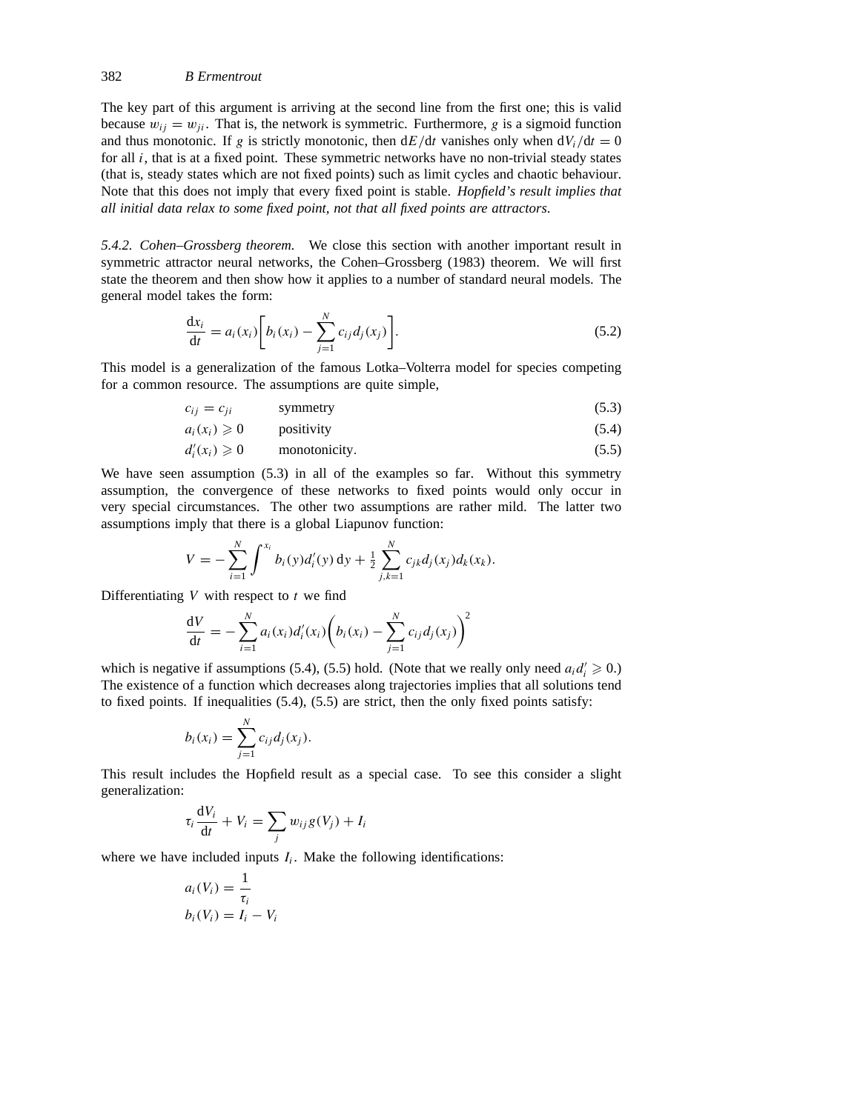# 382 *B Ermentrout*

The key part of this argument is arriving at the second line from the first one; this is valid because  $w_{ij} = w_{ji}$ . That is, the network is symmetric. Furthermore,  $g$  is a sigmoid function and thus monotonic. If *g* is strictly monotonic, then  $dE/dt$  vanishes only when  $dV_i/dt = 0$ for all *i*, that is at a fixed point. These symmetric networks have no non-trivial steady states (that is, steady states which are not fixed points) such as limit cycles and chaotic behaviour. Note that this does not imply that every fixed point is stable. *Hopfield's result implies that all initial data relax to some fixed point, not that all fixed points are attractors*.

*5.4.2. Cohen–Grossberg theorem.* We close this section with another important result in symmetric attractor neural networks, the Cohen–Grossberg (1983) theorem. We will first state the theorem and then show how it applies to a number of standard neural models. The general model takes the form:

$$
\frac{dx_i}{dt} = a_i(x_i) \bigg[ b_i(x_i) - \sum_{j=1}^{N} c_{ij} d_j(x_j) \bigg].
$$
\n(5.2)

This model is a generalization of the famous Lotka–Volterra model for species competing for a common resource. The assumptions are quite simple,

$$
c_{ij} = c_{ji} \qquad \text{symmetry} \tag{5.3}
$$

$$
a_i(x_i) \geq 0 \qquad \text{positivity} \tag{5.4}
$$

$$
d_i'(x_i) \geq 0 \qquad \text{monotonicity.} \tag{5.5}
$$

We have seen assumption (5.3) in all of the examples so far. Without this symmetry assumption, the convergence of these networks to fixed points would only occur in very special circumstances. The other two assumptions are rather mild. The latter two assumptions imply that there is a global Liapunov function:

$$
V = -\sum_{i=1}^N \int_{0}^{x_i} b_i(y) d_i'(y) dy + \frac{1}{2} \sum_{j,k=1}^N c_{jk} d_j(x_j) d_k(x_k).
$$

Differentiating *V* with respect to *t* we find

$$
\frac{dV}{dt} = -\sum_{i=1}^{N} a_i(x_i) d'_i(x_i) \left( b_i(x_i) - \sum_{j=1}^{N} c_{ij} d_j(x_j) \right)^2
$$

which is negative if assumptions (5.4), (5.5) hold. (Note that we really only need  $a_i d_i' \geq 0$ .) The existence of a function which decreases along trajectories implies that all solutions tend to fixed points. If inequalities (5.4), (5.5) are strict, then the only fixed points satisfy:

$$
b_i(x_i) = \sum_{j=1}^N c_{ij} d_j(x_j).
$$

This result includes the Hopfield result as a special case. To see this consider a slight generalization:

$$
\tau_i \frac{\mathrm{d}V_i}{\mathrm{d}t} + V_i = \sum_j w_{ij} g(V_j) + I_i
$$

where we have included inputs  $I_i$ . Make the following identifications:

$$
a_i(V_i) = \frac{1}{\tau_i}
$$
  

$$
b_i(V_i) = I_i - V_i
$$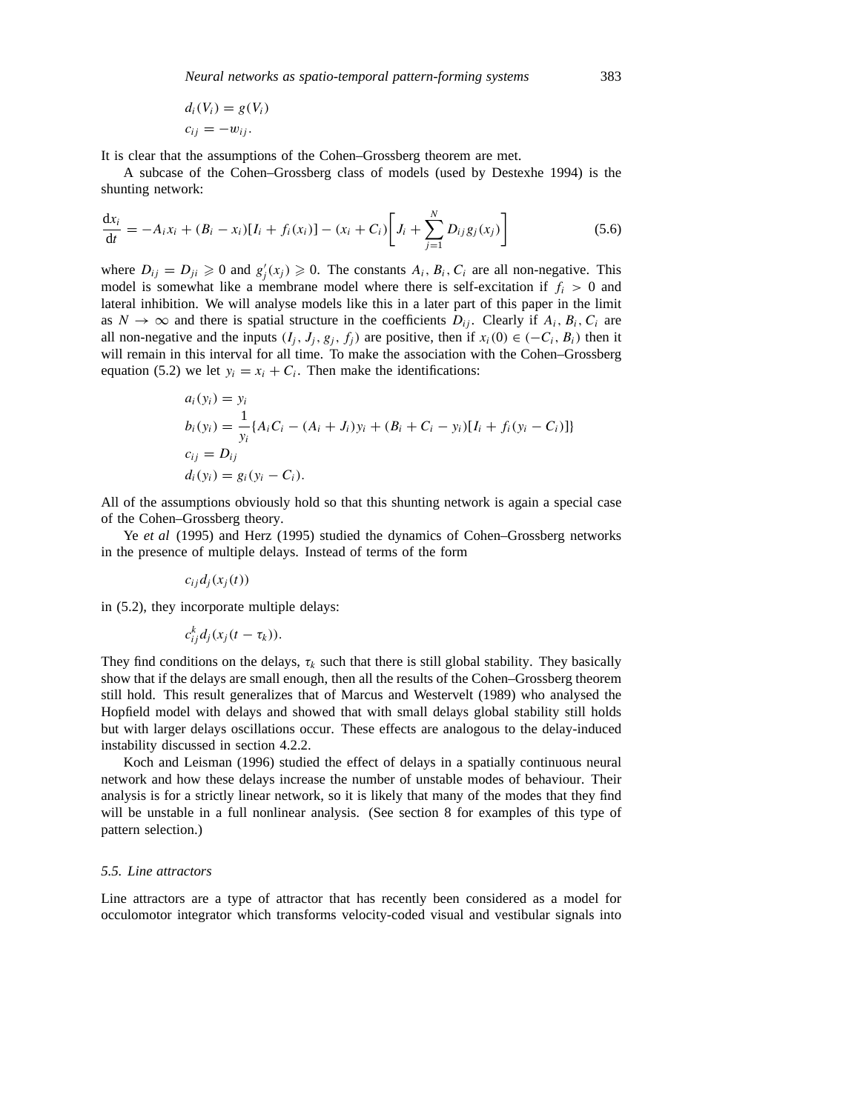$$
d_i(V_i) = g(V_i)
$$
  

$$
c_{ij} = -w_{ij}.
$$

It is clear that the assumptions of the Cohen–Grossberg theorem are met.

A subcase of the Cohen–Grossberg class of models (used by Destexhe 1994) is the shunting network:

$$
\frac{dx_i}{dt} = -A_i x_i + (B_i - x_i)[I_i + f_i(x_i)] - (x_i + C_i) \bigg[ J_i + \sum_{j=1}^{N} D_{ij} g_j(x_j) \bigg]
$$
\n(5.6)

where  $D_{ij} = D_{ji} \geq 0$  and  $g'_j(x_j) \geq 0$ . The constants  $A_i, B_i, C_i$  are all non-negative. This model is somewhat like a membrane model where there is self-excitation if  $f_i > 0$  and lateral inhibition. We will analyse models like this in a later part of this paper in the limit as  $N \to \infty$  and there is spatial structure in the coefficients  $D_{ij}$ . Clearly if  $A_i$ ,  $B_i$ ,  $C_i$  are all non-negative and the inputs  $(I_j, J_j, g_j, f_j)$  are positive, then if  $x_i(0) \in (-C_i, B_i)$  then it will remain in this interval for all time. To make the association with the Cohen–Grossberg equation (5.2) we let  $y_i = x_i + C_i$ . Then make the identifications:

$$
a_i(y_i) = y_i
$$
  
\n
$$
b_i(y_i) = \frac{1}{y_i} \{A_i C_i - (A_i + J_i)y_i + (B_i + C_i - y_i)[I_i + f_i(y_i - C_i)]\}
$$
  
\n
$$
c_{ij} = D_{ij}
$$
  
\n
$$
d_i(y_i) = g_i(y_i - C_i).
$$

All of the assumptions obviously hold so that this shunting network is again a special case of the Cohen–Grossberg theory.

Ye *et al* (1995) and Herz (1995) studied the dynamics of Cohen–Grossberg networks in the presence of multiple delays. Instead of terms of the form

$$
c_{ij}d_j(x_j(t))
$$

in (5.2), they incorporate multiple delays:

$$
c_{ij}^k d_j(x_j(t-\tau_k)).
$$

They find conditions on the delays,  $\tau_k$  such that there is still global stability. They basically show that if the delays are small enough, then all the results of the Cohen–Grossberg theorem still hold. This result generalizes that of Marcus and Westervelt (1989) who analysed the Hopfield model with delays and showed that with small delays global stability still holds but with larger delays oscillations occur. These effects are analogous to the delay-induced instability discussed in section 4.2.2.

Koch and Leisman (1996) studied the effect of delays in a spatially continuous neural network and how these delays increase the number of unstable modes of behaviour. Their analysis is for a strictly linear network, so it is likely that many of the modes that they find will be unstable in a full nonlinear analysis. (See section 8 for examples of this type of pattern selection.)

## *5.5. Line attractors*

Line attractors are a type of attractor that has recently been considered as a model for occulomotor integrator which transforms velocity-coded visual and vestibular signals into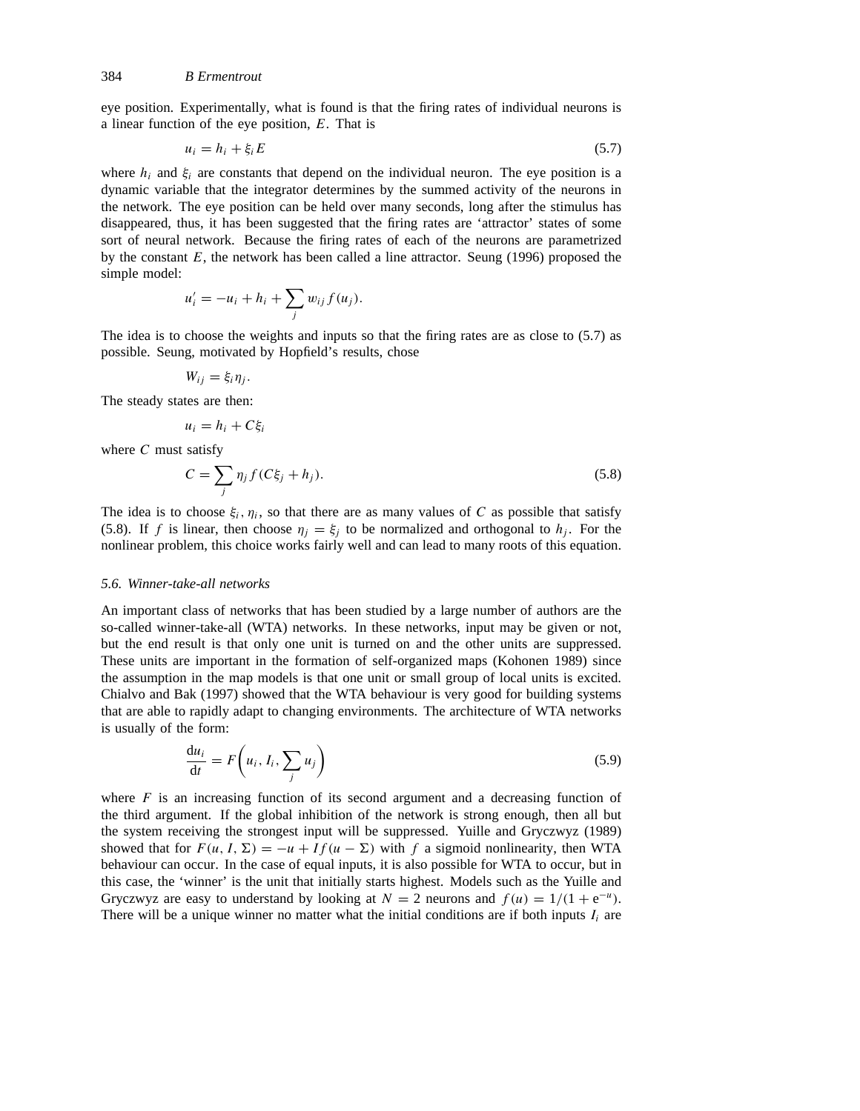eye position. Experimentally, what is found is that the firing rates of individual neurons is a linear function of the eye position, *E*. That is

$$
u_i = h_i + \xi_i E \tag{5.7}
$$

where  $h_i$  and  $\xi_i$  are constants that depend on the individual neuron. The eye position is a dynamic variable that the integrator determines by the summed activity of the neurons in the network. The eye position can be held over many seconds, long after the stimulus has disappeared, thus, it has been suggested that the firing rates are 'attractor' states of some sort of neural network. Because the firing rates of each of the neurons are parametrized by the constant *E*, the network has been called a line attractor. Seung (1996) proposed the simple model:

$$
u'_{i} = -u_{i} + h_{i} + \sum_{j} w_{ij} f(u_{j}).
$$

The idea is to choose the weights and inputs so that the firing rates are as close to (5.7) as possible. Seung, motivated by Hopfield's results, chose

$$
W_{ij}=\xi_i\eta_j.
$$

The steady states are then:

$$
u_i = h_i + C \xi_i
$$

where *C* must satisfy

$$
C = \sum_{j} \eta_j f(C\xi_j + h_j). \tag{5.8}
$$

The idea is to choose  $\xi_i$ ,  $\eta_i$ , so that there are as many values of *C* as possible that satisfy (5.8). If *f* is linear, then choose  $\eta_i = \xi_i$  to be normalized and orthogonal to  $h_i$ . For the nonlinear problem, this choice works fairly well and can lead to many roots of this equation.

#### *5.6. Winner-take-all networks*

An important class of networks that has been studied by a large number of authors are the so-called winner-take-all (WTA) networks. In these networks, input may be given or not, but the end result is that only one unit is turned on and the other units are suppressed. These units are important in the formation of self-organized maps (Kohonen 1989) since the assumption in the map models is that one unit or small group of local units is excited. Chialvo and Bak (1997) showed that the WTA behaviour is very good for building systems that are able to rapidly adapt to changing environments. The architecture of WTA networks is usually of the form:

$$
\frac{du_i}{dt} = F\left(u_i, I_i, \sum_j u_j\right) \tag{5.9}
$$

where *F* is an increasing function of its second argument and a decreasing function of the third argument. If the global inhibition of the network is strong enough, then all but the system receiving the strongest input will be suppressed. Yuille and Gryczwyz (1989) showed that for  $F(u, I, \Sigma) = -u + If(u - \Sigma)$  with f a sigmoid nonlinearity, then WTA behaviour can occur. In the case of equal inputs, it is also possible for WTA to occur, but in this case, the 'winner' is the unit that initially starts highest. Models such as the Yuille and Gryczwyz are easy to understand by looking at  $N = 2$  neurons and  $f(u) = 1/(1 + e^{-u})$ . There will be a unique winner no matter what the initial conditions are if both inputs  $I_i$  are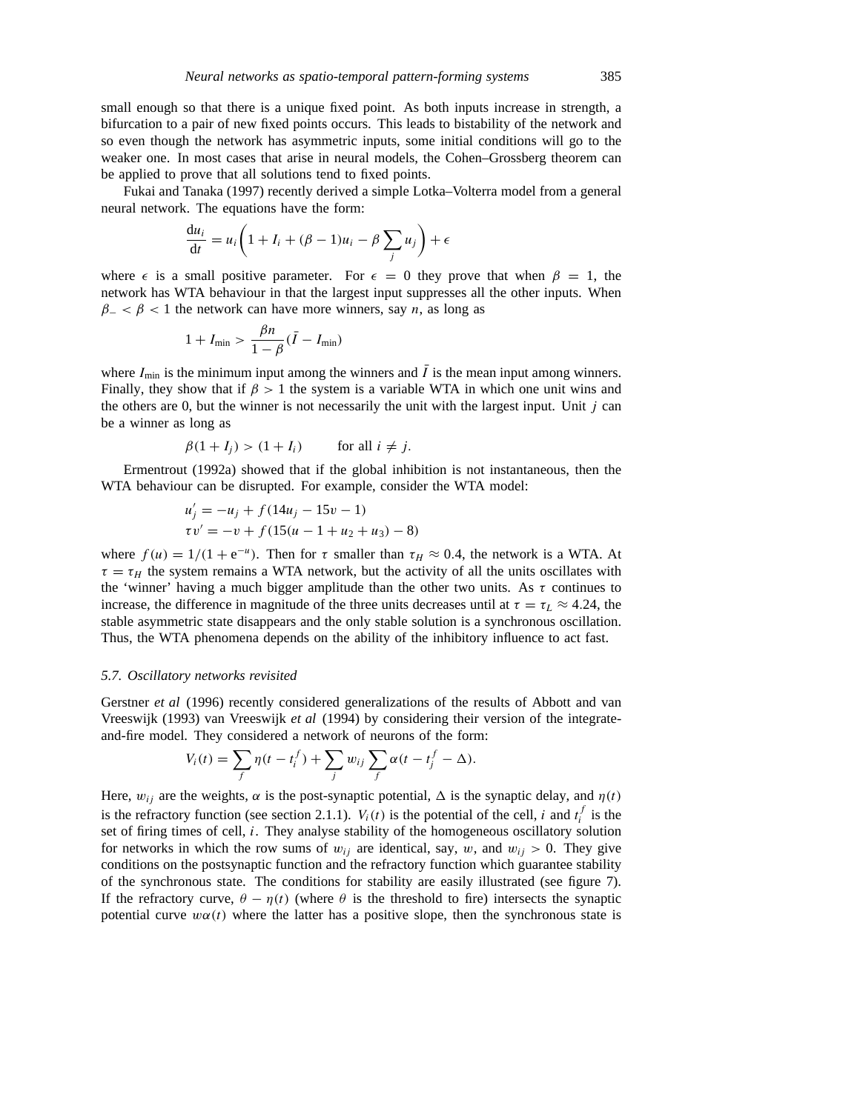small enough so that there is a unique fixed point. As both inputs increase in strength, a bifurcation to a pair of new fixed points occurs. This leads to bistability of the network and so even though the network has asymmetric inputs, some initial conditions will go to the weaker one. In most cases that arise in neural models, the Cohen–Grossberg theorem can be applied to prove that all solutions tend to fixed points.

Fukai and Tanaka (1997) recently derived a simple Lotka–Volterra model from a general neural network. The equations have the form:

$$
\frac{du_i}{dt} = u_i \left( 1 + I_i + (\beta - 1)u_i - \beta \sum_j u_j \right) + \epsilon
$$

where  $\epsilon$  is a small positive parameter. For  $\epsilon = 0$  they prove that when  $\beta = 1$ , the network has WTA behaviour in that the largest input suppresses all the other inputs. When  $\beta$ <sup>−</sup> *< β* < 1 the network can have more winners, say *n*, as long as

$$
1 + I_{\min} > \frac{\beta n}{1 - \beta} (\bar{I} - I_{\min})
$$

where  $I_{\text{min}}$  is the minimum input among the winners and  $\overline{I}$  is the mean input among winners. Finally, they show that if  $\beta > 1$  the system is a variable WTA in which one unit wins and the others are 0, but the winner is not necessarily the unit with the largest input. Unit  $j$  can be a winner as long as

$$
\beta(1+I_j) > (1+I_i) \qquad \text{for all } i \neq j.
$$

Ermentrout (1992a) showed that if the global inhibition is not instantaneous, then the WTA behaviour can be disrupted. For example, consider the WTA model:

$$
u'_{j} = -u_{j} + f(14u_{j} - 15v - 1)
$$
  
\n
$$
\tau v' = -v + f(15(u - 1 + u_{2} + u_{3}) - 8)
$$

where  $f(u) = 1/(1 + e^{-u})$ . Then for  $\tau$  smaller than  $\tau_H \approx 0.4$ , the network is a WTA. At  $\tau = \tau_H$  the system remains a WTA network, but the activity of all the units oscillates with the 'winner' having a much bigger amplitude than the other two units. As *τ* continues to increase, the difference in magnitude of the three units decreases until at  $\tau = \tau_L \approx 4.24$ , the stable asymmetric state disappears and the only stable solution is a synchronous oscillation. Thus, the WTA phenomena depends on the ability of the inhibitory influence to act fast.

#### *5.7. Oscillatory networks revisited*

Gerstner *et al* (1996) recently considered generalizations of the results of Abbott and van Vreeswijk (1993) van Vreeswijk *et al* (1994) by considering their version of the integrateand-fire model. They considered a network of neurons of the form:

$$
V_i(t) = \sum_f \eta(t - t_i^f) + \sum_j w_{ij} \sum_f \alpha(t - t_j^f - \Delta).
$$

Here,  $w_{ij}$  are the weights,  $\alpha$  is the post-synaptic potential,  $\Delta$  is the synaptic delay, and  $\eta(t)$ is the refractory function (see section 2.1.1).  $V_i(t)$  is the potential of the cell, *i* and  $t_i^f$  is the set of firing times of cell, *i*. They analyse stability of the homogeneous oscillatory solution for networks in which the row sums of  $w_{ij}$  are identical, say,  $w$ , and  $w_{ij} > 0$ . They give conditions on the postsynaptic function and the refractory function which guarantee stability of the synchronous state. The conditions for stability are easily illustrated (see figure 7). If the refractory curve,  $\theta - \eta(t)$  (where  $\theta$  is the threshold to fire) intersects the synaptic potential curve  $w\alpha(t)$  where the latter has a positive slope, then the synchronous state is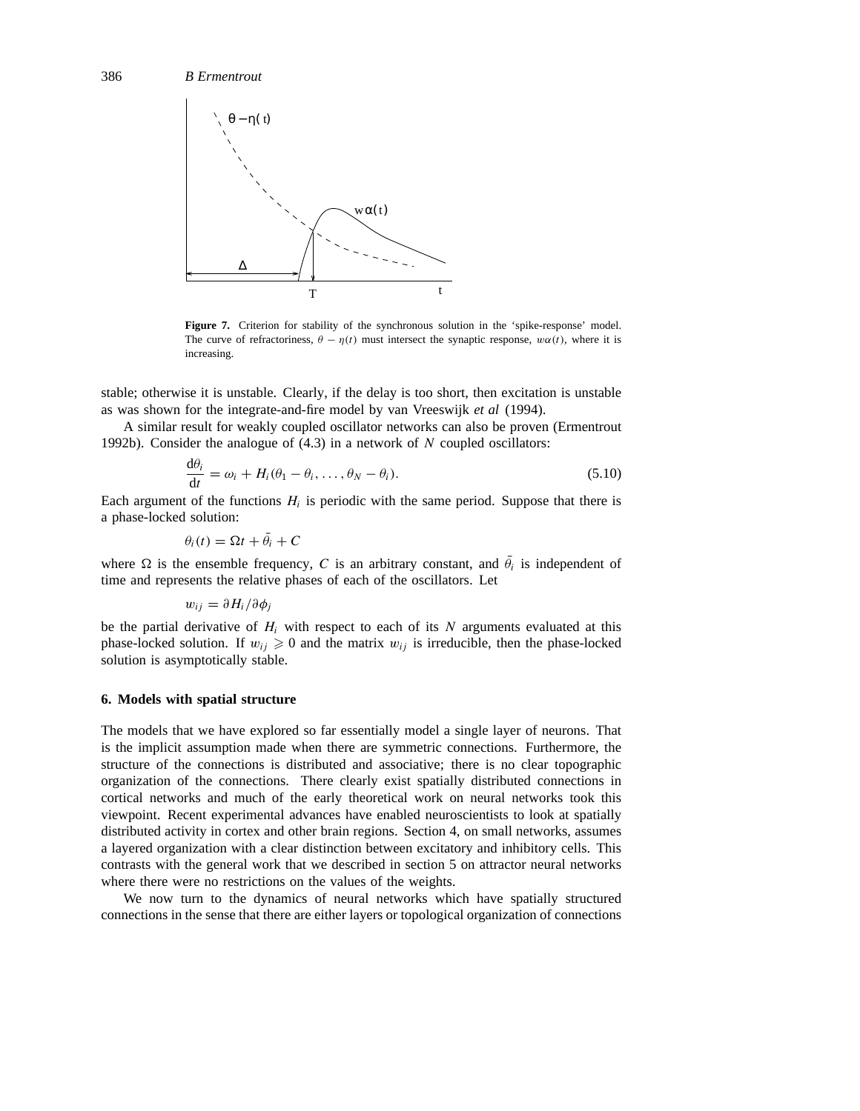

Figure 7. Criterion for stability of the synchronous solution in the 'spike-response' model. The curve of refractoriness,  $\theta - \eta(t)$  must intersect the synaptic response,  $w\alpha(t)$ , where it is increasing.

stable; otherwise it is unstable. Clearly, if the delay is too short, then excitation is unstable as was shown for the integrate-and-fire model by van Vreeswijk *et al* (1994).

A similar result for weakly coupled oscillator networks can also be proven (Ermentrout 1992b). Consider the analogue of (4.3) in a network of *N* coupled oscillators:

$$
\frac{d\theta_i}{dt} = \omega_i + H_i(\theta_1 - \theta_i, \dots, \theta_N - \theta_i).
$$
\n(5.10)

Each argument of the functions  $H_i$  is periodic with the same period. Suppose that there is a phase-locked solution:

$$
\theta_i(t) = \Omega t + \bar{\theta}_i + C
$$

where  $\Omega$  is the ensemble frequency, *C* is an arbitrary constant, and  $\bar{\theta}_i$  is independent of time and represents the relative phases of each of the oscillators. Let

$$
w_{ij} = \partial H_i / \partial \phi_j
$$

be the partial derivative of  $H_i$  with respect to each of its  $N$  arguments evaluated at this phase-locked solution. If  $w_{ij} \geq 0$  and the matrix  $w_{ij}$  is irreducible, then the phase-locked solution is asymptotically stable.

#### **6. Models with spatial structure**

The models that we have explored so far essentially model a single layer of neurons. That is the implicit assumption made when there are symmetric connections. Furthermore, the structure of the connections is distributed and associative; there is no clear topographic organization of the connections. There clearly exist spatially distributed connections in cortical networks and much of the early theoretical work on neural networks took this viewpoint. Recent experimental advances have enabled neuroscientists to look at spatially distributed activity in cortex and other brain regions. Section 4, on small networks, assumes a layered organization with a clear distinction between excitatory and inhibitory cells. This contrasts with the general work that we described in section 5 on attractor neural networks where there were no restrictions on the values of the weights.

We now turn to the dynamics of neural networks which have spatially structured connections in the sense that there are either layers or topological organization of connections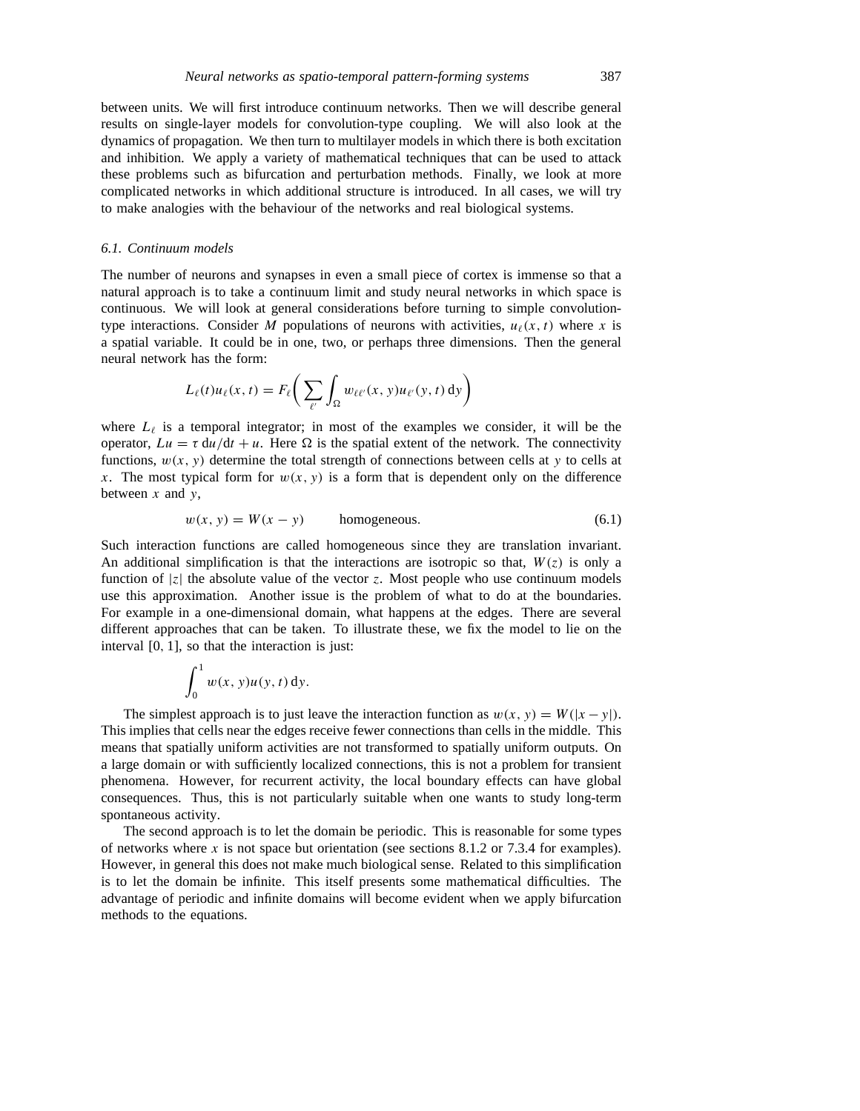between units. We will first introduce continuum networks. Then we will describe general results on single-layer models for convolution-type coupling. We will also look at the dynamics of propagation. We then turn to multilayer models in which there is both excitation and inhibition. We apply a variety of mathematical techniques that can be used to attack these problems such as bifurcation and perturbation methods. Finally, we look at more complicated networks in which additional structure is introduced. In all cases, we will try to make analogies with the behaviour of the networks and real biological systems.

#### *6.1. Continuum models*

The number of neurons and synapses in even a small piece of cortex is immense so that a natural approach is to take a continuum limit and study neural networks in which space is continuous. We will look at general considerations before turning to simple convolutiontype interactions. Consider *M* populations of neurons with activities,  $u_{\ell}(x, t)$  where *x* is a spatial variable. It could be in one, two, or perhaps three dimensions. Then the general neural network has the form:

$$
L_{\ell}(t)u_{\ell}(x,t) = F_{\ell}\bigg(\sum_{\ell'}\int_{\Omega}w_{\ell\ell'}(x,y)u_{\ell'}(y,t)\,dy\bigg)
$$

where  $L_{\ell}$  is a temporal integrator; in most of the examples we consider, it will be the operator,  $Lu = \tau \frac{du}{dt} + u$ . Here  $\Omega$  is the spatial extent of the network. The connectivity functions,  $w(x, y)$  determine the total strength of connections between cells at *y* to cells at *x*. The most typical form for  $w(x, y)$  is a form that is dependent only on the difference between *x* and *y*,

$$
w(x, y) = W(x - y)
$$
homogeneous. (6.1)

Such interaction functions are called homogeneous since they are translation invariant. An additional simplification is that the interactions are isotropic so that,  $W(z)$  is only a function of  $|z|$  the absolute value of the vector *z*. Most people who use continuum models use this approximation. Another issue is the problem of what to do at the boundaries. For example in a one-dimensional domain, what happens at the edges. There are several different approaches that can be taken. To illustrate these, we fix the model to lie on the interval [0*,* 1], so that the interaction is just:

$$
\int_0^1 w(x, y)u(y, t) \, dy.
$$

The simplest approach is to just leave the interaction function as  $w(x, y) = W(|x - y|)$ . This implies that cells near the edges receive fewer connections than cells in the middle. This means that spatially uniform activities are not transformed to spatially uniform outputs. On a large domain or with sufficiently localized connections, this is not a problem for transient phenomena. However, for recurrent activity, the local boundary effects can have global consequences. Thus, this is not particularly suitable when one wants to study long-term spontaneous activity.

The second approach is to let the domain be periodic. This is reasonable for some types of networks where *x* is not space but orientation (see sections 8.1.2 or 7.3.4 for examples). However, in general this does not make much biological sense. Related to this simplification is to let the domain be infinite. This itself presents some mathematical difficulties. The advantage of periodic and infinite domains will become evident when we apply bifurcation methods to the equations.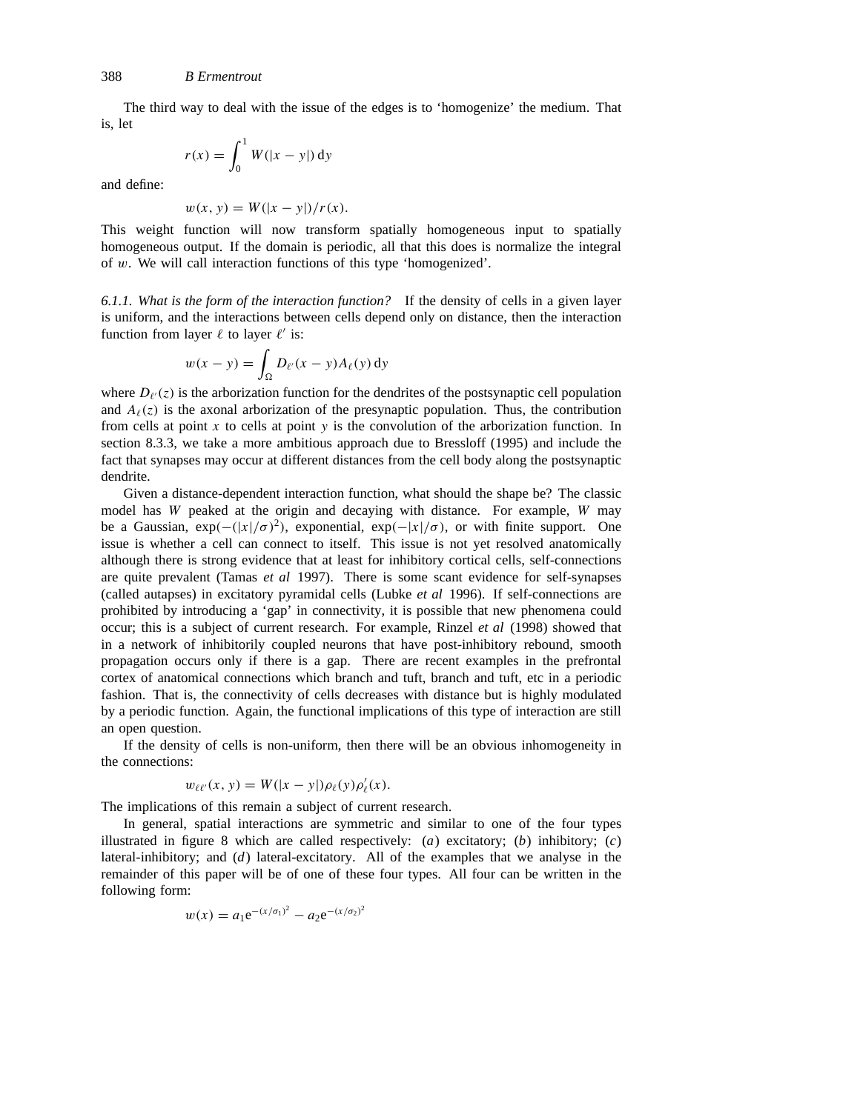The third way to deal with the issue of the edges is to 'homogenize' the medium. That is, let

$$
r(x) = \int_0^1 W(|x - y|) \, \mathrm{d}y
$$

and define:

$$
w(x, y) = W(|x - y|)/r(x).
$$

This weight function will now transform spatially homogeneous input to spatially homogeneous output. If the domain is periodic, all that this does is normalize the integral of *w*. We will call interaction functions of this type 'homogenized'.

*6.1.1. What is the form of the interaction function?* If the density of cells in a given layer is uniform, and the interactions between cells depend only on distance, then the interaction function from layer  $\ell$  to layer  $\ell'$  is:

$$
w(x - y) = \int_{\Omega} D_{\ell'}(x - y) A_{\ell}(y) dy
$$

where  $D_{\ell}(z)$  is the arborization function for the dendrites of the postsynaptic cell population and  $A_{\ell}(z)$  is the axonal arborization of the presynaptic population. Thus, the contribution from cells at point *x* to cells at point *y* is the convolution of the arborization function. In section 8.3.3, we take a more ambitious approach due to Bressloff (1995) and include the fact that synapses may occur at different distances from the cell body along the postsynaptic dendrite.

Given a distance-dependent interaction function, what should the shape be? The classic model has *W* peaked at the origin and decaying with distance. For example, *W* may be a Gaussian,  $exp(-(|x|/\sigma)^2)$ , exponential,  $exp(-|x|/\sigma)$ , or with finite support. One issue is whether a cell can connect to itself. This issue is not yet resolved anatomically although there is strong evidence that at least for inhibitory cortical cells, self-connections are quite prevalent (Tamas *et al* 1997). There is some scant evidence for self-synapses (called autapses) in excitatory pyramidal cells (Lubke *et al* 1996). If self-connections are prohibited by introducing a 'gap' in connectivity, it is possible that new phenomena could occur; this is a subject of current research. For example, Rinzel *et al* (1998) showed that in a network of inhibitorily coupled neurons that have post-inhibitory rebound, smooth propagation occurs only if there is a gap. There are recent examples in the prefrontal cortex of anatomical connections which branch and tuft, branch and tuft, etc in a periodic fashion. That is, the connectivity of cells decreases with distance but is highly modulated by a periodic function. Again, the functional implications of this type of interaction are still an open question.

If the density of cells is non-uniform, then there will be an obvious inhomogeneity in the connections:

$$
w_{\ell\ell'}(x, y) = W(|x - y|) \rho_{\ell}(y) \rho'_{\ell}(x).
$$

The implications of this remain a subject of current research.

In general, spatial interactions are symmetric and similar to one of the four types illustrated in figure 8 which are called respectively: (*a*) excitatory; (*b*) inhibitory; (*c*) lateral-inhibitory; and (*d*) lateral-excitatory. All of the examples that we analyse in the remainder of this paper will be of one of these four types. All four can be written in the following form:

$$
w(x) = a_1 e^{-(x/\sigma_1)^2} - a_2 e^{-(x/\sigma_2)^2}
$$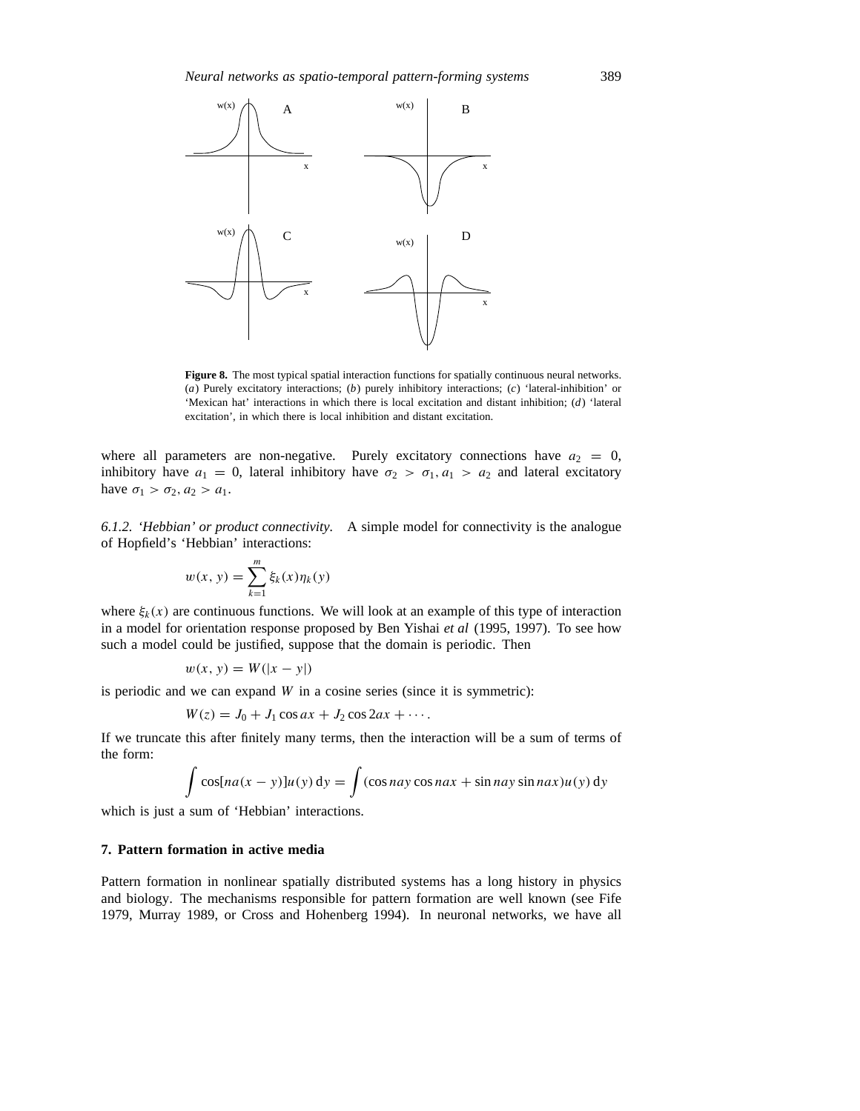

Figure 8. The most typical spatial interaction functions for spatially continuous neural networks. (*a*) Purely excitatory interactions; (*b*) purely inhibitory interactions; (*c*) 'lateral-inhibition' or 'Mexican hat' interactions in which there is local excitation and distant inhibition; (*d*) 'lateral excitation', in which there is local inhibition and distant excitation.

where all parameters are non-negative. Purely excitatory connections have  $a_2 = 0$ , inhibitory have  $a_1 = 0$ , lateral inhibitory have  $\sigma_2 > \sigma_1, a_1 > a_2$  and lateral excitatory have  $\sigma_1 > \sigma_2$ ,  $a_2 > a_1$ .

*6.1.2. 'Hebbian' or product connectivity.* A simple model for connectivity is the analogue of Hopfield's 'Hebbian' interactions:

$$
w(x, y) = \sum_{k=1}^{m} \xi_k(x) \eta_k(y)
$$

where  $\xi_k(x)$  are continuous functions. We will look at an example of this type of interaction in a model for orientation response proposed by Ben Yishai *et al* (1995, 1997). To see how such a model could be justified, suppose that the domain is periodic. Then

$$
w(x, y) = W(|x - y|)
$$

is periodic and we can expand *W* in a cosine series (since it is symmetric):

$$
W(z) = J_0 + J_1 \cos ax + J_2 \cos 2ax + \cdots
$$

If we truncate this after finitely many terms, then the interaction will be a sum of terms of the form:

$$
\int \cos[na(x - y)]u(y) dy = \int (\cos nay \cos nx + \sin nay \sin nx)u(y) dy
$$

which is just a sum of 'Hebbian' interactions.

## **7. Pattern formation in active media**

Pattern formation in nonlinear spatially distributed systems has a long history in physics and biology. The mechanisms responsible for pattern formation are well known (see Fife 1979, Murray 1989, or Cross and Hohenberg 1994). In neuronal networks, we have all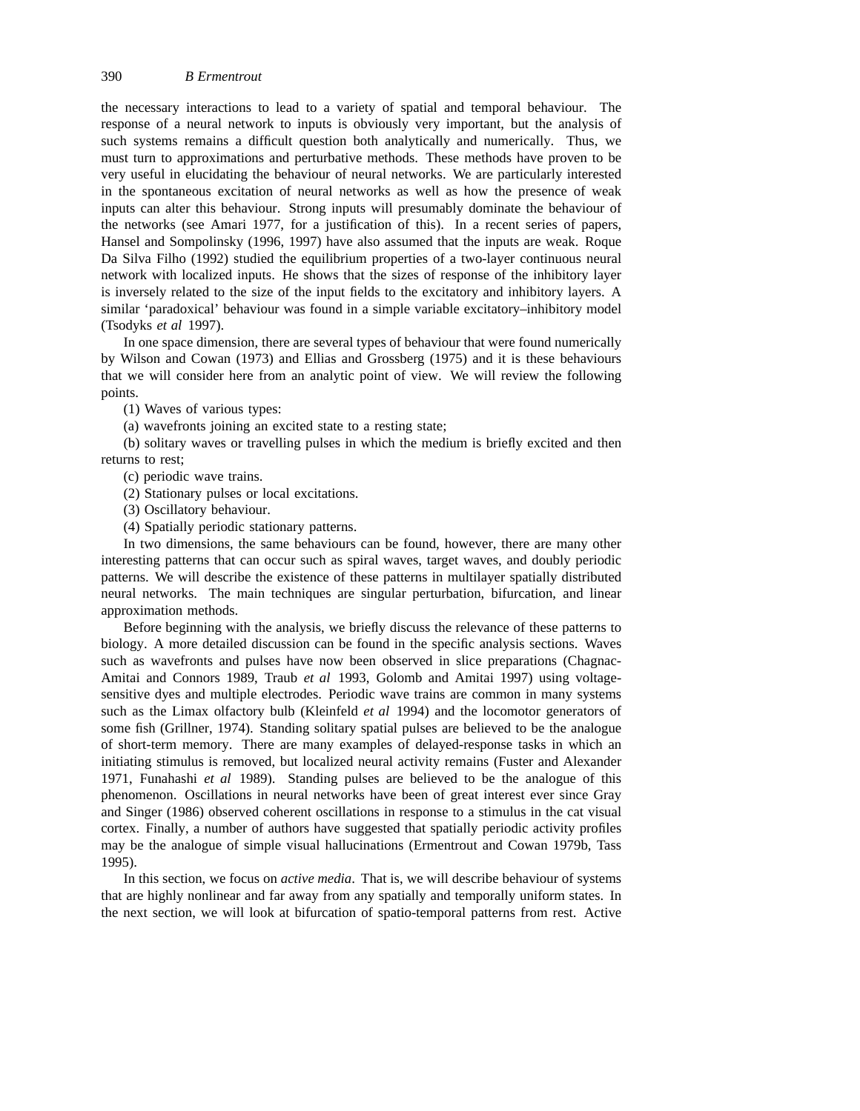the necessary interactions to lead to a variety of spatial and temporal behaviour. The response of a neural network to inputs is obviously very important, but the analysis of such systems remains a difficult question both analytically and numerically. Thus, we must turn to approximations and perturbative methods. These methods have proven to be very useful in elucidating the behaviour of neural networks. We are particularly interested in the spontaneous excitation of neural networks as well as how the presence of weak inputs can alter this behaviour. Strong inputs will presumably dominate the behaviour of the networks (see Amari 1977, for a justification of this). In a recent series of papers, Hansel and Sompolinsky (1996, 1997) have also assumed that the inputs are weak. Roque Da Silva Filho (1992) studied the equilibrium properties of a two-layer continuous neural network with localized inputs. He shows that the sizes of response of the inhibitory layer is inversely related to the size of the input fields to the excitatory and inhibitory layers. A similar 'paradoxical' behaviour was found in a simple variable excitatory–inhibitory model (Tsodyks *et al* 1997).

In one space dimension, there are several types of behaviour that were found numerically by Wilson and Cowan (1973) and Ellias and Grossberg (1975) and it is these behaviours that we will consider here from an analytic point of view. We will review the following points.

(1) Waves of various types:

(a) wavefronts joining an excited state to a resting state;

(b) solitary waves or travelling pulses in which the medium is briefly excited and then returns to rest;

(c) periodic wave trains.

(2) Stationary pulses or local excitations.

(3) Oscillatory behaviour.

(4) Spatially periodic stationary patterns.

In two dimensions, the same behaviours can be found, however, there are many other interesting patterns that can occur such as spiral waves, target waves, and doubly periodic patterns. We will describe the existence of these patterns in multilayer spatially distributed neural networks. The main techniques are singular perturbation, bifurcation, and linear approximation methods.

Before beginning with the analysis, we briefly discuss the relevance of these patterns to biology. A more detailed discussion can be found in the specific analysis sections. Waves such as wavefronts and pulses have now been observed in slice preparations (Chagnac-Amitai and Connors 1989, Traub *et al* 1993, Golomb and Amitai 1997) using voltagesensitive dyes and multiple electrodes. Periodic wave trains are common in many systems such as the Limax olfactory bulb (Kleinfeld *et al* 1994) and the locomotor generators of some fish (Grillner, 1974). Standing solitary spatial pulses are believed to be the analogue of short-term memory. There are many examples of delayed-response tasks in which an initiating stimulus is removed, but localized neural activity remains (Fuster and Alexander 1971, Funahashi *et al* 1989). Standing pulses are believed to be the analogue of this phenomenon. Oscillations in neural networks have been of great interest ever since Gray and Singer (1986) observed coherent oscillations in response to a stimulus in the cat visual cortex. Finally, a number of authors have suggested that spatially periodic activity profiles may be the analogue of simple visual hallucinations (Ermentrout and Cowan 1979b, Tass 1995).

In this section, we focus on *active media*. That is, we will describe behaviour of systems that are highly nonlinear and far away from any spatially and temporally uniform states. In the next section, we will look at bifurcation of spatio-temporal patterns from rest. Active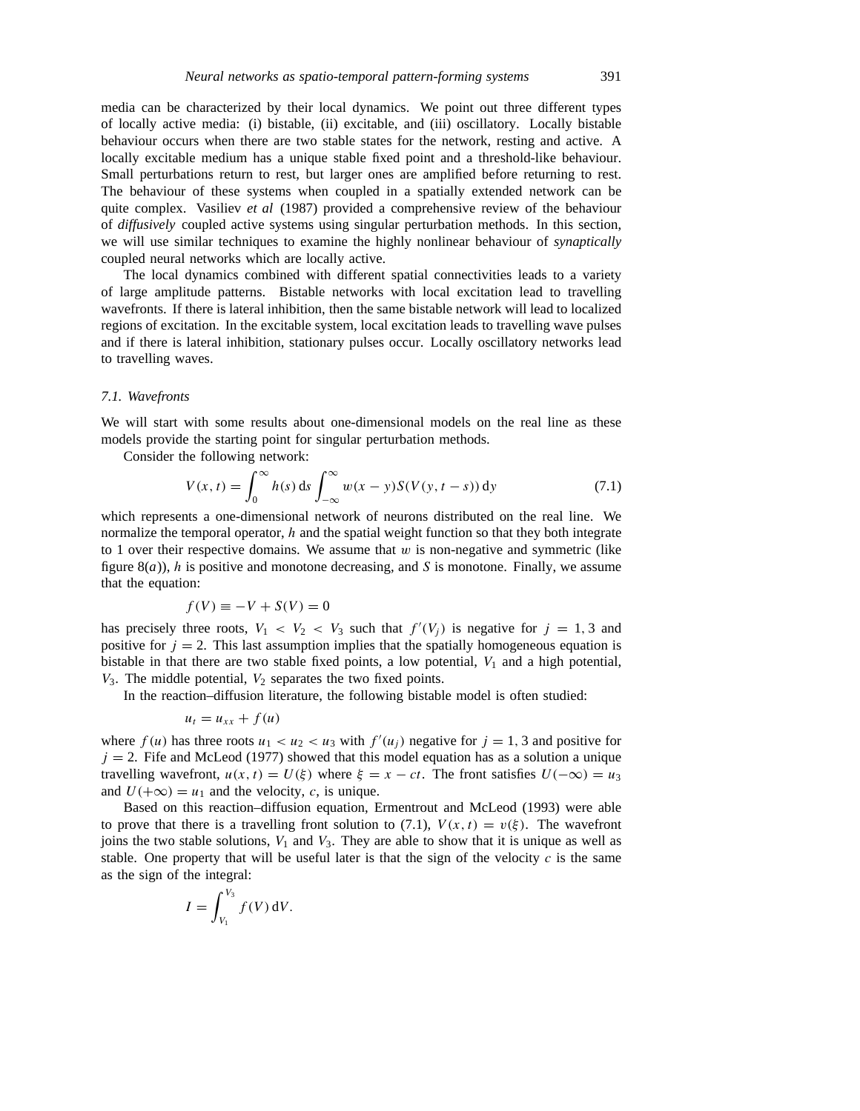media can be characterized by their local dynamics. We point out three different types of locally active media: (i) bistable, (ii) excitable, and (iii) oscillatory. Locally bistable behaviour occurs when there are two stable states for the network, resting and active. A locally excitable medium has a unique stable fixed point and a threshold-like behaviour. Small perturbations return to rest, but larger ones are amplified before returning to rest. The behaviour of these systems when coupled in a spatially extended network can be quite complex. Vasiliev *et al* (1987) provided a comprehensive review of the behaviour of *diffusively* coupled active systems using singular perturbation methods. In this section, we will use similar techniques to examine the highly nonlinear behaviour of *synaptically* coupled neural networks which are locally active.

The local dynamics combined with different spatial connectivities leads to a variety of large amplitude patterns. Bistable networks with local excitation lead to travelling wavefronts. If there is lateral inhibition, then the same bistable network will lead to localized regions of excitation. In the excitable system, local excitation leads to travelling wave pulses and if there is lateral inhibition, stationary pulses occur. Locally oscillatory networks lead to travelling waves.

### *7.1. Wavefronts*

We will start with some results about one-dimensional models on the real line as these models provide the starting point for singular perturbation methods.

Consider the following network:

$$
V(x,t) = \int_0^\infty h(s) \, ds \int_{-\infty}^\infty w(x-y) S(V(y,t-s)) \, dy \tag{7.1}
$$

which represents a one-dimensional network of neurons distributed on the real line. We normalize the temporal operator, *h* and the spatial weight function so that they both integrate to 1 over their respective domains. We assume that *w* is non-negative and symmetric (like figure 8(*a*)), *h* is positive and monotone decreasing, and *S* is monotone. Finally, we assume that the equation:

$$
f(V) \equiv -V + S(V) = 0
$$

has precisely three roots,  $V_1 \, < \, V_2 \, < \, V_3$  such that  $f'(V_j)$  is negative for  $j = 1, 3$  and positive for  $j = 2$ . This last assumption implies that the spatially homogeneous equation is bistable in that there are two stable fixed points, a low potential,  $V_1$  and a high potential,  $V_3$ . The middle potential,  $V_2$  separates the two fixed points.

In the reaction–diffusion literature, the following bistable model is often studied:

$$
u_t = u_{xx} + f(u)
$$

where  $f(u)$  has three roots  $u_1 < u_2 < u_3$  with  $f'(u_j)$  negative for  $j = 1, 3$  and positive for  $j = 2$ . Fife and McLeod (1977) showed that this model equation has as a solution a unique travelling wavefront,  $u(x, t) = U(\xi)$  where  $\xi = x - ct$ . The front satisfies  $U(-\infty) = u_3$ and  $U(+\infty) = u_1$  and the velocity, *c*, is unique.

Based on this reaction–diffusion equation, Ermentrout and McLeod (1993) were able to prove that there is a travelling front solution to (7.1),  $V(x, t) = v(\xi)$ . The wavefront joins the two stable solutions,  $V_1$  and  $V_3$ . They are able to show that it is unique as well as stable. One property that will be useful later is that the sign of the velocity  $c$  is the same as the sign of the integral:

$$
I = \int_{V_1}^{V_3} f(V) \, \mathrm{d}V.
$$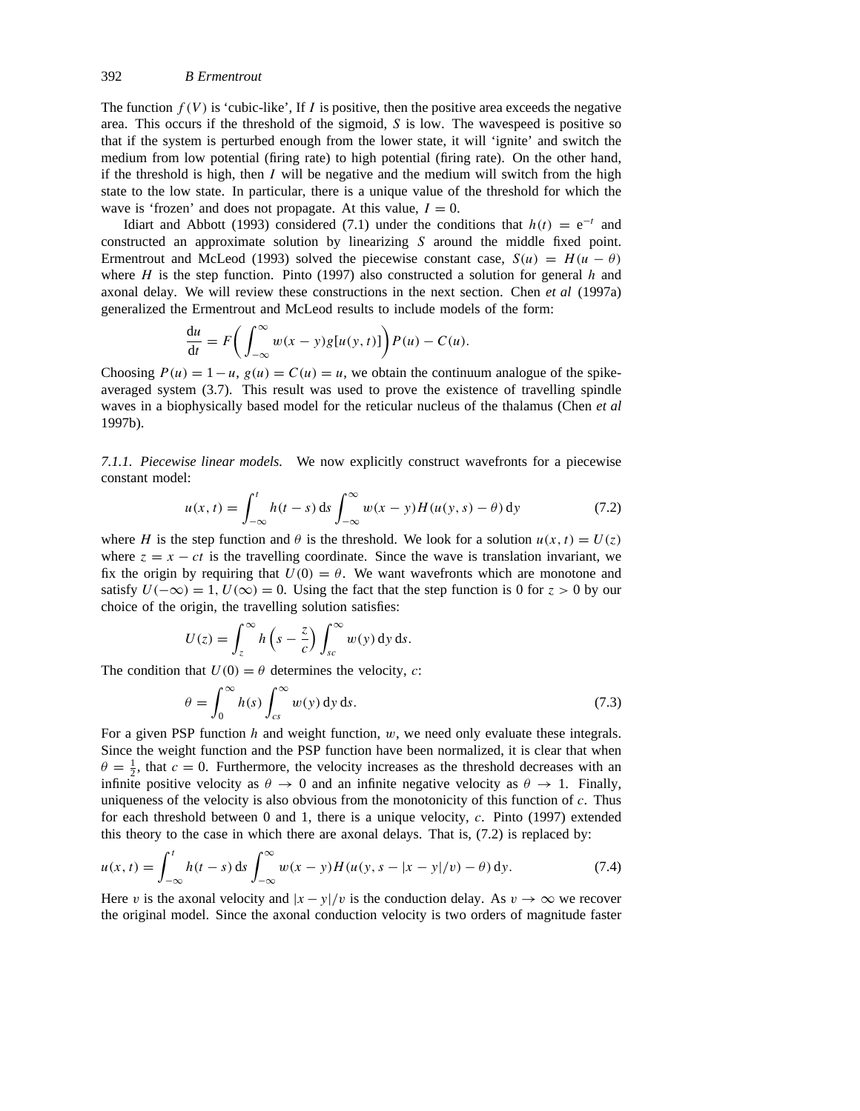The function  $f(V)$  is 'cubic-like', If *I* is positive, then the positive area exceeds the negative area. This occurs if the threshold of the sigmoid, *S* is low. The wavespeed is positive so that if the system is perturbed enough from the lower state, it will 'ignite' and switch the medium from low potential (firing rate) to high potential (firing rate). On the other hand, if the threshold is high, then *I* will be negative and the medium will switch from the high state to the low state. In particular, there is a unique value of the threshold for which the wave is 'frozen' and does not propagate. At this value,  $I = 0$ .

Idiart and Abbott (1993) considered (7.1) under the conditions that  $h(t) = e^{-t}$  and constructed an approximate solution by linearizing *S* around the middle fixed point. Ermentrout and McLeod (1993) solved the piecewise constant case,  $S(u) = H(u - \theta)$ where *H* is the step function. Pinto (1997) also constructed a solution for general *h* and axonal delay. We will review these constructions in the next section. Chen *et al* (1997a) generalized the Ermentrout and McLeod results to include models of the form:

$$
\frac{du}{dt} = F\bigg(\int_{-\infty}^{\infty} w(x-y)g[u(y,t)]\bigg)P(u) - C(u).
$$

Choosing  $P(u) = 1 - u$ ,  $g(u) = C(u) = u$ , we obtain the continuum analogue of the spikeaveraged system (3.7). This result was used to prove the existence of travelling spindle waves in a biophysically based model for the reticular nucleus of the thalamus (Chen *et al* 1997b).

*7.1.1. Piecewise linear models.* We now explicitly construct wavefronts for a piecewise constant model:

$$
u(x,t) = \int_{-\infty}^{t} h(t-s) \, ds \int_{-\infty}^{\infty} w(x-y) H(u(y,s) - \theta) \, dy \tag{7.2}
$$

where *H* is the step function and  $\theta$  is the threshold. We look for a solution  $u(x, t) = U(z)$ where  $z = x - ct$  is the travelling coordinate. Since the wave is translation invariant, we fix the origin by requiring that  $U(0) = \theta$ . We want wavefronts which are monotone and satisfy  $U(-\infty) = 1$ ,  $U(\infty) = 0$ . Using the fact that the step function is 0 for *z* > 0 by our choice of the origin, the travelling solution satisfies:

$$
U(z) = \int_{z}^{\infty} h\left(s - \frac{z}{c}\right) \int_{sc}^{\infty} w(y) \,dy \,ds.
$$

The condition that  $U(0) = \theta$  determines the velocity, *c*:

$$
\theta = \int_0^\infty h(s) \int_{cs}^\infty w(y) \, dy \, ds. \tag{7.3}
$$

For a given PSP function *h* and weight function, *w*, we need only evaluate these integrals. Since the weight function and the PSP function have been normalized, it is clear that when  $\theta = \frac{1}{2}$ , that  $c = 0$ . Furthermore, the velocity increases as the threshold decreases with an infinite positive velocity as  $\theta \to 0$  and an infinite negative velocity as  $\theta \to 1$ . Finally, uniqueness of the velocity is also obvious from the monotonicity of this function of *c*. Thus for each threshold between 0 and 1, there is a unique velocity, *c*. Pinto (1997) extended this theory to the case in which there are axonal delays. That is, (7.2) is replaced by:

$$
u(x,t) = \int_{-\infty}^{t} h(t-s) \, ds \int_{-\infty}^{\infty} w(x-y) H(u(y, s-|x-y|/v) - \theta) \, dy. \tag{7.4}
$$

Here *v* is the axonal velocity and  $|x - y|/v$  is the conduction delay. As  $v \to \infty$  we recover the original model. Since the axonal conduction velocity is two orders of magnitude faster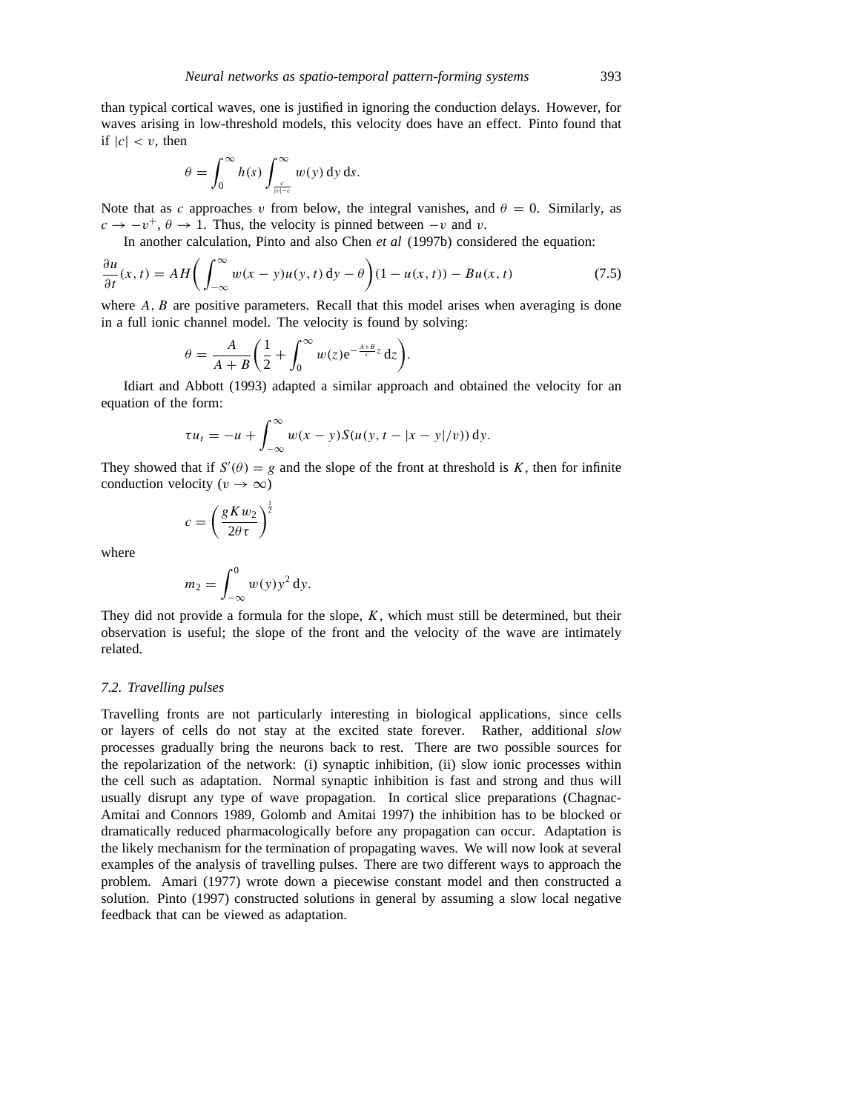than typical cortical waves, one is justified in ignoring the conduction delays. However, for waves arising in low-threshold models, this velocity does have an effect. Pinto found that if  $|c| < v$ , then

$$
\theta = \int_0^\infty h(s) \int_{\frac{c}{|v| - c}}^\infty w(y) \, \mathrm{d}y \, \mathrm{d}s.
$$

Note that as *c* approaches *v* from below, the integral vanishes, and  $\theta = 0$ . Similarly, as  $c \rightarrow -v^+, \theta \rightarrow 1$ . Thus, the velocity is pinned between  $-v$  and *v*.

In another calculation, Pinto and also Chen *et al* (1997b) considered the equation:

$$
\frac{\partial u}{\partial t}(x,t) = AH \left( \int_{-\infty}^{\infty} w(x-y)u(y,t) \, dy - \theta \right) (1 - u(x,t)) - Bu(x,t) \tag{7.5}
$$

where *A, B* are positive parameters. Recall that this model arises when averaging is done in a full ionic channel model. The velocity is found by solving:

$$
\theta = \frac{A}{A+B} \bigg( \frac{1}{2} + \int_0^\infty w(z) e^{-\frac{A+B}{c}z} dz \bigg).
$$

Idiart and Abbott (1993) adapted a similar approach and obtained the velocity for an equation of the form:

$$
\tau u_t = -u + \int_{-\infty}^{\infty} w(x - y) S(u(y, t - |x - y|/v)) \, dy.
$$

They showed that if  $S'(\theta) = g$  and the slope of the front at threshold is *K*, then for infinite conduction velocity ( $v \to \infty$ )

$$
c = \left(\frac{gKw_2}{2\theta\tau}\right)^{\frac{1}{2}}
$$

where

$$
m_2 = \int_{-\infty}^0 w(y) y^2 \, \mathrm{d}y.
$$

They did not provide a formula for the slope, *K*, which must still be determined, but their observation is useful; the slope of the front and the velocity of the wave are intimately related.

## *7.2. Travelling pulses*

Travelling fronts are not particularly interesting in biological applications, since cells or layers of cells do not stay at the excited state forever. Rather, additional *slow* processes gradually bring the neurons back to rest. There are two possible sources for the repolarization of the network: (i) synaptic inhibition, (ii) slow ionic processes within the cell such as adaptation. Normal synaptic inhibition is fast and strong and thus will usually disrupt any type of wave propagation. In cortical slice preparations (Chagnac-Amitai and Connors 1989, Golomb and Amitai 1997) the inhibition has to be blocked or dramatically reduced pharmacologically before any propagation can occur. Adaptation is the likely mechanism for the termination of propagating waves. We will now look at several examples of the analysis of travelling pulses. There are two different ways to approach the problem. Amari (1977) wrote down a piecewise constant model and then constructed a solution. Pinto (1997) constructed solutions in general by assuming a slow local negative feedback that can be viewed as adaptation.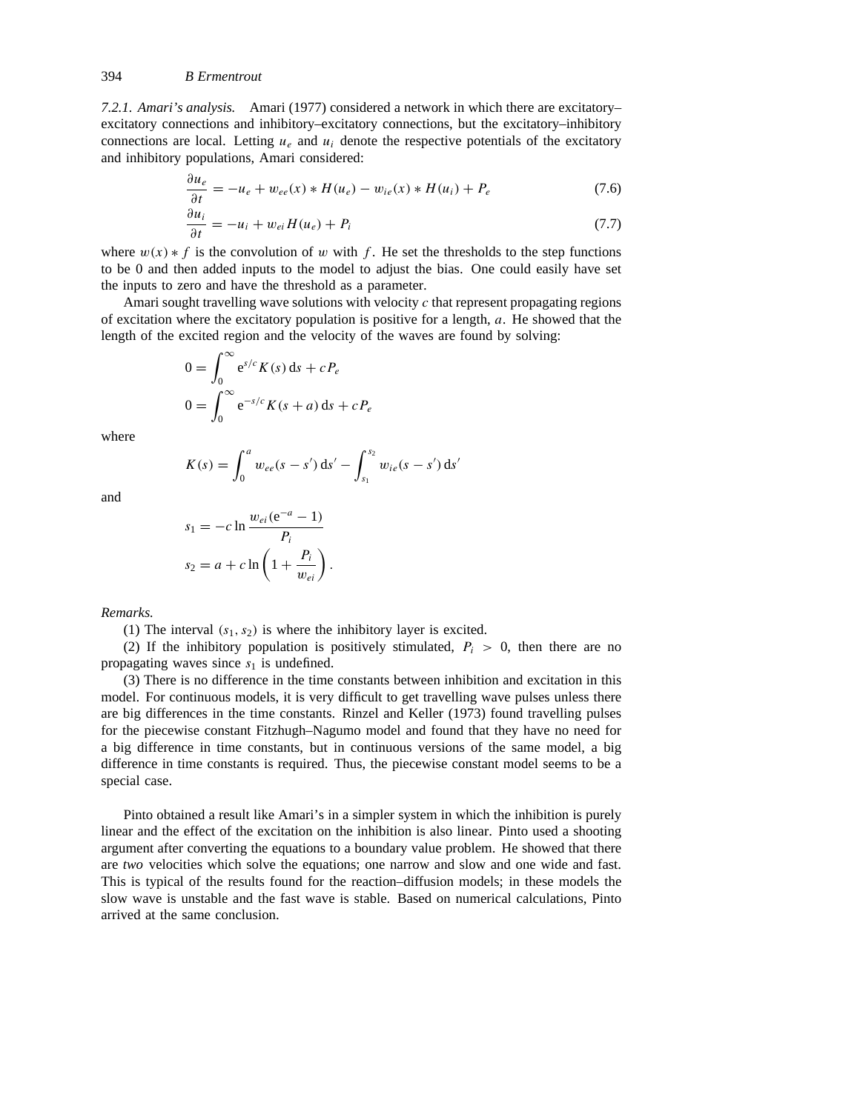*7.2.1. Amari's analysis.* Amari (1977) considered a network in which there are excitatory– excitatory connections and inhibitory–excitatory connections, but the excitatory–inhibitory connections are local. Letting  $u_e$  and  $u_i$  denote the respective potentials of the excitatory and inhibitory populations, Amari considered:

$$
\frac{\partial u_e}{\partial t} = -u_e + w_{ee}(x) * H(u_e) - w_{ie}(x) * H(u_i) + P_e \tag{7.6}
$$

$$
\frac{\partial u_i}{\partial t} = -u_i + w_{ei} H(u_e) + P_i \tag{7.7}
$$

where  $w(x) * f$  is the convolution of *w* with *f*. He set the thresholds to the step functions to be 0 and then added inputs to the model to adjust the bias. One could easily have set the inputs to zero and have the threshold as a parameter.

Amari sought travelling wave solutions with velocity *c* that represent propagating regions of excitation where the excitatory population is positive for a length, *a*. He showed that the length of the excited region and the velocity of the waves are found by solving:

$$
0 = \int_0^\infty e^{s/c} K(s) ds + c P_e
$$
  

$$
0 = \int_0^\infty e^{-s/c} K(s+a) ds + c P_e
$$

where

$$
K(s) = \int_0^a w_{ee}(s - s') \, ds' - \int_{s_1}^{s_2} w_{ie}(s - s') \, ds'
$$

and

$$
s_1 = -c \ln \frac{w_{ei}(e^{-a} - 1)}{P_i}
$$

$$
s_2 = a + c \ln \left(1 + \frac{P_i}{w_{ei}}\right).
$$

*Remarks.*

(1) The interval  $(s_1, s_2)$  is where the inhibitory layer is excited.

(2) If the inhibitory population is positively stimulated,  $P_i > 0$ , then there are no propagating waves since  $s_1$  is undefined.

(3) There is no difference in the time constants between inhibition and excitation in this model. For continuous models, it is very difficult to get travelling wave pulses unless there are big differences in the time constants. Rinzel and Keller (1973) found travelling pulses for the piecewise constant Fitzhugh–Nagumo model and found that they have no need for a big difference in time constants, but in continuous versions of the same model, a big difference in time constants is required. Thus, the piecewise constant model seems to be a special case.

Pinto obtained a result like Amari's in a simpler system in which the inhibition is purely linear and the effect of the excitation on the inhibition is also linear. Pinto used a shooting argument after converting the equations to a boundary value problem. He showed that there are *two* velocities which solve the equations; one narrow and slow and one wide and fast. This is typical of the results found for the reaction–diffusion models; in these models the slow wave is unstable and the fast wave is stable. Based on numerical calculations, Pinto arrived at the same conclusion.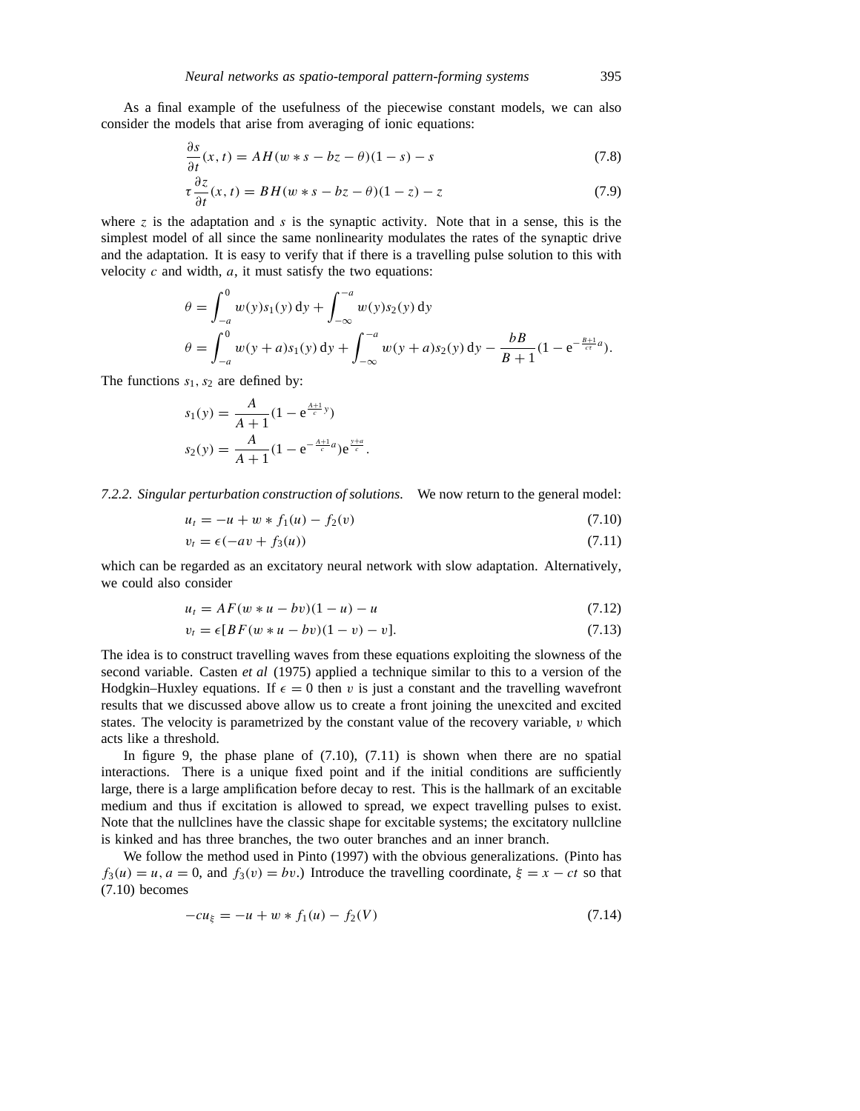As a final example of the usefulness of the piecewise constant models, we can also consider the models that arise from averaging of ionic equations:

$$
\frac{\partial s}{\partial t}(x,t) = AH(w*s - bz - \theta)(1-s) - s \tag{7.8}
$$

$$
\tau \frac{\partial z}{\partial t}(x, t) = BH(w * s - bz - \theta)(1 - z) - z \tag{7.9}
$$

where  $z$  is the adaptation and  $s$  is the synaptic activity. Note that in a sense, this is the simplest model of all since the same nonlinearity modulates the rates of the synaptic drive and the adaptation. It is easy to verify that if there is a travelling pulse solution to this with velocity *c* and width, *a*, it must satisfy the two equations:

$$
\theta = \int_{-a}^{0} w(y)s_1(y) dy + \int_{-\infty}^{-a} w(y)s_2(y) dy
$$
  
\n
$$
\theta = \int_{-a}^{0} w(y+a)s_1(y) dy + \int_{-\infty}^{-a} w(y+a)s_2(y) dy - \frac{bB}{B+1} (1 - e^{-\frac{B+1}{c\tau}a}).
$$

The functions  $s_1$ ,  $s_2$  are defined by:

$$
s_1(y) = \frac{A}{A+1} (1 - e^{\frac{A+1}{c}y})
$$
  
\n
$$
s_2(y) = \frac{A}{A+1} (1 - e^{-\frac{A+1}{c}a}) e^{\frac{y+a}{c}}.
$$

*7.2.2. Singular perturbation construction of solutions.* We now return to the general model:

$$
u_t = -u + w * f_1(u) - f_2(v) \tag{7.10}
$$

$$
v_t = \epsilon(-av + f_3(u))\tag{7.11}
$$

which can be regarded as an excitatory neural network with slow adaptation. Alternatively, we could also consider

$$
u_t = AF(w * u - bv)(1 - u) - u \tag{7.12}
$$

$$
v_t = \epsilon [BF(w * u - bv)(1 - v) - v]. \tag{7.13}
$$

The idea is to construct travelling waves from these equations exploiting the slowness of the second variable. Casten *et al* (1975) applied a technique similar to this to a version of the Hodgkin–Huxley equations. If  $\epsilon = 0$  then *v* is just a constant and the travelling wavefront results that we discussed above allow us to create a front joining the unexcited and excited states. The velocity is parametrized by the constant value of the recovery variable, *v* which acts like a threshold.

In figure 9, the phase plane of  $(7.10)$ ,  $(7.11)$  is shown when there are no spatial interactions. There is a unique fixed point and if the initial conditions are sufficiently large, there is a large amplification before decay to rest. This is the hallmark of an excitable medium and thus if excitation is allowed to spread, we expect travelling pulses to exist. Note that the nullclines have the classic shape for excitable systems; the excitatory nullcline is kinked and has three branches, the two outer branches and an inner branch.

We follow the method used in Pinto (1997) with the obvious generalizations. (Pinto has  $f_3(u) = u, a = 0$ , and  $f_3(v) = bv$ .) Introduce the travelling coordinate,  $\xi = x - ct$  so that (7.10) becomes

$$
-cu_{\xi} = -u + w * f_1(u) - f_2(V)
$$
\n(7.14)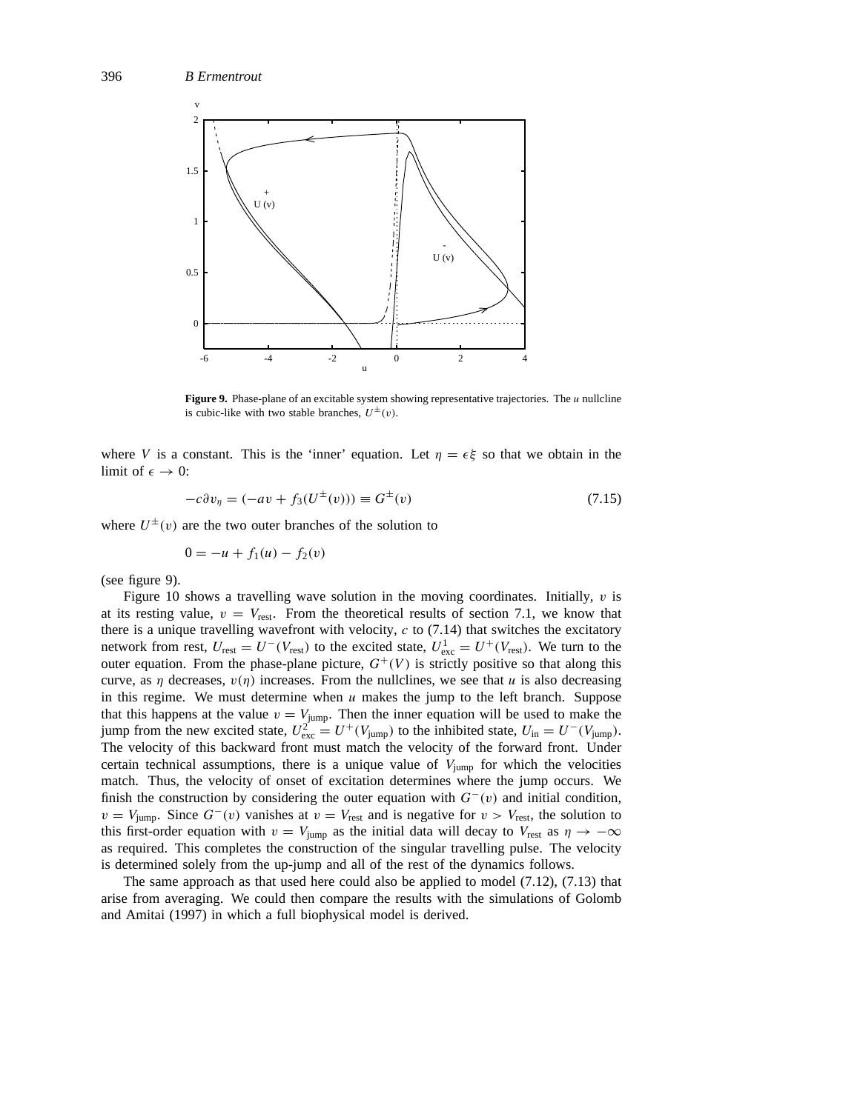

**Figure 9.** Phase-plane of an excitable system showing representative trajectories. The *u* nullcline is cubic-like with two stable branches,  $U^{\pm}(v)$ .

where *V* is a constant. This is the 'inner' equation. Let  $\eta = \epsilon \xi$  so that we obtain in the limit of  $\epsilon \to 0$ :

$$
-c\partial v_{\eta} = (-av + f_3(U^{\pm}(v))) \equiv G^{\pm}(v) \tag{7.15}
$$

where  $U^{\pm}(v)$  are the two outer branches of the solution to

$$
0 = -u + f_1(u) - f_2(v)
$$

(see figure 9).

Figure 10 shows a travelling wave solution in the moving coordinates. Initially, *v* is at its resting value,  $v = V_{\text{rest}}$ . From the theoretical results of section 7.1, we know that there is a unique travelling wavefront with velocity, *c* to (7.14) that switches the excitatory network from rest,  $U_{\text{rest}} = U^{-}(V_{\text{rest}})$  to the excited state,  $U_{\text{exc}}^1 = U^{+}(V_{\text{rest}})$ . We turn to the outer equation. From the phase-plane picture,  $G^+(V)$  is strictly positive so that along this curve, as  $\eta$  decreases,  $v(\eta)$  increases. From the nullclines, we see that *u* is also decreasing in this regime. We must determine when  $u$  makes the jump to the left branch. Suppose that this happens at the value  $v = V_{jump}$ . Then the inner equation will be used to make the jump from the new excited state,  $U_{\text{exc}}^2 = U^+(V_{\text{jump}})$  to the inhibited state,  $U_{\text{in}} = U^-(V_{\text{jump}})$ . The velocity of this backward front must match the velocity of the forward front. Under certain technical assumptions, there is a unique value of  $V_{\text{jump}}$  for which the velocities match. Thus, the velocity of onset of excitation determines where the jump occurs. We finish the construction by considering the outer equation with *G*<sup>−</sup>*(v)* and initial condition,  $v = V_{\text{jump}}$ . Since  $G^-(v)$  vanishes at  $v = V_{\text{rest}}$  and is negative for  $v > V_{\text{rest}}$ , the solution to this first-order equation with  $v = V_{\text{jump}}$  as the initial data will decay to  $V_{\text{rest}}$  as  $\eta \to -\infty$ as required. This completes the construction of the singular travelling pulse. The velocity is determined solely from the up-jump and all of the rest of the dynamics follows.

The same approach as that used here could also be applied to model (7.12), (7.13) that arise from averaging. We could then compare the results with the simulations of Golomb and Amitai (1997) in which a full biophysical model is derived.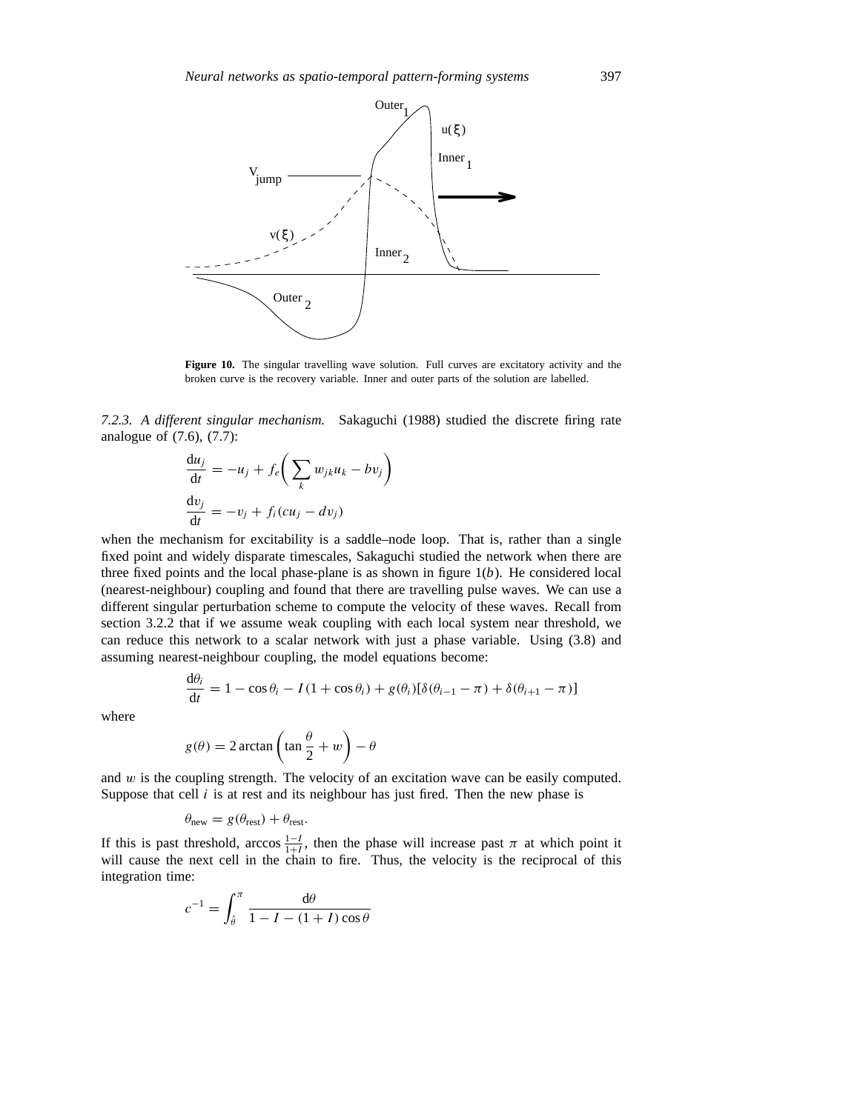

Figure 10. The singular travelling wave solution. Full curves are excitatory activity and the broken curve is the recovery variable. Inner and outer parts of the solution are labelled.

*7.2.3. A different singular mechanism.* Sakaguchi (1988) studied the discrete firing rate analogue of (7.6), (7.7):

$$
\frac{du_j}{dt} = -u_j + f_e \bigg( \sum_k w_{jk} u_k - bv_j \bigg)
$$

$$
\frac{dv_j}{dt} = -v_j + f_i (cu_j - dv_j)
$$

when the mechanism for excitability is a saddle–node loop. That is, rather than a single fixed point and widely disparate timescales, Sakaguchi studied the network when there are three fixed points and the local phase-plane is as shown in figure 1(*b*). He considered local (nearest-neighbour) coupling and found that there are travelling pulse waves. We can use a different singular perturbation scheme to compute the velocity of these waves. Recall from section 3.2.2 that if we assume weak coupling with each local system near threshold, we can reduce this network to a scalar network with just a phase variable. Using (3.8) and assuming nearest-neighbour coupling, the model equations become:

$$
\frac{d\theta_i}{dt} = 1 - \cos\theta_i - I(1 + \cos\theta_i) + g(\theta_i)[\delta(\theta_{i-1} - \pi) + \delta(\theta_{i+1} - \pi)]
$$

where

$$
g(\theta) = 2 \arctan\left(\tan\frac{\theta}{2} + w\right) - \theta
$$

and *w* is the coupling strength. The velocity of an excitation wave can be easily computed. Suppose that cell *i* is at rest and its neighbour has just fired. Then the new phase is

$$
\theta_{\text{new}} = g(\theta_{\text{rest}}) + \theta_{\text{rest}}.
$$

If this is past threshold, arccos  $\frac{1-I}{1+I}$ , then the phase will increase past  $\pi$  at which point it will cause the next cell in the chain to fire. Thus, the velocity is the reciprocal of this integration time:

$$
c^{-1} = \int_{\hat{\theta}}^{\pi} \frac{d\theta}{1 - I - (1 + I)\cos\theta}
$$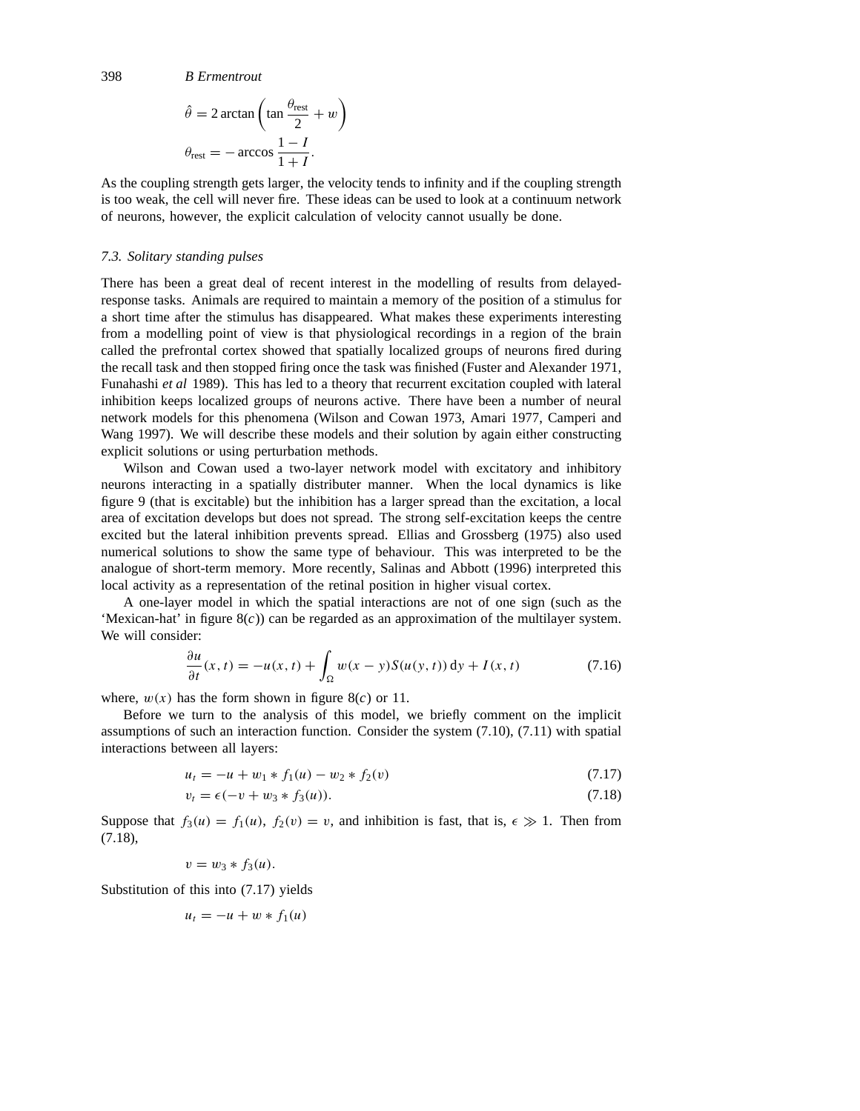$$
\hat{\theta} = 2 \arctan\left(\tan\frac{\theta_{\text{rest}}}{2} + w\right)
$$

$$
\theta_{\text{rest}} = -\arccos\frac{1 - I}{1 + I}.
$$

As the coupling strength gets larger, the velocity tends to infinity and if the coupling strength is too weak, the cell will never fire. These ideas can be used to look at a continuum network of neurons, however, the explicit calculation of velocity cannot usually be done.

## *7.3. Solitary standing pulses*

There has been a great deal of recent interest in the modelling of results from delayedresponse tasks. Animals are required to maintain a memory of the position of a stimulus for a short time after the stimulus has disappeared. What makes these experiments interesting from a modelling point of view is that physiological recordings in a region of the brain called the prefrontal cortex showed that spatially localized groups of neurons fired during the recall task and then stopped firing once the task was finished (Fuster and Alexander 1971, Funahashi *et al* 1989). This has led to a theory that recurrent excitation coupled with lateral inhibition keeps localized groups of neurons active. There have been a number of neural network models for this phenomena (Wilson and Cowan 1973, Amari 1977, Camperi and Wang 1997). We will describe these models and their solution by again either constructing explicit solutions or using perturbation methods.

Wilson and Cowan used a two-layer network model with excitatory and inhibitory neurons interacting in a spatially distributer manner. When the local dynamics is like figure 9 (that is excitable) but the inhibition has a larger spread than the excitation, a local area of excitation develops but does not spread. The strong self-excitation keeps the centre excited but the lateral inhibition prevents spread. Ellias and Grossberg (1975) also used numerical solutions to show the same type of behaviour. This was interpreted to be the analogue of short-term memory. More recently, Salinas and Abbott (1996) interpreted this local activity as a representation of the retinal position in higher visual cortex.

A one-layer model in which the spatial interactions are not of one sign (such as the 'Mexican-hat' in figure 8(*c*)) can be regarded as an approximation of the multilayer system. We will consider:

$$
\frac{\partial u}{\partial t}(x,t) = -u(x,t) + \int_{\Omega} w(x-y)S(u(y,t)) \, dy + I(x,t) \tag{7.16}
$$

where,  $w(x)$  has the form shown in figure  $8(c)$  or 11.

Before we turn to the analysis of this model, we briefly comment on the implicit assumptions of such an interaction function. Consider the system (7.10), (7.11) with spatial interactions between all layers:

$$
u_t = -u + w_1 * f_1(u) - w_2 * f_2(v)
$$
\n(7.17)

$$
v_t = \epsilon(-v + w_3 * f_3(u)).
$$
\n(7.18)

Suppose that  $f_3(u) = f_1(u)$ ,  $f_2(v) = v$ , and inhibition is fast, that is,  $\epsilon \gg 1$ . Then from (7.18),

$$
v=w_3*f_3(u).
$$

Substitution of this into (7.17) yields

$$
u_t = -u + w * f_1(u)
$$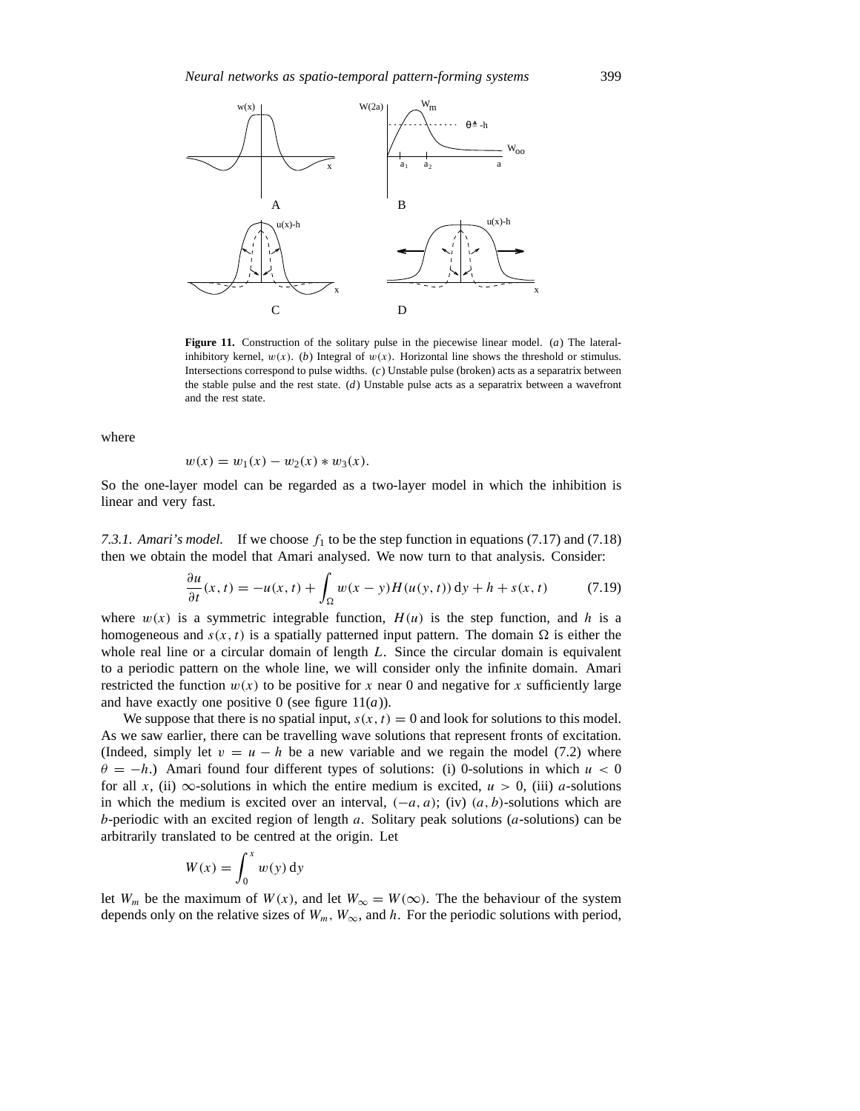

**Figure 11.** Construction of the solitary pulse in the piecewise linear model. (*a*) The lateralinhibitory kernel,  $w(x)$ . (*b*) Integral of  $w(x)$ . Horizontal line shows the threshold or stimulus. Intersections correspond to pulse widths. (*c*) Unstable pulse (broken) acts as a separatrix between the stable pulse and the rest state. (*d*) Unstable pulse acts as a separatrix between a wavefront and the rest state.

where

$$
w(x) = w_1(x) - w_2(x) * w_3(x).
$$

So the one-layer model can be regarded as a two-layer model in which the inhibition is linear and very fast.

7.3.1. Amari's model. If we choose  $f_1$  to be the step function in equations (7.17) and (7.18) then we obtain the model that Amari analysed. We now turn to that analysis. Consider:

$$
\frac{\partial u}{\partial t}(x,t) = -u(x,t) + \int_{\Omega} w(x-y)H(u(y,t)) \,dy + h + s(x,t) \tag{7.19}
$$

where  $w(x)$  is a symmetric integrable function,  $H(u)$  is the step function, and h is a homogeneous and  $s(x, t)$  is a spatially patterned input pattern. The domain  $\Omega$  is either the whole real line or a circular domain of length *L*. Since the circular domain is equivalent to a periodic pattern on the whole line, we will consider only the infinite domain. Amari restricted the function  $w(x)$  to be positive for *x* near 0 and negative for *x* sufficiently large and have exactly one positive 0 (see figure  $11(a)$ ).

We suppose that there is no spatial input,  $s(x, t) = 0$  and look for solutions to this model. As we saw earlier, there can be travelling wave solutions that represent fronts of excitation. (Indeed, simply let  $v = u - h$  be a new variable and we regain the model (7.2) where  $\theta = -h$ .) Amari found four different types of solutions: (i) 0-solutions in which *u* < 0 for all x, (ii)  $\infty$ -solutions in which the entire medium is excited,  $u > 0$ , (iii) *a*-solutions in which the medium is excited over an interval,  $(-a, a)$ ; (iv)  $(a, b)$ -solutions which are *b*-periodic with an excited region of length *a*. Solitary peak solutions (*a*-solutions) can be arbitrarily translated to be centred at the origin. Let

$$
W(x) = \int_0^x w(y) \, dy
$$

let  $W_m$  be the maximum of  $W(x)$ , and let  $W_\infty = W(\infty)$ . The the behaviour of the system depends only on the relative sizes of  $W_m$ ,  $W_\infty$ , and *h*. For the periodic solutions with period,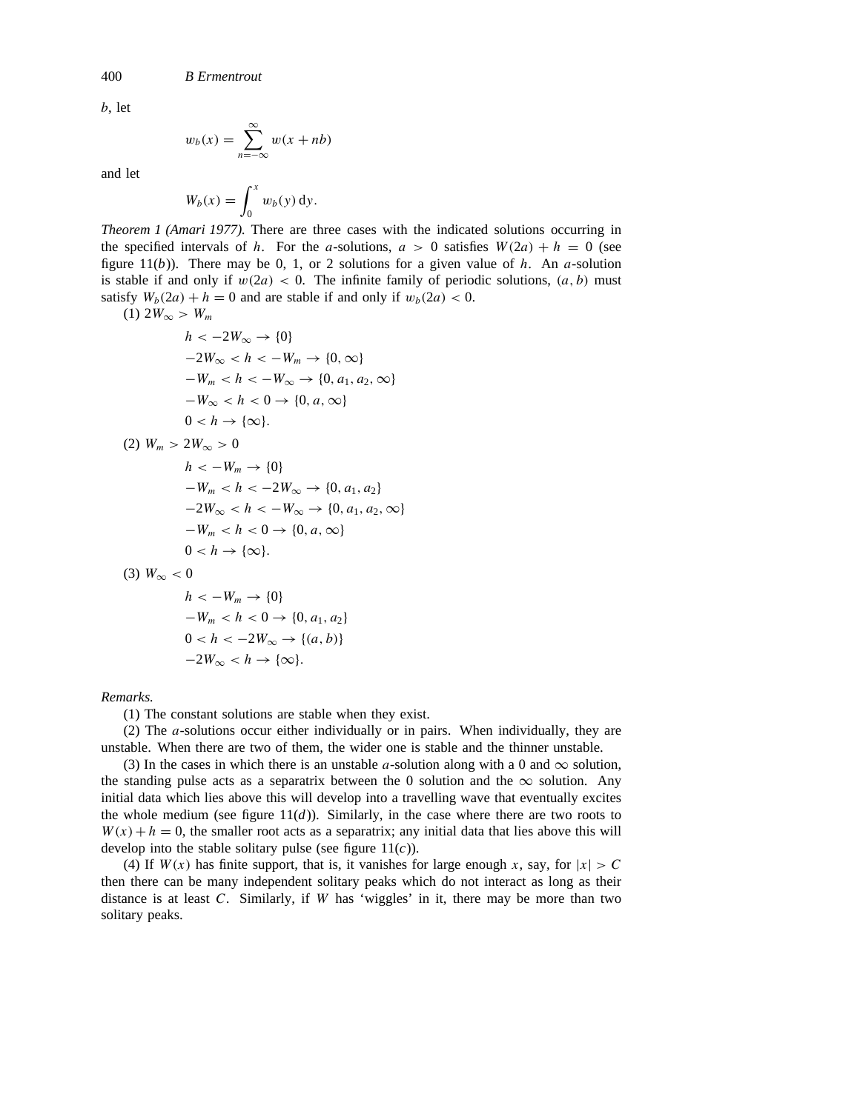*b*, let

$$
w_b(x) = \sum_{n = -\infty}^{\infty} w(x + nb)
$$

and let

$$
W_b(x) = \int_0^x w_b(y) \, dy.
$$

*Theorem 1 (Amari 1977).* There are three cases with the indicated solutions occurring in the specified intervals of *h*. For the *a*-solutions,  $a > 0$  satisfies  $W(2a) + h = 0$  (see figure  $11(b)$ ). There may be 0, 1, or 2 solutions for a given value of *h*. An *a*-solution is stable if and only if  $w(2a) < 0$ . The infinite family of periodic solutions,  $(a, b)$  must satisfy  $W_b(2a) + h = 0$  and are stable if and only if  $w_b(2a) < 0$ .

$$
(1) 2W_{\infty} > W_m
$$

$$
h < -2W_{\infty} \rightarrow \{0\}
$$
  
\n
$$
-2W_{\infty} < h < -W_m \rightarrow \{0, \infty\}
$$
  
\n
$$
-W_m < h < -W_{\infty} \rightarrow \{0, a_1, a_2, \infty\}
$$
  
\n
$$
-W_{\infty} < h < 0 \rightarrow \{0, a, \infty\}
$$
  
\n
$$
0 < h \rightarrow \{\infty\}.
$$

$$
(2) W_m > 2W_\infty > 0
$$

$$
h < -W_m \to \{0\}
$$
  
\n
$$
-W_m < h < -2W_{\infty} \to \{0, a_1, a_2\}
$$
  
\n
$$
-2W_{\infty} < h < -W_{\infty} \to \{0, a_1, a_2, \infty\}
$$
  
\n
$$
-W_m < h < 0 \to \{0, a, \infty\}
$$
  
\n
$$
0 < h \to \{\infty\}.
$$

$$
(3) W_{\infty} < 0
$$

$$
h < -W_m \to \{0\}
$$
  
\n
$$
-W_m < h < 0 \to \{0, a_1, a_2\}
$$
  
\n
$$
0 < h < -2W_{\infty} \to \{(a, b)\}
$$
  
\n
$$
-2W_{\infty} < h \to \{\infty\}.
$$

*Remarks.*

(1) The constant solutions are stable when they exist.

(2) The *a*-solutions occur either individually or in pairs. When individually, they are unstable. When there are two of them, the wider one is stable and the thinner unstable.

(3) In the cases in which there is an unstable *a*-solution along with a 0 and  $\infty$  solution, the standing pulse acts as a separatrix between the 0 solution and the  $\infty$  solution. Any initial data which lies above this will develop into a travelling wave that eventually excites the whole medium (see figure  $11(d)$ ). Similarly, in the case where there are two roots to  $W(x) + h = 0$ , the smaller root acts as a separatrix; any initial data that lies above this will develop into the stable solitary pulse (see figure 11(*c*)).

(4) If  $W(x)$  has finite support, that is, it vanishes for large enough *x*, say, for  $|x| > C$ then there can be many independent solitary peaks which do not interact as long as their distance is at least *C*. Similarly, if *W* has 'wiggles' in it, there may be more than two solitary peaks.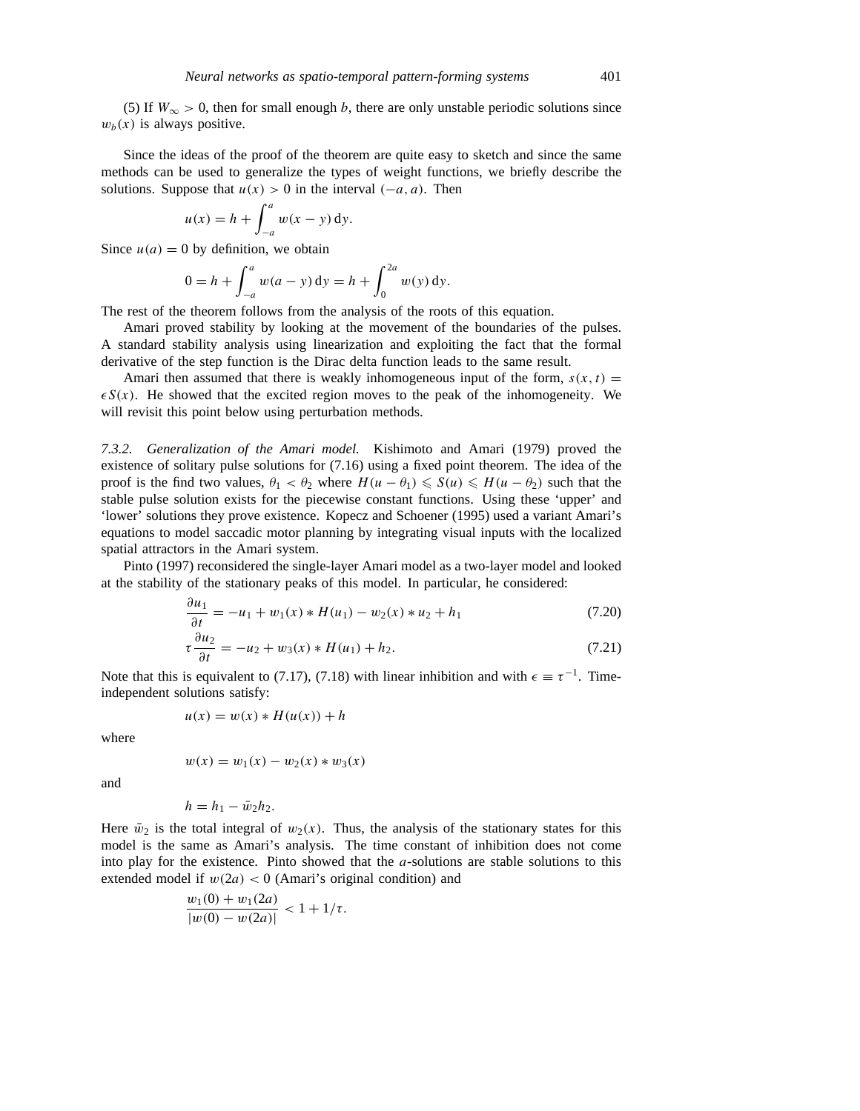(5) If  $W_{\infty} > 0$ , then for small enough *b*, there are only unstable periodic solutions since  $w_b(x)$  is always positive.

Since the ideas of the proof of the theorem are quite easy to sketch and since the same methods can be used to generalize the types of weight functions, we briefly describe the solutions. Suppose that  $u(x) > 0$  in the interval  $(-a, a)$ . Then

$$
u(x) = h + \int_{-a}^{a} w(x - y) dy.
$$

Since  $u(a) = 0$  by definition, we obtain

$$
0 = h + \int_{-a}^{a} w(a - y) dy = h + \int_{0}^{2a} w(y) dy.
$$

The rest of the theorem follows from the analysis of the roots of this equation.

Amari proved stability by looking at the movement of the boundaries of the pulses. A standard stability analysis using linearization and exploiting the fact that the formal derivative of the step function is the Dirac delta function leads to the same result.

Amari then assumed that there is weakly inhomogeneous input of the form,  $s(x, t)$  $\epsilon S(x)$ . He showed that the excited region moves to the peak of the inhomogeneity. We will revisit this point below using perturbation methods.

*7.3.2. Generalization of the Amari model.* Kishimoto and Amari (1979) proved the existence of solitary pulse solutions for (7.16) using a fixed point theorem. The idea of the proof is the find two values,  $\theta_1 < \theta_2$  where  $H(u - \theta_1) \leq S(u) \leq H(u - \theta_2)$  such that the stable pulse solution exists for the piecewise constant functions. Using these 'upper' and 'lower' solutions they prove existence. Kopecz and Schoener (1995) used a variant Amari's equations to model saccadic motor planning by integrating visual inputs with the localized spatial attractors in the Amari system.

Pinto (1997) reconsidered the single-layer Amari model as a two-layer model and looked at the stability of the stationary peaks of this model. In particular, he considered:

$$
\frac{\partial u_1}{\partial t} = -u_1 + w_1(x) * H(u_1) - w_2(x) * u_2 + h_1
$$
\n(7.20)

$$
\tau \frac{\partial u_2}{\partial t} = -u_2 + w_3(x) * H(u_1) + h_2. \tag{7.21}
$$

Note that this is equivalent to (7.17), (7.18) with linear inhibition and with  $\epsilon \equiv \tau^{-1}$ . Timeindependent solutions satisfy:

$$
u(x) = w(x) * H(u(x)) + h
$$

where

$$
w(x) = w_1(x) - w_2(x) * w_3(x)
$$

and

$$
h=h_1-\bar{w}_2h_2.
$$

Here  $\bar{w}_2$  is the total integral of  $w_2(x)$ . Thus, the analysis of the stationary states for this model is the same as Amari's analysis. The time constant of inhibition does not come into play for the existence. Pinto showed that the *a*-solutions are stable solutions to this extended model if  $w(2a) < 0$  (Amari's original condition) and

$$
\frac{w_1(0) + w_1(2a)}{|w(0) - w(2a)|} < 1 + 1/\tau.
$$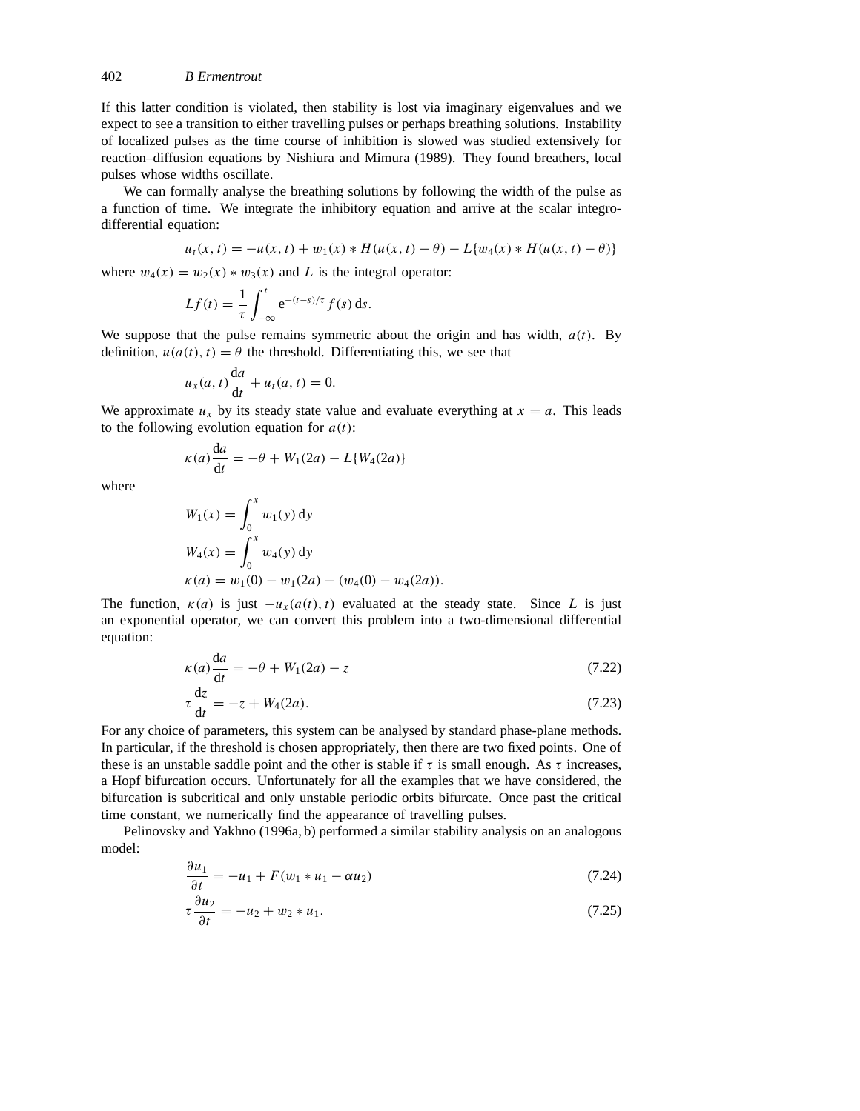If this latter condition is violated, then stability is lost via imaginary eigenvalues and we expect to see a transition to either travelling pulses or perhaps breathing solutions. Instability of localized pulses as the time course of inhibition is slowed was studied extensively for reaction–diffusion equations by Nishiura and Mimura (1989). They found breathers, local pulses whose widths oscillate.

We can formally analyse the breathing solutions by following the width of the pulse as a function of time. We integrate the inhibitory equation and arrive at the scalar integrodifferential equation:

$$
u_t(x,t) = -u(x,t) + w_1(x) * H(u(x,t) - \theta) - L\{w_4(x) * H(u(x,t) - \theta)\}\
$$

where  $w_4(x) = w_2(x) * w_3(x)$  and *L* is the integral operator:

$$
Lf(t) = \frac{1}{\tau} \int_{-\infty}^{t} e^{-(t-s)/\tau} f(s) \, ds.
$$

We suppose that the pulse remains symmetric about the origin and has width,  $a(t)$ . By definition,  $u(a(t), t) = \theta$  the threshold. Differentiating this, we see that

$$
u_x(a,t)\frac{\mathrm{d}a}{\mathrm{d}t} + u_t(a,t) = 0.
$$

We approximate  $u_x$  by its steady state value and evaluate everything at  $x = a$ . This leads to the following evolution equation for  $a(t)$ :

$$
\kappa(a)\frac{da}{dt} = -\theta + W_1(2a) - L\{W_4(2a)\}\
$$

where

$$
W_1(x) = \int_0^x w_1(y) dy
$$
  
\n
$$
W_4(x) = \int_0^x w_4(y) dy
$$
  
\n
$$
\kappa(a) = w_1(0) - w_1(2a) - (w_4(0) - w_4(2a)).
$$

The function,  $\kappa(a)$  is just  $-u_x(a(t), t)$  evaluated at the steady state. Since *L* is just an exponential operator, we can convert this problem into a two-dimensional differential equation:

$$
\kappa(a)\frac{\mathrm{d}a}{\mathrm{d}t} = -\theta + W_1(2a) - z \tag{7.22}
$$

$$
\tau \frac{dz}{dt} = -z + W_4(2a). \tag{7.23}
$$

For any choice of parameters, this system can be analysed by standard phase-plane methods. In particular, if the threshold is chosen appropriately, then there are two fixed points. One of these is an unstable saddle point and the other is stable if  $\tau$  is small enough. As  $\tau$  increases, a Hopf bifurcation occurs. Unfortunately for all the examples that we have considered, the bifurcation is subcritical and only unstable periodic orbits bifurcate. Once past the critical time constant, we numerically find the appearance of travelling pulses.

Pelinovsky and Yakhno (1996a, b) performed a similar stability analysis on an analogous model:

$$
\frac{\partial u_1}{\partial t} = -u_1 + F(w_1 * u_1 - \alpha u_2) \tag{7.24}
$$

$$
\tau \frac{\partial u_2}{\partial t} = -u_2 + w_2 * u_1. \tag{7.25}
$$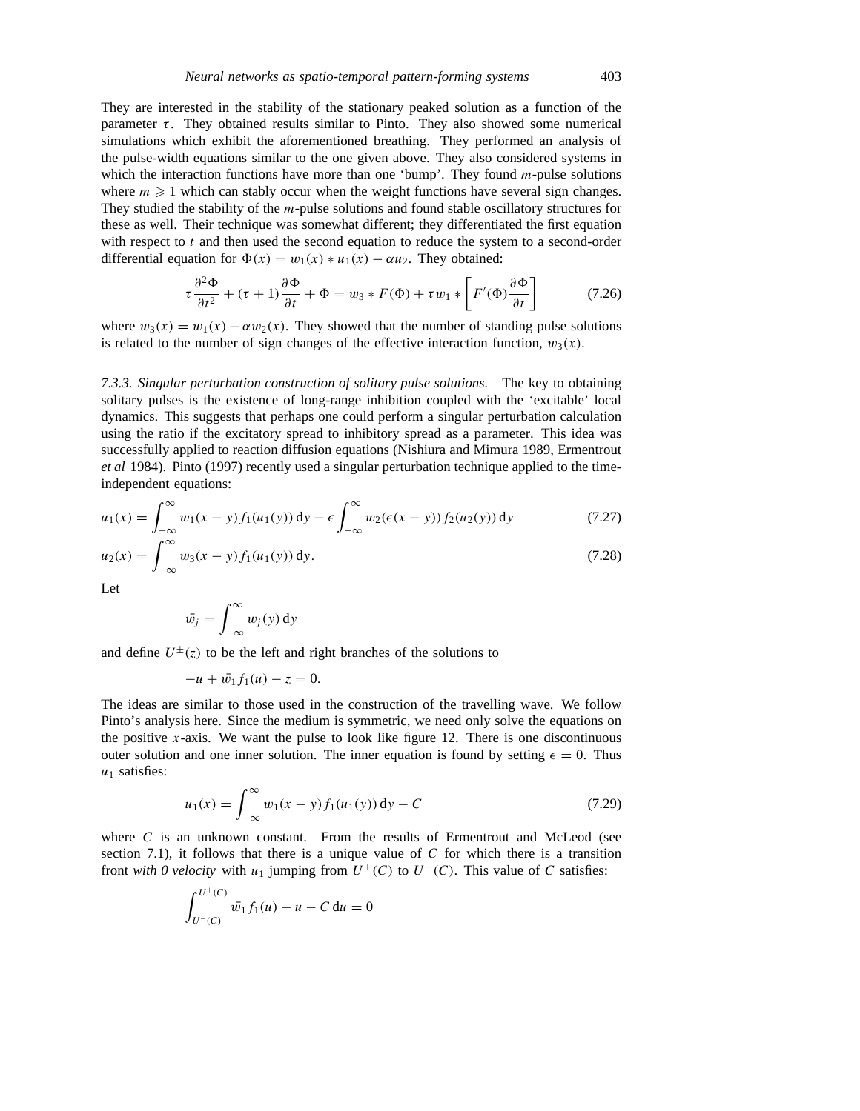They are interested in the stability of the stationary peaked solution as a function of the parameter  $\tau$ . They obtained results similar to Pinto. They also showed some numerical simulations which exhibit the aforementioned breathing. They performed an analysis of the pulse-width equations similar to the one given above. They also considered systems in which the interaction functions have more than one 'bump'. They found *m*-pulse solutions where  $m \geq 1$  which can stably occur when the weight functions have several sign changes. They studied the stability of the *m*-pulse solutions and found stable oscillatory structures for these as well. Their technique was somewhat different; they differentiated the first equation with respect to *t* and then used the second equation to reduce the system to a second-order differential equation for  $\Phi(x) = w_1(x) * u_1(x) - \alpha u_2$ . They obtained:

$$
\tau \frac{\partial^2 \Phi}{\partial t^2} + (\tau + 1) \frac{\partial \Phi}{\partial t} + \Phi = w_3 * F(\Phi) + \tau w_1 * \left[ F'(\Phi) \frac{\partial \Phi}{\partial t} \right]
$$
(7.26)

where  $w_3(x) = w_1(x) - \alpha w_2(x)$ . They showed that the number of standing pulse solutions is related to the number of sign changes of the effective interaction function,  $w_3(x)$ .

*7.3.3. Singular perturbation construction of solitary pulse solutions.* The key to obtaining solitary pulses is the existence of long-range inhibition coupled with the 'excitable' local dynamics. This suggests that perhaps one could perform a singular perturbation calculation using the ratio if the excitatory spread to inhibitory spread as a parameter. This idea was successfully applied to reaction diffusion equations (Nishiura and Mimura 1989, Ermentrout *et al* 1984). Pinto (1997) recently used a singular perturbation technique applied to the timeindependent equations:

$$
u_1(x) = \int_{-\infty}^{\infty} w_1(x - y) f_1(u_1(y)) dy - \epsilon \int_{-\infty}^{\infty} w_2(\epsilon(x - y)) f_2(u_2(y)) dy
$$
 (7.27)

$$
u_2(x) = \int_{-\infty}^{\infty} w_3(x - y) f_1(u_1(y)) \, dy. \tag{7.28}
$$

Let

$$
\bar{w_j} = \int_{-\infty}^{\infty} w_j(y) \, \mathrm{d}y
$$

and define  $U^{\pm}(z)$  to be the left and right branches of the solutions to

$$
-u + \bar{w_1} f_1(u) - z = 0.
$$

The ideas are similar to those used in the construction of the travelling wave. We follow Pinto's analysis here. Since the medium is symmetric, we need only solve the equations on the positive  $x$ -axis. We want the pulse to look like figure 12. There is one discontinuous outer solution and one inner solution. The inner equation is found by setting  $\epsilon = 0$ . Thus  $u_1$  satisfies:

$$
u_1(x) = \int_{-\infty}^{\infty} w_1(x - y) f_1(u_1(y)) dy - C
$$
 (7.29)

where *C* is an unknown constant. From the results of Ermentrout and McLeod (see section 7.1), it follows that there is a unique value of  $C$  for which there is a transition front *with 0 velocity* with  $u_1$  jumping from  $U^+(C)$  to  $U^-(C)$ . This value of C satisfies:

$$
\int_{U^{-}(C)}^{U^{+}(C)} \bar{w_1} f_1(u) - u - C \, \mathrm{d}u = 0
$$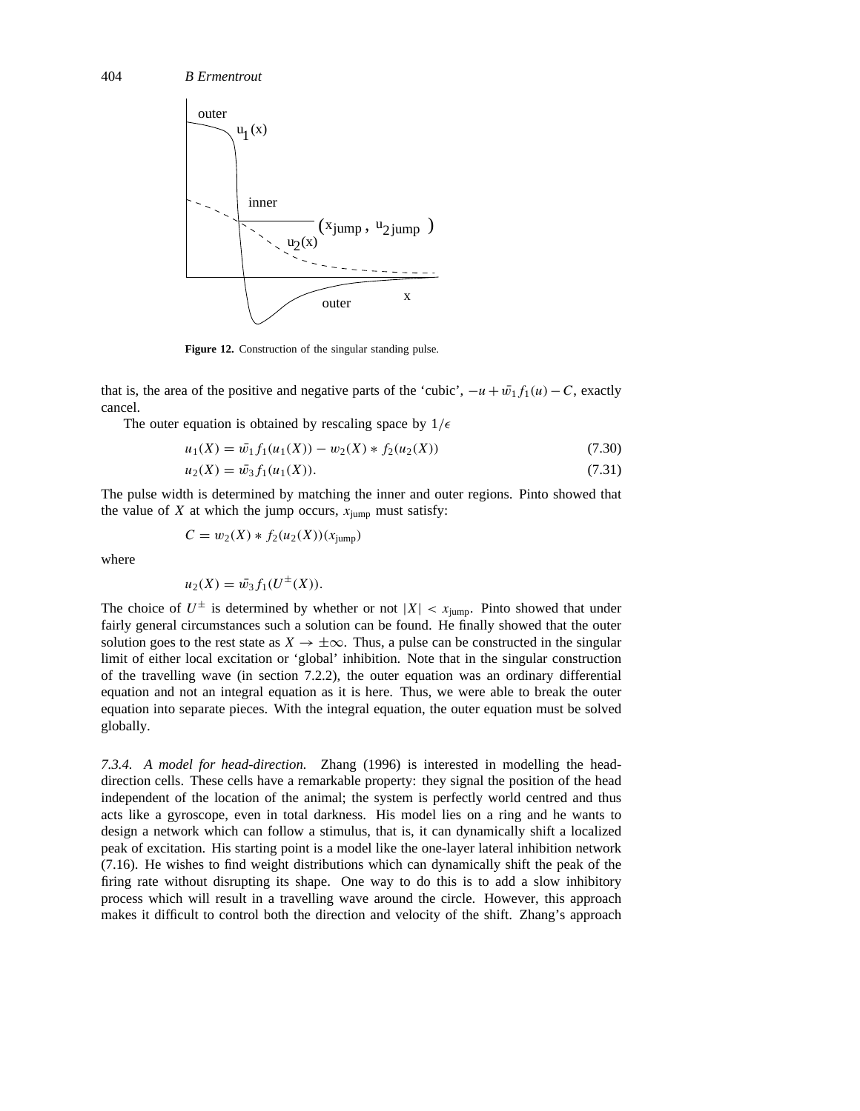

**Figure 12.** Construction of the singular standing pulse.

that is, the area of the positive and negative parts of the 'cubic',  $-u + \bar{w}_1 f_1(u) - C$ , exactly cancel.

The outer equation is obtained by rescaling space by  $1/\epsilon$ 

$$
u_1(X) = \bar{w_1} f_1(u_1(X)) - w_2(X) * f_2(u_2(X))
$$
\n(7.30)

$$
u_2(X) = \bar{w}_3 f_1(u_1(X)).
$$
\n(7.31)

The pulse width is determined by matching the inner and outer regions. Pinto showed that the value of *X* at which the jump occurs,  $x_{\text{jump}}$  must satisfy:

$$
C = w_2(X) * f_2(u_2(X))(x_{jump})
$$

where

$$
u_2(X) = \bar{w_3} f_1(U^{\pm}(X)).
$$

The choice of  $U^{\pm}$  is determined by whether or not  $|X| < x$  <sub>jump</sub>. Pinto showed that under fairly general circumstances such a solution can be found. He finally showed that the outer solution goes to the rest state as  $X \to \pm \infty$ . Thus, a pulse can be constructed in the singular limit of either local excitation or 'global' inhibition. Note that in the singular construction of the travelling wave (in section 7.2.2), the outer equation was an ordinary differential equation and not an integral equation as it is here. Thus, we were able to break the outer equation into separate pieces. With the integral equation, the outer equation must be solved globally.

*7.3.4. A model for head-direction.* Zhang (1996) is interested in modelling the headdirection cells. These cells have a remarkable property: they signal the position of the head independent of the location of the animal; the system is perfectly world centred and thus acts like a gyroscope, even in total darkness. His model lies on a ring and he wants to design a network which can follow a stimulus, that is, it can dynamically shift a localized peak of excitation. His starting point is a model like the one-layer lateral inhibition network (7.16). He wishes to find weight distributions which can dynamically shift the peak of the firing rate without disrupting its shape. One way to do this is to add a slow inhibitory process which will result in a travelling wave around the circle. However, this approach makes it difficult to control both the direction and velocity of the shift. Zhang's approach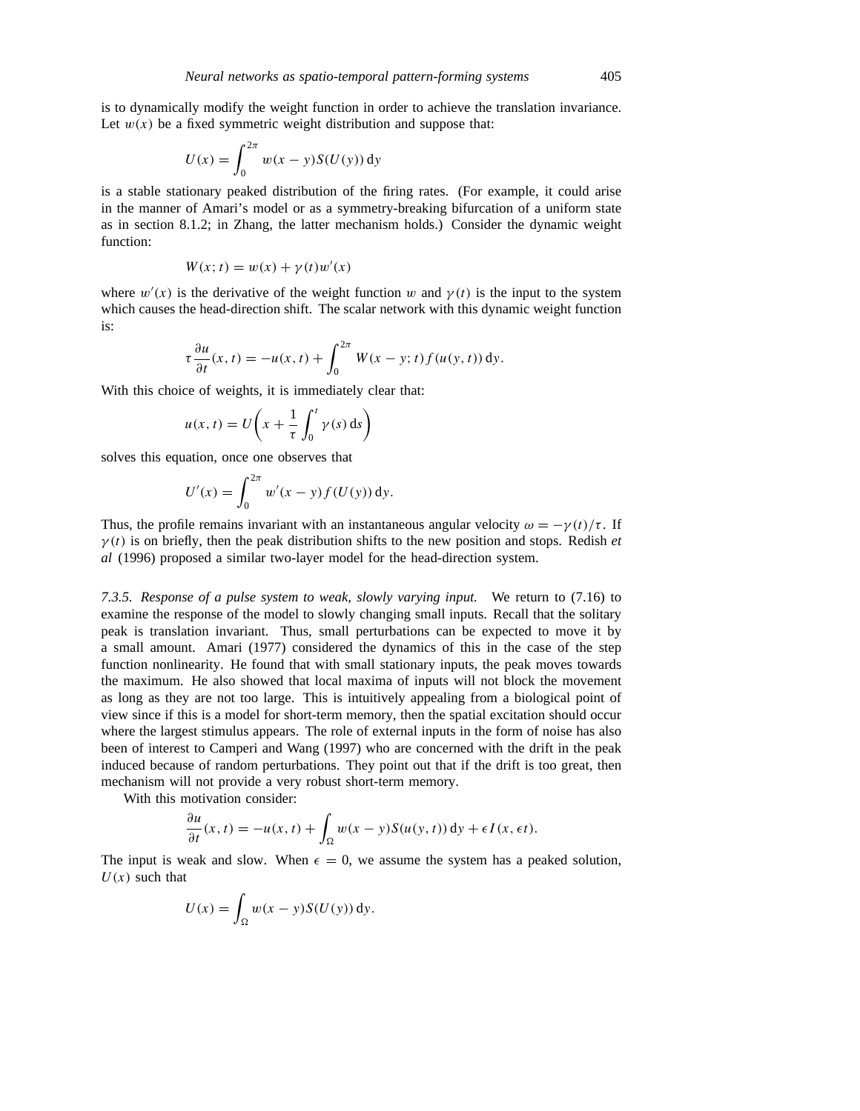is to dynamically modify the weight function in order to achieve the translation invariance. Let  $w(x)$  be a fixed symmetric weight distribution and suppose that:

$$
U(x) = \int_0^{2\pi} w(x - y) S(U(y)) dy
$$

is a stable stationary peaked distribution of the firing rates. (For example, it could arise in the manner of Amari's model or as a symmetry-breaking bifurcation of a uniform state as in section 8.1.2; in Zhang, the latter mechanism holds.) Consider the dynamic weight function:

$$
W(x;t) = w(x) + \gamma(t)w'(x)
$$

where  $w'(x)$  is the derivative of the weight function *w* and  $\gamma(t)$  is the input to the system which causes the head-direction shift. The scalar network with this dynamic weight function is:

$$
\tau \frac{\partial u}{\partial t}(x,t) = -u(x,t) + \int_0^{2\pi} W(x-y;t) f(u(y,t)) \, dy.
$$

With this choice of weights, it is immediately clear that:

$$
u(x, t) = U\left(x + \frac{1}{\tau} \int_0^t \gamma(s) \, ds\right)
$$

solves this equation, once one observes that

$$
U'(x) = \int_0^{2\pi} w'(x - y) f(U(y)) \, dy.
$$

Thus, the profile remains invariant with an instantaneous angular velocity  $\omega = -\gamma(t)/\tau$ . If  $\gamma(t)$  is on briefly, then the peak distribution shifts to the new position and stops. Redish *et al* (1996) proposed a similar two-layer model for the head-direction system.

*7.3.5. Response of a pulse system to weak, slowly varying input.* We return to (7.16) to examine the response of the model to slowly changing small inputs. Recall that the solitary peak is translation invariant. Thus, small perturbations can be expected to move it by a small amount. Amari (1977) considered the dynamics of this in the case of the step function nonlinearity. He found that with small stationary inputs, the peak moves towards the maximum. He also showed that local maxima of inputs will not block the movement as long as they are not too large. This is intuitively appealing from a biological point of view since if this is a model for short-term memory, then the spatial excitation should occur where the largest stimulus appears. The role of external inputs in the form of noise has also been of interest to Camperi and Wang (1997) who are concerned with the drift in the peak induced because of random perturbations. They point out that if the drift is too great, then mechanism will not provide a very robust short-term memory.

With this motivation consider:

$$
\frac{\partial u}{\partial t}(x,t) = -u(x,t) + \int_{\Omega} w(x-y)S(u(y,t)) \, dy + \epsilon I(x,\epsilon t).
$$

The input is weak and slow. When  $\epsilon = 0$ , we assume the system has a peaked solution,  $U(x)$  such that

$$
U(x) = \int_{\Omega} w(x - y) S(U(y)) \, dy.
$$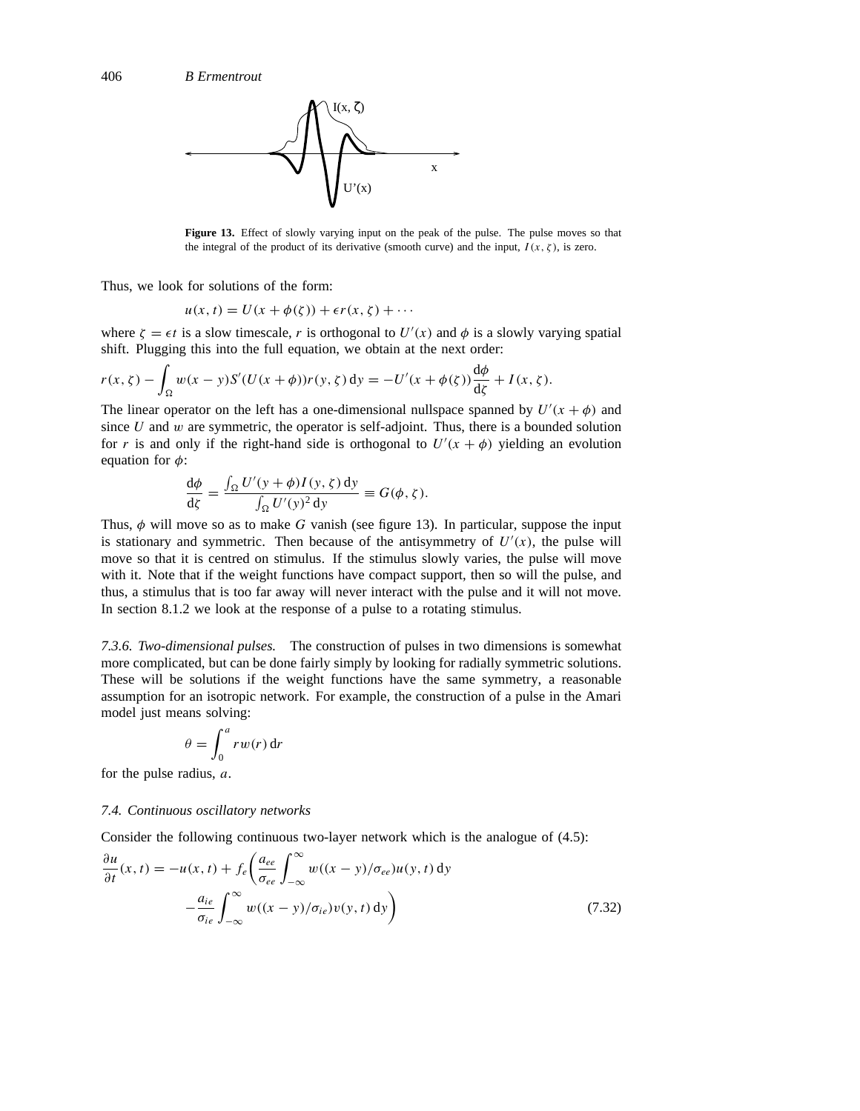

**Figure 13.** Effect of slowly varying input on the peak of the pulse. The pulse moves so that the integral of the product of its derivative (smooth curve) and the input,  $I(x, \zeta)$ , is zero.

Thus, we look for solutions of the form:

$$
u(x, t) = U(x + \phi(\zeta)) + \epsilon r(x, \zeta) + \cdots
$$

where  $\zeta = \epsilon t$  is a slow timescale, *r* is orthogonal to  $U'(x)$  and  $\phi$  is a slowly varying spatial shift. Plugging this into the full equation, we obtain at the next order:

$$
r(x,\zeta) - \int_{\Omega} w(x-y)S'(U(x+\phi))r(y,\zeta) dy = -U'(x+\phi(\zeta))\frac{d\phi}{d\zeta} + I(x,\zeta).
$$

The linear operator on the left has a one-dimensional nullspace spanned by  $U'(x + \phi)$  and since *U* and *w* are symmetric, the operator is self-adjoint. Thus, there is a bounded solution for *r* is and only if the right-hand side is orthogonal to  $U'(x + \phi)$  yielding an evolution equation for *φ*:

$$
\frac{d\phi}{d\zeta} = \frac{\int_{\Omega} U'(y+\phi)I(y,\zeta) dy}{\int_{\Omega} U'(y)^2 dy} \equiv G(\phi,\zeta).
$$

Thus,  $\phi$  will move so as to make *G* vanish (see figure 13). In particular, suppose the input is stationary and symmetric. Then because of the antisymmetry of  $U'(x)$ , the pulse will move so that it is centred on stimulus. If the stimulus slowly varies, the pulse will move with it. Note that if the weight functions have compact support, then so will the pulse, and thus, a stimulus that is too far away will never interact with the pulse and it will not move. In section 8.1.2 we look at the response of a pulse to a rotating stimulus.

*7.3.6. Two-dimensional pulses.* The construction of pulses in two dimensions is somewhat more complicated, but can be done fairly simply by looking for radially symmetric solutions. These will be solutions if the weight functions have the same symmetry, a reasonable assumption for an isotropic network. For example, the construction of a pulse in the Amari model just means solving:

$$
\theta = \int_0^a r w(r) \, \mathrm{d}r
$$

for the pulse radius, *a*.

#### *7.4. Continuous oscillatory networks*

Consider the following continuous two-layer network which is the analogue of (4.5):

$$
\frac{\partial u}{\partial t}(x,t) = -u(x,t) + f_e \left( \frac{a_{ee}}{\sigma_{ee}} \int_{-\infty}^{\infty} w((x-y)/\sigma_{ee}) u(y,t) dy - \frac{a_{ie}}{\sigma_{ie}} \int_{-\infty}^{\infty} w((x-y)/\sigma_{ie}) v(y,t) dy \right)
$$
(7.32)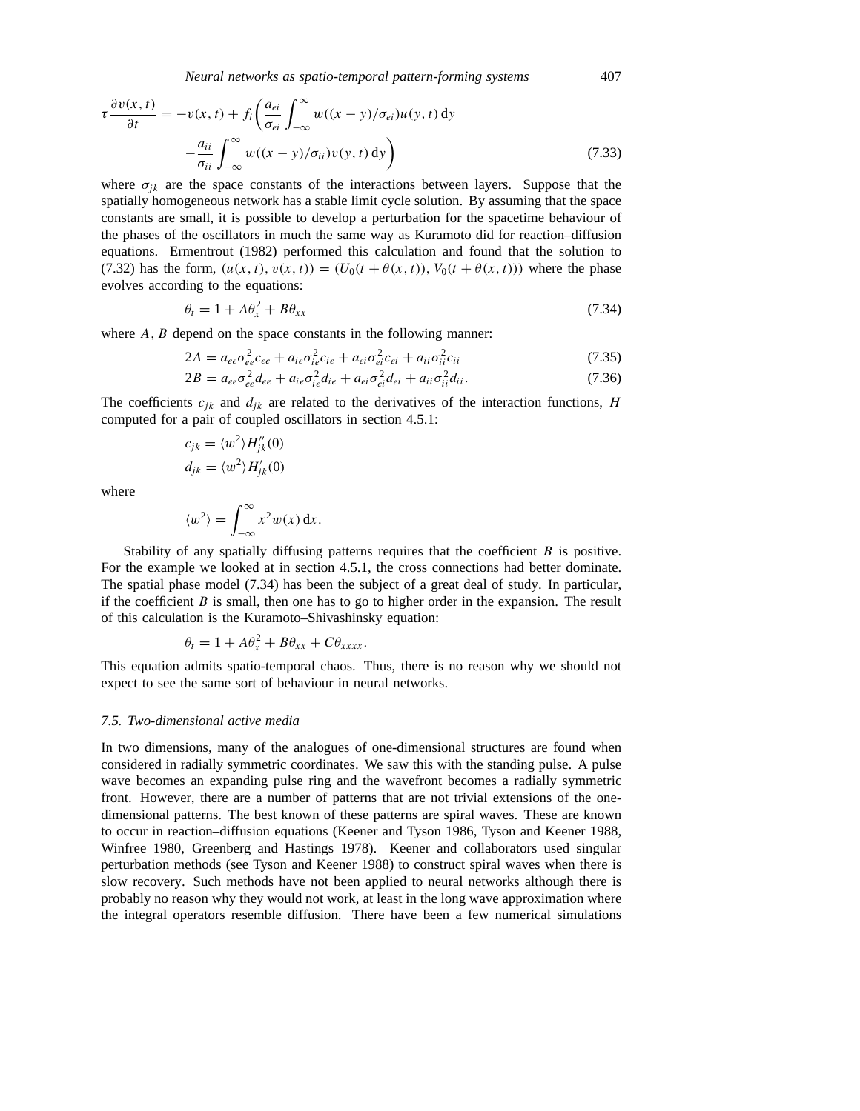*Neural networks as spatio-temporal pattern-forming systems* 407

$$
\tau \frac{\partial v(x,t)}{\partial t} = -v(x,t) + f_i \left( \frac{a_{ei}}{\sigma_{ei}} \int_{-\infty}^{\infty} w((x-y)/\sigma_{ei}) u(y,t) dy - \frac{a_{ii}}{\sigma_{ii}} \int_{-\infty}^{\infty} w((x-y)/\sigma_{ii}) v(y,t) dy \right)
$$
(7.33)

where  $\sigma_{jk}$  are the space constants of the interactions between layers. Suppose that the spatially homogeneous network has a stable limit cycle solution. By assuming that the space constants are small, it is possible to develop a perturbation for the spacetime behaviour of the phases of the oscillators in much the same way as Kuramoto did for reaction–diffusion equations. Ermentrout (1982) performed this calculation and found that the solution to (7.32) has the form,  $(u(x, t), v(x, t)) = (U_0(t + \theta(x, t)), V_0(t + \theta(x, t)))$  where the phase evolves according to the equations:

$$
\theta_t = 1 + A\theta_x^2 + B\theta_{xx} \tag{7.34}
$$

where *A*, *B* depend on the space constants in the following manner:

$$
2A = a_{ee}\sigma_{ee}^2 c_{ee} + a_{ie}\sigma_{ie}^2 c_{ie} + a_{ei}\sigma_{ei}^2 c_{ei} + a_{ii}\sigma_{ii}^2 c_{ii}
$$
\n
$$
(7.35)
$$

$$
2B = a_{ee}\sigma_{ee}^2 d_{ee} + a_{ie}\sigma_{ie}^2 d_{ie} + a_{ei}\sigma_{ei}^2 d_{ei} + a_{ii}\sigma_{ii}^2 d_{ii}.
$$
\n
$$
(7.36)
$$

The coefficients  $c_{jk}$  and  $d_{jk}$  are related to the derivatives of the interaction functions, *H* computed for a pair of coupled oscillators in section 4.5.1:

$$
c_{jk} = \langle w^2 \rangle H_{jk}''(0)
$$
  

$$
d_{jk} = \langle w^2 \rangle H_{jk}'(0)
$$

where

$$
\langle w^2 \rangle = \int_{-\infty}^{\infty} x^2 w(x) \, \mathrm{d}x.
$$

Stability of any spatially diffusing patterns requires that the coefficient *B* is positive. For the example we looked at in section 4.5.1, the cross connections had better dominate. The spatial phase model (7.34) has been the subject of a great deal of study. In particular, if the coefficient *B* is small, then one has to go to higher order in the expansion. The result of this calculation is the Kuramoto–Shivashinsky equation:

$$
\theta_t = 1 + A\theta_x^2 + B\theta_{xx} + C\theta_{xxxx}.
$$

This equation admits spatio-temporal chaos. Thus, there is no reason why we should not expect to see the same sort of behaviour in neural networks.

#### *7.5. Two-dimensional active media*

In two dimensions, many of the analogues of one-dimensional structures are found when considered in radially symmetric coordinates. We saw this with the standing pulse. A pulse wave becomes an expanding pulse ring and the wavefront becomes a radially symmetric front. However, there are a number of patterns that are not trivial extensions of the onedimensional patterns. The best known of these patterns are spiral waves. These are known to occur in reaction–diffusion equations (Keener and Tyson 1986, Tyson and Keener 1988, Winfree 1980, Greenberg and Hastings 1978). Keener and collaborators used singular perturbation methods (see Tyson and Keener 1988) to construct spiral waves when there is slow recovery. Such methods have not been applied to neural networks although there is probably no reason why they would not work, at least in the long wave approximation where the integral operators resemble diffusion. There have been a few numerical simulations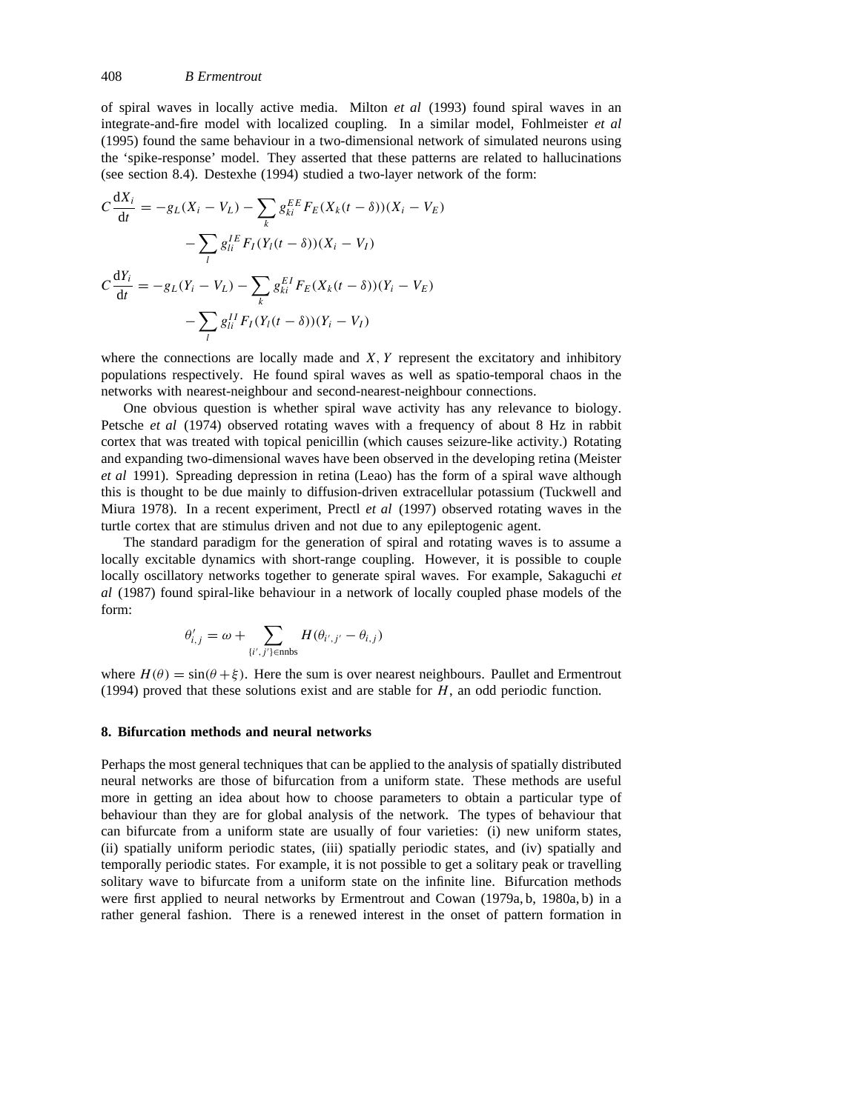## 408 *B Ermentrout*

of spiral waves in locally active media. Milton *et al* (1993) found spiral waves in an integrate-and-fire model with localized coupling. In a similar model, Fohlmeister *et al* (1995) found the same behaviour in a two-dimensional network of simulated neurons using the 'spike-response' model. They asserted that these patterns are related to hallucinations (see section 8.4). Destexhe (1994) studied a two-layer network of the form:

$$
C\frac{dX_i}{dt} = -g_L(X_i - V_L) - \sum_k g_{ki}^{EE} F_E(X_k(t - \delta))(X_i - V_E)
$$
  

$$
- \sum_l g_{li}^{IE} F_I(Y_l(t - \delta))(X_i - V_I)
$$
  

$$
C\frac{dY_i}{dt} = -g_L(Y_i - V_L) - \sum_k g_{ki}^{EI} F_E(X_k(t - \delta))(Y_i - V_E)
$$
  

$$
- \sum_l g_{li}^{II} F_I(Y_l(t - \delta))(Y_i - V_I)
$$

where the connections are locally made and *X*, *Y* represent the excitatory and inhibitory populations respectively. He found spiral waves as well as spatio-temporal chaos in the networks with nearest-neighbour and second-nearest-neighbour connections.

One obvious question is whether spiral wave activity has any relevance to biology. Petsche *et al* (1974) observed rotating waves with a frequency of about 8 Hz in rabbit cortex that was treated with topical penicillin (which causes seizure-like activity.) Rotating and expanding two-dimensional waves have been observed in the developing retina (Meister *et al* 1991). Spreading depression in retina (Leao) has the form of a spiral wave although this is thought to be due mainly to diffusion-driven extracellular potassium (Tuckwell and Miura 1978). In a recent experiment, Prectl *et al* (1997) observed rotating waves in the turtle cortex that are stimulus driven and not due to any epileptogenic agent.

The standard paradigm for the generation of spiral and rotating waves is to assume a locally excitable dynamics with short-range coupling. However, it is possible to couple locally oscillatory networks together to generate spiral waves. For example, Sakaguchi *et al* (1987) found spiral-like behaviour in a network of locally coupled phase models of the form:

$$
\theta'_{i,j} = \omega + \sum_{\{i',j'\} \in \text{nnbs}} H(\theta_{i',j'} - \theta_{i,j})
$$

where  $H(\theta) = \sin(\theta + \xi)$ . Here the sum is over nearest neighbours. Paullet and Ermentrout (1994) proved that these solutions exist and are stable for *H*, an odd periodic function.

# **8. Bifurcation methods and neural networks**

Perhaps the most general techniques that can be applied to the analysis of spatially distributed neural networks are those of bifurcation from a uniform state. These methods are useful more in getting an idea about how to choose parameters to obtain a particular type of behaviour than they are for global analysis of the network. The types of behaviour that can bifurcate from a uniform state are usually of four varieties: (i) new uniform states, (ii) spatially uniform periodic states, (iii) spatially periodic states, and (iv) spatially and temporally periodic states. For example, it is not possible to get a solitary peak or travelling solitary wave to bifurcate from a uniform state on the infinite line. Bifurcation methods were first applied to neural networks by Ermentrout and Cowan (1979a, b, 1980a, b) in a rather general fashion. There is a renewed interest in the onset of pattern formation in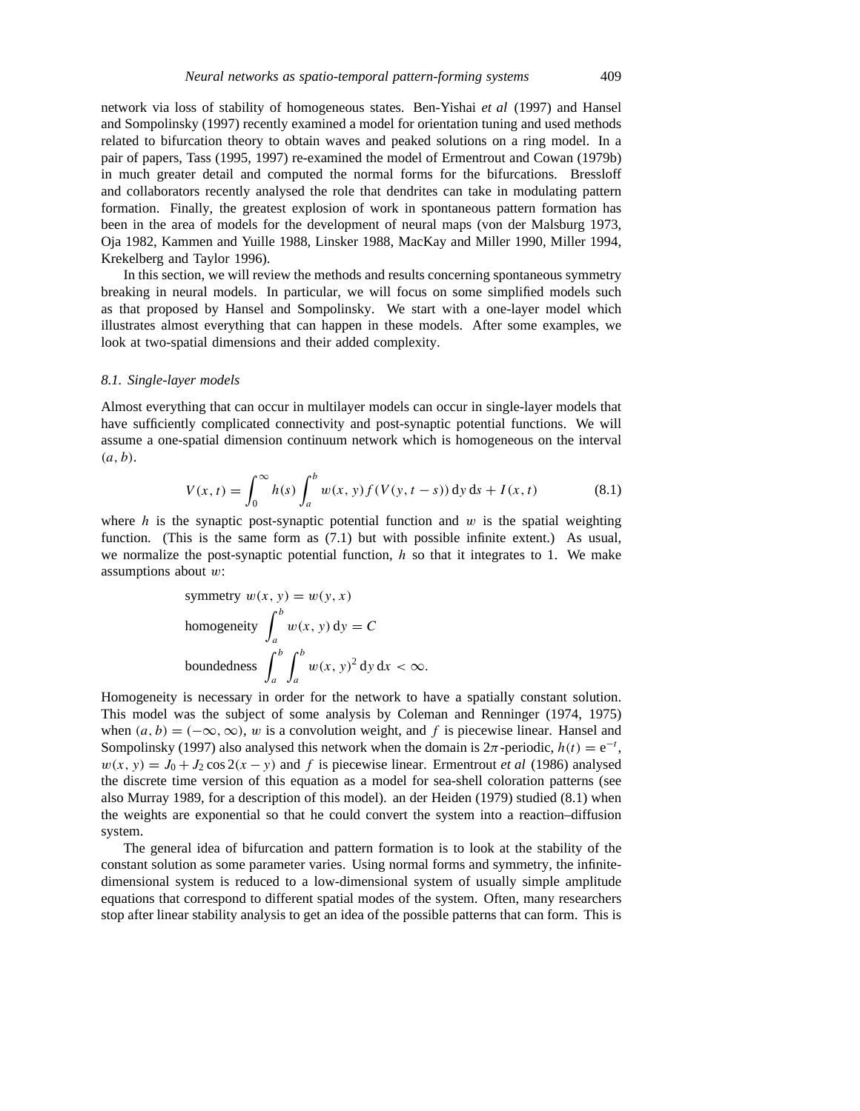network via loss of stability of homogeneous states. Ben-Yishai *et al* (1997) and Hansel and Sompolinsky (1997) recently examined a model for orientation tuning and used methods related to bifurcation theory to obtain waves and peaked solutions on a ring model. In a pair of papers, Tass (1995, 1997) re-examined the model of Ermentrout and Cowan (1979b) in much greater detail and computed the normal forms for the bifurcations. Bressloff and collaborators recently analysed the role that dendrites can take in modulating pattern formation. Finally, the greatest explosion of work in spontaneous pattern formation has been in the area of models for the development of neural maps (von der Malsburg 1973, Oja 1982, Kammen and Yuille 1988, Linsker 1988, MacKay and Miller 1990, Miller 1994, Krekelberg and Taylor 1996).

In this section, we will review the methods and results concerning spontaneous symmetry breaking in neural models. In particular, we will focus on some simplified models such as that proposed by Hansel and Sompolinsky. We start with a one-layer model which illustrates almost everything that can happen in these models. After some examples, we look at two-spatial dimensions and their added complexity.

#### *8.1. Single-layer models*

Almost everything that can occur in multilayer models can occur in single-layer models that have sufficiently complicated connectivity and post-synaptic potential functions. We will assume a one-spatial dimension continuum network which is homogeneous on the interval *(a, b)*.

$$
V(x, t) = \int_0^\infty h(s) \int_a^b w(x, y) f(V(y, t - s)) \, dy \, ds + I(x, t)
$$
 (8.1)

where  $h$  is the synaptic post-synaptic potential function and  $w$  is the spatial weighting function. (This is the same form as  $(7.1)$  but with possible infinite extent.) As usual, we normalize the post-synaptic potential function, *h* so that it integrates to 1. We make assumptions about *w*:

symmetry 
$$
w(x, y) = w(y, x)
$$
  
homogeneity  $\int_a^b w(x, y) dy = C$   
boundedness  $\int_a^b \int_a^b w(x, y)^2 dy dx < \infty$ .

Homogeneity is necessary in order for the network to have a spatially constant solution. This model was the subject of some analysis by Coleman and Renninger (1974, 1975) when  $(a, b) = (-\infty, \infty)$ , *w* is a convolution weight, and *f* is piecewise linear. Hansel and Sompolinsky (1997) also analysed this network when the domain is  $2\pi$ -periodic,  $h(t) = e^{-t}$ ,  $w(x, y) = J_0 + J_2 \cos 2(x - y)$  and *f* is piecewise linear. Ermentrout *et al* (1986) analysed the discrete time version of this equation as a model for sea-shell coloration patterns (see also Murray 1989, for a description of this model). an der Heiden (1979) studied (8.1) when the weights are exponential so that he could convert the system into a reaction–diffusion system.

The general idea of bifurcation and pattern formation is to look at the stability of the constant solution as some parameter varies. Using normal forms and symmetry, the infinitedimensional system is reduced to a low-dimensional system of usually simple amplitude equations that correspond to different spatial modes of the system. Often, many researchers stop after linear stability analysis to get an idea of the possible patterns that can form. This is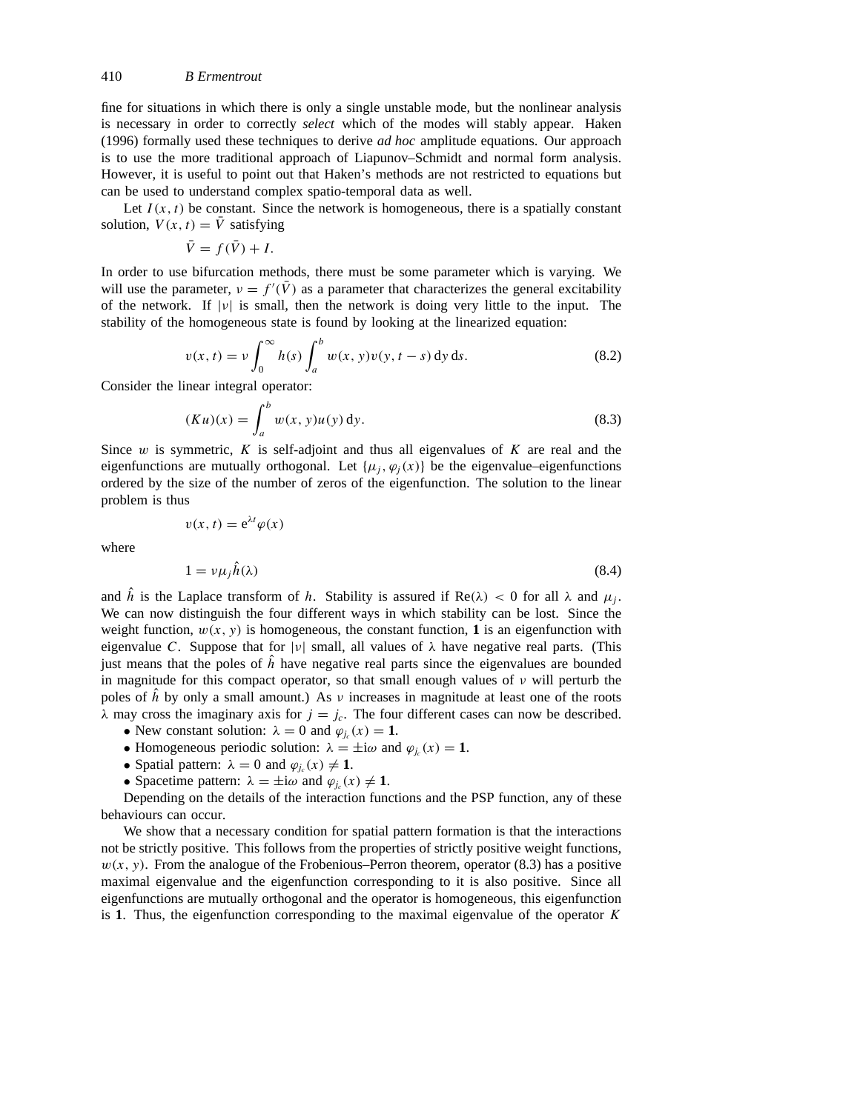fine for situations in which there is only a single unstable mode, but the nonlinear analysis is necessary in order to correctly *select* which of the modes will stably appear. Haken (1996) formally used these techniques to derive *ad hoc* amplitude equations. Our approach is to use the more traditional approach of Liapunov–Schmidt and normal form analysis. However, it is useful to point out that Haken's methods are not restricted to equations but can be used to understand complex spatio-temporal data as well.

Let  $I(x, t)$  be constant. Since the network is homogeneous, there is a spatially constant solution,  $V(x, t) = \overline{V}$  satisfying

$$
\bar{V} = f(\bar{V}) + I.
$$

In order to use bifurcation methods, there must be some parameter which is varying. We will use the parameter,  $v = f'(\bar{V})$  as a parameter that characterizes the general excitability of the network. If |*ν*| is small, then the network is doing very little to the input. The stability of the homogeneous state is found by looking at the linearized equation:

$$
v(x, t) = v \int_0^\infty h(s) \int_a^b w(x, y)v(y, t - s) \, dy \, ds. \tag{8.2}
$$

Consider the linear integral operator:

$$
(Ku)(x) = \int_{a}^{b} w(x, y)u(y) \,dy. \tag{8.3}
$$

Since *w* is symmetric, *K* is self-adjoint and thus all eigenvalues of *K* are real and the eigenfunctions are mutually orthogonal. Let  $\{\mu_i, \varphi_i(x)\}$  be the eigenvalue–eigenfunctions ordered by the size of the number of zeros of the eigenfunction. The solution to the linear problem is thus

$$
v(x, t) = e^{\lambda t} \varphi(x)
$$

where

$$
1 = \nu \mu_j \hat{h}(\lambda) \tag{8.4}
$$

and  $\hat{h}$  is the Laplace transform of *h*. Stability is assured if  $\text{Re}(\lambda) < 0$  for all  $\lambda$  and  $\mu_i$ . We can now distinguish the four different ways in which stability can be lost. Since the weight function,  $w(x, y)$  is homogeneous, the constant function, **1** is an eigenfunction with eigenvalue *C*. Suppose that for  $|v|$  small, all values of  $\lambda$  have negative real parts. (This just means that the poles of *h*ˆ have negative real parts since the eigenvalues are bounded in magnitude for this compact operator, so that small enough values of *ν* will perturb the poles of *h*ˆ by only a small amount.) As *ν* increases in magnitude at least one of the roots *λ* may cross the imaginary axis for  $j = j_c$ . The four different cases can now be described.

- New constant solution:  $\lambda = 0$  and  $\varphi_i(x) = 1$ .
- Homogeneous periodic solution:  $\lambda = \pm i\omega$  and  $\varphi_i(x) = 1$ .
- Spatial pattern:  $\lambda = 0$  and  $\varphi_{i_c}(x) \neq 1$ .
- Spacetime pattern:  $\lambda = \pm i\omega$  and  $\varphi_{i_c}(x) \neq 1$ .

Depending on the details of the interaction functions and the PSP function, any of these behaviours can occur.

We show that a necessary condition for spatial pattern formation is that the interactions not be strictly positive. This follows from the properties of strictly positive weight functions,  $w(x, y)$ . From the analogue of the Frobenious–Perron theorem, operator (8.3) has a positive maximal eigenvalue and the eigenfunction corresponding to it is also positive. Since all eigenfunctions are mutually orthogonal and the operator is homogeneous, this eigenfunction is **1**. Thus, the eigenfunction corresponding to the maximal eigenvalue of the operator *K*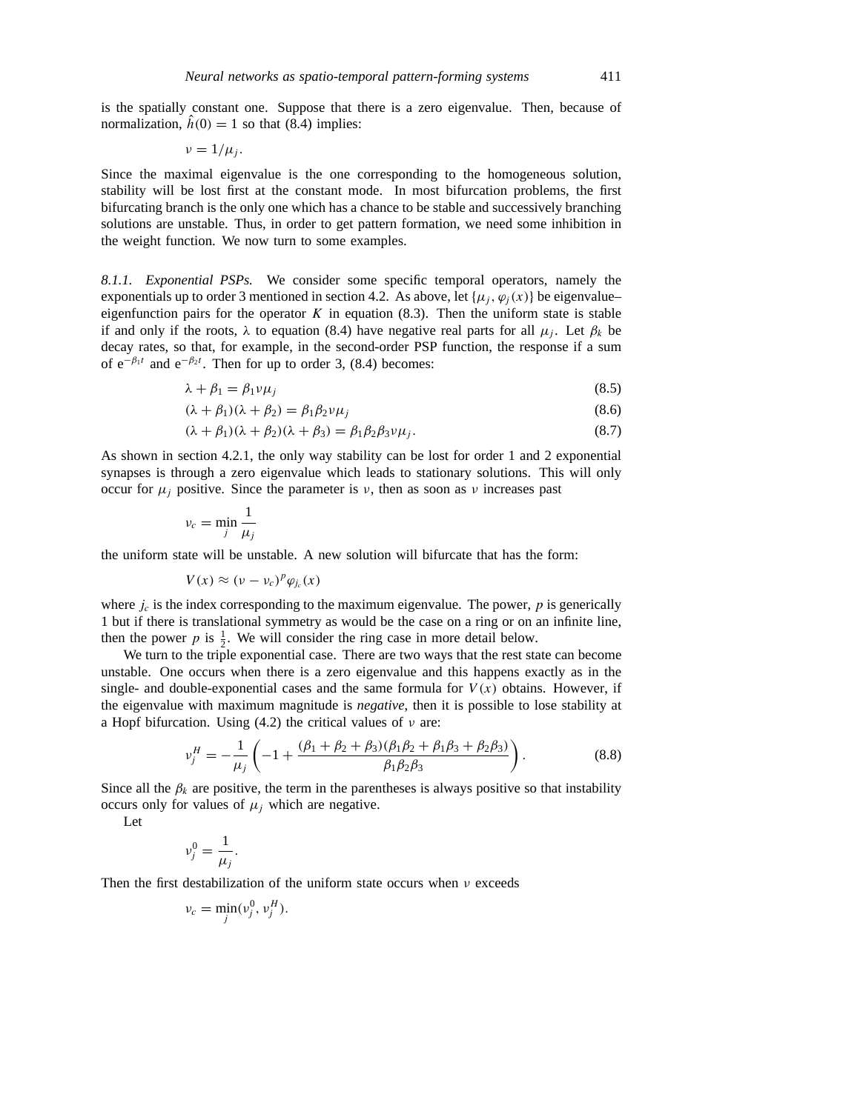is the spatially constant one. Suppose that there is a zero eigenvalue. Then, because of normalization,  $\hat{h}(0) = 1$  so that (8.4) implies:

$$
v=1/\mu_j.
$$

Since the maximal eigenvalue is the one corresponding to the homogeneous solution, stability will be lost first at the constant mode. In most bifurcation problems, the first bifurcating branch is the only one which has a chance to be stable and successively branching solutions are unstable. Thus, in order to get pattern formation, we need some inhibition in the weight function. We now turn to some examples.

*8.1.1. Exponential PSPs.* We consider some specific temporal operators, namely the exponentials up to order 3 mentioned in section 4.2. As above, let  $\{\mu_i, \varphi_i(x)\}\$ be eigenvalue– eigenfunction pairs for the operator  $K$  in equation (8.3). Then the uniform state is stable if and only if the roots,  $λ$  to equation (8.4) have negative real parts for all  $μ<sub>j</sub>$ . Let  $β<sub>k</sub>$  be decay rates, so that, for example, in the second-order PSP function, the response if a sum of  $e^{-\beta_1 t}$  and  $e^{-\beta_2 t}$ . Then for up to order 3, (8.4) becomes:

$$
\lambda + \beta_1 = \beta_1 \nu \mu_j \tag{8.5}
$$

$$
(\lambda + \beta_1)(\lambda + \beta_2) = \beta_1 \beta_2 \nu \mu_j \tag{8.6}
$$

$$
(\lambda + \beta_1)(\lambda + \beta_2)(\lambda + \beta_3) = \beta_1 \beta_2 \beta_3 \nu \mu_j.
$$
\n(8.7)

As shown in section 4.2.1, the only way stability can be lost for order 1 and 2 exponential synapses is through a zero eigenvalue which leads to stationary solutions. This will only occur for  $\mu_i$  positive. Since the parameter is *ν*, then as soon as *ν* increases past

$$
v_c = \min_j \frac{1}{\mu_j}
$$

the uniform state will be unstable. A new solution will bifurcate that has the form:

$$
V(x) \approx (\nu - \nu_c)^p \varphi_{j_c}(x)
$$

where  $j_c$  is the index corresponding to the maximum eigenvalue. The power,  $p$  is generically 1 but if there is translational symmetry as would be the case on a ring or on an infinite line, then the power  $p$  is  $\frac{1}{2}$ . We will consider the ring case in more detail below.

We turn to the triple exponential case. There are two ways that the rest state can become unstable. One occurs when there is a zero eigenvalue and this happens exactly as in the single- and double-exponential cases and the same formula for  $V(x)$  obtains. However, if the eigenvalue with maximum magnitude is *negative*, then it is possible to lose stability at a Hopf bifurcation. Using (4.2) the critical values of *ν* are:

$$
\nu_j^H = -\frac{1}{\mu_j} \left( -1 + \frac{(\beta_1 + \beta_2 + \beta_3)(\beta_1\beta_2 + \beta_1\beta_3 + \beta_2\beta_3)}{\beta_1\beta_2\beta_3} \right). \tag{8.8}
$$

Since all the  $\beta_k$  are positive, the term in the parentheses is always positive so that instability occurs only for values of  $\mu_i$  which are negative.

Let

$$
v_j^0 = \frac{1}{\mu_j}.
$$

Then the first destabilization of the uniform state occurs when *ν* exceeds

$$
\nu_c = \min_j(\nu_j^0, \nu_j^H).
$$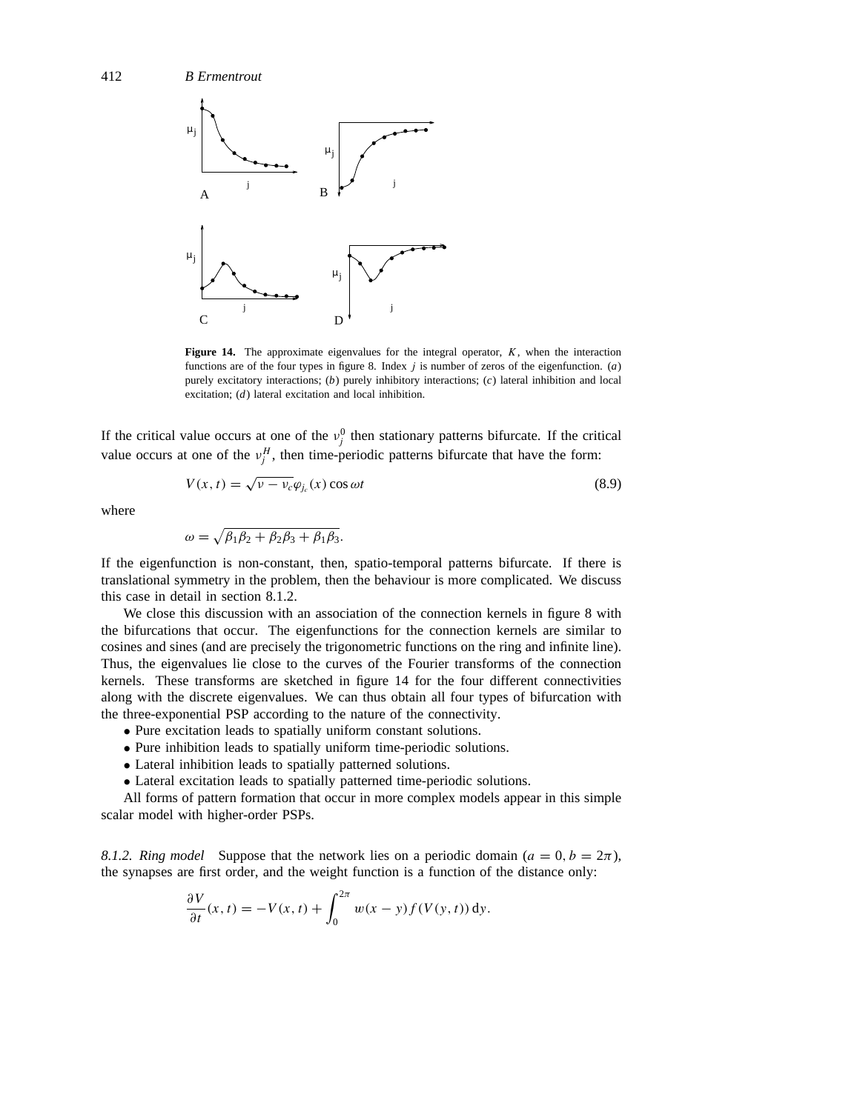

**Figure 14.** The approximate eigenvalues for the integral operator, *K*, when the interaction functions are of the four types in figure 8. Index *j* is number of zeros of the eigenfunction. (*a*) purely excitatory interactions; (*b*) purely inhibitory interactions; (*c*) lateral inhibition and local excitation; (*d*) lateral excitation and local inhibition.

If the critical value occurs at one of the  $v_j^0$  then stationary patterns bifurcate. If the critical value occurs at one of the  $v_j^H$ , then time-periodic patterns bifurcate that have the form:

$$
V(x, t) = \sqrt{\nu - \nu_c} \varphi_{j_c}(x) \cos \omega t
$$
\n(8.9)

where

$$
\omega = \sqrt{\beta_1 \beta_2 + \beta_2 \beta_3 + \beta_1 \beta_3}.
$$

If the eigenfunction is non-constant, then, spatio-temporal patterns bifurcate. If there is translational symmetry in the problem, then the behaviour is more complicated. We discuss this case in detail in section 8.1.2.

We close this discussion with an association of the connection kernels in figure 8 with the bifurcations that occur. The eigenfunctions for the connection kernels are similar to cosines and sines (and are precisely the trigonometric functions on the ring and infinite line). Thus, the eigenvalues lie close to the curves of the Fourier transforms of the connection kernels. These transforms are sketched in figure 14 for the four different connectivities along with the discrete eigenvalues. We can thus obtain all four types of bifurcation with the three-exponential PSP according to the nature of the connectivity.

- Pure excitation leads to spatially uniform constant solutions.
- Pure inhibition leads to spatially uniform time-periodic solutions.
- Lateral inhibition leads to spatially patterned solutions.
- Lateral excitation leads to spatially patterned time-periodic solutions.

All forms of pattern formation that occur in more complex models appear in this simple scalar model with higher-order PSPs.

*8.1.2. Ring model* Suppose that the network lies on a periodic domain  $(a = 0, b = 2\pi)$ , the synapses are first order, and the weight function is a function of the distance only:

$$
\frac{\partial V}{\partial t}(x,t) = -V(x,t) + \int_0^{2\pi} w(x-y) f(V(y,t)) \, dy.
$$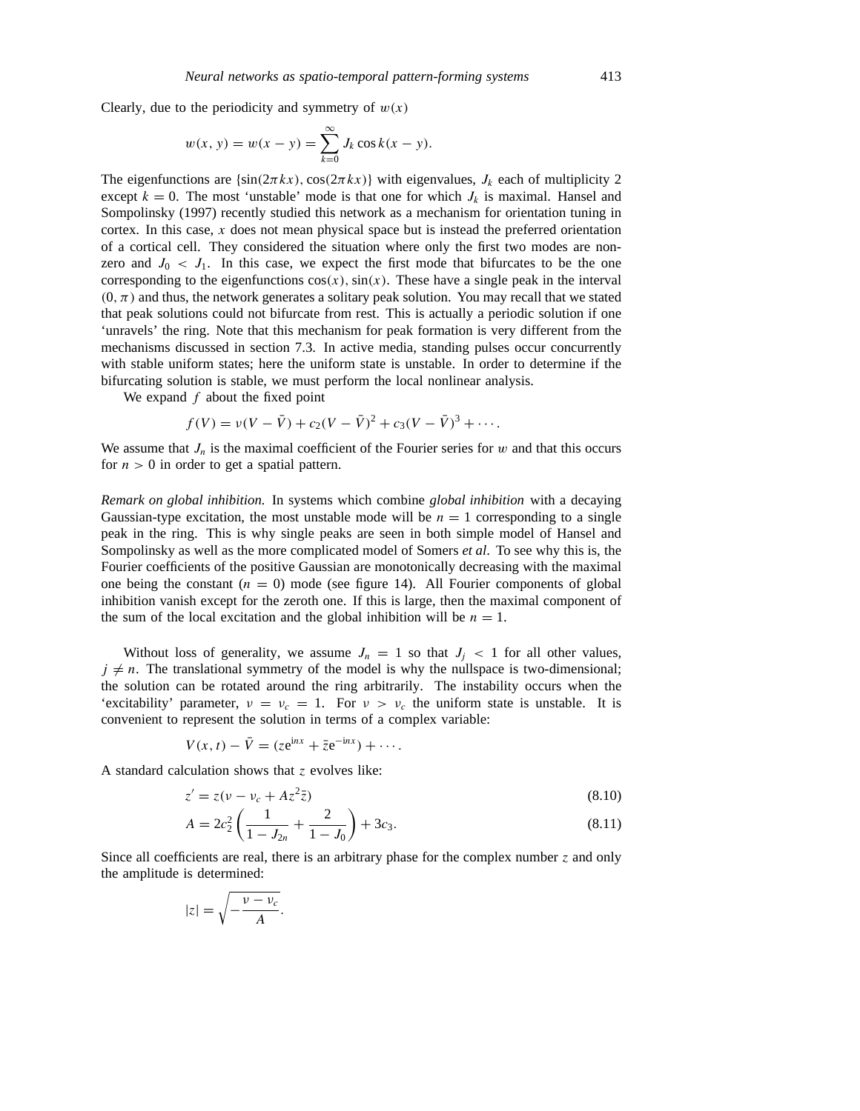Clearly, due to the periodicity and symmetry of  $w(x)$ 

$$
w(x, y) = w(x - y) = \sum_{k=0}^{\infty} J_k \cos k(x - y).
$$

The eigenfunctions are  $\{\sin(2\pi kx), \cos(2\pi kx)\}\$  with eigenvalues,  $J_k$  each of multiplicity 2 except  $k = 0$ . The most 'unstable' mode is that one for which  $J_k$  is maximal. Hansel and Sompolinsky (1997) recently studied this network as a mechanism for orientation tuning in cortex. In this case, *x* does not mean physical space but is instead the preferred orientation of a cortical cell. They considered the situation where only the first two modes are nonzero and  $J_0 < J_1$ . In this case, we expect the first mode that bifurcates to be the one corresponding to the eigenfunctions  $cos(x)$ ,  $sin(x)$ . These have a single peak in the interval  $(0, \pi)$  and thus, the network generates a solitary peak solution. You may recall that we stated that peak solutions could not bifurcate from rest. This is actually a periodic solution if one 'unravels' the ring. Note that this mechanism for peak formation is very different from the mechanisms discussed in section 7.3. In active media, standing pulses occur concurrently with stable uniform states; here the uniform state is unstable. In order to determine if the bifurcating solution is stable, we must perform the local nonlinear analysis.

We expand *f* about the fixed point

$$
f(V) = v(V - \bar{V}) + c_2(V - \bar{V})^2 + c_3(V - \bar{V})^3 + \cdots
$$

We assume that  $J_n$  is the maximal coefficient of the Fourier series for *w* and that this occurs for  $n > 0$  in order to get a spatial pattern.

*Remark on global inhibition.* In systems which combine *global inhibition* with a decaying Gaussian-type excitation, the most unstable mode will be  $n = 1$  corresponding to a single peak in the ring. This is why single peaks are seen in both simple model of Hansel and Sompolinsky as well as the more complicated model of Somers *et al*. To see why this is, the Fourier coefficients of the positive Gaussian are monotonically decreasing with the maximal one being the constant  $(n = 0)$  mode (see figure 14). All Fourier components of global inhibition vanish except for the zeroth one. If this is large, then the maximal component of the sum of the local excitation and the global inhibition will be  $n = 1$ .

Without loss of generality, we assume  $J_n = 1$  so that  $J_j < 1$  for all other values,  $j \neq n$ . The translational symmetry of the model is why the nullspace is two-dimensional; the solution can be rotated around the ring arbitrarily. The instability occurs when the 'excitability' parameter,  $v = v_c = 1$ . For  $v > v_c$  the uniform state is unstable. It is convenient to represent the solution in terms of a complex variable:

$$
V(x, t) - \overline{V} = (ze^{inx} + \overline{z}e^{-inx}) + \cdots
$$

A standard calculation shows that *z* evolves like:

$$
z' = z(\nu - \nu_c + Az^2 \bar{z})
$$
\n(8.10)

$$
A = 2c_2^2 \left( \frac{1}{1 - J_{2n}} + \frac{2}{1 - J_0} \right) + 3c_3.
$$
 (8.11)

Since all coefficients are real, there is an arbitrary phase for the complex number *z* and only the amplitude is determined:

$$
|z| = \sqrt{-\frac{v - v_c}{A}}.
$$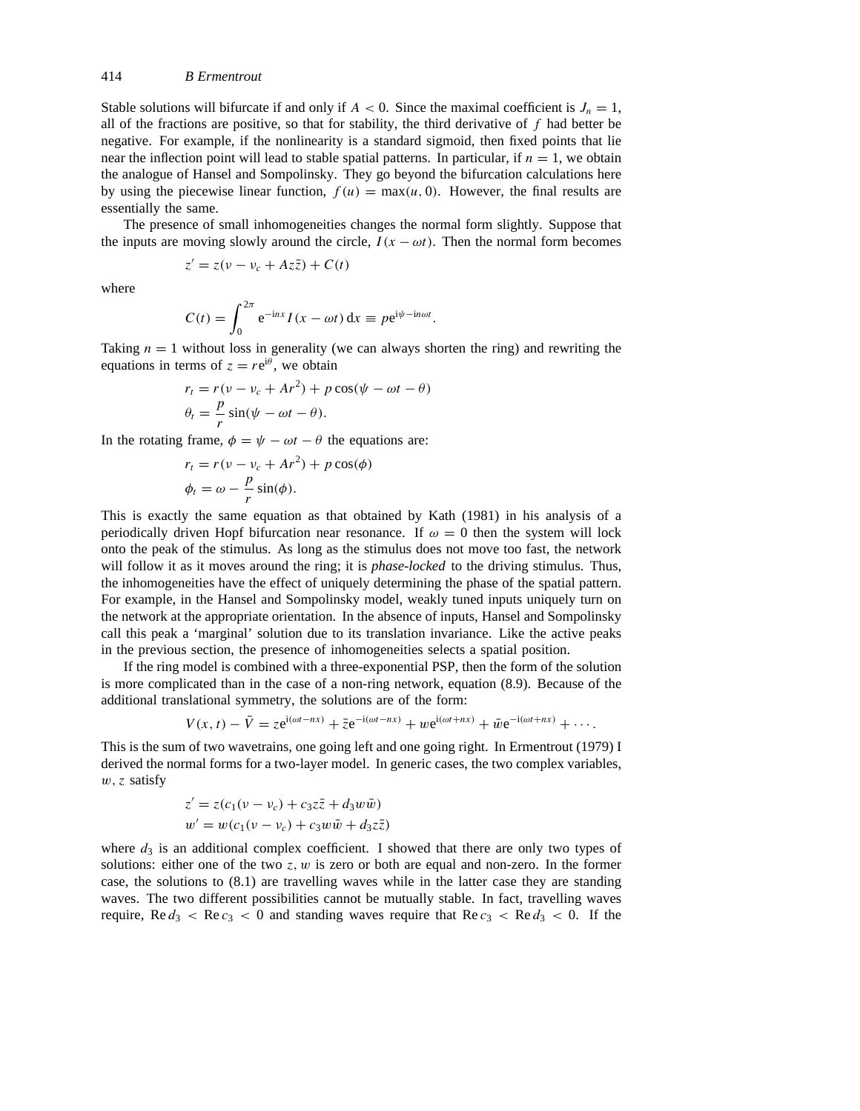Stable solutions will bifurcate if and only if  $A < 0$ . Since the maximal coefficient is  $J_n = 1$ , all of the fractions are positive, so that for stability, the third derivative of *f* had better be negative. For example, if the nonlinearity is a standard sigmoid, then fixed points that lie near the inflection point will lead to stable spatial patterns. In particular, if  $n = 1$ , we obtain the analogue of Hansel and Sompolinsky. They go beyond the bifurcation calculations here by using the piecewise linear function,  $f(u) = \max(u, 0)$ . However, the final results are essentially the same.

The presence of small inhomogeneities changes the normal form slightly. Suppose that the inputs are moving slowly around the circle,  $I(x - \omega t)$ . Then the normal form becomes

$$
z' = z(\nu - \nu_c + Az\bar{z}) + C(t)
$$

where

$$
C(t) = \int_0^{2\pi} e^{-inx} I(x - \omega t) dx \equiv p e^{i\psi - in\omega t}.
$$

Taking  $n = 1$  without loss in generality (we can always shorten the ring) and rewriting the equations in terms of  $z = re^{i\theta}$ , we obtain

$$
r_t = r(\nu - \nu_c + Ar^2) + p\cos(\psi - \omega t - \theta)
$$

$$
\theta_t = \frac{p}{r}\sin(\psi - \omega t - \theta).
$$

In the rotating frame,  $\phi = \psi - \omega t - \theta$  the equations are:

$$
r_t = r(v - v_c + Ar^2) + p \cos(\phi)
$$
  

$$
\phi_t = \omega - \frac{p}{r} \sin(\phi).
$$

This is exactly the same equation as that obtained by Kath (1981) in his analysis of a periodically driven Hopf bifurcation near resonance. If  $\omega = 0$  then the system will lock onto the peak of the stimulus. As long as the stimulus does not move too fast, the network will follow it as it moves around the ring; it is *phase-locked* to the driving stimulus. Thus, the inhomogeneities have the effect of uniquely determining the phase of the spatial pattern. For example, in the Hansel and Sompolinsky model, weakly tuned inputs uniquely turn on the network at the appropriate orientation. In the absence of inputs, Hansel and Sompolinsky call this peak a 'marginal' solution due to its translation invariance. Like the active peaks in the previous section, the presence of inhomogeneities selects a spatial position.

If the ring model is combined with a three-exponential PSP, then the form of the solution is more complicated than in the case of a non-ring network, equation (8.9). Because of the additional translational symmetry, the solutions are of the form:

$$
V(x, t) - \bar{V} = ze^{i(\omega t - nx)} + \bar{z}e^{-i(\omega t - nx)} + we^{i(\omega t + nx)} + \bar{w}e^{-i(\omega t + nx)} + \cdots
$$

This is the sum of two wavetrains, one going left and one going right. In Ermentrout (1979) I derived the normal forms for a two-layer model. In generic cases, the two complex variables, *w, z* satisfy

$$
z' = z(c_1(v - v_c) + c_3z\overline{z} + d_3w\overline{w})
$$
  

$$
w' = w(c_1(v - v_c) + c_3w\overline{w} + d_3z\overline{z})
$$

where  $d_3$  is an additional complex coefficient. I showed that there are only two types of solutions: either one of the two *z, w* is zero or both are equal and non-zero. In the former case, the solutions to (8.1) are travelling waves while in the latter case they are standing waves. The two different possibilities cannot be mutually stable. In fact, travelling waves require,  $\text{Re } d_3 < \text{Re } c_3 < 0$  and standing waves require that  $\text{Re } c_3 < \text{Re } d_3 < 0$ . If the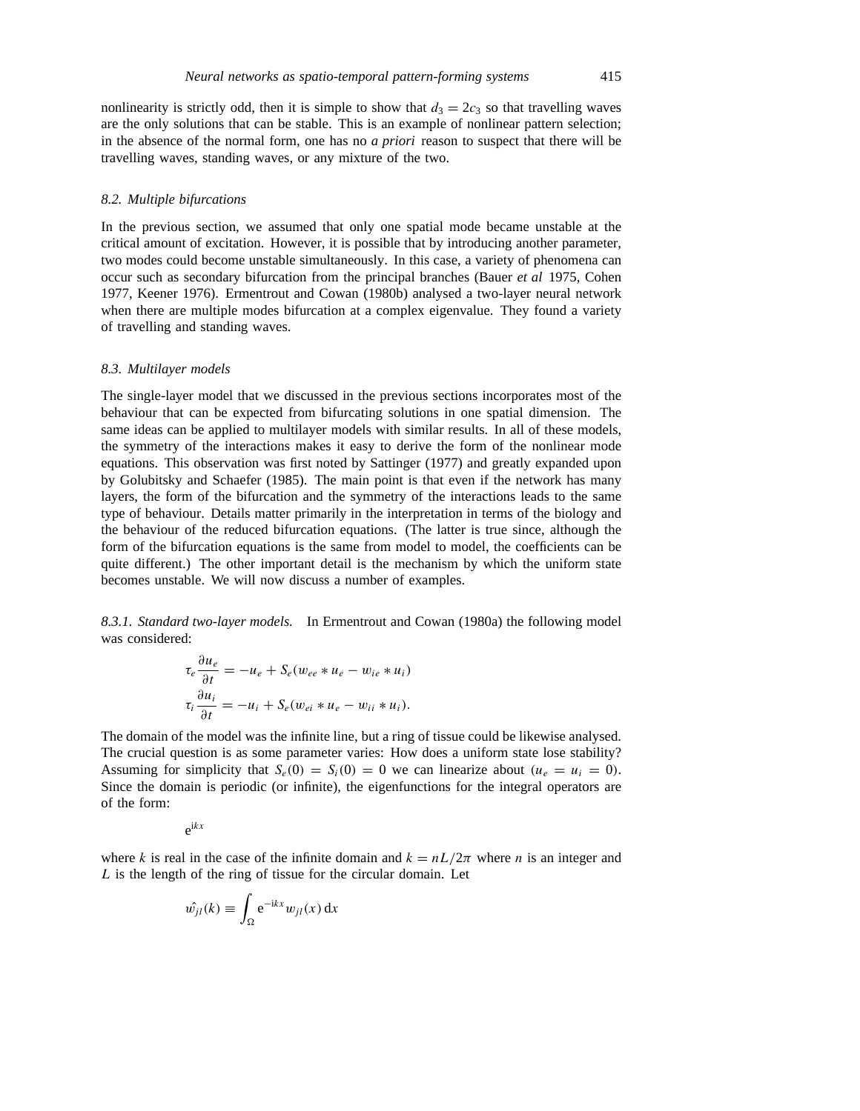nonlinearity is strictly odd, then it is simple to show that  $d_3 = 2c_3$  so that travelling waves are the only solutions that can be stable. This is an example of nonlinear pattern selection; in the absence of the normal form, one has no *a priori* reason to suspect that there will be travelling waves, standing waves, or any mixture of the two.

#### *8.2. Multiple bifurcations*

In the previous section, we assumed that only one spatial mode became unstable at the critical amount of excitation. However, it is possible that by introducing another parameter, two modes could become unstable simultaneously. In this case, a variety of phenomena can occur such as secondary bifurcation from the principal branches (Bauer *et al* 1975, Cohen 1977, Keener 1976). Ermentrout and Cowan (1980b) analysed a two-layer neural network when there are multiple modes bifurcation at a complex eigenvalue. They found a variety of travelling and standing waves.

#### *8.3. Multilayer models*

The single-layer model that we discussed in the previous sections incorporates most of the behaviour that can be expected from bifurcating solutions in one spatial dimension. The same ideas can be applied to multilayer models with similar results. In all of these models, the symmetry of the interactions makes it easy to derive the form of the nonlinear mode equations. This observation was first noted by Sattinger (1977) and greatly expanded upon by Golubitsky and Schaefer (1985). The main point is that even if the network has many layers, the form of the bifurcation and the symmetry of the interactions leads to the same type of behaviour. Details matter primarily in the interpretation in terms of the biology and the behaviour of the reduced bifurcation equations. (The latter is true since, although the form of the bifurcation equations is the same from model to model, the coefficients can be quite different.) The other important detail is the mechanism by which the uniform state becomes unstable. We will now discuss a number of examples.

*8.3.1. Standard two-layer models.* In Ermentrout and Cowan (1980a) the following model was considered:

$$
\tau_e \frac{\partial u_e}{\partial t} = -u_e + S_e (w_{ee} * u_e - w_{ie} * u_i)
$$
  

$$
\tau_i \frac{\partial u_i}{\partial t} = -u_i + S_e (w_{ei} * u_e - w_{ii} * u_i).
$$

The domain of the model was the infinite line, but a ring of tissue could be likewise analysed. The crucial question is as some parameter varies: How does a uniform state lose stability? Assuming for simplicity that  $S_e(0) = S_i(0) = 0$  we can linearize about  $(u_e = u_i = 0)$ . Since the domain is periodic (or infinite), the eigenfunctions for the integral operators are of the form:

$$
e^{ikx}
$$

where *k* is real in the case of the infinite domain and  $k = nL/2\pi$  where *n* is an integer and *L* is the length of the ring of tissue for the circular domain. Let

$$
\hat{w_{jl}}(k) \equiv \int_{\Omega} e^{-ikx} w_{jl}(x) dx
$$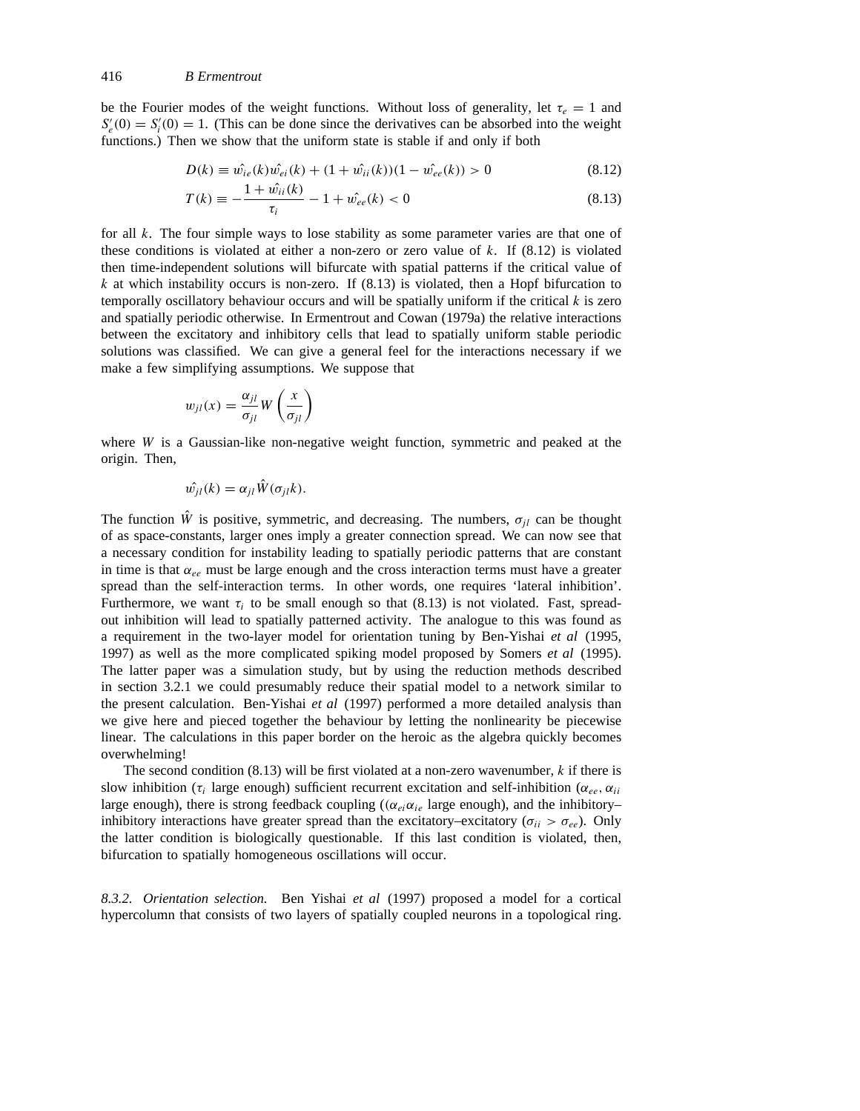be the Fourier modes of the weight functions. Without loss of generality, let  $\tau_e = 1$  and  $S_e'(0) = S_i'(0) = 1$ . (This can be done since the derivatives can be absorbed into the weight functions.) Then we show that the uniform state is stable if and only if both

$$
D(k) \equiv \hat{w_{ie}}(k)\hat{w_{ei}}(k) + (1 + \hat{w_{ii}}(k))(1 - \hat{w_{ee}}(k)) > 0
$$
\n(8.12)

$$
T(k) \equiv -\frac{1 + \hat{w_{ii}}(k)}{\tau_i} - 1 + \hat{w_{ee}}(k) < 0 \tag{8.13}
$$

for all *k*. The four simple ways to lose stability as some parameter varies are that one of these conditions is violated at either a non-zero or zero value of *k*. If (8.12) is violated then time-independent solutions will bifurcate with spatial patterns if the critical value of  $k$  at which instability occurs is non-zero. If  $(8.13)$  is violated, then a Hopf bifurcation to temporally oscillatory behaviour occurs and will be spatially uniform if the critical *k* is zero and spatially periodic otherwise. In Ermentrout and Cowan (1979a) the relative interactions between the excitatory and inhibitory cells that lead to spatially uniform stable periodic solutions was classified. We can give a general feel for the interactions necessary if we make a few simplifying assumptions. We suppose that

$$
w_{jl}(x) = \frac{\alpha_{jl}}{\sigma_{jl}} W\left(\frac{x}{\sigma_{jl}}\right)
$$

where *W* is a Gaussian-like non-negative weight function, symmetric and peaked at the origin. Then,

$$
\hat{w_{jl}}(k) = \alpha_{jl} \hat{W}(\sigma_{jl} k).
$$

The function  $\hat{W}$  is positive, symmetric, and decreasing. The numbers,  $\sigma_{il}$  can be thought of as space-constants, larger ones imply a greater connection spread. We can now see that a necessary condition for instability leading to spatially periodic patterns that are constant in time is that  $\alpha_{ee}$  must be large enough and the cross interaction terms must have a greater spread than the self-interaction terms. In other words, one requires 'lateral inhibition'. Furthermore, we want  $\tau_i$  to be small enough so that  $(8.13)$  is not violated. Fast, spreadout inhibition will lead to spatially patterned activity. The analogue to this was found as a requirement in the two-layer model for orientation tuning by Ben-Yishai *et al* (1995, 1997) as well as the more complicated spiking model proposed by Somers *et al* (1995). The latter paper was a simulation study, but by using the reduction methods described in section 3.2.1 we could presumably reduce their spatial model to a network similar to the present calculation. Ben-Yishai *et al* (1997) performed a more detailed analysis than we give here and pieced together the behaviour by letting the nonlinearity be piecewise linear. The calculations in this paper border on the heroic as the algebra quickly becomes overwhelming!

The second condition (8.13) will be first violated at a non-zero wavenumber, *k* if there is slow inhibition ( $\tau_i$  large enough) sufficient recurrent excitation and self-inhibition ( $\alpha_{ee}, \alpha_{ii}$ ) large enough), there is strong feedback coupling (( $α<sub>ei</sub>α<sub>ie</sub>$  large enough), and the inhibitory– inhibitory interactions have greater spread than the excitatory–excitatory ( $\sigma_{ii} > \sigma_{ee}$ ). Only the latter condition is biologically questionable. If this last condition is violated, then, bifurcation to spatially homogeneous oscillations will occur.

*8.3.2. Orientation selection.* Ben Yishai *et al* (1997) proposed a model for a cortical hypercolumn that consists of two layers of spatially coupled neurons in a topological ring.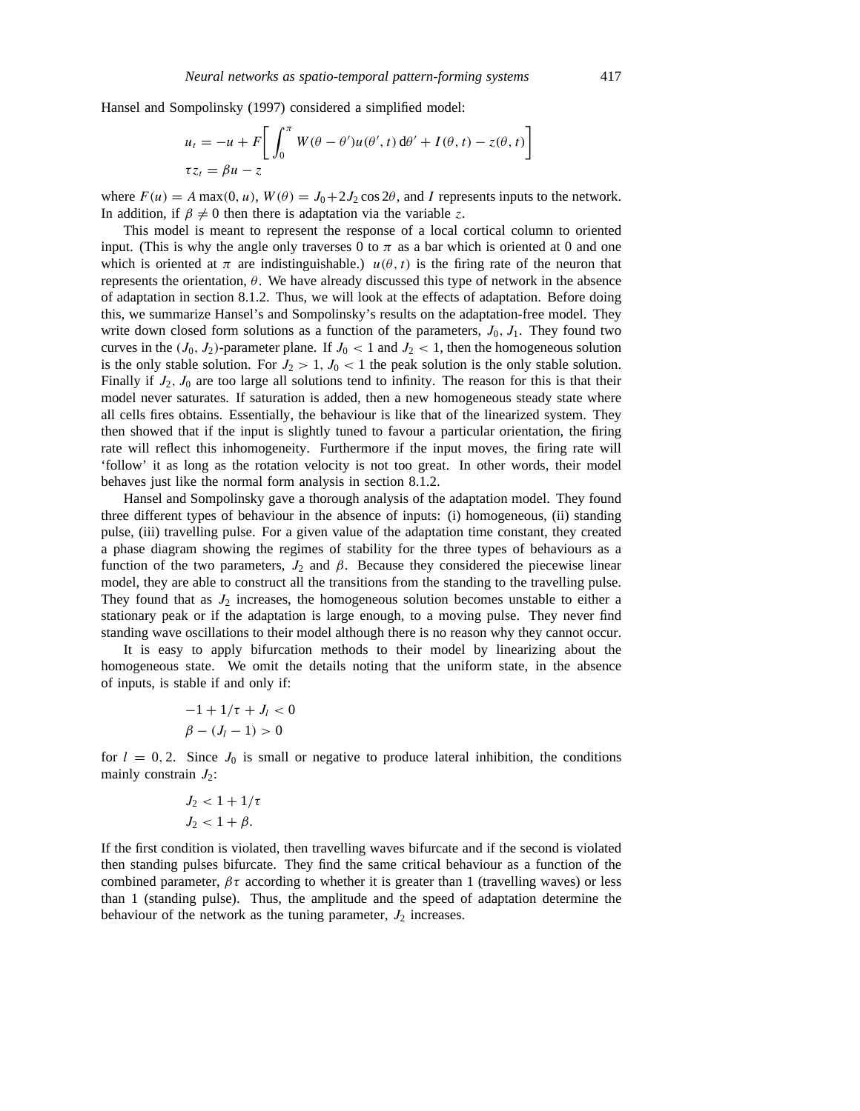Hansel and Sompolinsky (1997) considered a simplified model:

$$
u_t = -u + F \left[ \int_0^{\pi} W(\theta - \theta') u(\theta', t) d\theta' + I(\theta, t) - z(\theta, t) \right]
$$
  

$$
\tau z_t = \beta u - z
$$

where  $F(u) = A \max(0, u)$ ,  $W(\theta) = J_0 + 2J_2 \cos 2\theta$ , and *I* represents inputs to the network. In addition, if  $\beta \neq 0$  then there is adaptation via the variable *z*.

This model is meant to represent the response of a local cortical column to oriented input. (This is why the angle only traverses 0 to  $\pi$  as a bar which is oriented at 0 and one which is oriented at  $\pi$  are indistinguishable.)  $u(\theta, t)$  is the firing rate of the neuron that represents the orientation, *θ*. We have already discussed this type of network in the absence of adaptation in section 8.1.2. Thus, we will look at the effects of adaptation. Before doing this, we summarize Hansel's and Sompolinsky's results on the adaptation-free model. They write down closed form solutions as a function of the parameters,  $J_0$ ,  $J_1$ . They found two curves in the  $(J_0, J_2)$ -parameter plane. If  $J_0 < 1$  and  $J_2 < 1$ , then the homogeneous solution is the only stable solution. For  $J_2 > 1$ ,  $J_0 < 1$  the peak solution is the only stable solution. Finally if  $J_2$ ,  $J_0$  are too large all solutions tend to infinity. The reason for this is that their model never saturates. If saturation is added, then a new homogeneous steady state where all cells fires obtains. Essentially, the behaviour is like that of the linearized system. They then showed that if the input is slightly tuned to favour a particular orientation, the firing rate will reflect this inhomogeneity. Furthermore if the input moves, the firing rate will 'follow' it as long as the rotation velocity is not too great. In other words, their model behaves just like the normal form analysis in section 8.1.2.

Hansel and Sompolinsky gave a thorough analysis of the adaptation model. They found three different types of behaviour in the absence of inputs: (i) homogeneous, (ii) standing pulse, (iii) travelling pulse. For a given value of the adaptation time constant, they created a phase diagram showing the regimes of stability for the three types of behaviours as a function of the two parameters,  $J_2$  and  $\beta$ . Because they considered the piecewise linear model, they are able to construct all the transitions from the standing to the travelling pulse. They found that as  $J_2$  increases, the homogeneous solution becomes unstable to either a stationary peak or if the adaptation is large enough, to a moving pulse. They never find standing wave oscillations to their model although there is no reason why they cannot occur.

It is easy to apply bifurcation methods to their model by linearizing about the homogeneous state. We omit the details noting that the uniform state, in the absence of inputs, is stable if and only if:

$$
-1 + 1/\tau + J_l < 0
$$
\n
$$
\beta - (J_l - 1) > 0
$$

for  $l = 0, 2$ . Since  $J_0$  is small or negative to produce lateral inhibition, the conditions mainly constrain  $J_2$ :

$$
J_2 < 1 + 1/\tau
$$
\n
$$
J_2 < 1 + \beta.
$$

If the first condition is violated, then travelling waves bifurcate and if the second is violated then standing pulses bifurcate. They find the same critical behaviour as a function of the combined parameter, *βτ* according to whether it is greater than 1 (travelling waves) or less than 1 (standing pulse). Thus, the amplitude and the speed of adaptation determine the behaviour of the network as the tuning parameter,  $J_2$  increases.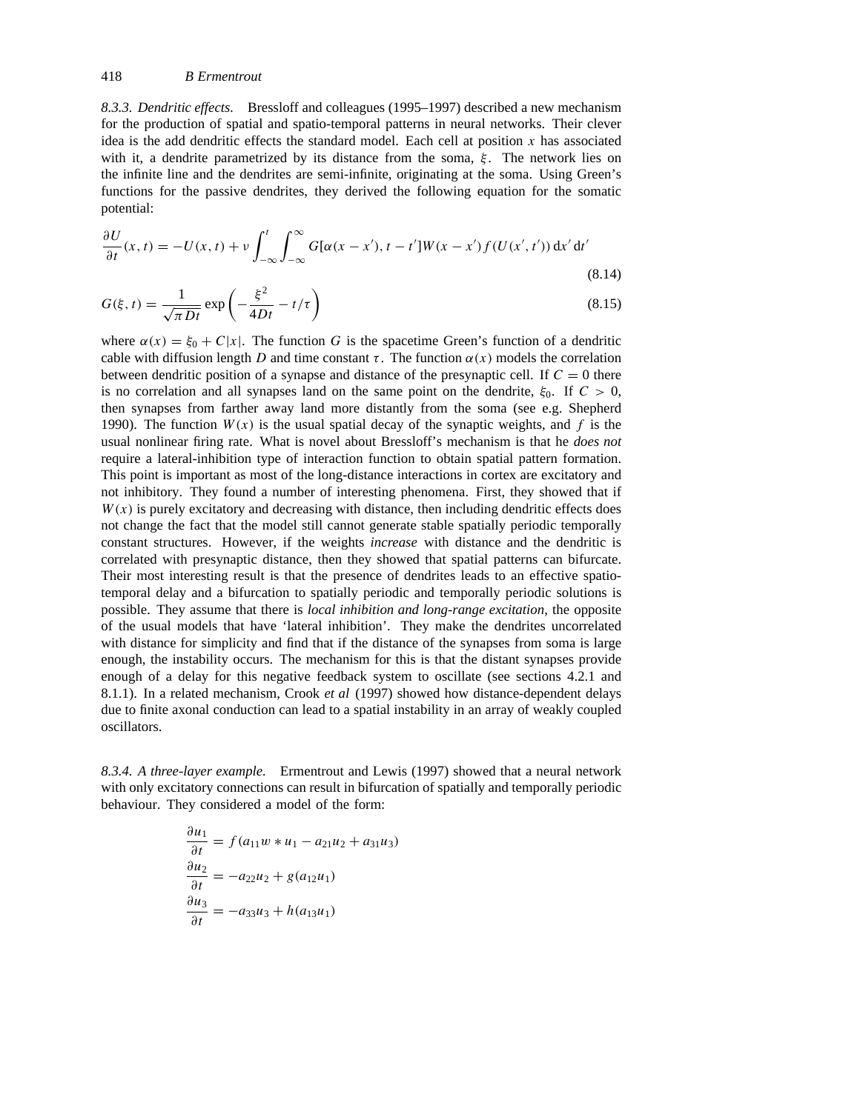## 418 *B Ermentrout*

*8.3.3. Dendritic effects.* Bressloff and colleagues (1995–1997) described a new mechanism for the production of spatial and spatio-temporal patterns in neural networks. Their clever idea is the add dendritic effects the standard model. Each cell at position *x* has associated with it, a dendrite parametrized by its distance from the soma, *ξ* . The network lies on the infinite line and the dendrites are semi-infinite, originating at the soma. Using Green's functions for the passive dendrites, they derived the following equation for the somatic potential:

$$
\frac{\partial U}{\partial t}(x,t) = -U(x,t) + \nu \int_{-\infty}^{t} \int_{-\infty}^{\infty} G[\alpha(x-x'),t-t']W(x-x')f(U(x',t')) dx'dt'
$$
\n(8.14)

$$
G(\xi, t) = \frac{1}{\sqrt{\pi Dt}} \exp\left(-\frac{\xi^2}{4Dt} - t/\tau\right)
$$
\n(8.15)

where  $\alpha(x) = \xi_0 + C|x|$ . The function *G* is the spacetime Green's function of a dendritic cable with diffusion length *D* and time constant  $\tau$ . The function  $\alpha(x)$  models the correlation between dendritic position of a synapse and distance of the presynaptic cell. If  $C = 0$  there is no correlation and all synapses land on the same point on the dendrite,  $\xi_0$ . If  $C > 0$ , then synapses from farther away land more distantly from the soma (see e.g. Shepherd 1990). The function  $W(x)$  is the usual spatial decay of the synaptic weights, and f is the usual nonlinear firing rate. What is novel about Bressloff's mechanism is that he *does not* require a lateral-inhibition type of interaction function to obtain spatial pattern formation. This point is important as most of the long-distance interactions in cortex are excitatory and not inhibitory. They found a number of interesting phenomena. First, they showed that if  $W(x)$  is purely excitatory and decreasing with distance, then including dendritic effects does not change the fact that the model still cannot generate stable spatially periodic temporally constant structures. However, if the weights *increase* with distance and the dendritic is correlated with presynaptic distance, then they showed that spatial patterns can bifurcate. Their most interesting result is that the presence of dendrites leads to an effective spatiotemporal delay and a bifurcation to spatially periodic and temporally periodic solutions is possible. They assume that there is *local inhibition and long-range excitation*, the opposite of the usual models that have 'lateral inhibition'. They make the dendrites uncorrelated with distance for simplicity and find that if the distance of the synapses from soma is large enough, the instability occurs. The mechanism for this is that the distant synapses provide enough of a delay for this negative feedback system to oscillate (see sections 4.2.1 and 8.1.1). In a related mechanism, Crook *et al* (1997) showed how distance-dependent delays due to finite axonal conduction can lead to a spatial instability in an array of weakly coupled oscillators.

*8.3.4. A three-layer example.* Ermentrout and Lewis (1997) showed that a neural network with only excitatory connections can result in bifurcation of spatially and temporally periodic behaviour. They considered a model of the form:

$$
\frac{\partial u_1}{\partial t} = f(a_{11}w * u_1 - a_{21}u_2 + a_{31}u_3)
$$
  
\n
$$
\frac{\partial u_2}{\partial t} = -a_{22}u_2 + g(a_{12}u_1)
$$
  
\n
$$
\frac{\partial u_3}{\partial t} = -a_{33}u_3 + h(a_{13}u_1)
$$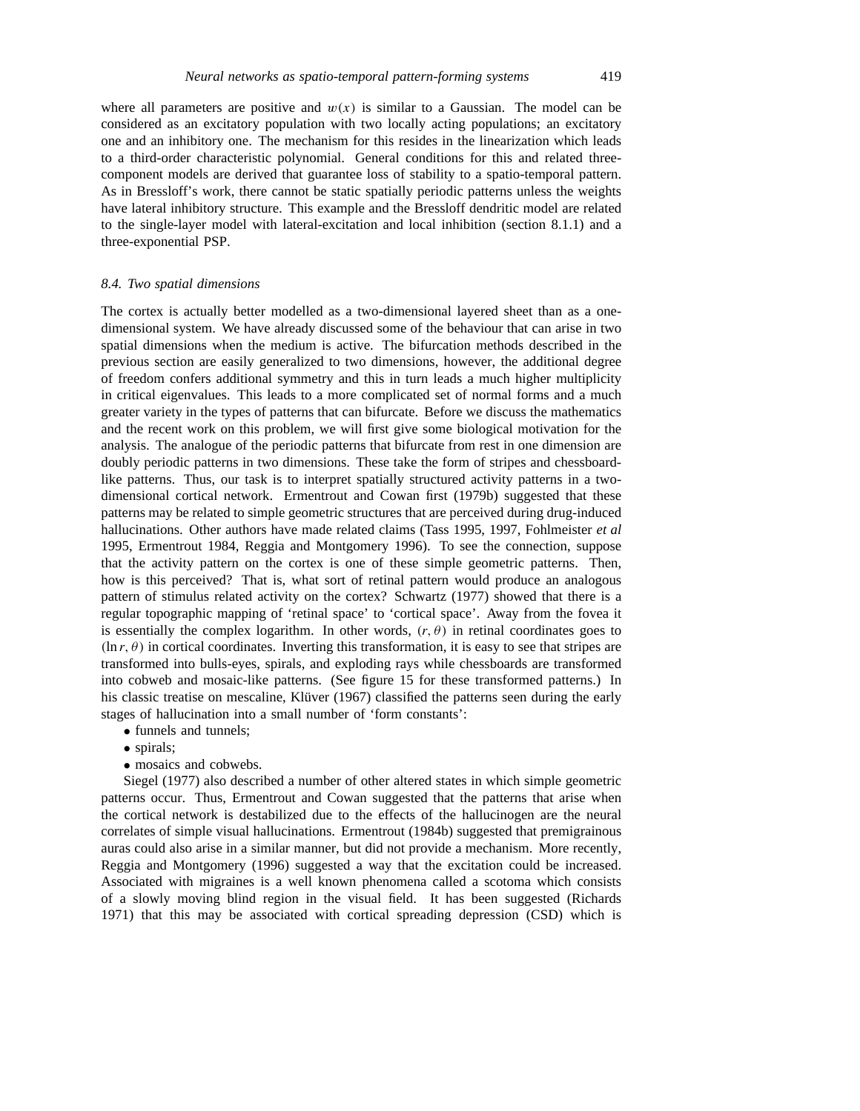where all parameters are positive and  $w(x)$  is similar to a Gaussian. The model can be considered as an excitatory population with two locally acting populations; an excitatory one and an inhibitory one. The mechanism for this resides in the linearization which leads to a third-order characteristic polynomial. General conditions for this and related threecomponent models are derived that guarantee loss of stability to a spatio-temporal pattern. As in Bressloff's work, there cannot be static spatially periodic patterns unless the weights have lateral inhibitory structure. This example and the Bressloff dendritic model are related to the single-layer model with lateral-excitation and local inhibition (section 8.1.1) and a three-exponential PSP.

#### *8.4. Two spatial dimensions*

The cortex is actually better modelled as a two-dimensional layered sheet than as a onedimensional system. We have already discussed some of the behaviour that can arise in two spatial dimensions when the medium is active. The bifurcation methods described in the previous section are easily generalized to two dimensions, however, the additional degree of freedom confers additional symmetry and this in turn leads a much higher multiplicity in critical eigenvalues. This leads to a more complicated set of normal forms and a much greater variety in the types of patterns that can bifurcate. Before we discuss the mathematics and the recent work on this problem, we will first give some biological motivation for the analysis. The analogue of the periodic patterns that bifurcate from rest in one dimension are doubly periodic patterns in two dimensions. These take the form of stripes and chessboardlike patterns. Thus, our task is to interpret spatially structured activity patterns in a twodimensional cortical network. Ermentrout and Cowan first (1979b) suggested that these patterns may be related to simple geometric structures that are perceived during drug-induced hallucinations. Other authors have made related claims (Tass 1995, 1997, Fohlmeister *et al* 1995, Ermentrout 1984, Reggia and Montgomery 1996). To see the connection, suppose that the activity pattern on the cortex is one of these simple geometric patterns. Then, how is this perceived? That is, what sort of retinal pattern would produce an analogous pattern of stimulus related activity on the cortex? Schwartz (1977) showed that there is a regular topographic mapping of 'retinal space' to 'cortical space'. Away from the fovea it is essentially the complex logarithm. In other words,  $(r, \theta)$  in retinal coordinates goes to  $(\ln r, \theta)$  in cortical coordinates. Inverting this transformation, it is easy to see that stripes are transformed into bulls-eyes, spirals, and exploding rays while chessboards are transformed into cobweb and mosaic-like patterns. (See figure 15 for these transformed patterns.) In his classic treatise on mescaline, Klüver  $(1967)$  classified the patterns seen during the early stages of hallucination into a small number of 'form constants':

- funnels and tunnels;
- spirals;
- mosaics and cobwebs.

Siegel (1977) also described a number of other altered states in which simple geometric patterns occur. Thus, Ermentrout and Cowan suggested that the patterns that arise when the cortical network is destabilized due to the effects of the hallucinogen are the neural correlates of simple visual hallucinations. Ermentrout (1984b) suggested that premigrainous auras could also arise in a similar manner, but did not provide a mechanism. More recently, Reggia and Montgomery (1996) suggested a way that the excitation could be increased. Associated with migraines is a well known phenomena called a scotoma which consists of a slowly moving blind region in the visual field. It has been suggested (Richards 1971) that this may be associated with cortical spreading depression (CSD) which is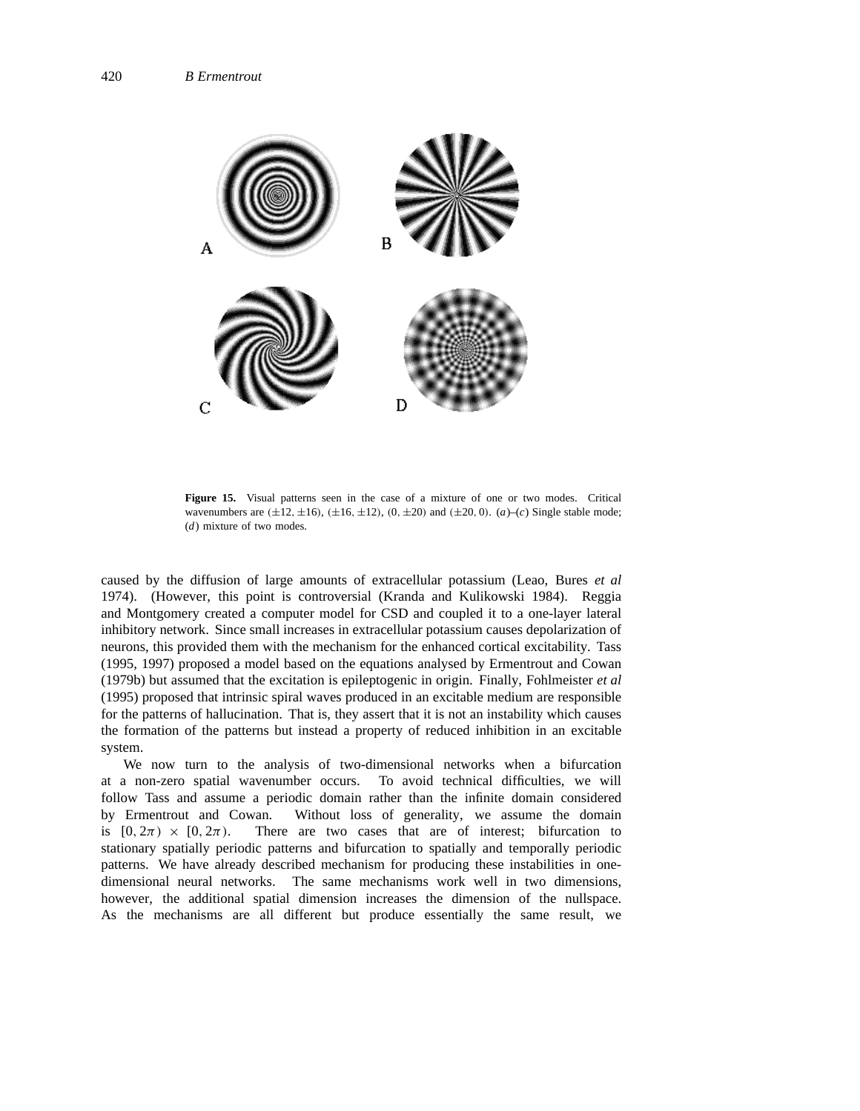

**Figure 15.** Visual patterns seen in the case of a mixture of one or two modes. Critical wavenumbers are  $(\pm 12, \pm 16)$ ,  $(\pm 16, \pm 12)$ ,  $(0, \pm 20)$  and  $(\pm 20, 0)$ .  $(a)$ – $(c)$  Single stable mode; (*d*) mixture of two modes.

caused by the diffusion of large amounts of extracellular potassium (Leao, Bures *et al* 1974). (However, this point is controversial (Kranda and Kulikowski 1984). Reggia and Montgomery created a computer model for CSD and coupled it to a one-layer lateral inhibitory network. Since small increases in extracellular potassium causes depolarization of neurons, this provided them with the mechanism for the enhanced cortical excitability. Tass (1995, 1997) proposed a model based on the equations analysed by Ermentrout and Cowan (1979b) but assumed that the excitation is epileptogenic in origin. Finally, Fohlmeister *et al* (1995) proposed that intrinsic spiral waves produced in an excitable medium are responsible for the patterns of hallucination. That is, they assert that it is not an instability which causes the formation of the patterns but instead a property of reduced inhibition in an excitable system.

We now turn to the analysis of two-dimensional networks when a bifurcation at a non-zero spatial wavenumber occurs. To avoid technical difficulties, we will follow Tass and assume a periodic domain rather than the infinite domain considered by Ermentrout and Cowan. Without loss of generality, we assume the domain is  $[0, 2\pi) \times [0, 2\pi)$ . There are two cases that are of interest; bifurcation to stationary spatially periodic patterns and bifurcation to spatially and temporally periodic patterns. We have already described mechanism for producing these instabilities in onedimensional neural networks. The same mechanisms work well in two dimensions, however, the additional spatial dimension increases the dimension of the nullspace. As the mechanisms are all different but produce essentially the same result, we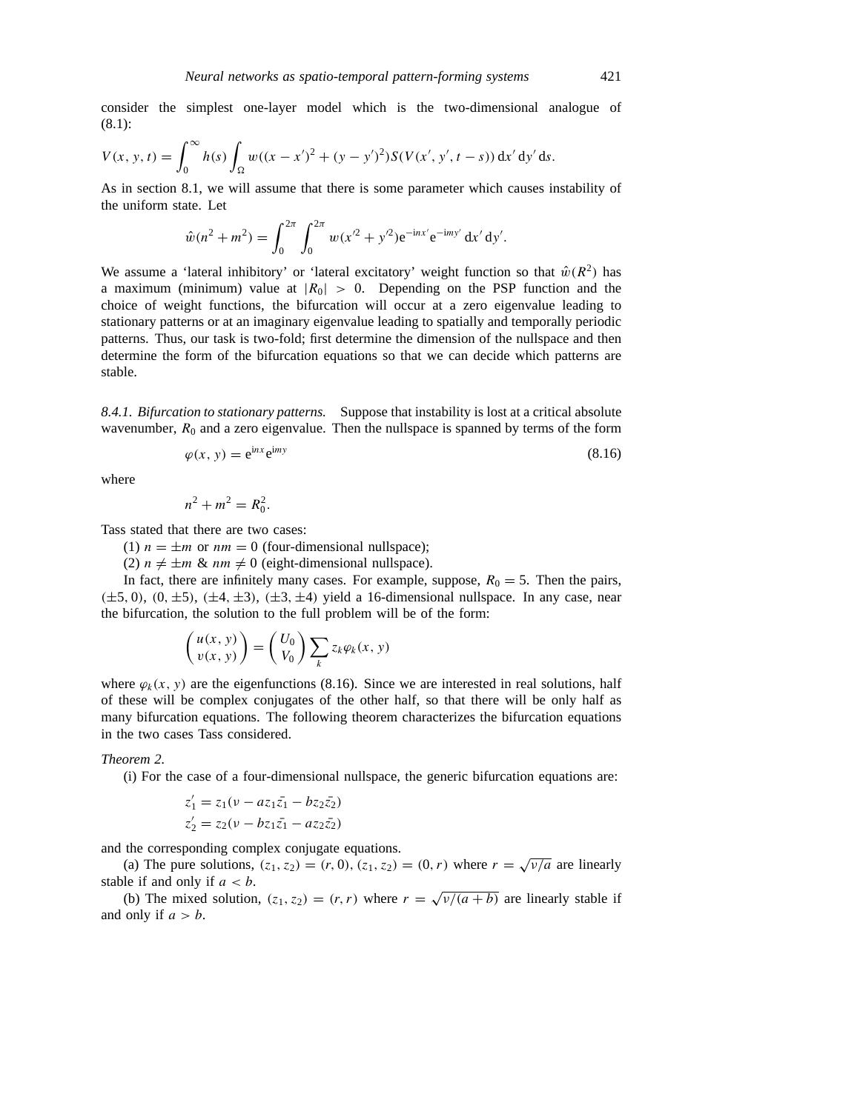consider the simplest one-layer model which is the two-dimensional analogue of (8.1):

$$
V(x, y, t) = \int_0^\infty h(s) \int_{\Omega} w((x - x')^2 + (y - y')^2) S(V(x', y', t - s)) \, dx' \, dy' \, ds.
$$

As in section 8.1, we will assume that there is some parameter which causes instability of the uniform state. Let

$$
\hat{w}(n^2 + m^2) = \int_0^{2\pi} \int_0^{2\pi} w(x'^2 + y'^2) e^{-inx'} e^{-imy'} dx' dy'.
$$

We assume a 'lateral inhibitory' or 'lateral excitatory' weight function so that  $\hat{w}(R^2)$  has a maximum (minimum) value at  $|R_0| > 0$ . Depending on the PSP function and the choice of weight functions, the bifurcation will occur at a zero eigenvalue leading to stationary patterns or at an imaginary eigenvalue leading to spatially and temporally periodic patterns. Thus, our task is two-fold; first determine the dimension of the nullspace and then determine the form of the bifurcation equations so that we can decide which patterns are stable.

*8.4.1. Bifurcation to stationary patterns.* Suppose that instability is lost at a critical absolute wavenumber,  $R_0$  and a zero eigenvalue. Then the nullspace is spanned by terms of the form

$$
\varphi(x, y) = e^{inx} e^{imy} \tag{8.16}
$$

where

$$
n^2 + m^2 = R_0^2.
$$

Tass stated that there are two cases:

(1)  $n = \pm m$  or  $nm = 0$  (four-dimensional nullspace);

(2)  $n \neq \pm m$  &  $nm \neq 0$  (eight-dimensional nullspace).

In fact, there are infinitely many cases. For example, suppose,  $R_0 = 5$ . Then the pairs, *(*±5*,* 0*)*, *(*0*,* ±5*)*, *(*±4*,* ±3*)*, *(*±3*,* ±4*)* yield a 16-dimensional nullspace. In any case, near the bifurcation, the solution to the full problem will be of the form:

$$
\begin{pmatrix} u(x, y) \\ v(x, y) \end{pmatrix} = \begin{pmatrix} U_0 \\ V_0 \end{pmatrix} \sum_k z_k \varphi_k(x, y)
$$

where  $\varphi_k(x, y)$  are the eigenfunctions (8.16). Since we are interested in real solutions, half of these will be complex conjugates of the other half, so that there will be only half as many bifurcation equations. The following theorem characterizes the bifurcation equations in the two cases Tass considered.

*Theorem 2.*

(i) For the case of a four-dimensional nullspace, the generic bifurcation equations are:

$$
z'_1 = z_1(v - az_1\bar{z_1} - bz_2\bar{z_2})
$$
  

$$
z'_2 = z_2(v - bz_1\bar{z_1} - az_2\bar{z_2})
$$

and the corresponding complex conjugate equations.

(a) The pure solutions,  $(z_1, z_2) = (r, 0), (z_1, z_2) = (0, r)$  where  $r = \sqrt{\nu/a}$  are linearly stable if and only if  $a < b$ .

(b) The mixed solution,  $(z_1, z_2) = (r, r)$  where  $r = \sqrt{\frac{v}{(a+b)}}$  are linearly stable if and only if  $a > b$ .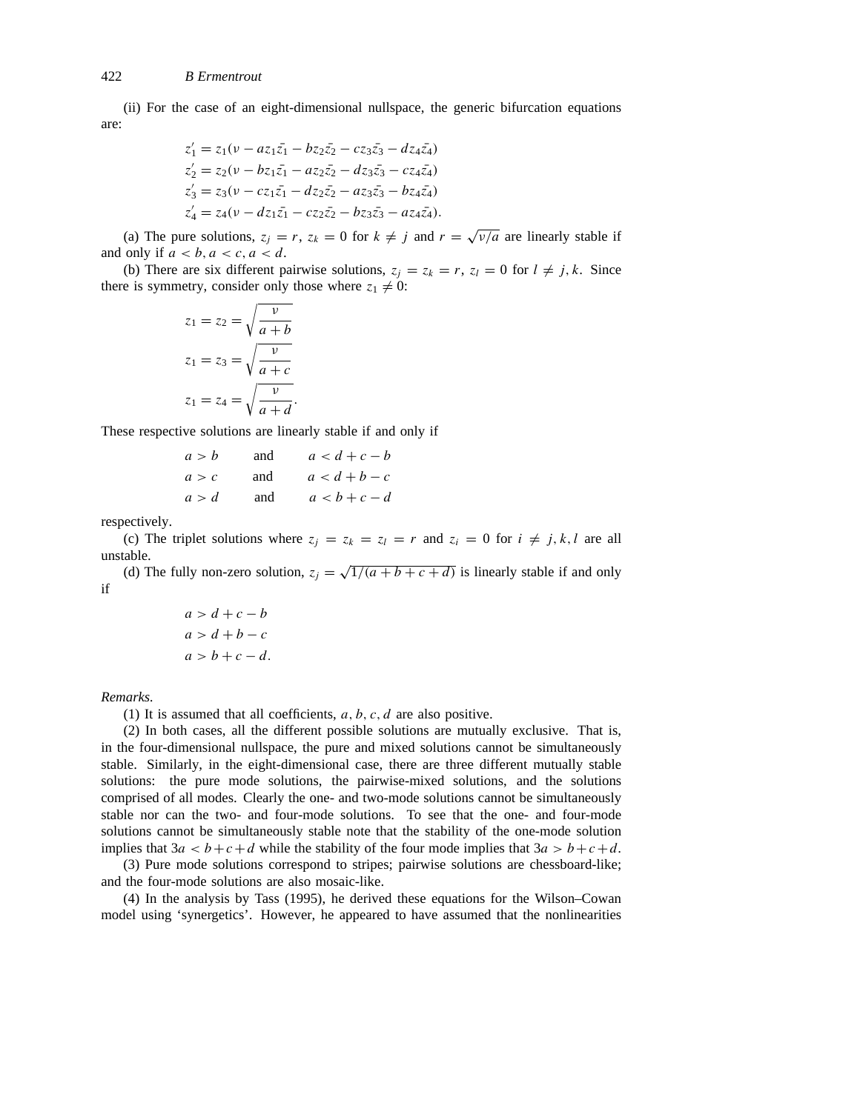(ii) For the case of an eight-dimensional nullspace, the generic bifurcation equations are:

$$
z'_1 = z_1(v - az_1\bar{z_1} - bz_2\bar{z_2} - cz_3\bar{z_3} - dz_4\bar{z_4})
$$
  
\n
$$
z'_2 = z_2(v - bz_1\bar{z_1} - az_2\bar{z_2} - dz_3\bar{z_3} - cz_4\bar{z_4})
$$
  
\n
$$
z'_3 = z_3(v - cz_1\bar{z_1} - dz_2\bar{z_2} - az_3\bar{z_3} - bz_4\bar{z_4})
$$
  
\n
$$
z'_4 = z_4(v - dz_1\bar{z_1} - cz_2\bar{z_2} - bz_3\bar{z_3} - az_4\bar{z_4}).
$$

(a) The pure solutions,  $z_j = r$ ,  $z_k = 0$  for  $k \neq j$  and  $r = \sqrt{\frac{v}{a}}$  are linearly stable if and only if  $a < b$ ,  $a < c$ ,  $a < d$ .

(b) There are six different pairwise solutions,  $z_j = z_k = r$ ,  $z_l = 0$  for  $l \neq j, k$ . Since there is symmetry, consider only those where  $z_1 \neq 0$ :

$$
z_1 = z_2 = \sqrt{\frac{v}{a+b}}
$$
  

$$
z_1 = z_3 = \sqrt{\frac{v}{a+c}}
$$
  

$$
z_1 = z_4 = \sqrt{\frac{v}{a+d}}.
$$

These respective solutions are linearly stable if and only if

| a > b | and | $a < d+c-b$ |
|-------|-----|-------------|
| a > c | and | $a < d+b-c$ |
| a > d | and | $a < b+c-d$ |

respectively.

(c) The triplet solutions where  $z_i = z_k = z_l = r$  and  $z_i = 0$  for  $i \neq j, k, l$  are all unstable.

(d) The fully non-zero solution,  $z_j = \sqrt{1/(a + b + c + d)}$  is linearly stable if and only if

$$
a > d + c - b
$$
  

$$
a > d + b - c
$$
  

$$
a > b + c - d.
$$

*Remarks.*

(1) It is assumed that all coefficients, *a, b, c, d* are also positive.

(2) In both cases, all the different possible solutions are mutually exclusive. That is, in the four-dimensional nullspace, the pure and mixed solutions cannot be simultaneously stable. Similarly, in the eight-dimensional case, there are three different mutually stable solutions: the pure mode solutions, the pairwise-mixed solutions, and the solutions comprised of all modes. Clearly the one- and two-mode solutions cannot be simultaneously stable nor can the two- and four-mode solutions. To see that the one- and four-mode solutions cannot be simultaneously stable note that the stability of the one-mode solution implies that  $3a < b+c+d$  while the stability of the four mode implies that  $3a > b+c+d$ .

(3) Pure mode solutions correspond to stripes; pairwise solutions are chessboard-like; and the four-mode solutions are also mosaic-like.

(4) In the analysis by Tass (1995), he derived these equations for the Wilson–Cowan model using 'synergetics'. However, he appeared to have assumed that the nonlinearities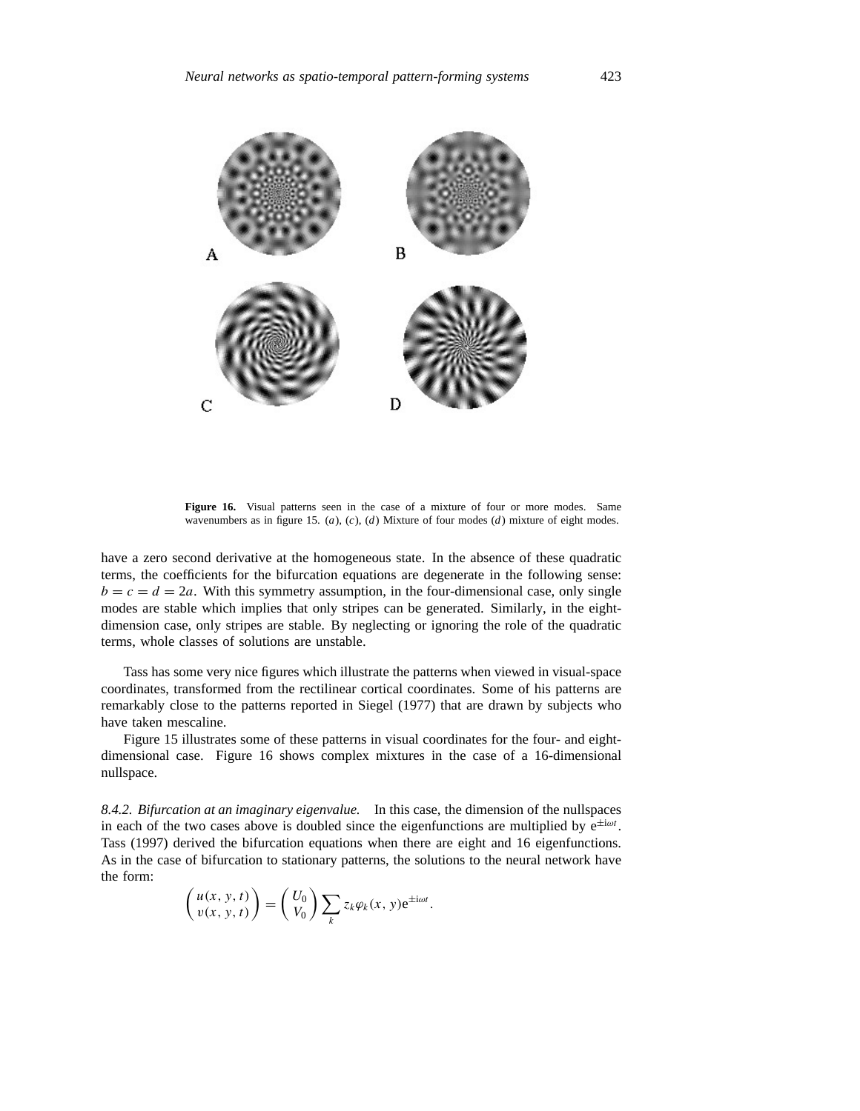

**Figure 16.** Visual patterns seen in the case of a mixture of four or more modes. Same wavenumbers as in figure 15. (*a*), (*c*), (*d*) Mixture of four modes (*d*) mixture of eight modes.

have a zero second derivative at the homogeneous state. In the absence of these quadratic terms, the coefficients for the bifurcation equations are degenerate in the following sense:  $b = c = d = 2a$ . With this symmetry assumption, in the four-dimensional case, only single modes are stable which implies that only stripes can be generated. Similarly, in the eightdimension case, only stripes are stable. By neglecting or ignoring the role of the quadratic terms, whole classes of solutions are unstable.

Tass has some very nice figures which illustrate the patterns when viewed in visual-space coordinates, transformed from the rectilinear cortical coordinates. Some of his patterns are remarkably close to the patterns reported in Siegel (1977) that are drawn by subjects who have taken mescaline.

Figure 15 illustrates some of these patterns in visual coordinates for the four- and eightdimensional case. Figure 16 shows complex mixtures in the case of a 16-dimensional nullspace.

*8.4.2. Bifurcation at an imaginary eigenvalue.* In this case, the dimension of the nullspaces in each of the two cases above is doubled since the eigenfunctions are multiplied by  $e^{\pm i\omega t}$ . Tass (1997) derived the bifurcation equations when there are eight and 16 eigenfunctions. As in the case of bifurcation to stationary patterns, the solutions to the neural network have the form:

$$
\begin{pmatrix} u(x, y, t) \\ v(x, y, t) \end{pmatrix} = \begin{pmatrix} U_0 \\ V_0 \end{pmatrix} \sum_k z_k \varphi_k(x, y) e^{\pm i\omega t}.
$$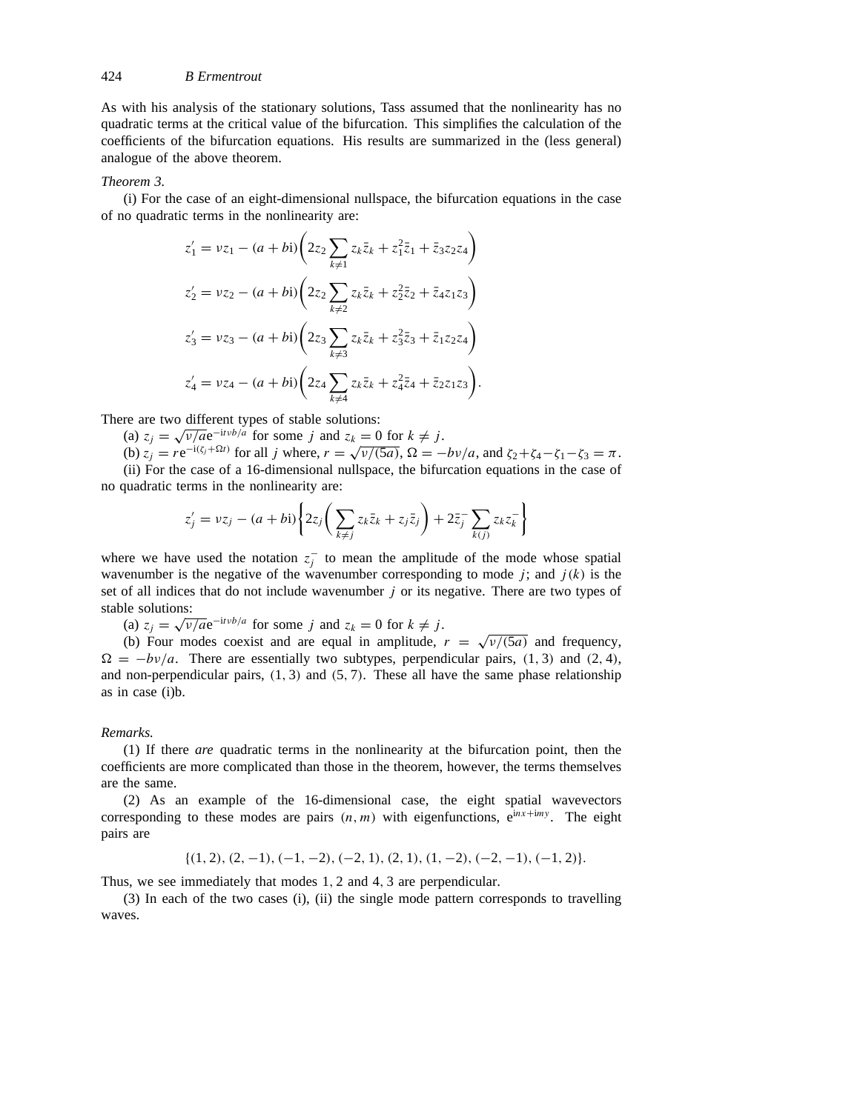As with his analysis of the stationary solutions, Tass assumed that the nonlinearity has no quadratic terms at the critical value of the bifurcation. This simplifies the calculation of the coefficients of the bifurcation equations. His results are summarized in the (less general) analogue of the above theorem.

#### *Theorem 3.*

(i) For the case of an eight-dimensional nullspace, the bifurcation equations in the case of no quadratic terms in the nonlinearity are:

$$
z'_{1} = \nu z_{1} - (a + bi) \left( 2z_{2} \sum_{k \neq 1} z_{k} \bar{z}_{k} + z_{1}^{2} \bar{z}_{1} + \bar{z}_{3} z_{2} z_{4} \right)
$$
  
\n
$$
z'_{2} = \nu z_{2} - (a + bi) \left( 2z_{2} \sum_{k \neq 2} z_{k} \bar{z}_{k} + z_{2}^{2} \bar{z}_{2} + \bar{z}_{4} z_{1} z_{3} \right)
$$
  
\n
$$
z'_{3} = \nu z_{3} - (a + bi) \left( 2z_{3} \sum_{k \neq 3} z_{k} \bar{z}_{k} + z_{3}^{2} \bar{z}_{3} + \bar{z}_{1} z_{2} z_{4} \right)
$$
  
\n
$$
z'_{4} = \nu z_{4} - (a + bi) \left( 2z_{4} \sum_{k \neq 4} z_{k} \bar{z}_{k} + z_{4}^{2} \bar{z}_{4} + \bar{z}_{2} z_{1} z_{3} \right).
$$

There are two different types of stable solutions:

(a)  $z_j = \sqrt{\frac{v}{ae}} e^{-i t v b/a}$  for some *j* and  $z_k = 0$  for  $k \neq j$ .

(a)  $z_j = \sqrt{\nu/ae^{-\lambda/2}}$  for some *f* and  $z_k = 0$  for  $k \neq j$ .<br>
(b)  $z_j = re^{-i(\zeta_j + \Omega t)}$  for all *j* where,  $r = \sqrt{\nu/(5a)}$ ,  $\Omega = -bv/a$ , and  $\zeta_2 + \zeta_4 - \zeta_1 - \zeta_3 = \pi$ .

(ii) For the case of a 16-dimensional nullspace, the bifurcation equations in the case of no quadratic terms in the nonlinearity are:

$$
z'_{j} = \nu z_{j} - (a+bi) \left\{ 2z_{j} \left( \sum_{k \neq j} z_{k} \overline{z}_{k} + z_{j} \overline{z}_{j} \right) + 2 \overline{z}_{j}^{-} \sum_{k(j)} z_{k} z_{k}^{-} \right\}
$$

where we have used the notation  $z_j^-$  to mean the amplitude of the mode whose spatial wavenumber is the negative of the wavenumber corresponding to mode  $j$ ; and  $j(k)$  is the set of all indices that do not include wavenumber *j* or its negative. There are two types of stable solutions:

(a)  $z_j = \sqrt{\frac{v}{ae}}^{-\frac{itv}{a}}$  for some *j* and  $z_k = 0$  for  $k \neq j$ .

(b) Four modes coexist and are equal in amplitude,  $r = \sqrt{\nu/(5a)}$  and frequency,  $\Omega = -bv/a$ . There are essentially two subtypes, perpendicular pairs, (1, 3) and (2, 4), and non-perpendicular pairs, *(*1*,* 3*)* and *(*5*,* 7*)*. These all have the same phase relationship as in case (i)b.

### *Remarks.*

(1) If there *are* quadratic terms in the nonlinearity at the bifurcation point, then the coefficients are more complicated than those in the theorem, however, the terms themselves are the same.

(2) As an example of the 16-dimensional case, the eight spatial wavevectors corresponding to these modes are pairs  $(n, m)$  with eigenfunctions,  $e^{inx+imy}$ . The eight pairs are

{*(*1*,* 2*), (*2*,* −1*), (*−1*,* −2*), (*−2*,* 1*), (*2*,* 1*), (*1*,* −2*), (*−2*,* −1*), (*−1*,* 2*)*}*.*

Thus, we see immediately that modes 1*,* 2 and 4*,* 3 are perpendicular.

(3) In each of the two cases (i), (ii) the single mode pattern corresponds to travelling waves.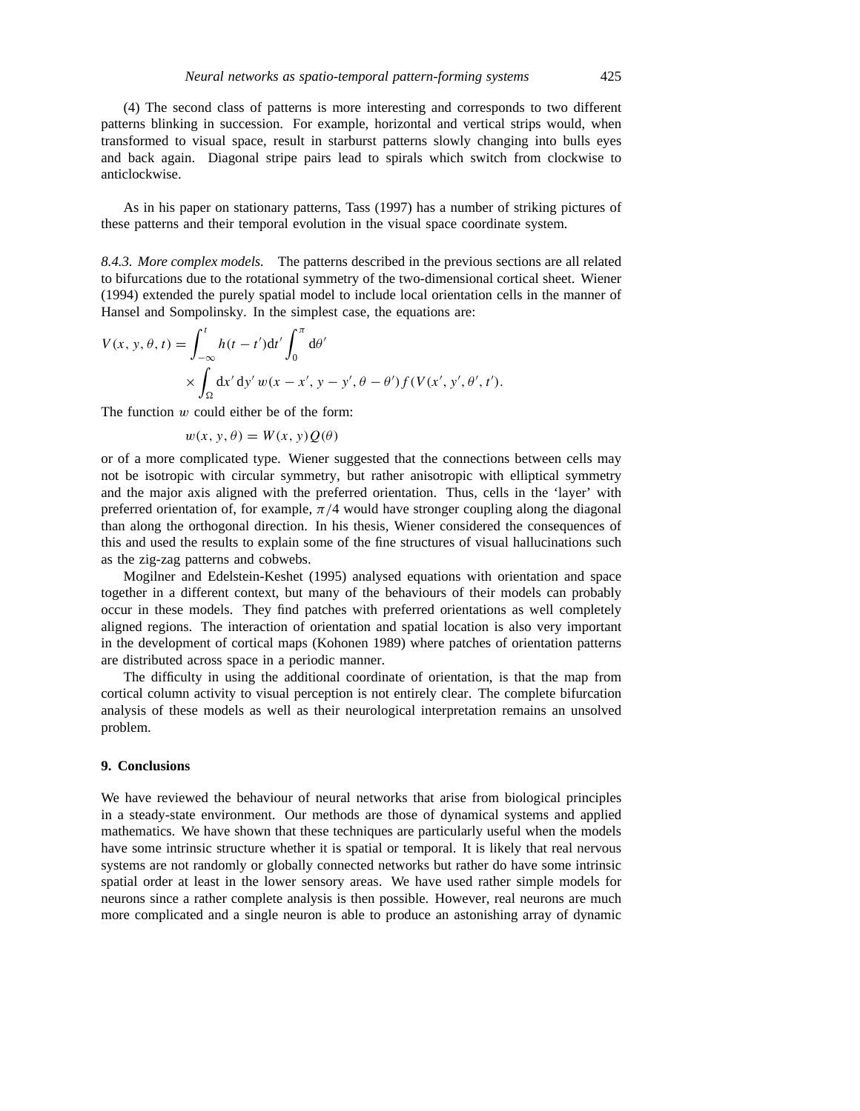(4) The second class of patterns is more interesting and corresponds to two different patterns blinking in succession. For example, horizontal and vertical strips would, when transformed to visual space, result in starburst patterns slowly changing into bulls eyes and back again. Diagonal stripe pairs lead to spirals which switch from clockwise to anticlockwise.

As in his paper on stationary patterns, Tass (1997) has a number of striking pictures of these patterns and their temporal evolution in the visual space coordinate system.

*8.4.3. More complex models.* The patterns described in the previous sections are all related to bifurcations due to the rotational symmetry of the two-dimensional cortical sheet. Wiener (1994) extended the purely spatial model to include local orientation cells in the manner of Hansel and Sompolinsky. In the simplest case, the equations are:

$$
V(x, y, \theta, t) = \int_{-\infty}^{t} h(t - t') dt' \int_{0}^{\pi} d\theta'
$$
  
 
$$
\times \int_{\Omega} dx' dy' w(x - x', y - y', \theta - \theta') f(V(x', y', \theta', t').
$$

The function *w* could either be of the form:

$$
w(x, y, \theta) = W(x, y)Q(\theta)
$$

or of a more complicated type. Wiener suggested that the connections between cells may not be isotropic with circular symmetry, but rather anisotropic with elliptical symmetry and the major axis aligned with the preferred orientation. Thus, cells in the 'layer' with preferred orientation of, for example,  $\pi/4$  would have stronger coupling along the diagonal than along the orthogonal direction. In his thesis, Wiener considered the consequences of this and used the results to explain some of the fine structures of visual hallucinations such as the zig-zag patterns and cobwebs.

Mogilner and Edelstein-Keshet (1995) analysed equations with orientation and space together in a different context, but many of the behaviours of their models can probably occur in these models. They find patches with preferred orientations as well completely aligned regions. The interaction of orientation and spatial location is also very important in the development of cortical maps (Kohonen 1989) where patches of orientation patterns are distributed across space in a periodic manner.

The difficulty in using the additional coordinate of orientation, is that the map from cortical column activity to visual perception is not entirely clear. The complete bifurcation analysis of these models as well as their neurological interpretation remains an unsolved problem.

## **9. Conclusions**

We have reviewed the behaviour of neural networks that arise from biological principles in a steady-state environment. Our methods are those of dynamical systems and applied mathematics. We have shown that these techniques are particularly useful when the models have some intrinsic structure whether it is spatial or temporal. It is likely that real nervous systems are not randomly or globally connected networks but rather do have some intrinsic spatial order at least in the lower sensory areas. We have used rather simple models for neurons since a rather complete analysis is then possible. However, real neurons are much more complicated and a single neuron is able to produce an astonishing array of dynamic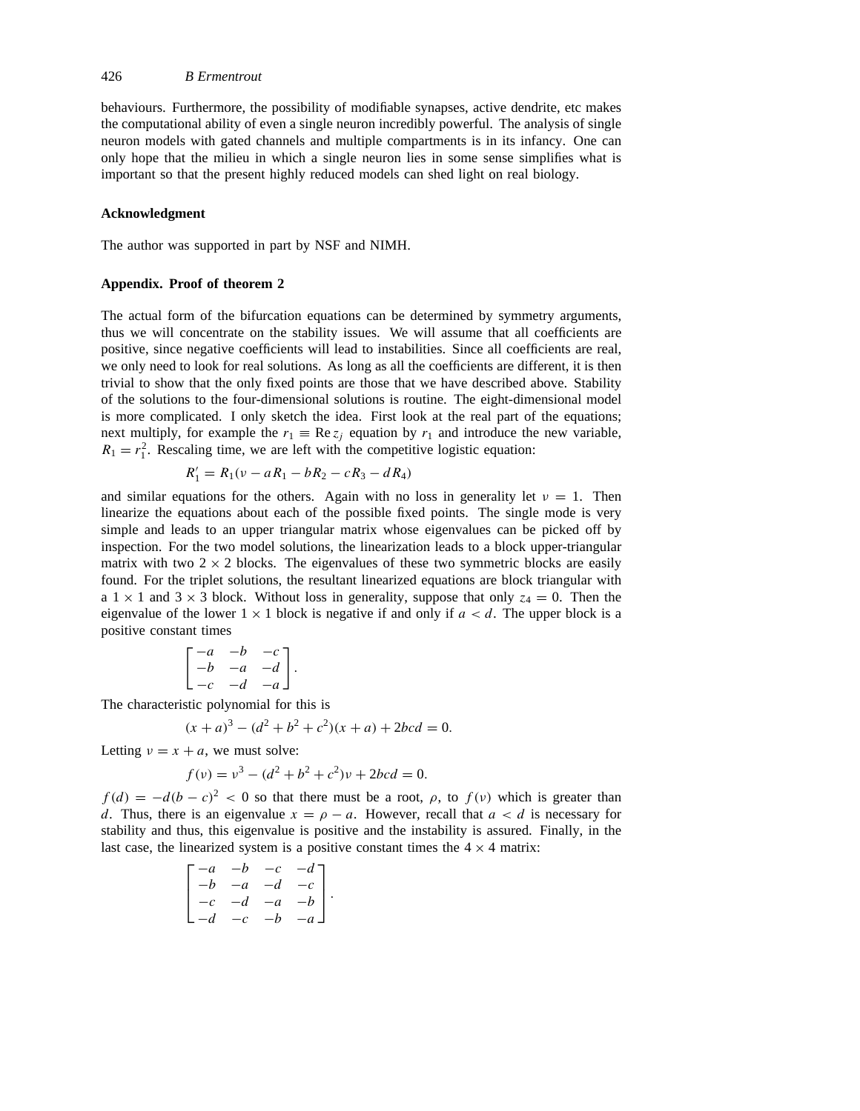behaviours. Furthermore, the possibility of modifiable synapses, active dendrite, etc makes the computational ability of even a single neuron incredibly powerful. The analysis of single neuron models with gated channels and multiple compartments is in its infancy. One can only hope that the milieu in which a single neuron lies in some sense simplifies what is important so that the present highly reduced models can shed light on real biology.

## **Acknowledgment**

The author was supported in part by NSF and NIMH.

## **Appendix. Proof of theorem 2**

The actual form of the bifurcation equations can be determined by symmetry arguments, thus we will concentrate on the stability issues. We will assume that all coefficients are positive, since negative coefficients will lead to instabilities. Since all coefficients are real, we only need to look for real solutions. As long as all the coefficients are different, it is then trivial to show that the only fixed points are those that we have described above. Stability of the solutions to the four-dimensional solutions is routine. The eight-dimensional model is more complicated. I only sketch the idea. First look at the real part of the equations; next multiply, for example the  $r_1 \equiv \text{Re } z_i$  equation by  $r_1$  and introduce the new variable,  $R_1 = r_1^2$ . Rescaling time, we are left with the competitive logistic equation:

$$
R'_1 = R_1(v - aR_1 - bR_2 - cR_3 - dR_4)
$$

and similar equations for the others. Again with no loss in generality let  $\nu = 1$ . Then linearize the equations about each of the possible fixed points. The single mode is very simple and leads to an upper triangular matrix whose eigenvalues can be picked off by inspection. For the two model solutions, the linearization leads to a block upper-triangular matrix with two  $2 \times 2$  blocks. The eigenvalues of these two symmetric blocks are easily found. For the triplet solutions, the resultant linearized equations are block triangular with a  $1 \times 1$  and  $3 \times 3$  block. Without loss in generality, suppose that only  $z_4 = 0$ . Then the eigenvalue of the lower  $1 \times 1$  block is negative if and only if  $a < d$ . The upper block is a positive constant times

$$
\begin{bmatrix} -a & -b & -c \\ -b & -a & -d \\ -c & -d & -a \end{bmatrix}.
$$

The characteristic polynomial for this is

$$
(x+a)^3 - (d^2 + b^2 + c^2)(x+a) + 2bcd = 0.
$$

Letting  $v = x + a$ , we must solve:

$$
f(v) = v3 - (d2 + b2 + c2)v + 2bcd = 0.
$$

 $f(d) = -d(b - c)^2 < 0$  so that there must be a root,  $\rho$ , to  $f(v)$  which is greater than *d*. Thus, there is an eigenvalue  $x = \rho - a$ . However, recall that  $a < d$  is necessary for stability and thus, this eigenvalue is positive and the instability is assured. Finally, in the last case, the linearized system is a positive constant times the  $4 \times 4$  matrix:

$$
\begin{bmatrix} -a & -b & -c & -d \\ -b & -a & -d & -c \\ -c & -d & -a & -b \\ -d & -c & -b & -a \end{bmatrix}.
$$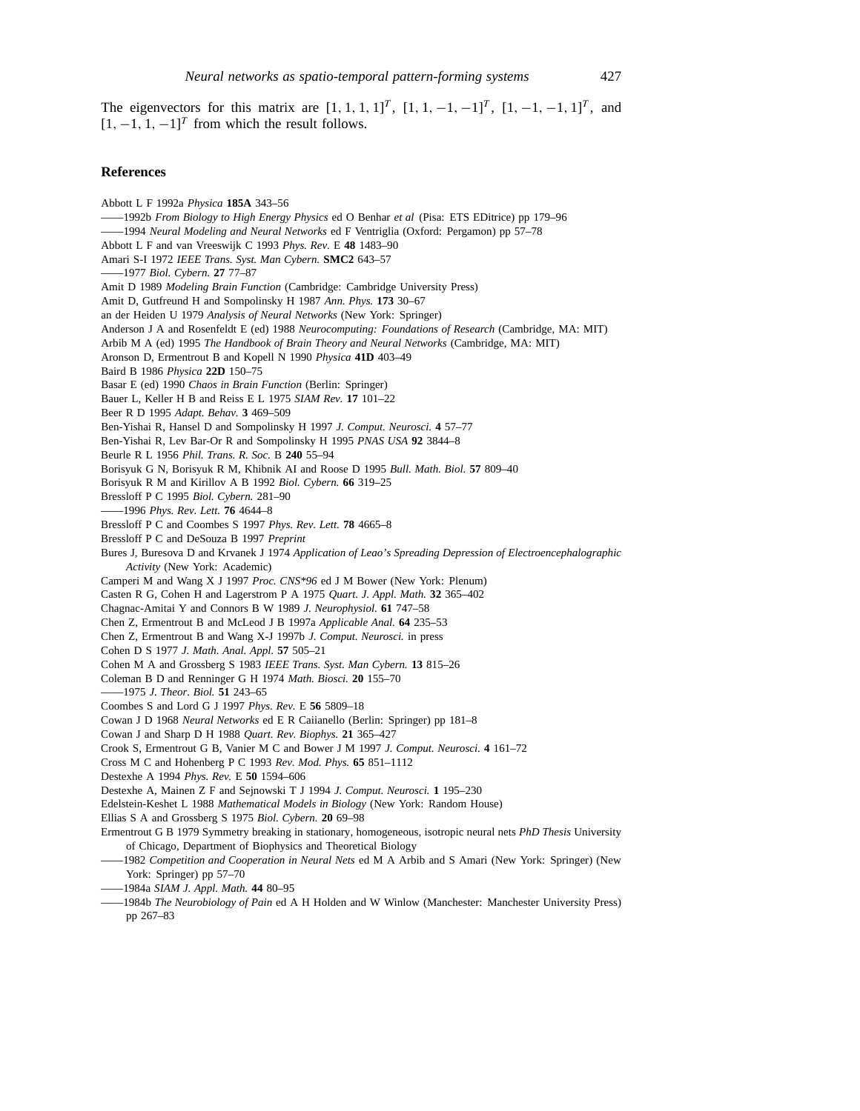The eigenvectors for this matrix are  $[1, 1, 1, 1]^T$ ,  $[1, 1, -1, -1]^T$ ,  $[1, -1, -1, 1]^T$ , and  $[1, -1, 1, -1]^T$  from which the result follows.

## **References**

pp 267–83

Abbott L F 1992a *Physica* **185A** 343–56 ——1992b *From Biology to High Energy Physics* ed O Benhar *et al* (Pisa: ETS EDitrice) pp 179–96 ——1994 *Neural Modeling and Neural Networks* ed F Ventriglia (Oxford: Pergamon) pp 57–78 Abbott L F and van Vreeswijk C 1993 *Phys. Rev.* E **48** 1483–90 Amari S-I 1972 *IEEE Trans. Syst. Man Cybern.* **SMC2** 643–57 ——1977 *Biol. Cybern.* **27** 77–87 Amit D 1989 *Modeling Brain Function* (Cambridge: Cambridge University Press) Amit D, Gutfreund H and Sompolinsky H 1987 *Ann. Phys.* **173** 30–67 an der Heiden U 1979 *Analysis of Neural Networks* (New York: Springer) Anderson J A and Rosenfeldt E (ed) 1988 *Neurocomputing: Foundations of Research* (Cambridge, MA: MIT) Arbib M A (ed) 1995 *The Handbook of Brain Theory and Neural Networks* (Cambridge, MA: MIT) Aronson D, Ermentrout B and Kopell N 1990 *Physica* **41D** 403–49 Baird B 1986 *Physica* **22D** 150–75 Basar E (ed) 1990 *Chaos in Brain Function* (Berlin: Springer) Bauer L, Keller H B and Reiss E L 1975 *SIAM Rev.* **17** 101–22 Beer R D 1995 *Adapt. Behav.* **3** 469–509 Ben-Yishai R, Hansel D and Sompolinsky H 1997 *J. Comput. Neurosci.* **4** 57–77 Ben-Yishai R, Lev Bar-Or R and Sompolinsky H 1995 *PNAS USA* **92** 3844–8 Beurle R L 1956 *Phil. Trans. R. Soc.* B **240** 55–94 Borisyuk G N, Borisyuk R M, Khibnik AI and Roose D 1995 *Bull. Math. Biol.* **57** 809–40 Borisyuk R M and Kirillov A B 1992 *Biol. Cybern.* **66** 319–25 Bressloff P C 1995 *Biol. Cybern.* 281–90 ——1996 *Phys. Rev. Lett.* **76** 4644–8 Bressloff P C and Coombes S 1997 *Phys. Rev. Lett.* **78** 4665–8 Bressloff P C and DeSouza B 1997 *Preprint* Bures J, Buresova D and Krvanek J 1974 *Application of Leao's Spreading Depression of Electroencephalographic Activity* (New York: Academic) Camperi M and Wang X J 1997 *Proc. CNS\*96* ed J M Bower (New York: Plenum) Casten R G, Cohen H and Lagerstrom P A 1975 *Quart. J. Appl. Math.* **32** 365–402 Chagnac-Amitai Y and Connors B W 1989 *J. Neurophysiol.* **61** 747–58 Chen Z, Ermentrout B and McLeod J B 1997a *Applicable Anal.* **64** 235–53 Chen Z, Ermentrout B and Wang X-J 1997b *J. Comput. Neurosci.* in press Cohen D S 1977 *J. Math. Anal. Appl.* **57** 505–21 Cohen M A and Grossberg S 1983 *IEEE Trans. Syst. Man Cybern.* **13** 815–26 Coleman B D and Renninger G H 1974 *Math. Biosci.* **20** 155–70 ——1975 *J. Theor. Biol.* **51** 243–65 Coombes S and Lord G J 1997 *Phys. Rev.* E **56** 5809–18 Cowan J D 1968 *Neural Networks* ed E R Caiianello (Berlin: Springer) pp 181–8 Cowan J and Sharp D H 1988 *Quart. Rev. Biophys.* **21** 365–427 Crook S, Ermentrout G B, Vanier M C and Bower J M 1997 *J. Comput. Neurosci.* **4** 161–72 Cross M C and Hohenberg P C 1993 *Rev. Mod. Phys.* **65** 851–1112 Destexhe A 1994 *Phys. Rev.* E **50** 1594–606 Destexhe A, Mainen Z F and Sejnowski T J 1994 *J. Comput. Neurosci.* **1** 195–230 Edelstein-Keshet L 1988 *Mathematical Models in Biology* (New York: Random House) Ellias S A and Grossberg S 1975 *Biol. Cybern.* **20** 69–98 Ermentrout G B 1979 Symmetry breaking in stationary, homogeneous, isotropic neural nets *PhD Thesis* University of Chicago, Department of Biophysics and Theoretical Biology ——1982 *Competition and Cooperation in Neural Nets* ed M A Arbib and S Amari (New York: Springer) (New York: Springer) pp 57–70 ——1984a *SIAM J. Appl. Math.* **44** 80–95 ——1984b *The Neurobiology of Pain* ed A H Holden and W Winlow (Manchester: Manchester University Press)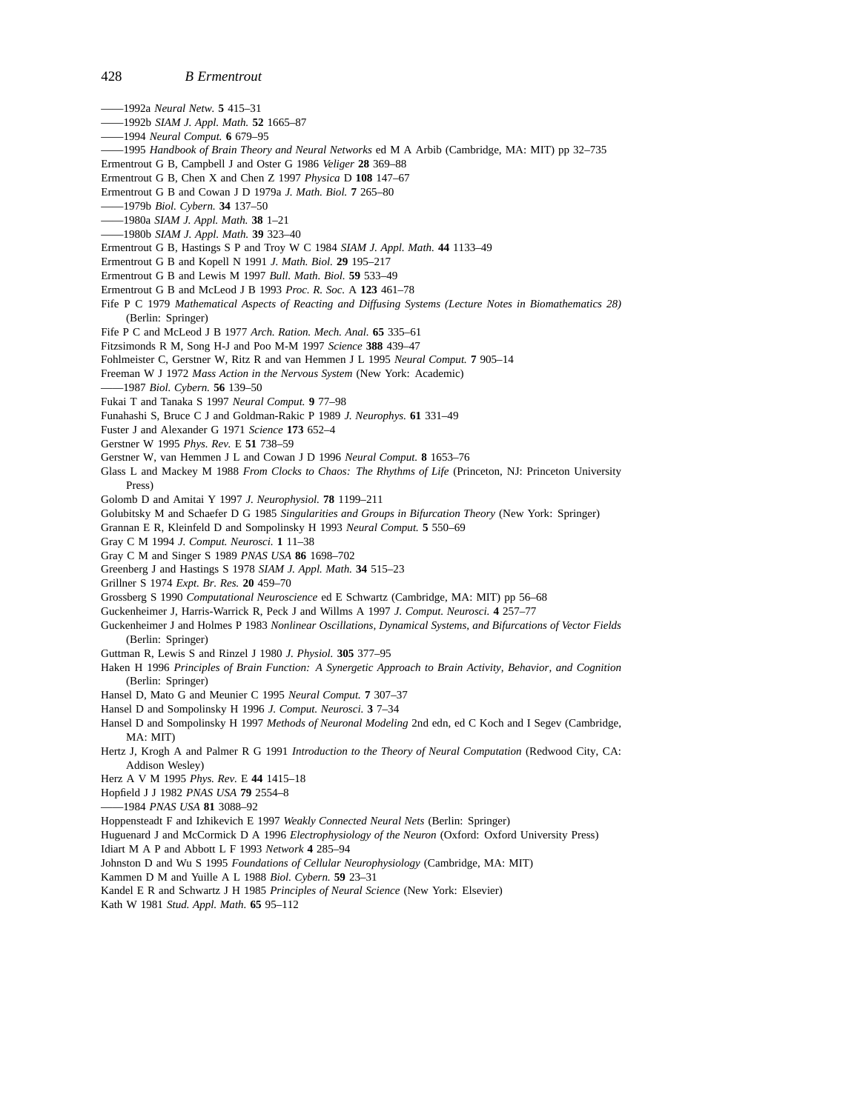- ——1992a *Neural Netw.* **5** 415–31
- ——1992b *SIAM J. Appl. Math.* **52** 1665–87
- ——1994 *Neural Comput.* **6** 679–95
- ——1995 *Handbook of Brain Theory and Neural Networks* ed M A Arbib (Cambridge, MA: MIT) pp 32–735
- Ermentrout G B, Campbell J and Oster G 1986 *Veliger* **28** 369–88
- Ermentrout G B, Chen X and Chen Z 1997 *Physica* D **108** 147–67
- Ermentrout G B and Cowan J D 1979a *J. Math. Biol.* **7** 265–80
- ——1979b *Biol. Cybern.* **34** 137–50
- ——1980a *SIAM J. Appl. Math.* **38** 1–21
- ——1980b *SIAM J. Appl. Math.* **39** 323–40
- Ermentrout G B, Hastings S P and Troy W C 1984 *SIAM J. Appl. Math.* **44** 1133–49
- Ermentrout G B and Kopell N 1991 *J. Math. Biol.* **29** 195–217
- Ermentrout G B and Lewis M 1997 *Bull. Math. Biol.* **59** 533–49
- Ermentrout G B and McLeod J B 1993 *Proc. R. Soc.* A **123** 461–78
- Fife P C 1979 *Mathematical Aspects of Reacting and Diffusing Systems (Lecture Notes in Biomathematics 28)* (Berlin: Springer)
- Fife P C and McLeod J B 1977 *Arch. Ration. Mech. Anal.* **65** 335–61
- Fitzsimonds R M, Song H-J and Poo M-M 1997 *Science* **388** 439–47
- Fohlmeister C, Gerstner W, Ritz R and van Hemmen J L 1995 *Neural Comput.* **7** 905–14
- Freeman W J 1972 *Mass Action in the Nervous System* (New York: Academic)
- ——1987 *Biol. Cybern.* **56** 139–50
- Fukai T and Tanaka S 1997 *Neural Comput.* **9** 77–98
- Funahashi S, Bruce C J and Goldman-Rakic P 1989 *J. Neurophys.* **61** 331–49
- Fuster J and Alexander G 1971 *Science* **173** 652–4
- Gerstner W 1995 *Phys. Rev.* E **51** 738–59
- Gerstner W, van Hemmen J L and Cowan J D 1996 *Neural Comput.* **8** 1653–76
- Glass L and Mackey M 1988 *From Clocks to Chaos: The Rhythms of Life* (Princeton, NJ: Princeton University Press)
- Golomb D and Amitai Y 1997 *J. Neurophysiol.* **78** 1199–211
- Golubitsky M and Schaefer D G 1985 *Singularities and Groups in Bifurcation Theory* (New York: Springer)
- Grannan E R, Kleinfeld D and Sompolinsky H 1993 *Neural Comput.* **5** 550–69
- Gray C M 1994 *J. Comput. Neurosci.* **1** 11–38
- Gray C M and Singer S 1989 *PNAS USA* **86** 1698–702
- Greenberg J and Hastings S 1978 *SIAM J. Appl. Math.* **34** 515–23
- Grillner S 1974 *Expt. Br. Res.* **20** 459–70
- Grossberg S 1990 *Computational Neuroscience* ed E Schwartz (Cambridge, MA: MIT) pp 56–68
- Guckenheimer J, Harris-Warrick R, Peck J and Willms A 1997 *J. Comput. Neurosci.* **4** 257–77
- Guckenheimer J and Holmes P 1983 *Nonlinear Oscillations, Dynamical Systems, and Bifurcations of Vector Fields* (Berlin: Springer)
- Guttman R, Lewis S and Rinzel J 1980 *J. Physiol.* **305** 377–95
- Haken H 1996 *Principles of Brain Function: A Synergetic Approach to Brain Activity, Behavior, and Cognition* (Berlin: Springer)
- Hansel D, Mato G and Meunier C 1995 *Neural Comput.* **7** 307–37
- Hansel D and Sompolinsky H 1996 *J. Comput. Neurosci.* **3** 7–34
- Hansel D and Sompolinsky H 1997 *Methods of Neuronal Modeling* 2nd edn, ed C Koch and I Segev (Cambridge, MA: MIT)
- Hertz J, Krogh A and Palmer R G 1991 *Introduction to the Theory of Neural Computation* (Redwood City, CA: Addison Wesley)
- Herz A V M 1995 *Phys. Rev.* E **44** 1415–18
- Hopfield J J 1982 *PNAS USA* **79** 2554–8
- ——1984 *PNAS USA* **81** 3088–92
- Hoppensteadt F and Izhikevich E 1997 *Weakly Connected Neural Nets* (Berlin: Springer)
- Huguenard J and McCormick D A 1996 *Electrophysiology of the Neuron* (Oxford: Oxford University Press)
- Idiart M A P and Abbott L F 1993 *Network* **4** 285–94
- Johnston D and Wu S 1995 *Foundations of Cellular Neurophysiology* (Cambridge, MA: MIT)
- Kammen D M and Yuille A L 1988 *Biol. Cybern.* **59** 23–31
- Kandel E R and Schwartz J H 1985 *Principles of Neural Science* (New York: Elsevier)
- Kath W 1981 *Stud. Appl. Math.* **65** 95–112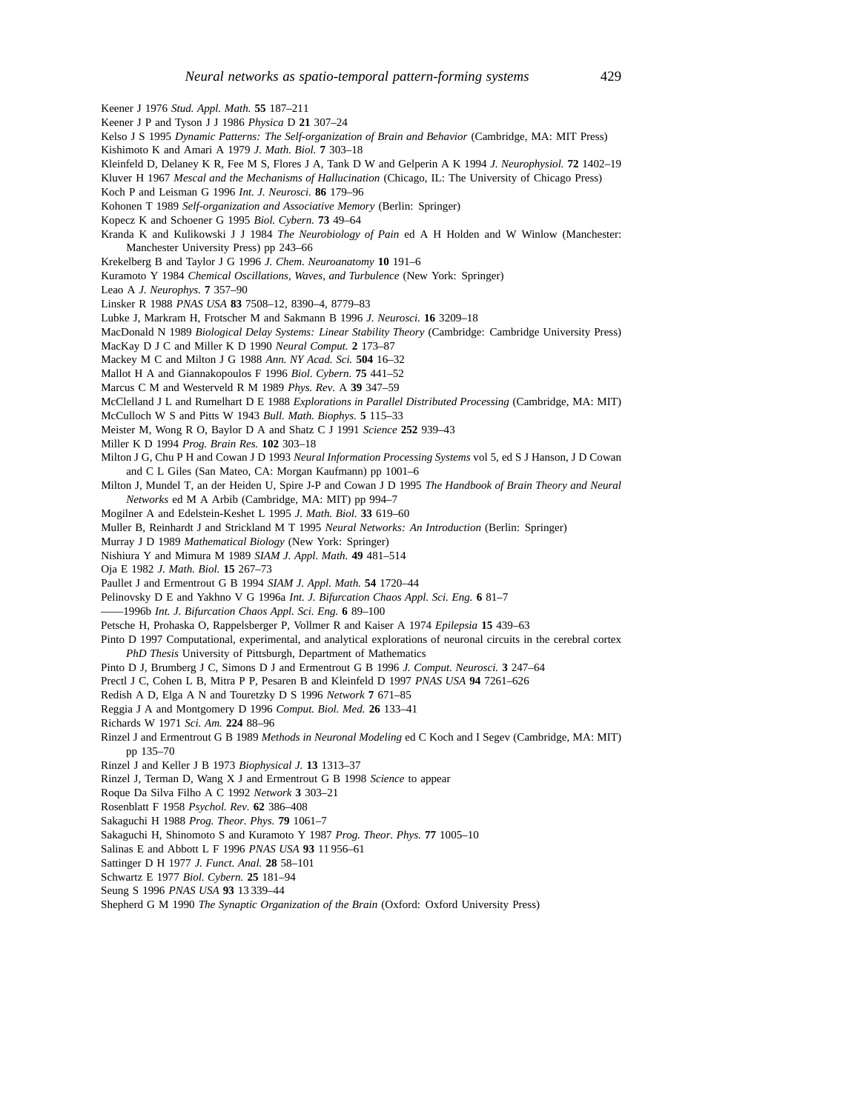Keener J 1976 *Stud. Appl. Math.* **55** 187–211 Keener J P and Tyson J J 1986 *Physica* D **21** 307–24 Kelso J S 1995 *Dynamic Patterns: The Self-organization of Brain and Behavior* (Cambridge, MA: MIT Press) Kishimoto K and Amari A 1979 *J. Math. Biol.* **7** 303–18 Kleinfeld D, Delaney K R, Fee M S, Flores J A, Tank D W and Gelperin A K 1994 *J. Neurophysiol.* **72** 1402–19 Kluver H 1967 *Mescal and the Mechanisms of Hallucination* (Chicago, IL: The University of Chicago Press) Koch P and Leisman G 1996 *Int. J. Neurosci.* **86** 179–96 Kohonen T 1989 *Self-organization and Associative Memory* (Berlin: Springer) Kopecz K and Schoener G 1995 *Biol. Cybern.* **73** 49–64 Kranda K and Kulikowski J J 1984 *The Neurobiology of Pain* ed A H Holden and W Winlow (Manchester: Manchester University Press) pp 243–66 Krekelberg B and Taylor J G 1996 *J. Chem. Neuroanatomy* **10** 191–6 Kuramoto Y 1984 *Chemical Oscillations, Waves, and Turbulence* (New York: Springer) Leao A *J. Neurophys.* **7** 357–90 Linsker R 1988 *PNAS USA* **83** 7508–12, 8390–4, 8779–83 Lubke J, Markram H, Frotscher M and Sakmann B 1996 *J. Neurosci.* **16** 3209–18 MacDonald N 1989 *Biological Delay Systems: Linear Stability Theory* (Cambridge: Cambridge University Press) MacKay D J C and Miller K D 1990 *Neural Comput.* **2** 173–87 Mackey M C and Milton J G 1988 *Ann. NY Acad. Sci.* **504** 16–32 Mallot H A and Giannakopoulos F 1996 *Biol. Cybern.* **75** 441–52 Marcus C M and Westerveld R M 1989 *Phys. Rev.* A **39** 347–59 McClelland J L and Rumelhart D E 1988 *Explorations in Parallel Distributed Processing* (Cambridge, MA: MIT) McCulloch W S and Pitts W 1943 *Bull. Math. Biophys.* **5** 115–33 Meister M, Wong R O, Baylor D A and Shatz C J 1991 *Science* **252** 939–43 Miller K D 1994 *Prog. Brain Res.* **102** 303–18 Milton J G, Chu P H and Cowan J D 1993 *Neural Information Processing Systems* vol 5, ed S J Hanson, J D Cowan and C L Giles (San Mateo, CA: Morgan Kaufmann) pp 1001–6 Milton J, Mundel T, an der Heiden U, Spire J-P and Cowan J D 1995 *The Handbook of Brain Theory and Neural Networks* ed M A Arbib (Cambridge, MA: MIT) pp 994–7 Mogilner A and Edelstein-Keshet L 1995 *J. Math. Biol.* **33** 619–60 Muller B, Reinhardt J and Strickland M T 1995 *Neural Networks: An Introduction* (Berlin: Springer) Murray J D 1989 *Mathematical Biology* (New York: Springer) Nishiura Y and Mimura M 1989 *SIAM J. Appl. Math.* **49** 481–514 Oja E 1982 *J. Math. Biol.* **15** 267–73 Paullet J and Ermentrout G B 1994 *SIAM J. Appl. Math.* **54** 1720–44 Pelinovsky D E and Yakhno V G 1996a *Int. J. Bifurcation Chaos Appl. Sci. Eng.* **6** 81–7 ——1996b *Int. J. Bifurcation Chaos Appl. Sci. Eng.* **6** 89–100 Petsche H, Prohaska O, Rappelsberger P, Vollmer R and Kaiser A 1974 *Epilepsia* **15** 439–63 Pinto D 1997 Computational, experimental, and analytical explorations of neuronal circuits in the cerebral cortex *PhD Thesis* University of Pittsburgh, Department of Mathematics Pinto D J, Brumberg J C, Simons D J and Ermentrout G B 1996 *J. Comput. Neurosci.* **3** 247–64 Prectl J C, Cohen L B, Mitra P P, Pesaren B and Kleinfeld D 1997 *PNAS USA* **94** 7261–626 Redish A D, Elga A N and Touretzky D S 1996 *Network* **7** 671–85 Reggia J A and Montgomery D 1996 *Comput. Biol. Med.* **26** 133–41 Richards W 1971 *Sci. Am.* **224** 88–96 Rinzel J and Ermentrout G B 1989 *Methods in Neuronal Modeling* ed C Koch and I Segev (Cambridge, MA: MIT) pp 135–70 Rinzel J and Keller J B 1973 *Biophysical J.* **13** 1313–37 Rinzel J, Terman D, Wang X J and Ermentrout G B 1998 *Science* to appear Roque Da Silva Filho A C 1992 *Network* **3** 303–21 Rosenblatt F 1958 *Psychol. Rev.* **62** 386–408 Sakaguchi H 1988 *Prog. Theor. Phys.* **79** 1061–7 Sakaguchi H, Shinomoto S and Kuramoto Y 1987 *Prog. Theor. Phys.* **77** 1005–10 Salinas E and Abbott L F 1996 *PNAS USA* **93** 11 956–61 Sattinger D H 1977 *J. Funct. Anal.* **28** 58–101 Schwartz E 1977 *Biol. Cybern.* **25** 181–94

Seung S 1996 *PNAS USA* **93** 13 339–44

Shepherd G M 1990 *The Synaptic Organization of the Brain* (Oxford: Oxford University Press)